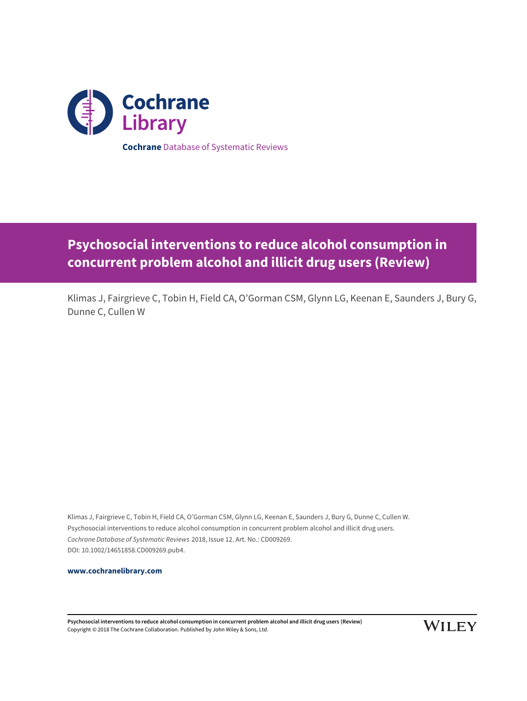

# **Psychosocial interventions to reduce alcohol consumption in concurrent problem alcohol and illicit drug users (Review)**

Klimas J, Fairgrieve C, Tobin H, Field CA, O'Gorman CSM, Glynn LG, Keenan E, Saunders J, Bury G, Dunne C, Cullen W

Klimas J, Fairgrieve C, Tobin H, Field CA, O'Gorman CSM, Glynn LG, Keenan E, Saunders J, Bury G, Dunne C, Cullen W. Psychosocial interventions to reduce alcohol consumption in concurrent problem alcohol and illicit drug users. Cochrane Database of Systematic Reviews 2018, Issue 12. Art. No.: CD009269. DOI: 10.1002/14651858.CD009269.pub4.

**[www.cochranelibrary.com](http://www.cochranelibrary.com)**

**Psychosocial interventions to reduce alcohol consumption in concurrent problem alcohol and illicit drug users (Review)** Copyright © 2018 The Cochrane Collaboration. Published by John Wiley & Sons, Ltd.

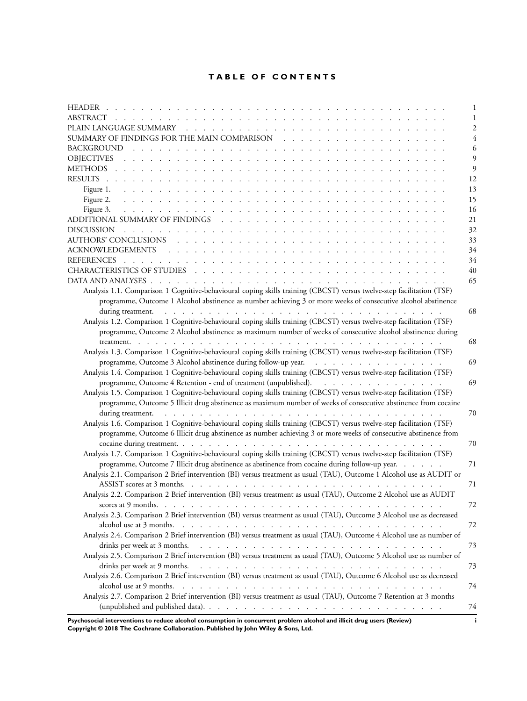# **TABLE OF CONTENTS**

|                                                                                                                        | 1              |
|------------------------------------------------------------------------------------------------------------------------|----------------|
|                                                                                                                        | 1              |
|                                                                                                                        | $\overline{2}$ |
|                                                                                                                        | 4              |
|                                                                                                                        | 6              |
|                                                                                                                        | 9              |
|                                                                                                                        | 9              |
|                                                                                                                        | 12             |
|                                                                                                                        | 13             |
|                                                                                                                        | 15             |
|                                                                                                                        | 16             |
|                                                                                                                        | 21             |
|                                                                                                                        | 32             |
|                                                                                                                        | 33             |
|                                                                                                                        | 34             |
|                                                                                                                        | 34             |
|                                                                                                                        | 40             |
|                                                                                                                        | 65             |
| Analysis 1.1. Comparison 1 Cognitive-behavioural coping skills training (CBCST) versus twelve-step facilitation (TSF)  |                |
| programme, Outcome 1 Alcohol abstinence as number achieving 3 or more weeks of consecutive alcohol abstinence          |                |
|                                                                                                                        | 68             |
| Analysis 1.2. Comparison 1 Cognitive-behavioural coping skills training (CBCST) versus twelve-step facilitation (TSF)  |                |
| programme, Outcome 2 Alcohol abstinence as maximum number of weeks of consecutive alcohol abstinence during            |                |
|                                                                                                                        | 68             |
| Analysis 1.3. Comparison 1 Cognitive-behavioural coping skills training (CBCST) versus twelve-step facilitation (TSF)  |                |
|                                                                                                                        | 69             |
| Analysis 1.4. Comparison 1 Cognitive-behavioural coping skills training (CBCST) versus twelve-step facilitation (TSF)  |                |
| programme, Outcome 4 Retention - end of treatment (unpublished).                                                       | 69             |
| Analysis 1.5. Comparison 1 Cognitive-behavioural coping skills training (CBCST) versus twelve-step facilitation (TSF)  |                |
| programme, Outcome 5 Illicit drug abstinence as maximum number of weeks of consecutive abstinence from cocaine         |                |
|                                                                                                                        | 70             |
| Analysis 1.6. Comparison 1 Cognitive-behavioural coping skills training (CBCST) versus twelve-step facilitation (TSF)  |                |
| programme, Outcome 6 Illicit drug abstinence as number achieving 3 or more weeks of consecutive abstinence from        |                |
|                                                                                                                        | 70             |
| Analysis 1.7. Comparison 1 Cognitive-behavioural coping skills training (CBCST) versus twelve-step facilitation (TSF)  |                |
| programme, Outcome 7 Illicit drug abstinence as abstinence from cocaine during follow-up year.                         | 71             |
| Analysis 2.1. Comparison 2 Brief intervention (BI) versus treatment as usual (TAU), Outcome 1 Alcohol use as AUDIT or  |                |
|                                                                                                                        | 71             |
| Analysis 2.2. Comparison 2 Brief intervention (BI) versus treatment as usual (TAU), Outcome 2 Alcohol use as AUDIT     |                |
|                                                                                                                        | 72             |
| Analysis 2.3. Comparison 2 Brief intervention (BI) versus treatment as usual (TAU), Outcome 3 Alcohol use as decreased |                |
|                                                                                                                        | 72             |
| Analysis 2.4. Comparison 2 Brief intervention (BI) versus treatment as usual (TAU), Outcome 4 Alcohol use as number of |                |
|                                                                                                                        | 73             |
| Analysis 2.5. Comparison 2 Brief intervention (BI) versus treatment as usual (TAU), Outcome 5 Alcohol use as number of |                |
|                                                                                                                        | 73             |
| Analysis 2.6. Comparison 2 Brief intervention (BI) versus treatment as usual (TAU), Outcome 6 Alcohol use as decreased |                |
| Analysis 2.7. Comparison 2 Brief intervention (BI) versus treatment as usual (TAU), Outcome 7 Retention at 3 months    | 74             |
|                                                                                                                        |                |
|                                                                                                                        | 74             |

**Psychosocial interventions to reduce alcohol consumption in concurrent problem alcohol and illicit drug users (Review) i Copyright © 2018 The Cochrane Collaboration. Published by John Wiley & Sons, Ltd.**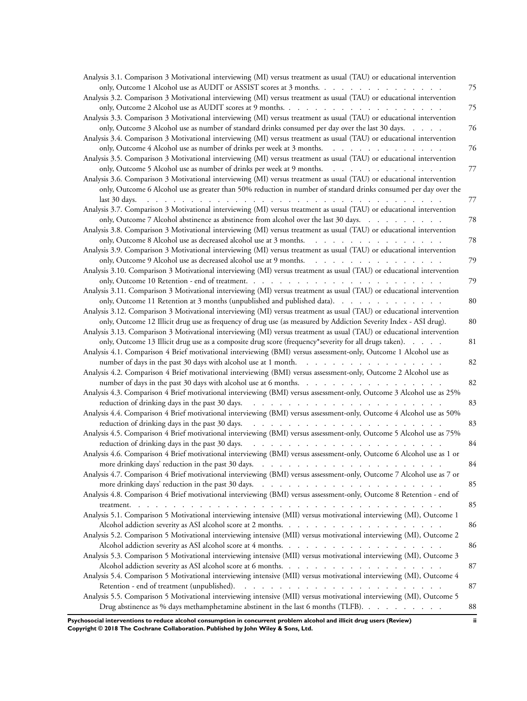| Analysis 3.1. Comparison 3 Motivational interviewing (MI) versus treatment as usual (TAU) or educational intervention                                                                                                                                                             |    |
|-----------------------------------------------------------------------------------------------------------------------------------------------------------------------------------------------------------------------------------------------------------------------------------|----|
| only, Outcome 1 Alcohol use as AUDIT or ASSIST scores at 3 months.                                                                                                                                                                                                                | 75 |
| Analysis 3.2. Comparison 3 Motivational interviewing (MI) versus treatment as usual (TAU) or educational intervention                                                                                                                                                             |    |
|                                                                                                                                                                                                                                                                                   | 75 |
| Analysis 3.3. Comparison 3 Motivational interviewing (MI) versus treatment as usual (TAU) or educational intervention                                                                                                                                                             |    |
| only, Outcome 3 Alcohol use as number of standard drinks consumed per day over the last 30 days.                                                                                                                                                                                  | 76 |
| Analysis 3.4. Comparison 3 Motivational interviewing (MI) versus treatment as usual (TAU) or educational intervention                                                                                                                                                             |    |
| only, Outcome 4 Alcohol use as number of drinks per week at 3 months.                                                                                                                                                                                                             | 76 |
| Analysis 3.5. Comparison 3 Motivational interviewing (MI) versus treatment as usual (TAU) or educational intervention                                                                                                                                                             |    |
| only, Outcome 5 Alcohol use as number of drinks per week at 9 months.                                                                                                                                                                                                             | 77 |
| Analysis 3.6. Comparison 3 Motivational interviewing (MI) versus treatment as usual (TAU) or educational intervention                                                                                                                                                             |    |
| only, Outcome 6 Alcohol use as greater than 50% reduction in number of standard drinks consumed per day over the                                                                                                                                                                  |    |
| last 30 days.<br>and a construction of the construction of the construction of the construction of the construction of the construction of the construction of the construction of the construction of the construction of the construction of                                    | 77 |
| Analysis 3.7. Comparison 3 Motivational interviewing (MI) versus treatment as usual (TAU) or educational intervention                                                                                                                                                             |    |
| only, Outcome 7 Alcohol abstinence as abstinence from alcohol over the last 30 days.                                                                                                                                                                                              | 78 |
| Analysis 3.8. Comparison 3 Motivational interviewing (MI) versus treatment as usual (TAU) or educational intervention                                                                                                                                                             |    |
| only, Outcome 8 Alcohol use as decreased alcohol use at 3 months.                                                                                                                                                                                                                 | 78 |
| Analysis 3.9. Comparison 3 Motivational interviewing (MI) versus treatment as usual (TAU) or educational intervention                                                                                                                                                             |    |
| only, Outcome 9 Alcohol use as decreased alcohol use at 9 months.                                                                                                                                                                                                                 | 79 |
|                                                                                                                                                                                                                                                                                   |    |
| Analysis 3.10. Comparison 3 Motivational interviewing (MI) versus treatment as usual (TAU) or educational intervention                                                                                                                                                            |    |
|                                                                                                                                                                                                                                                                                   | 79 |
| Analysis 3.11. Comparison 3 Motivational interviewing (MI) versus treatment as usual (TAU) or educational intervention                                                                                                                                                            |    |
| only, Outcome 11 Retention at 3 months (unpublished and published data).                                                                                                                                                                                                          | 80 |
| Analysis 3.12. Comparison 3 Motivational interviewing (MI) versus treatment as usual (TAU) or educational intervention                                                                                                                                                            |    |
| only, Outcome 12 Illicit drug use as frequency of drug use (as measured by Addiction Severity Index - ASI drug).                                                                                                                                                                  | 80 |
| Analysis 3.13. Comparison 3 Motivational interviewing (MI) versus treatment as usual (TAU) or educational intervention                                                                                                                                                            |    |
| only, Outcome 13 Illicit drug use as a composite drug score (frequency*severity for all drugs taken).                                                                                                                                                                             | 81 |
| Analysis 4.1. Comparison 4 Brief motivational interviewing (BMI) versus assessment-only, Outcome 1 Alcohol use as                                                                                                                                                                 |    |
| number of days in the past 30 days with alcohol use at 1 month.                                                                                                                                                                                                                   | 82 |
| Analysis 4.2. Comparison 4 Brief motivational interviewing (BMI) versus assessment-only, Outcome 2 Alcohol use as                                                                                                                                                                 |    |
| number of days in the past 30 days with alcohol use at 6 months.                                                                                                                                                                                                                  | 82 |
| Analysis 4.3. Comparison 4 Brief motivational interviewing (BMI) versus assessment-only, Outcome 3 Alcohol use as 25%                                                                                                                                                             |    |
| and the contract of the contract of the contract of the contract of the contract of the contract of the contract of the contract of the contract of the contract of the contract of the contract of the contract of the contra<br>reduction of drinking days in the past 30 days. | 83 |
| Analysis 4.4. Comparison 4 Brief motivational interviewing (BMI) versus assessment-only, Outcome 4 Alcohol use as 50%                                                                                                                                                             |    |
| reduction of drinking days in the past 30 days.<br>and the company of the company of the company of the company of the company of the company of the company of the company of the company of the company of the company of the company of the company of the company of the comp | 83 |
| Analysis 4.5. Comparison 4 Brief motivational interviewing (BMI) versus assessment-only, Outcome 5 Alcohol use as 75%                                                                                                                                                             |    |
| reduction of drinking days in the past 30 days.<br>the contract of the contract of the contract of the contract of the contract of the contract of the contract of the contract of the contract of the contract of the contract of the contract of the contract of the contract o | 84 |
| Analysis 4.6. Comparison 4 Brief motivational interviewing (BMI) versus assessment-only, Outcome 6 Alcohol use as 1 or                                                                                                                                                            |    |
|                                                                                                                                                                                                                                                                                   | 84 |
| Analysis 4.7. Comparison 4 Brief motivational interviewing (BMI) versus assessment-only, Outcome 7 Alcohol use as 7 or                                                                                                                                                            |    |
|                                                                                                                                                                                                                                                                                   | 85 |
| Analysis 4.8. Comparison 4 Brief motivational interviewing (BMI) versus assessment-only, Outcome 8 Retention - end of                                                                                                                                                             |    |
|                                                                                                                                                                                                                                                                                   | 85 |
| Analysis 5.1. Comparison 5 Motivational interviewing intensive (MII) versus motivational interviewing (MI), Outcome 1                                                                                                                                                             |    |
|                                                                                                                                                                                                                                                                                   | 86 |
| Analysis 5.2. Comparison 5 Motivational interviewing intensive (MII) versus motivational interviewing (MI), Outcome 2                                                                                                                                                             |    |
|                                                                                                                                                                                                                                                                                   | 86 |
| Analysis 5.3. Comparison 5 Motivational interviewing intensive (MII) versus motivational interviewing (MI), Outcome 3                                                                                                                                                             |    |
|                                                                                                                                                                                                                                                                                   | 87 |
| Analysis 5.4. Comparison 5 Motivational interviewing intensive (MII) versus motivational interviewing (MI), Outcome 4                                                                                                                                                             |    |
|                                                                                                                                                                                                                                                                                   | 87 |
| Analysis 5.5. Comparison 5 Motivational interviewing intensive (MII) versus motivational interviewing (MI), Outcome 5                                                                                                                                                             |    |
| Drug abstinence as % days methamphetamine abstinent in the last 6 months (TLFB).                                                                                                                                                                                                  | 88 |
|                                                                                                                                                                                                                                                                                   |    |

**Psychosocial interventions to reduce alcohol consumption in concurrent problem alcohol and illicit drug users (Review) ii Copyright © 2018 The Cochrane Collaboration. Published by John Wiley & Sons, Ltd.**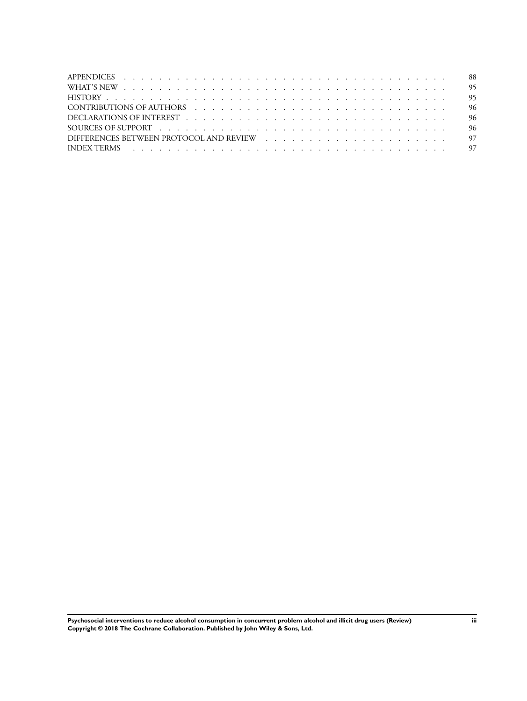| CONTRIBUTIONS OF AUTHORS research and the contract of the contract of the contract of the contract of the contr |  |
|-----------------------------------------------------------------------------------------------------------------|--|
| DECLARATIONS OF INTEREST research and the contract of the contract of the contract of the contract of the contr |  |
|                                                                                                                 |  |
|                                                                                                                 |  |
|                                                                                                                 |  |
|                                                                                                                 |  |

**Psychosocial interventions to reduce alcohol consumption in concurrent problem alcohol and illicit drug users (Review) iii Copyright © 2018 The Cochrane Collaboration. Published by John Wiley & Sons, Ltd.**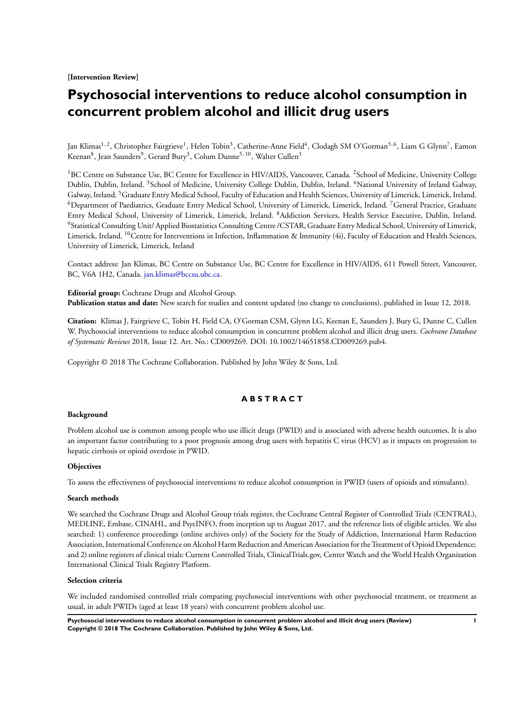**[Intervention Review]**

# **Psychosocial interventions to reduce alcohol consumption in concurrent problem alcohol and illicit drug users**

Jan Klimas<sup>1,2</sup>, Christopher Fairgrieve<sup>1</sup>, Helen Tobin<sup>3</sup>, Catherine-Anne Field<sup>4</sup>, Clodagh SM O'Gorman<sup>5,6</sup>, Liam G Glynn<sup>7</sup>, Eamon Keenan<sup>8</sup>, Jean Saunders<sup>9</sup>, Gerard Bury<sup>3</sup>, Colum Dunne<sup>5,10</sup>, Walter Cullen<sup>3</sup>

<sup>1</sup>BC Centre on Substance Use, BC Centre for Excellence in HIV/AIDS, Vancouver, Canada. <sup>2</sup>School of Medicine, University College Dublin, Dublin, Ireland. <sup>3</sup>School of Medicine, University College Dublin, Dublin, Ireland. <sup>4</sup>National University of Ireland Galway, Galway, Ireland. <sup>5</sup>Graduate Entry Medical School, Faculty of Education and Health Sciences, University of Limerick, Limerick, Ireland. <sup>6</sup>Department of Paediatrics, Graduate Entry Medical School, University of Limerick, Limerick, Ireland. <sup>7</sup>General Practice, Graduate Entry Medical School, University of Limerick, Limerick, Ireland. <sup>8</sup>Addiction Services, Health Service Executive, Dublin, Ireland. <sup>9</sup>Statistical Consulting Unit/ Applied Biostatistics Consulting Centre /CSTAR, Graduate Entry Medical School, University of Limerick, Limerick, Ireland. <sup>10</sup>Centre for Interventions in Infection, Inflammation & Immunity (4i), Faculty of Education and Health Sciences, University of Limerick, Limerick, Ireland

Contact address: Jan Klimas, BC Centre on Substance Use, BC Centre for Excellence in HIV/AIDS, 611 Powell Street, Vancouver, BC, V6A 1H2, Canada. [jan.klimas@bccsu.ubc.ca.](mailto:jan.klimas@bccsu.ubc.ca)

**Editorial group:** Cochrane Drugs and Alcohol Group. **Publication status and date:** New search for studies and content updated (no change to conclusions), published in Issue 12, 2018.

**Citation:** Klimas J, Fairgrieve C, Tobin H, Field CA, O'Gorman CSM, Glynn LG, Keenan E, Saunders J, Bury G, Dunne C, Cullen W. Psychosocial interventions to reduce alcohol consumption in concurrent problem alcohol and illicit drug users. *Cochrane Database of Systematic Reviews* 2018, Issue 12. Art. No.: CD009269. DOI: 10.1002/14651858.CD009269.pub4.

Copyright © 2018 The Cochrane Collaboration. Published by John Wiley & Sons, Ltd.

# **A B S T R A C T**

## **Background**

Problem alcohol use is common among people who use illicit drugs (PWID) and is associated with adverse health outcomes. It is also an important factor contributing to a poor prognosis among drug users with hepatitis C virus (HCV) as it impacts on progression to hepatic cirrhosis or opioid overdose in PWID.

## **Objectives**

To assess the effectiveness of psychosocial interventions to reduce alcohol consumption in PWID (users of opioids and stimulants).

#### **Search methods**

We searched the Cochrane Drugs and Alcohol Group trials register, the Cochrane Central Register of Controlled Trials (CENTRAL), MEDLINE, Embase, CINAHL, and PsycINFO, from inception up to August 2017, and the reference lists of eligible articles. We also searched: 1) conference proceedings (online archives only) of the Society for the Study of Addiction, International Harm Reduction Association, International Conference on Alcohol Harm Reduction and American Association for the Treatment of Opioid Dependence; and 2) online registers of clinical trials: Current Controlled Trials, ClinicalTrials.gov, Center Watch and the World Health Organization International Clinical Trials Registry Platform.

## **Selection criteria**

We included randomised controlled trials comparing psychosocial interventions with other psychosocial treatment, or treatment as usual, in adult PWIDs (aged at least 18 years) with concurrent problem alcohol use.

**Psychosocial interventions to reduce alcohol consumption in concurrent problem alcohol and illicit drug users (Review) 1 Copyright © 2018 The Cochrane Collaboration. Published by John Wiley & Sons, Ltd.**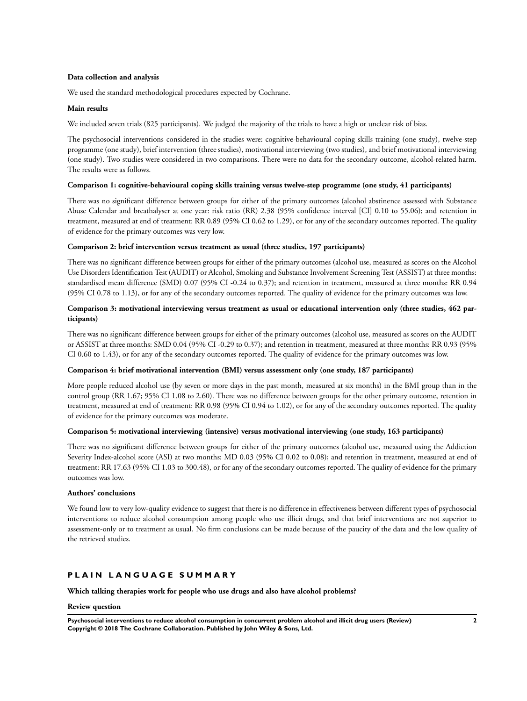## **Data collection and analysis**

We used the standard methodological procedures expected by Cochrane.

## **Main results**

We included seven trials (825 participants). We judged the majority of the trials to have a high or unclear risk of bias.

The psychosocial interventions considered in the studies were: cognitive-behavioural coping skills training (one study), twelve-step programme (one study), brief intervention (three studies), motivational interviewing (two studies), and brief motivational interviewing (one study). Two studies were considered in two comparisons. There were no data for the secondary outcome, alcohol-related harm. The results were as follows.

## **Comparison 1: cognitive-behavioural coping skills training versus twelve-step programme (one study, 41 participants)**

There was no significant difference between groups for either of the primary outcomes (alcohol abstinence assessed with Substance Abuse Calendar and breathalyser at one year: risk ratio (RR) 2.38 (95% confidence interval [CI] 0.10 to 55.06); and retention in treatment, measured at end of treatment: RR 0.89 (95% CI 0.62 to 1.29), or for any of the secondary outcomes reported. The quality of evidence for the primary outcomes was very low.

## **Comparison 2: brief intervention versus treatment as usual (three studies, 197 participants)**

There was no significant difference between groups for either of the primary outcomes (alcohol use, measured as scores on the Alcohol Use Disorders Identification Test (AUDIT) or Alcohol, Smoking and Substance Involvement Screening Test (ASSIST) at three months: standardised mean difference (SMD) 0.07 (95% CI -0.24 to 0.37); and retention in treatment, measured at three months: RR 0.94 (95% CI 0.78 to 1.13), or for any of the secondary outcomes reported. The quality of evidence for the primary outcomes was low.

## **Comparison 3: motivational interviewing versus treatment as usual or educational intervention only (three studies, 462 participants)**

There was no significant difference between groups for either of the primary outcomes (alcohol use, measured as scores on the AUDIT or ASSIST at three months: SMD 0.04 (95% CI -0.29 to 0.37); and retention in treatment, measured at three months: RR 0.93 (95% CI 0.60 to 1.43), or for any of the secondary outcomes reported. The quality of evidence for the primary outcomes was low.

## **Comparison 4: brief motivational intervention (BMI) versus assessment only (one study, 187 participants)**

More people reduced alcohol use (by seven or more days in the past month, measured at six months) in the BMI group than in the control group (RR 1.67; 95% CI 1.08 to 2.60). There was no difference between groups for the other primary outcome, retention in treatment, measured at end of treatment: RR 0.98 (95% CI 0.94 to 1.02), or for any of the secondary outcomes reported. The quality of evidence for the primary outcomes was moderate.

## **Comparison 5: motivational interviewing (intensive) versus motivational interviewing (one study, 163 participants)**

There was no significant difference between groups for either of the primary outcomes (alcohol use, measured using the Addiction Severity Index-alcohol score (ASI) at two months: MD 0.03 (95% CI 0.02 to 0.08); and retention in treatment, measured at end of treatment: RR 17.63 (95% CI 1.03 to 300.48), or for any of the secondary outcomes reported. The quality of evidence for the primary outcomes was low.

## **Authors' conclusions**

We found low to very low-quality evidence to suggest that there is no difference in effectiveness between different types of psychosocial interventions to reduce alcohol consumption among people who use illicit drugs, and that brief interventions are not superior to assessment-only or to treatment as usual. No firm conclusions can be made because of the paucity of the data and the low quality of the retrieved studies.

# **P L A I N L A N G U A G E S U M M A R Y**

**Which talking therapies work for people who use drugs and also have alcohol problems?**

## **Review question**

**Psychosocial interventions to reduce alcohol consumption in concurrent problem alcohol and illicit drug users (Review) 2 Copyright © 2018 The Cochrane Collaboration. Published by John Wiley & Sons, Ltd.**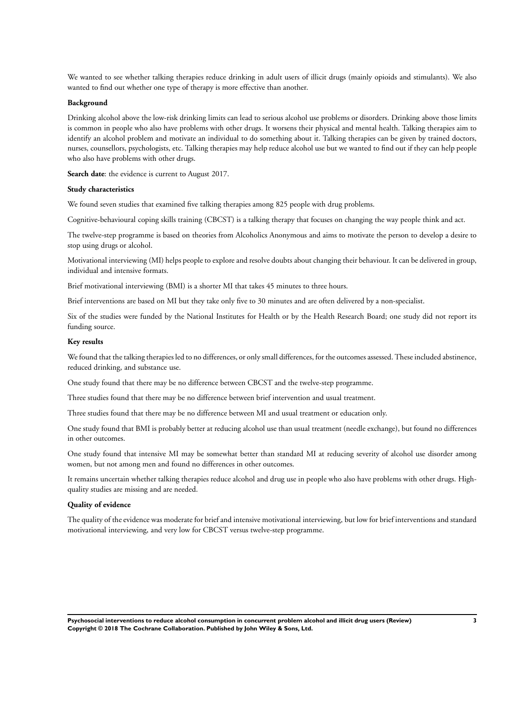We wanted to see whether talking therapies reduce drinking in adult users of illicit drugs (mainly opioids and stimulants). We also wanted to find out whether one type of therapy is more effective than another.

#### **Background**

Drinking alcohol above the low-risk drinking limits can lead to serious alcohol use problems or disorders. Drinking above those limits is common in people who also have problems with other drugs. It worsens their physical and mental health. Talking therapies aim to identify an alcohol problem and motivate an individual to do something about it. Talking therapies can be given by trained doctors, nurses, counsellors, psychologists, etc. Talking therapies may help reduce alcohol use but we wanted to find out if they can help people who also have problems with other drugs.

**Search date**: the evidence is current to August 2017.

#### **Study characteristics**

We found seven studies that examined five talking therapies among 825 people with drug problems.

Cognitive-behavioural coping skills training (CBCST) is a talking therapy that focuses on changing the way people think and act.

The twelve-step programme is based on theories from Alcoholics Anonymous and aims to motivate the person to develop a desire to stop using drugs or alcohol.

Motivational interviewing (MI) helps people to explore and resolve doubts about changing their behaviour. It can be delivered in group, individual and intensive formats.

Brief motivational interviewing (BMI) is a shorter MI that takes 45 minutes to three hours.

Brief interventions are based on MI but they take only five to 30 minutes and are often delivered by a non-specialist.

Six of the studies were funded by the National Institutes for Health or by the Health Research Board; one study did not report its funding source.

#### **Key results**

We found that the talking therapies led to no differences, or only small differences, for the outcomes assessed. These included abstinence, reduced drinking, and substance use.

One study found that there may be no difference between CBCST and the twelve-step programme.

Three studies found that there may be no difference between brief intervention and usual treatment.

Three studies found that there may be no difference between MI and usual treatment or education only.

One study found that BMI is probably better at reducing alcohol use than usual treatment (needle exchange), but found no differences in other outcomes.

One study found that intensive MI may be somewhat better than standard MI at reducing severity of alcohol use disorder among women, but not among men and found no differences in other outcomes.

It remains uncertain whether talking therapies reduce alcohol and drug use in people who also have problems with other drugs. Highquality studies are missing and are needed.

## **Quality of evidence**

The quality of the evidence was moderate for brief and intensive motivational interviewing, but low for brief interventions and standard motivational interviewing, and very low for CBCST versus twelve-step programme.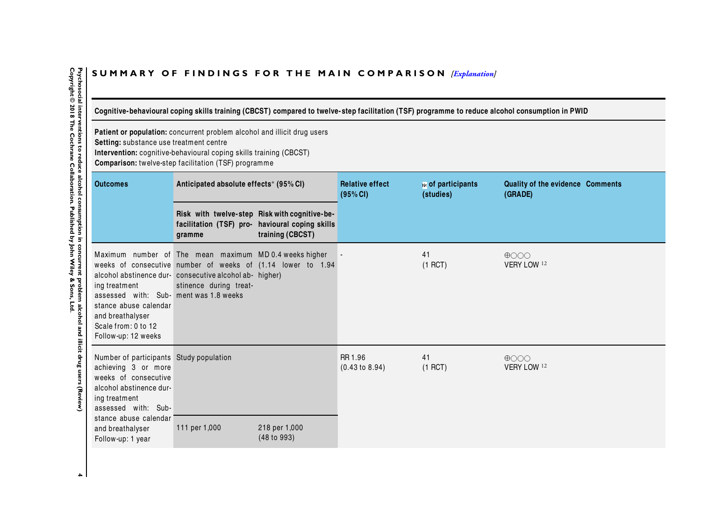# <span id="page-7-0"></span>SUMMARY OF FINDINGS FOR THE MAIN COMPARISON *[\[Explanation\]](http://www.thecochranelibrary.com/view/0/SummaryFindings.html)*

Cognitive-behavioural coping skills training (CBCST) compared to twelve-step facilitation (TSF) programme to reduce alcohol consumption in PWID

**Patient or population:** concurrent problem alcohol and illicit drug users

**Setting:** substance use treatment centre

**Intervention:** cognitive-behavioural coping skills training (CBCST)

**Comparison:** twelve-step facilitation (TSF) programme

| <b>Outcomes</b>                                                                                                                                                                                                             | Anticipated absolute effects* (95% CI)                                                                                                     |                                                                                                                      | <b>Relative effect</b><br>(95% CI)   | № of participants<br>(studies) | Quality of the evidence Comments<br>(GRADE) |
|-----------------------------------------------------------------------------------------------------------------------------------------------------------------------------------------------------------------------------|--------------------------------------------------------------------------------------------------------------------------------------------|----------------------------------------------------------------------------------------------------------------------|--------------------------------------|--------------------------------|---------------------------------------------|
|                                                                                                                                                                                                                             | gramme                                                                                                                                     | Risk with twelve-step Risk with cognitive-be-<br>facilitation (TSF) pro- havioural coping skills<br>training (CBCST) |                                      |                                |                                             |
| ing treatment<br>assessed with: Sub- ment was 1.8 weeks<br>stance abuse calendar<br>and breathalyser<br>Scale from: 0 to 12<br>Follow-up: 12 weeks                                                                          | Maximum number of The mean maximum MD0.4 weeks higher<br>alcohol abstinence dur- consecutive alcohol ab- higher)<br>stinence during treat- | weeks of consecutive number of weeks of (1.14 lower to 1.94                                                          |                                      | 41<br>$(1$ RCT)                | $\bigoplus$<br>VERY LOW 12                  |
| Number of participants Study population<br>achieving 3 or more<br>weeks of consecutive<br>alcohol abstinence dur-<br>ing treatment<br>assessed with: Sub-<br>stance abuse calendar<br>and breathalyser<br>Follow-up: 1 year | 111 per 1,000                                                                                                                              | 218 per 1,000<br>$(48 \text{ to } 993)$                                                                              | RR 1.96<br>$(0.43 \text{ to } 8.94)$ | 41<br>$(1$ RCT)                | $\bigoplus$<br>VERY LOW 12                  |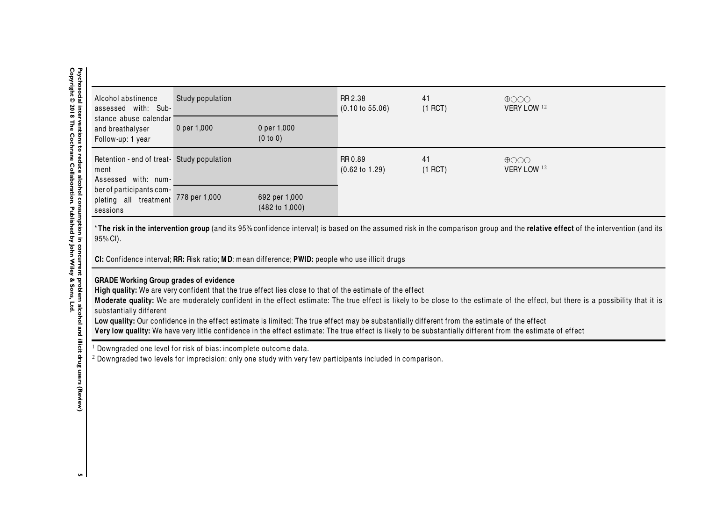| Alcohol abstinence<br>assessed with: Sub-                                   | Study population |                                            | RR 2.38<br>$(0.10 \text{ to } 55.06)$ | 41<br>$(1$ RCT) | $\bigoplus$ $\bigcirc$ $\bigcirc$<br>VERY LOW 12 |
|-----------------------------------------------------------------------------|------------------|--------------------------------------------|---------------------------------------|-----------------|--------------------------------------------------|
| stance abuse calendar<br>and breathalyser<br>Follow-up: 1 year              | 0 per 1,000      | 0 per 1,000<br>(0 to 0)                    |                                       |                 |                                                  |
| Retention - end of treat- Study population<br>ment<br>Assessed with: num-   |                  |                                            | RR 0.89<br>$(0.62 \text{ to } 1.29)$  | 41<br>$(1$ RCT) | $\bigoplus$ $\bigcirc$ $\bigcirc$<br>VERY LOW 12 |
| ber of participants com-<br>pleting all treatment 778 per 1,000<br>sessions |                  | 692 per 1,000<br>$(482 \text{ to } 1,000)$ |                                       |                 |                                                  |

\***The risk in the intervention group** (and its 95% confidence interval) is based on the assumed risk in the comparison group and the **relative effect** of the intervention (and its<br>05% Cl\ 95% CI).

**CI:** Conf idence interval; **RR:** Risk ratio; **MD**: mean difference; **PWID:** people who use illicit drugs

# **GRADE Working Group grades of evidence**

High quality: We are very confident that the true effect lies close to that of the estimate of the effect

Moderate quality: We are moderately confident in the effect estimate: The true effect is likely to be close to the estimate of the effect, but there is a possibility that it is substantially different

Low quality: Our confidence in the effect estimate is limited: The true effect may be substantially different from the estimate of the effect

Very low quality: We have very little confidence in the effect estimate: The true effect is likely to be substantially different from the estimate of effect

 $<sup>1</sup>$  Downgraded one level for risk of bias: incomplete outcome data.</sup>

 $^{\rm 2}$  Downgraded two levels for imprecision: only one study with very few participants included in comparison.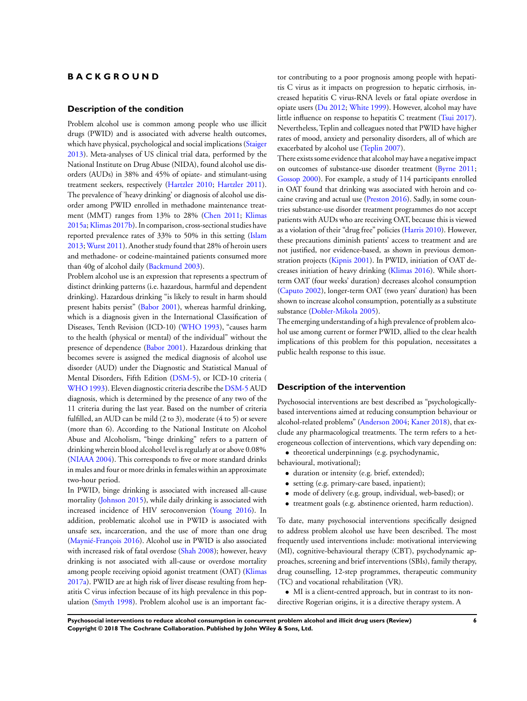## **B A C K G R O U N D**

#### **Description of the condition**

Problem alcohol use is common among people who use illicit drugs (PWID) and is associated with adverse health outcomes, which have physical, psychological and social implications ([Staiger](#page-37-0) [2013](#page-37-0)). Meta-analyses of US clinical trial data, performed by the National Institute on Drug Abuse (NIDA), found alcohol use disorders (AUDs) in 38% and 45% of opiate- and stimulant-using treatment seekers, respectively [\(Hartzler 2010;](#page-37-0) [Hartzler 2011](#page-37-0)). The prevalence of 'heavy drinking' or diagnosis of alcohol use disorder among PWID enrolled in methadone maintenance treatment (MMT) ranges from 13% to 28% [\(Chen 2011](#page-37-0); [Klimas](#page-37-0) [2015a;Klimas 2017b\)](#page-37-0). In comparison, cross-sectional studies have reported prevalence rates of 33% to 50% in this setting [\(Islam](#page-37-0) [2013](#page-37-0); [Wurst 2011\)](#page-37-0). Another study found that 28% of heroin users and methadone- or codeine-maintained patients consumed more than 40g of alcohol daily ([Backmund 2003\)](#page-37-0).

Problem alcohol use is an expression that represents a spectrum of distinct drinking patterns (i.e. hazardous, harmful and dependent drinking). Hazardous drinking "is likely to result in harm should present habits persist" ([Babor 2001](#page-37-0)), whereas harmful drinking, which is a diagnosis given in the International Classification of Diseases, Tenth Revision (ICD-10) [\(WHO 1993\)](#page-37-0), "causes harm to the health (physical or mental) of the individual" without the presence of dependence ([Babor 2001\)](#page-37-0). Hazardous drinking that becomes severe is assigned the medical diagnosis of alcohol use disorder (AUD) under the Diagnostic and Statistical Manual of Mental Disorders, Fifth Edition ([DSM-5\)](#page-37-0), or ICD-10 criteria ( [WHO 1993\)](#page-37-0). Eleven diagnostic criteria describe the [DSM-5](#page-37-0) AUD diagnosis, which is determined by the presence of any two of the 11 criteria during the last year. Based on the number of criteria fulfilled, an AUD can be mild (2 to 3), moderate (4 to 5) or severe (more than 6). According to the National Institute on Alcohol Abuse and Alcoholism, "binge drinking" refers to a pattern of drinking wherein blood alcohol level is regularly at or above 0.08% [\(NIAAA 2004](#page-37-0)). This corresponds to five or more standard drinks in males and four or more drinks in females within an approximate two-hour period.

In PWID, binge drinking is associated with increased all-cause mortality [\(Johnson 2015](#page-37-0)), while daily drinking is associated with increased incidence of HIV seroconversion ([Young 2016](#page-37-0)). In addition, problematic alcohol use in PWID is associated with unsafe sex, incarceration, and the use of more than one drug [\(Maynié-François 2016\)](#page-37-0). Alcohol use in PWID is also associated with increased risk of fatal overdose [\(Shah 2008\)](#page-37-0); however, heavy drinking is not associated with all-cause or overdose mortality among people receiving opioid agonist treatment (OAT) ([Klimas](#page-37-0) [2017a\)](#page-37-0). PWID are at high risk of liver disease resulting from hepatitis C virus infection because of its high prevalence in this population [\(Smyth 1998\)](#page-37-0). Problem alcohol use is an important factor contributing to a poor prognosis among people with hepatitis C virus as it impacts on progression to hepatic cirrhosis, increased hepatitis C virus-RNA levels or fatal opiate overdose in opiate users [\(Du 2012](#page-37-0); [White 1999](#page-37-0)). However, alcohol may have little influence on response to hepatitis C treatment ([Tsui 2017](#page-37-0)). Nevertheless, Teplin and colleagues noted that PWID have higher rates of mood, anxiety and personality disorders, all of which are exacerbated by alcohol use ([Teplin 2007](#page-37-0)).

There exists some evidence that alcohol may have a negative impact on outcomes of substance-use disorder treatment [\(Byrne 2011;](#page-37-0) [Gossop 2000](#page-37-0)). For example, a study of 114 participants enrolled in OAT found that drinking was associated with heroin and cocaine craving and actual use ([Preston 2016\)](#page-37-0). Sadly, in some countries substance-use disorder treatment programmes do not accept patients with AUDs who are receiving OAT, because this is viewed as a violation of their "drug free" policies [\(Harris 2010](#page-37-0)). However, these precautions diminish patients' access to treatment and are not justified, nor evidence-based, as shown in previous demonstration projects [\(Kipnis 2001](#page-37-0)). In PWID, initiation of OAT decreases initiation of heavy drinking ([Klimas 2016\)](#page-37-0). While shortterm OAT (four weeks' duration) decreases alcohol consumption [\(Caputo 2002\)](#page-37-0), longer-term OAT (two years' duration) has been shown to increase alcohol consumption, potentially as a substitute substance [\(Dobler-Mikola 2005](#page-37-0)).

The emerging understanding of a high prevalence of problem alcohol use among current or former PWID, allied to the clear health implications of this problem for this population, necessitates a public health response to this issue.

#### **Description of the intervention**

Psychosocial interventions are best described as "psychologicallybased interventions aimed at reducing consumption behaviour or alcohol-related problems" ([Anderson 2004;](#page-37-0) [Kaner 2018](#page-37-0)), that exclude any pharmacological treatments. The term refers to a heterogeneous collection of interventions, which vary depending on:

• theoretical underpinnings (e.g. psychodynamic,

- behavioural, motivational);
	- duration or intensity (e.g. brief, extended);
	- setting (e.g. primary-care based, inpatient);
	- mode of delivery (e.g. group, individual, web-based); or
	- treatment goals (e.g. abstinence oriented, harm reduction).

To date, many psychosocial interventions specifically designed to address problem alcohol use have been described. The most frequently used interventions include: motivational interviewing (MI), cognitive-behavioural therapy (CBT), psychodynamic approaches, screening and brief interventions (SBIs), family therapy, drug counselling, 12-step programmes, therapeutic community (TC) and vocational rehabilitation (VR).

• MI is a client-centred approach, but in contrast to its nondirective Rogerian origins, it is a directive therapy system. A

**Psychosocial interventions to reduce alcohol consumption in concurrent problem alcohol and illicit drug users (Review) 6 Copyright © 2018 The Cochrane Collaboration. Published by John Wiley & Sons, Ltd.**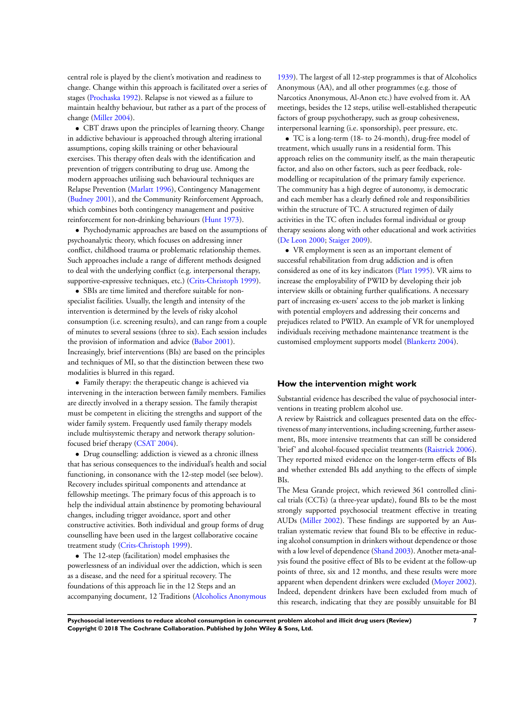central role is played by the client's motivation and readiness to change. Change within this approach is facilitated over a series of stages [\(Prochaska 1992](#page-37-0)). Relapse is not viewed as a failure to maintain healthy behaviour, but rather as a part of the process of change [\(Miller 2004](#page-37-0)).

• CBT draws upon the principles of learning theory. Change in addictive behaviour is approached through altering irrational assumptions, coping skills training or other behavioural exercises. This therapy often deals with the identification and prevention of triggers contributing to drug use. Among the modern approaches utilising such behavioural techniques are Relapse Prevention [\(Marlatt 1996\)](#page-37-0), Contingency Management [\(Budney 2001](#page-37-0)), and the Community Reinforcement Approach, which combines both contingency management and positive reinforcement for non-drinking behaviours ([Hunt 1973](#page-37-0)).

• Psychodynamic approaches are based on the assumptions of psychoanalytic theory, which focuses on addressing inner conflict, childhood trauma or problematic relationship themes. Such approaches include a range of different methods designed to deal with the underlying conflict (e.g. interpersonal therapy, supportive-expressive techniques, etc.) ([Crits-Christoph 1999](#page-37-0)).

• SBIs are time limited and therefore suitable for nonspecialist facilities. Usually, the length and intensity of the intervention is determined by the levels of risky alcohol consumption (i.e. screening results), and can range from a couple of minutes to several sessions (three to six). Each session includes the provision of information and advice [\(Babor 2001](#page-37-0)). Increasingly, brief interventions (BIs) are based on the principles and techniques of MI, so that the distinction between these two modalities is blurred in this regard.

• Family therapy: the therapeutic change is achieved via intervening in the interaction between family members. Families are directly involved in a therapy session. The family therapist must be competent in eliciting the strengths and support of the wider family system. Frequently used family therapy models include multisystemic therapy and network therapy solutionfocused brief therapy [\(CSAT 2004\)](#page-37-0).

• Drug counselling: addiction is viewed as a chronic illness that has serious consequences to the individual's health and social functioning, in consonance with the 12-step model (see below). Recovery includes spiritual components and attendance at fellowship meetings. The primary focus of this approach is to help the individual attain abstinence by promoting behavioural changes, including trigger avoidance, sport and other constructive activities. Both individual and group forms of drug counselling have been used in the largest collaborative cocaine treatment study [\(Crits-Christoph 1999\)](#page-37-0).

• The 12-step (facilitation) model emphasises the powerlessness of an individual over the addiction, which is seen as a disease, and the need for a spiritual recovery. The foundations of this approach lie in the 12 Steps and an accompanying document, 12 Traditions [\(Alcoholics Anonymous](#page-37-0)

[1939](#page-37-0)). The largest of all 12-step programmes is that of Alcoholics Anonymous (AA), and all other programmes (e.g. those of Narcotics Anonymous, Al-Anon etc.) have evolved from it. AA meetings, besides the 12 steps, utilise well-established therapeutic factors of group psychotherapy, such as group cohesiveness, interpersonal learning (i.e. sponsorship), peer pressure, etc.

• TC is a long-term (18- to 24-month), drug-free model of treatment, which usually runs in a residential form. This approach relies on the community itself, as the main therapeutic factor, and also on other factors, such as peer feedback, rolemodelling or recapitulation of the primary family experience. The community has a high degree of autonomy, is democratic and each member has a clearly defined role and responsibilities within the structure of TC. A structured regimen of daily activities in the TC often includes formal individual or group therapy sessions along with other educational and work activities [\(De Leon 2000;](#page-37-0) [Staiger 2009\)](#page-37-0).

• VR employment is seen as an important element of successful rehabilitation from drug addiction and is often considered as one of its key indicators [\(Platt 1995\)](#page-37-0). VR aims to increase the employability of PWID by developing their job interview skills or obtaining further qualifications. A necessary part of increasing ex-users' access to the job market is linking with potential employers and addressing their concerns and prejudices related to PWID. An example of VR for unemployed individuals receiving methadone maintenance treatment is the customised employment supports model [\(Blankertz 2004](#page-37-0)).

## **How the intervention might work**

Substantial evidence has described the value of psychosocial interventions in treating problem alcohol use.

A review by Raistrick and colleagues presented data on the effectiveness of many interventions, including screening, further assessment, BIs, more intensive treatments that can still be considered 'brief' and alcohol-focused specialist treatments [\(Raistrick 2006](#page-37-0)). They reported mixed evidence on the longer-term effects of BIs and whether extended BIs add anything to the effects of simple BIs.

The Mesa Grande project, which reviewed 361 controlled clinical trials (CCTs) (a three-year update), found BIs to be the most strongly supported psychosocial treatment effective in treating AUDs [\(Miller 2002](#page-37-0)). These findings are supported by an Australian systematic review that found BIs to be effective in reducing alcohol consumption in drinkers without dependence or those with a low level of dependence [\(Shand 2003\)](#page-37-0). Another meta-analysis found the positive effect of BIs to be evident at the follow-up points of three, six and 12 months, and these results were more apparent when dependent drinkers were excluded [\(Moyer 2002](#page-37-0)). Indeed, dependent drinkers have been excluded from much of this research, indicating that they are possibly unsuitable for BI

**Psychosocial interventions to reduce alcohol consumption in concurrent problem alcohol and illicit drug users (Review) 7 Copyright © 2018 The Cochrane Collaboration. Published by John Wiley & Sons, Ltd.**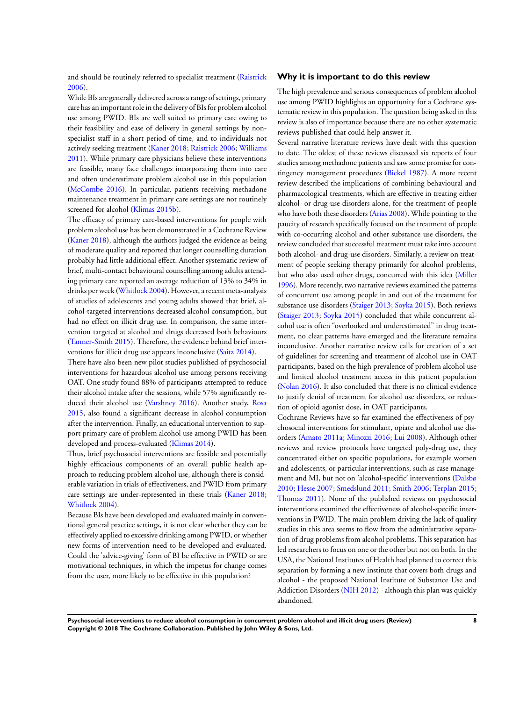and should be routinely referred to specialist treatment [\(Raistrick](#page-37-0) [2006](#page-37-0)).

While BIs are generally delivered across a range of settings, primary care has an important role in the delivery of BIs for problem alcohol use among PWID. BIs are well suited to primary care owing to their feasibility and ease of delivery in general settings by nonspecialist staff in a short period of time, and to individuals not actively seeking treatment [\(Kaner 2018;](#page-37-0) [Raistrick 2006;](#page-37-0) [Williams](#page-37-0) [2011](#page-37-0)). While primary care physicians believe these interventions are feasible, many face challenges incorporating them into care and often underestimate problem alcohol use in this population [\(McCombe 2016](#page-37-0)). In particular, patients receiving methadone maintenance treatment in primary care settings are not routinely screened for alcohol [\(Klimas 2015b](#page-37-0)).

The efficacy of primary care-based interventions for people with problem alcohol use has been demonstrated in a Cochrane Review [\(Kaner 2018](#page-37-0)), although the authors judged the evidence as being of moderate quality and reported that longer counselling duration probably had little additional effect. Another systematic review of brief, multi-contact behavioural counselling among adults attending primary care reported an average reduction of 13% to 34% in drinks per week ([Whitlock 2004](#page-37-0)). However, a recent meta-analysis of studies of adolescents and young adults showed that brief, alcohol-targeted interventions decreased alcohol consumption, but had no effect on illicit drug use. In comparison, the same intervention targeted at alcohol and drugs decreased both behaviours [\(Tanner-Smith 2015](#page-37-0)). Therefore, the evidence behind brief interventions for illicit drug use appears inconclusive ([Saitz 2014](#page-37-0)).

There have also been new pilot studies published of psychosocial interventions for hazardous alcohol use among persons receiving OAT. One study found 88% of participants attempted to reduce their alcohol intake after the sessions, while 57% significantly reduced their alcohol use ([Varshney 2016\)](#page-37-0). Another study, [Rosa](#page-37-0) [2015](#page-37-0), also found a significant decrease in alcohol consumption after the intervention. Finally, an educational intervention to support primary care of problem alcohol use among PWID has been developed and process-evaluated ([Klimas 2014](#page-37-0)).

Thus, brief psychosocial interventions are feasible and potentially highly efficacious components of an overall public health approach to reducing problem alcohol use, although there is considerable variation in trials of effectiveness, and PWID from primary care settings are under-represented in these trials ([Kaner 2018;](#page-37-0) [Whitlock 2004](#page-37-0)).

Because BIs have been developed and evaluated mainly in conventional general practice settings, it is not clear whether they can be effectively applied to excessive drinking among PWID, or whether new forms of intervention need to be developed and evaluated. Could the 'advice-giving' form of BI be effective in PWID or are motivational techniques, in which the impetus for change comes from the user, more likely to be effective in this population?

## **Why it is important to do this review**

The high prevalence and serious consequences of problem alcohol use among PWID highlights an opportunity for a Cochrane systematic review in this population. The question being asked in this review is also of importance because there are no other systematic reviews published that could help answer it.

Several narrative literature reviews have dealt with this question to date. The oldest of these reviews discussed six reports of four studies among methadone patients and saw some promise for contingency management procedures [\(Bickel 1987](#page-37-0)). A more recent review described the implications of combining behavioural and pharmacological treatments, which are effective in treating either alcohol- or drug-use disorders alone, for the treatment of people who have both these disorders ([Arias 2008](#page-37-0)). While pointing to the paucity of research specifically focused on the treatment of people with co-occurring alcohol and other substance use disorders, the review concluded that successful treatment must take into account both alcohol- and drug-use disorders. Similarly, a review on treatment of people seeking therapy primarily for alcohol problems, but who also used other drugs, concurred with this idea ([Miller](#page-37-0) [1996](#page-37-0)). More recently, two narrative reviews examined the patterns of concurrent use among people in and out of the treatment for substance use disorders ([Staiger 2013](#page-37-0); [Soyka 2015](#page-37-0)). Both reviews [\(Staiger 2013](#page-37-0); [Soyka 2015\)](#page-37-0) concluded that while concurrent alcohol use is often "overlooked and underestimated" in drug treatment, no clear patterns have emerged and the literature remains inconclusive. Another narrative review calls for creation of a set of guidelines for screening and treatment of alcohol use in OAT participants, based on the high prevalence of problem alcohol use and limited alcohol treatment access in this patient population [\(Nolan 2016](#page-37-0)). It also concluded that there is no clinical evidence to justify denial of treatment for alcohol use disorders, or reduction of opioid agonist dose, in OAT participants.

Cochrane Reviews have so far examined the effectiveness of psychosocial interventions for stimulant, opiate and alcohol use disorders ([Amato 2011a](#page-37-0); [Minozzi 2016;](#page-37-0) [Lui 2008](#page-37-0)). Although other reviews and review protocols have targeted poly-drug use, they concentrated either on specific populations, for example women and adolescents, or particular interventions, such as case management and MI, but not on 'alcohol-specific' interventions ([Dalsbø](#page-37-0) [2010](#page-37-0); [Hesse 2007;](#page-37-0) [Smedslund 2011](#page-37-0); [Smith 2006;](#page-37-0) [Terplan 2015;](#page-37-0) [Thomas 2011\)](#page-37-0). None of the published reviews on psychosocial interventions examined the effectiveness of alcohol-specific interventions in PWID. The main problem driving the lack of quality studies in this area seems to flow from the administrative separation of drug problems from alcohol problems. This separation has led researchers to focus on one or the other but not on both. In the USA, the National Institutes of Health had planned to correct this separation by forming a new institute that covers both drugs and alcohol - the proposed National Institute of Substance Use and Addiction Disorders ([NIH 2012](#page-37-0)) - although this plan was quickly abandoned.

**Psychosocial interventions to reduce alcohol consumption in concurrent problem alcohol and illicit drug users (Review) 8 Copyright © 2018 The Cochrane Collaboration. Published by John Wiley & Sons, Ltd.**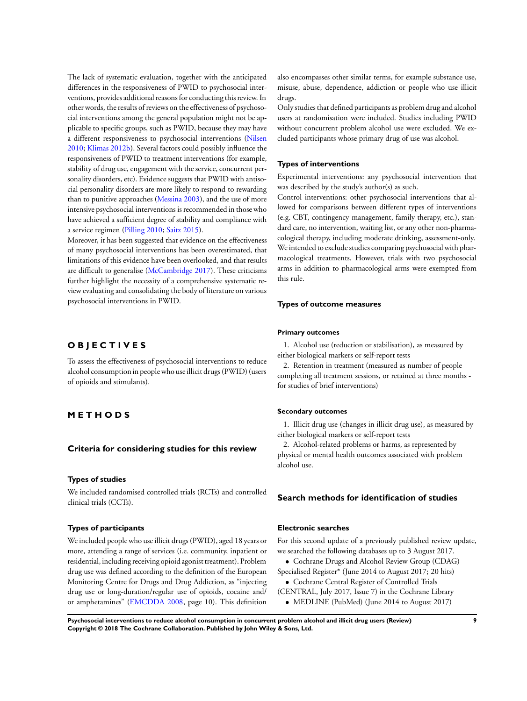The lack of systematic evaluation, together with the anticipated differences in the responsiveness of PWID to psychosocial interventions, provides additional reasons for conducting this review. In other words, the results of reviews on the effectiveness of psychosocial interventions among the general population might not be applicable to specific groups, such as PWID, because they may have a different responsiveness to psychosocial interventions ([Nilsen](#page-37-0) [2010](#page-37-0); [Klimas 2012b](#page-37-0)). Several factors could possibly influence the responsiveness of PWID to treatment interventions (for example, stability of drug use, engagement with the service, concurrent personality disorders, etc). Evidence suggests that PWID with antisocial personality disorders are more likely to respond to rewarding than to punitive approaches [\(Messina 2003\)](#page-37-0), and the use of more intensive psychosocial interventions is recommended in thosewho have achieved a sufficient degree of stability and compliance with a service regimen ([Pilling 2010](#page-37-0); [Saitz 2015\)](#page-37-0).

Moreover, it has been suggested that evidence on the effectiveness of many psychosocial interventions has been overestimated, that limitations of this evidence have been overlooked, and that results are difficult to generalise ([McCambridge 2017\)](#page-37-0). These criticisms further highlight the necessity of a comprehensive systematic review evaluating and consolidating the body of literature on various psychosocial interventions in PWID.

# **O B J E C T I V E S**

To assess the effectiveness of psychosocial interventions to reduce alcohol consumption in people who use illicit drugs (PWID) (users of opioids and stimulants).

# **M E T H O D S**

## **Criteria for considering studies for this review**

#### **Types of studies**

We included randomised controlled trials (RCTs) and controlled clinical trials (CCTs).

## **Types of participants**

We included people who use illicit drugs (PWID), aged 18 years or more, attending a range of services (i.e. community, inpatient or residential, including receiving opioid agonist treatment). Problem drug use was defined according to the definition of the European Monitoring Centre for Drugs and Drug Addiction, as "injecting drug use or long-duration/regular use of opioids, cocaine and/ or amphetamines" [\(EMCDDA 2008,](#page-37-0) page 10). This definition also encompasses other similar terms, for example substance use, misuse, abuse, dependence, addiction or people who use illicit drugs.

Only studies that defined participants as problem drug and alcohol users at randomisation were included. Studies including PWID without concurrent problem alcohol use were excluded. We excluded participants whose primary drug of use was alcohol.

#### **Types of interventions**

Experimental interventions: any psychosocial intervention that was described by the study's author(s) as such.

Control interventions: other psychosocial interventions that allowed for comparisons between different types of interventions (e.g. CBT, contingency management, family therapy, etc.), standard care, no intervention, waiting list, or any other non-pharmacological therapy, including moderate drinking, assessment-only. We intended to exclude studies comparing psychosocial with pharmacological treatments. However, trials with two psychosocial arms in addition to pharmacological arms were exempted from this rule.

#### **Types of outcome measures**

#### **Primary outcomes**

1. Alcohol use (reduction or stabilisation), as measured by either biological markers or self-report tests

2. Retention in treatment (measured as number of people completing all treatment sessions, or retained at three months for studies of brief interventions)

#### **Secondary outcomes**

1. Illicit drug use (changes in illicit drug use), as measured by either biological markers or self-report tests

2. Alcohol-related problems or harms, as represented by physical or mental health outcomes associated with problem alcohol use.

## **Search methods for identification of studies**

## **Electronic searches**

For this second update of a previously published review update, we searched the following databases up to 3 August 2017.

- Cochrane Drugs and Alcohol Review Group (CDAG)
- Specialised Register\* (June 2014 to August 2017; 20 hits) • Cochrane Central Register of Controlled Trials
- (CENTRAL, July 2017, Issue 7) in the Cochrane Library
	- MEDLINE (PubMed) (June 2014 to August 2017)

**Psychosocial interventions to reduce alcohol consumption in concurrent problem alcohol and illicit drug users (Review) 9 Copyright © 2018 The Cochrane Collaboration. Published by John Wiley & Sons, Ltd.**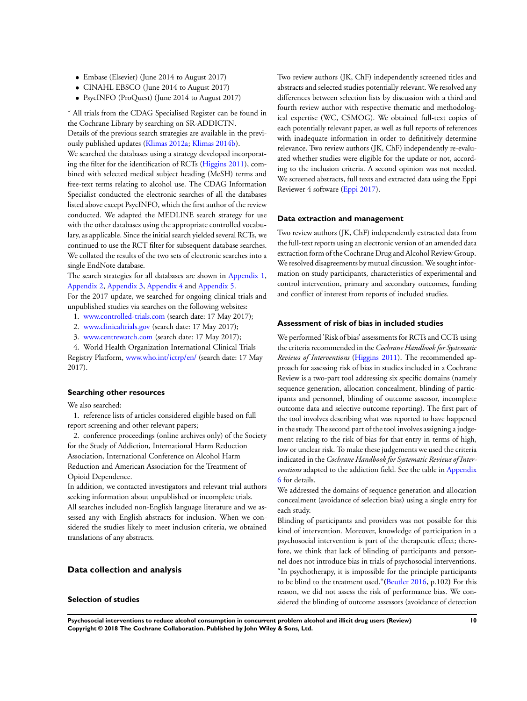- Embase (Elsevier) (June 2014 to August 2017)
- CINAHL EBSCO (June 2014 to August 2017)
- PsycINFO (ProQuest) (June 2014 to August 2017)

\* All trials from the CDAG Specialised Register can be found in the Cochrane Library by searching on SR-ADDICTN.

Details of the previous search strategies are available in the previously published updates [\(Klimas 2012a;](#page-37-0) [Klimas 2014b](#page-37-0)).

We searched the databases using a strategy developed incorporating the filter for the identification of RCTs [\(Higgins 2011](#page-37-0)), combined with selected medical subject heading (MeSH) terms and free-text terms relating to alcohol use. The CDAG Information Specialist conducted the electronic searches of all the databases listed above except PsycINFO, which the first author of the review conducted. We adapted the MEDLINE search strategy for use with the other databases using the appropriate controlled vocabulary, as applicable. Since the initial search yielded several RCTs, we continued to use the RCT filter for subsequent database searches. We collated the results of the two sets of electronic searches into a single EndNote database.

The search strategies for all databases are shown in [Appendix 1,](#page-91-0) [Appendix 2,](#page-92-0) [Appendix 3,](#page-94-0) [Appendix 4](#page-95-0) and [Appendix 5](#page-95-0).

For the 2017 update, we searched for ongoing clinical trials and unpublished studies via searches on the following websites:

- 1. [www.controlled-trials.com](http://www.controlled-trials.com) (search date: 17 May 2017);
- 2. [www.clinicaltrials.gov](http://www.clinicaltrials.gov) (search date: 17 May 2017);
- 3. [www.centrewatch.com](http://www.centrewatch.com) (search date: 17 May 2017);

4. World Health Organization International Clinical Trials Registry Platform, [www.who.int/ictrp/en/](http://www.who.int/ictrp/en/) (search date: 17 May 2017).

## **Searching other resources**

We also searched:

1. reference lists of articles considered eligible based on full report screening and other relevant papers;

2. conference proceedings (online archives only) of the Society for the Study of Addiction, International Harm Reduction Association, International Conference on Alcohol Harm Reduction and American Association for the Treatment of Opioid Dependence.

In addition, we contacted investigators and relevant trial authors seeking information about unpublished or incomplete trials. All searches included non-English language literature and we assessed any with English abstracts for inclusion. When we considered the studies likely to meet inclusion criteria, we obtained translations of any abstracts.

## **Data collection and analysis**

## **Selection of studies**

Two review authors (JK, ChF) independently screened titles and abstracts and selected studies potentially relevant. We resolved any differences between selection lists by discussion with a third and fourth review author with respective thematic and methodological expertise (WC, CSMOG). We obtained full-text copies of each potentially relevant paper, as well as full reports of references with inadequate information in order to definitively determine relevance. Two review authors (JK, ChF) independently re-evaluated whether studies were eligible for the update or not, according to the inclusion criteria. A second opinion was not needed. We screened abstracts, full texts and extracted data using the Eppi Reviewer 4 software [\(Eppi 2017](#page-37-0)).

#### **Data extraction and management**

Two review authors (JK, ChF) independently extracted data from the full-text reports using an electronic version of an amended data extraction form of the Cochrane Drug and Alcohol Review Group. We resolved disagreements by mutual discussion. We sought information on study participants, characteristics of experimental and control intervention, primary and secondary outcomes, funding and conflict of interest from reports of included studies.

## **Assessment of risk of bias in included studies**

We performed 'Risk of bias' assessments for RCTs and CCTs using the criteria recommended in the *Cochrane Handbook for Systematic Reviews of Interventions* [\(Higgins 2011\)](#page-37-0). The recommended approach for assessing risk of bias in studies included in a Cochrane Review is a two-part tool addressing six specific domains (namely sequence generation, allocation concealment, blinding of participants and personnel, blinding of outcome assessor, incomplete outcome data and selective outcome reporting). The first part of the tool involves describing what was reported to have happened in the study. The second part of the tool involves assigning a judgement relating to the risk of bias for that entry in terms of high, low or unclear risk. To make these judgements we used the criteria indicated in the *Cochrane Handbook for Systematic Reviews of Interventions* adapted to the addiction field. See the table in [Appendix](#page-96-0) [6](#page-96-0) for details.

We addressed the domains of sequence generation and allocation concealment (avoidance of selection bias) using a single entry for each study.

Blinding of participants and providers was not possible for this kind of intervention. Moreover, knowledge of participation in a psychosocial intervention is part of the therapeutic effect; therefore, we think that lack of blinding of participants and personnel does not introduce bias in trials of psychosocial interventions. "In psychotherapy, it is impossible for the principle participants to be blind to the treatment used."**(**[Beutler 2016,](#page-37-0) p.102**)** For this reason, we did not assess the risk of performance bias. We considered the blinding of outcome assessors (avoidance of detection

**Psychosocial interventions to reduce alcohol consumption in concurrent problem alcohol and illicit drug users (Review) 10 Copyright © 2018 The Cochrane Collaboration. Published by John Wiley & Sons, Ltd.**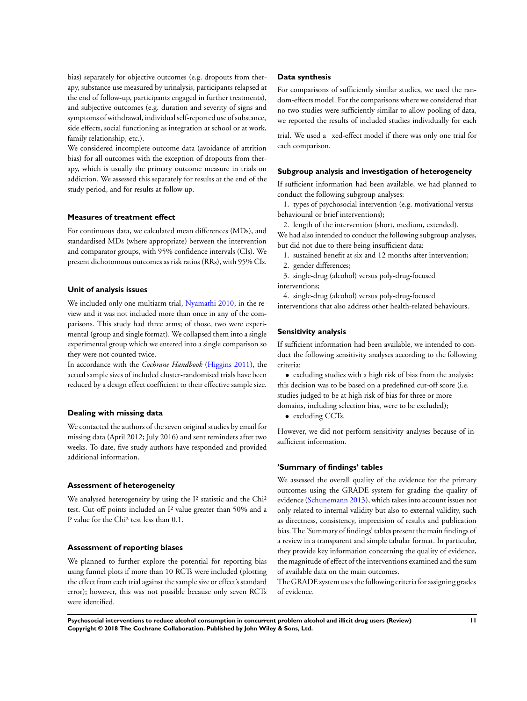bias) separately for objective outcomes (e.g. dropouts from therapy, substance use measured by urinalysis, participants relapsed at the end of follow-up, participants engaged in further treatments), and subjective outcomes (e.g. duration and severity of signs and symptoms of withdrawal, individual self-reported use of substance, side effects, social functioning as integration at school or at work, family relationship, etc.).

We considered incomplete outcome data (avoidance of attrition bias) for all outcomes with the exception of dropouts from therapy, which is usually the primary outcome measure in trials on addiction. We assessed this separately for results at the end of the study period, and for results at follow up.

## **Measures of treatment effect**

For continuous data, we calculated mean differences (MDs), and standardised MDs (where appropriate) between the intervention and comparator groups, with 95% confidence intervals (CIs). We present dichotomous outcomes as risk ratios (RRs), with 95% CIs.

### **Unit of analysis issues**

We included only one multiarm trial, [Nyamathi 2010](#page-37-0), in the review and it was not included more than once in any of the comparisons. This study had three arms; of those, two were experimental (group and single format). We collapsed them into a single experimental group which we entered into a single comparison so they were not counted twice.

In accordance with the *Cochrane Handbook* [\(Higgins 2011](#page-37-0)), the actual sample sizes of included cluster-randomised trials have been reduced by a design effect coefficient to their effective sample size.

#### **Dealing with missing data**

We contacted the authors of the seven original studies by email for missing data (April 2012; July 2016) and sent reminders after two weeks. To date, five study authors have responded and provided additional information.

#### **Assessment of heterogeneity**

We analysed heterogeneity by using the I<sup>2</sup> statistic and the Chi<sup>2</sup> test. Cut-off points included an I² value greater than 50% and a P value for the Chi² test less than 0.1.

### **Assessment of reporting biases**

We planned to further explore the potential for reporting bias using funnel plots if more than 10 RCTs were included (plotting the effect from each trial against the sample size or effect's standard error); however, this was not possible because only seven RCTs were identified.

#### **Data synthesis**

For comparisons of sufficiently similar studies, we used the random-effects model. For the comparisons where we considered that no two studies were sufficiently similar to allow pooling of data, we reported the results of included studies individually for each

trial. We used a xed-effect model if there was only one trial for each comparison.

#### **Subgroup analysis and investigation of heterogeneity**

If sufficient information had been available, we had planned to conduct the following subgroup analyses:

1. types of psychosocial intervention (e.g. motivational versus behavioural or brief interventions);

2. length of the intervention (short, medium, extended).

We had also intended to conduct the following subgroup analyses, but did not due to there being insufficient data:

- 1. sustained benefit at six and 12 months after intervention;
- 2. gender differences;

3. single-drug (alcohol) versus poly-drug-focused interventions;

4. single-drug (alcohol) versus poly-drug-focused interventions that also address other health-related behaviours.

## **Sensitivity analysis**

If sufficient information had been available, we intended to conduct the following sensitivity analyses according to the following criteria:

• excluding studies with a high risk of bias from the analysis: this decision was to be based on a predefined cut-off score (i.e. studies judged to be at high risk of bias for three or more domains, including selection bias, were to be excluded);

• excluding CCTs.

However, we did not perform sensitivity analyses because of insufficient information.

## **'Summary of findings' tables**

We assessed the overall quality of the evidence for the primary outcomes using the GRADE system for grading the quality of evidence [\(Schunemann 2013\)](#page-37-0), which takes into account issues not only related to internal validity but also to external validity, such as directness, consistency, imprecision of results and publication bias. The 'Summary of findings' tables present the main findings of a review in a transparent and simple tabular format. In particular, they provide key information concerning the quality of evidence, the magnitude of effect of the interventions examined and thesum of available data on the main outcomes.

The GRADE system uses the following criteria for assigning grades of evidence.

**Psychosocial interventions to reduce alcohol consumption in concurrent problem alcohol and illicit drug users (Review) 11 Copyright © 2018 The Cochrane Collaboration. Published by John Wiley & Sons, Ltd.**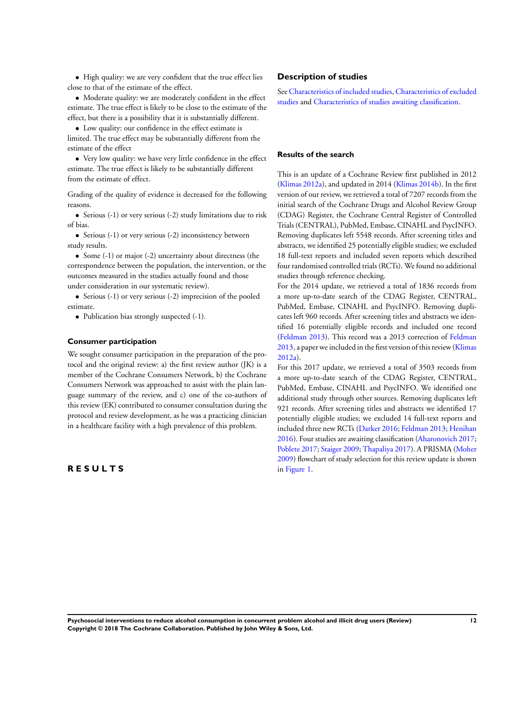• High quality: we are very confident that the true effect lies close to that of the estimate of the effect.

• Moderate quality: we are moderately confident in the effect estimate. The true effect is likely to be close to the estimate of the effect, but there is a possibility that it is substantially different.

• Low quality: our confidence in the effect estimate is limited. The true effect may be substantially different from the estimate of the effect

• Very low quality: we have very little confidence in the effect estimate. The true effect is likely to be substantially different from the estimate of effect.

Grading of the quality of evidence is decreased for the following reasons.

• Serious (-1) or very serious (-2) study limitations due to risk of bias.

• Serious (-1) or very serious (-2) inconsistency between study results.

• Some (-1) or major (-2) uncertainty about directness (the correspondence between the population, the intervention, or the outcomes measured in the studies actually found and those under consideration in our systematic review).

• Serious (-1) or very serious (-2) imprecision of the pooled estimate.

• Publication bias strongly suspected (-1).

#### **Consumer participation**

We sought consumer participation in the preparation of the protocol and the original review: a) the first review author (JK) is a member of the Cochrane Consumers Network, b) the Cochrane Consumers Network was approached to assist with the plain language summary of the review, and c) one of the co-authors of this review (EK) contributed to consumer consultation during the protocol and review development, as he was a practicing clinician in a healthcare facility with a high prevalence of this problem.

# **R E S U L T S**

## **Description of studies**

See [Characteristics of included studies,](#page-44-0) [Characteristics of excluded](#page-63-0) [studies](#page-63-0) and [Characteristics of studies awaiting classification.](#page-64-0)

## **Results of the search**

This is an update of a Cochrane Review first published in 2012 [\(Klimas 2012a\)](#page-37-0), and updated in 2014 [\(Klimas 2014b\)](#page-37-0). In the first version of our review, we retrieved a total of 7207 records from the initial search of the Cochrane Drugs and Alcohol Review Group (CDAG) Register, the Cochrane Central Register of Controlled Trials (CENTRAL), PubMed, Embase, CINAHL and PsycINFO. Removing duplicates left 5548 records. After screening titles and abstracts, we identified 25 potentially eligible studies; we excluded 18 full-text reports and included seven reports which described four randomised controlled trials (RCTs). We found no additional studies through reference checking.

For the 2014 update, we retrieved a total of 1836 records from a more up-to-date search of the CDAG Register, CENTRAL, PubMed, Embase, CINAHL and PsycINFO. Removing duplicates left 960 records. After screening titles and abstracts we identified 16 potentially eligible records and included one record [\(Feldman 2013](#page-37-0)). This record was a 2013 correction of [Feldman](#page-37-0) [2013](#page-37-0), a paper we included in the first version of this review ([Klimas](#page-37-0) [2012a\)](#page-37-0).

For this 2017 update, we retrieved a total of 3503 records from a more up-to-date search of the CDAG Register, CENTRAL, PubMed, Embase, CINAHL and PsycINFO. We identified one additional study through other sources. Removing duplicates left 921 records. After screening titles and abstracts we identified 17 potentially eligible studies; we excluded 14 full-text reports and included three new RCTs ([Darker 2016](#page-37-0); [Feldman 2013](#page-37-0); [Henihan](#page-37-0) [2016](#page-37-0)). Four studies are awaiting classification ([Aharonovich 2017;](#page-37-0) [Poblete 2017](#page-37-0); [Staiger 2009;](#page-37-0) [Thapaliya 2017\)](#page-37-0). A PRISMA ([Moher](#page-37-0) [2009](#page-37-0)) flowchart of study selection for this review update is shown in [Figure 1](#page-16-0).

**Psychosocial interventions to reduce alcohol consumption in concurrent problem alcohol and illicit drug users (Review) 12 Copyright © 2018 The Cochrane Collaboration. Published by John Wiley & Sons, Ltd.**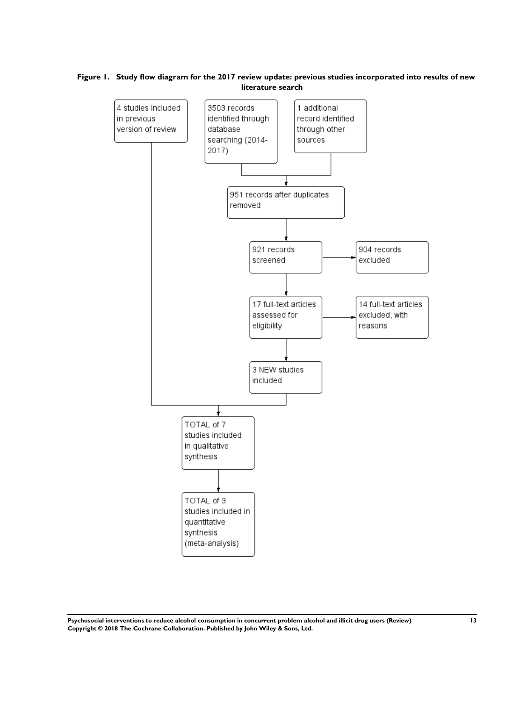# <span id="page-16-0"></span>**Figure 1. Study flow diagram for the 2017 review update: previous studies incorporated into results of new literature search**



**Psychosocial interventions to reduce alcohol consumption in concurrent problem alcohol and illicit drug users (Review) 13 Copyright © 2018 The Cochrane Collaboration. Published by John Wiley & Sons, Ltd.**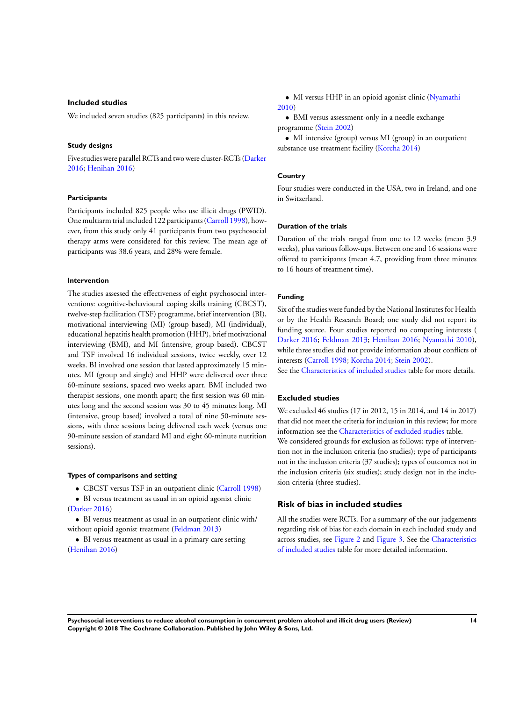## **Included studies**

We included seven studies (825 participants) in this review.

#### **Study designs**

Five studies were parallel RCTs and two were cluster-RCTs [\(Darker](#page-37-0) [2016](#page-37-0); [Henihan 2016\)](#page-37-0)

## **Participants**

Participants included 825 people who use illicit drugs (PWID). One multiarm trial included 122 participants [\(Carroll 1998](#page-37-0)), however, from this study only 41 participants from two psychosocial therapy arms were considered for this review. The mean age of participants was 38.6 years, and 28% were female.

#### **Intervention**

The studies assessed the effectiveness of eight psychosocial interventions: cognitive-behavioural coping skills training (CBCST), twelve-step facilitation (TSF) programme, brief intervention (BI), motivational interviewing (MI) (group based), MI (individual), educational hepatitis health promotion (HHP), brief motivational interviewing (BMI), and MI (intensive, group based). CBCST and TSF involved 16 individual sessions, twice weekly, over 12 weeks. BI involved one session that lasted approximately 15 minutes. MI (group and single) and HHP were delivered over three 60-minute sessions, spaced two weeks apart. BMI included two therapist sessions, one month apart; the first session was 60 minutes long and the second session was 30 to 45 minutes long. MI (intensive, group based) involved a total of nine 50-minute sessions, with three sessions being delivered each week (versus one 90-minute session of standard MI and eight 60-minute nutrition sessions).

#### **Types of comparisons and setting**

- CBCST versus TSF in an outpatient clinic [\(Carroll 1998](#page-37-0))
- BI versus treatment as usual in an opioid agonist clinic [\(Darker 2016\)](#page-37-0)
- BI versus treatment as usual in an outpatient clinic with/ without opioid agonist treatment [\(Feldman 2013](#page-37-0))
- BI versus treatment as usual in a primary care setting [\(Henihan 2016\)](#page-37-0)

• MI versus HHP in an opioid agonist clinic ([Nyamathi](#page-37-0) [2010](#page-37-0))

• BMI versus assessment-only in a needle exchange programme ([Stein 2002](#page-37-0))

• MI intensive (group) versus MI (group) in an outpatient substance use treatment facility [\(Korcha 2014\)](#page-37-0)

## **Country**

Four studies were conducted in the USA, two in Ireland, and one in Switzerland.

#### **Duration of the trials**

Duration of the trials ranged from one to 12 weeks (mean 3.9 weeks), plus various follow-ups. Between one and 16 sessions were offered to participants (mean 4.7, providing from three minutes to 16 hours of treatment time).

#### **Funding**

Six of the studies were funded by the National Institutes for Health or by the Health Research Board; one study did not report its funding source. Four studies reported no competing interests ( [Darker 2016;](#page-37-0) [Feldman 2013](#page-37-0); [Henihan 2016](#page-37-0); [Nyamathi 2010](#page-37-0)), while three studies did not provide information about conflicts of interests ([Carroll 1998;](#page-37-0) [Korcha 2014](#page-37-0); [Stein 2002\)](#page-37-0).

See the [Characteristics of included studies](#page-44-0) table for more details.

## **Excluded studies**

We excluded 46 studies (17 in 2012, 15 in 2014, and 14 in 2017) that did not meet the criteria for inclusion in this review; for more information see the [Characteristics of excluded studies](#page-63-0) table.

We considered grounds for exclusion as follows: type of intervention not in the inclusion criteria (no studies); type of participants not in the inclusion criteria (37 studies); types of outcomes not in the inclusion criteria (six studies); study design not in the inclusion criteria (three studies).

#### **Risk of bias in included studies**

All the studies were RCTs. For a summary of the our judgements regarding risk of bias for each domain in each included study and across studies, see [Figure 2](#page-18-0) and [Figure 3](#page-19-0). See the [Characteristics](#page-44-0) [of included studies](#page-44-0) table for more detailed information.

**Psychosocial interventions to reduce alcohol consumption in concurrent problem alcohol and illicit drug users (Review) 14 Copyright © 2018 The Cochrane Collaboration. Published by John Wiley & Sons, Ltd.**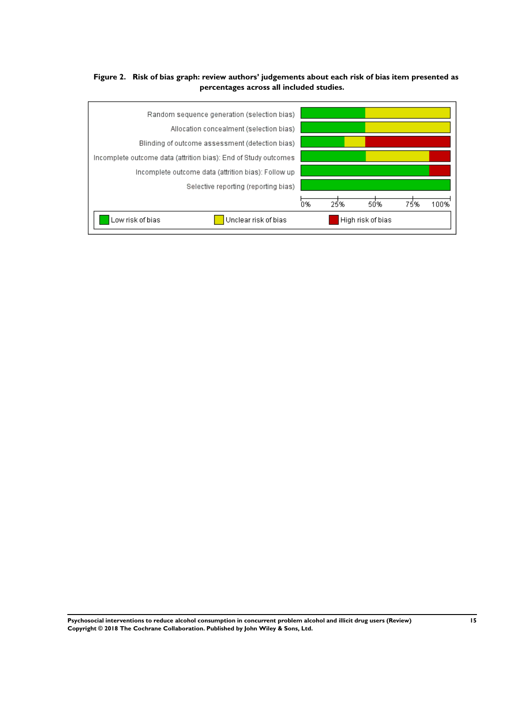# <span id="page-18-0"></span>**Figure 2. Risk of bias graph: review authors' judgements about each risk of bias item presented as percentages across all included studies.**



**Psychosocial interventions to reduce alcohol consumption in concurrent problem alcohol and illicit drug users (Review) 15 Copyright © 2018 The Cochrane Collaboration. Published by John Wiley & Sons, Ltd.**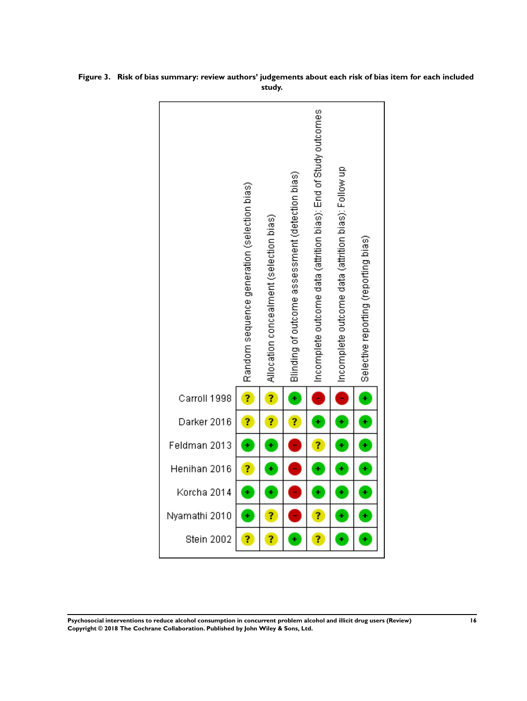|               | Random sequence generation (selection bias) | Allocation concealment (selection bias) | Blinding of outcome assessment (detection bias) | Incomplete outcome data (attrition bias): End of Study outcomes | Incomplete outcome data (attrition bias): Follow up | Selective reporting (reporting bias) |
|---------------|---------------------------------------------|-----------------------------------------|-------------------------------------------------|-----------------------------------------------------------------|-----------------------------------------------------|--------------------------------------|
| Carroll 1998  | ?                                           | ?                                       | Ŧ                                               | f                                                               | ł                                                   | Ŧ                                    |
| Darker 2016   | ?                                           | ?                                       | ?                                               | ¥                                                               | ¥                                                   | Ŧ                                    |
| Feldman 2013  | ¥                                           | ¥                                       |                                                 | 7                                                               | ¥                                                   | Ŧ                                    |
| Henihan 2016  | ?                                           | ÷                                       |                                                 | ÷                                                               | ¥                                                   | ¥                                    |
| Korcha 2014   | ÷                                           | ÷                                       |                                                 | ÷                                                               | ÷                                                   | Ŧ                                    |
| Nyamathi 2010 | ÷                                           | ?                                       |                                                 | ?                                                               | ÷                                                   | $\ddot{\phantom{p}}$                 |
| Stein 2002    | 7                                           | ?                                       | ¥                                               | 7                                                               | ¥                                                   | ¥                                    |

<span id="page-19-0"></span>**Figure 3. Risk of bias summary: review authors' judgements about each risk of bias item for each included study.**

**Psychosocial interventions to reduce alcohol consumption in concurrent problem alcohol and illicit drug users (Review) 16 Copyright © 2018 The Cochrane Collaboration. Published by John Wiley & Sons, Ltd.**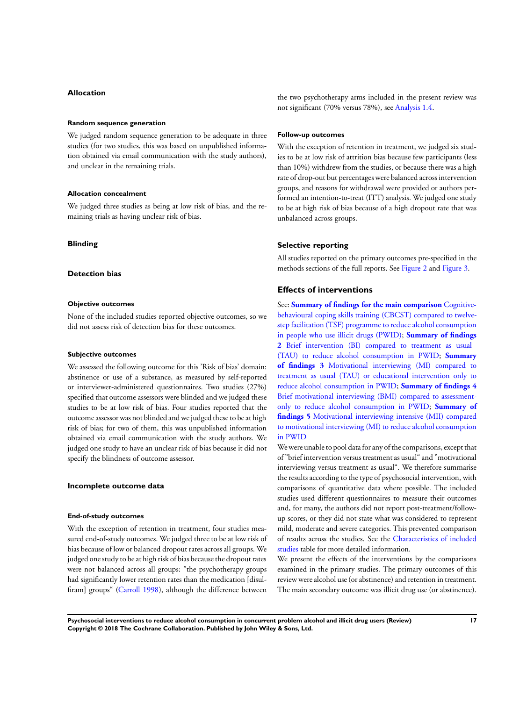#### **Allocation**

#### **Random sequence generation**

We judged random sequence generation to be adequate in three studies (for two studies, this was based on unpublished information obtained via email communication with the study authors), and unclear in the remaining trials.

#### **Allocation concealment**

We judged three studies as being at low risk of bias, and the remaining trials as having unclear risk of bias.

## **Blinding**

### **Detection bias**

#### **Objective outcomes**

None of the included studies reported objective outcomes, so we did not assess risk of detection bias for these outcomes.

#### **Subjective outcomes**

We assessed the following outcome for this 'Risk of bias' domain: abstinence or use of a substance, as measured by self-reported or interviewer-administered questionnaires. Two studies (27%) specified that outcome assessors were blinded and we judged these studies to be at low risk of bias. Four studies reported that the outcome assessor was not blinded and we judged these to be at high risk of bias; for two of them, this was unpublished information obtained via email communication with the study authors. We judged one study to have an unclear risk of bias because it did not specify the blindness of outcome assessor.

## **Incomplete outcome data**

#### **End-of-study outcomes**

With the exception of retention in treatment, four studies measured end-of-study outcomes. We judged three to be at low risk of bias because of low or balanced dropout rates across all groups. We judged one study to be at high risk of bias because the dropout rates were not balanced across all groups: "the psychotherapy groups had significantly lower retention rates than the medication [disul-firam] groups" ([Carroll 1998](#page-37-0)), although the difference between

the two psychotherapy arms included in the present review was not significant (70% versus 78%), see [Analysis 1.4](#page-72-0).

#### **Follow-up outcomes**

With the exception of retention in treatment, we judged six studies to be at low risk of attrition bias because few participants (less than 10%) withdrew from the studies, or because there was a high rate of drop-out but percentages were balanced across intervention groups, and reasons for withdrawal were provided or authors performed an intention-to-treat (ITT) analysis. We judged one study to be at high risk of bias because of a high dropout rate that was unbalanced across groups.

#### **Selective reporting**

All studies reported on the primary outcomes pre-specified in the methods sections of the full reports. See [Figure 2](#page-18-0) and [Figure 3](#page-19-0).

## **Effects of interventions**

See: **[Summary of findings for the main comparison](#page-7-0)** [Cognitive](#page-7-0)[behavioural coping skills training \(CBCST\) compared to twelve](#page-7-0)[step facilitation \(TSF\) programme to reduce alcohol consumption](#page-7-0) [in people who use illicit drugs \(PWID\);](#page-7-0) **[Summary of findings](#page-25-0) [2](#page-25-0)** [Brief intervention \(BI\) compared to treatment as usual](#page-25-0) [\(TAU\) to reduce alcohol consumption in PWID;](#page-25-0) **[Summary](#page-28-0) [of findings 3](#page-28-0)** [Motivational interviewing \(MI\) compared to](#page-28-0) [treatment as usual \(TAU\) or educational intervention only to](#page-28-0) [reduce alcohol consumption in PWID;](#page-28-0) **[Summary of findings 4](#page-31-0)** [Brief motivational interviewing \(BMI\) compared to assessment](#page-31-0)[only to reduce alcohol consumption in PWID;](#page-31-0) **[Summary of](#page-33-0) [findings 5](#page-33-0)** [Motivational interviewing intensive \(MII\) compared](#page-33-0) [to motivational interviewing \(MI\) to reduce alcohol consumption](#page-33-0) [in PWID](#page-33-0)

We were unable to pool data for any of the comparisons, except that of "brief intervention versus treatment as usual" and "motivational interviewing versus treatment as usual". We therefore summarise the results according to the type of psychosocial intervention, with comparisons of quantitative data where possible. The included studies used different questionnaires to measure their outcomes and, for many, the authors did not report post-treatment/followup scores, or they did not state what was considered to represent mild, moderate and severe categories. This prevented comparison of results across the studies. See the [Characteristics of included](#page-44-0) [studies](#page-44-0) table for more detailed information.

We present the effects of the interventions by the comparisons examined in the primary studies. The primary outcomes of this review were alcohol use (or abstinence) and retention in treatment. The main secondary outcome was illicit drug use (or abstinence).

**Psychosocial interventions to reduce alcohol consumption in concurrent problem alcohol and illicit drug users (Review) 17 Copyright © 2018 The Cochrane Collaboration. Published by John Wiley & Sons, Ltd.**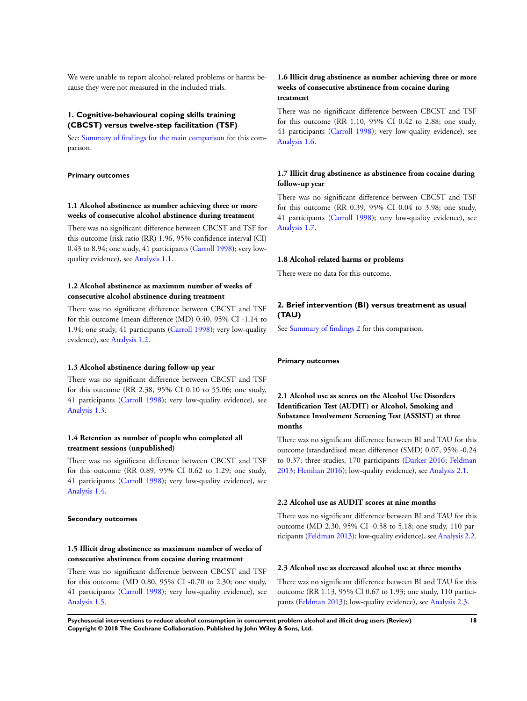We were unable to report alcohol-related problems or harms because they were not measured in the included trials.

## **1. Cognitive-behavioural coping skills training (CBCST) versus twelve-step facilitation (TSF)**

See: [Summary of findings for the main comparison](#page-7-0) for this comparison.

**Primary outcomes**

## **1.1 Alcohol abstinence as number achieving three or more weeks of consecutive alcohol abstinence during treatment**

There was no significant difference between CBCST and TSF for this outcome (risk ratio (RR) 1.96, 95% confidence interval (CI) 0.43 to 8.94; one study, 41 participants [\(Carroll 1998](#page-37-0)); very lowquality evidence), see [Analysis 1.1.](#page-71-0)

# **1.2 Alcohol abstinence as maximum number of weeks of consecutive alcohol abstinence during treatment**

There was no significant difference between CBCST and TSF for this outcome (mean difference (MD) 0.40, 95% CI -1.14 to 1.94; one study, 41 participants [\(Carroll 1998](#page-37-0)); very low-quality evidence), see [Analysis 1.2](#page-71-0).

#### **1.3 Alcohol abstinence during follow-up year**

There was no significant difference between CBCST and TSF for this outcome (RR 2.38, 95% CI 0.10 to 55.06; one study, 41 participants [\(Carroll 1998\)](#page-37-0); very low-quality evidence), see [Analysis 1.3.](#page-72-0)

## **1.4 Retention as number of people who completed all treatment sessions (unpublished)**

There was no significant difference between CBCST and TSF for this outcome (RR 0.89, 95% CI 0.62 to 1.29; one study, 41 participants [\(Carroll 1998\)](#page-37-0); very low-quality evidence), see [Analysis 1.4.](#page-72-0)

#### **Secondary outcomes**

## **1.5 Illicit drug abstinence as maximum number of weeks of consecutive abstinence from cocaine during treatment**

There was no significant difference between CBCST and TSF for this outcome (MD 0.80, 95% CI -0.70 to 2.30; one study, 41 participants [\(Carroll 1998\)](#page-37-0); very low-quality evidence), see [Analysis 1.5.](#page-73-0)

## **1.6 Illicit drug abstinence as number achieving three or more weeks of consecutive abstinence from cocaine during treatment**

There was no significant difference between CBCST and TSF for this outcome (RR 1.10, 95% CI 0.42 to 2.88; one study, 41 participants [\(Carroll 1998\)](#page-37-0); very low-quality evidence), see [Analysis 1.6.](#page-73-0)

## **1.7 Illicit drug abstinence as abstinence from cocaine during follow-up year**

There was no significant difference between CBCST and TSF for this outcome (RR 0.39, 95% CI 0.04 to 3.98; one study, 41 participants [\(Carroll 1998\)](#page-37-0); very low-quality evidence), see [Analysis 1.7.](#page-74-0)

#### **1.8 Alcohol-related harms or problems**

There were no data for this outcome.

# **2. Brief intervention (BI) versus treatment as usual (TAU)**

See [Summary of findings 2](#page-25-0) for this comparison.

### **Primary outcomes**

# **2.1 Alcohol use as scores on the Alcohol Use Disorders Identification Test (AUDIT) or Alcohol, Smoking and Substance Involvement Screening Test (ASSIST) at three months**

There was no significant difference between BI and TAU for this outcome (standardised mean difference (SMD) 0.07, 95% -0.24 to 0.37; three studies, 170 participants [\(Darker 2016;](#page-37-0) [Feldman](#page-37-0) [2013](#page-37-0); [Henihan 2016\)](#page-37-0); low-quality evidence), see [Analysis 2.1.](#page-74-0)

## **2.2 Alcohol use as AUDIT scores at nine months**

There was no significant difference between BI and TAU for this outcome (MD 2.30, 95% CI -0.58 to 5.18; one study, 110 participants ([Feldman 2013\)](#page-37-0); low-quality evidence), see [Analysis 2.2.](#page-74-0)

# **2.3 Alcohol use as decreased alcohol use at three months**

There was no significant difference between BI and TAU for this outcome (RR 1.13, 95% CI 0.67 to 1.93; one study, 110 participants ([Feldman 2013](#page-37-0)); low-quality evidence), see [Analysis 2.3.](#page-75-0)

**Psychosocial interventions to reduce alcohol consumption in concurrent problem alcohol and illicit drug users (Review) 18 Copyright © 2018 The Cochrane Collaboration. Published by John Wiley & Sons, Ltd.**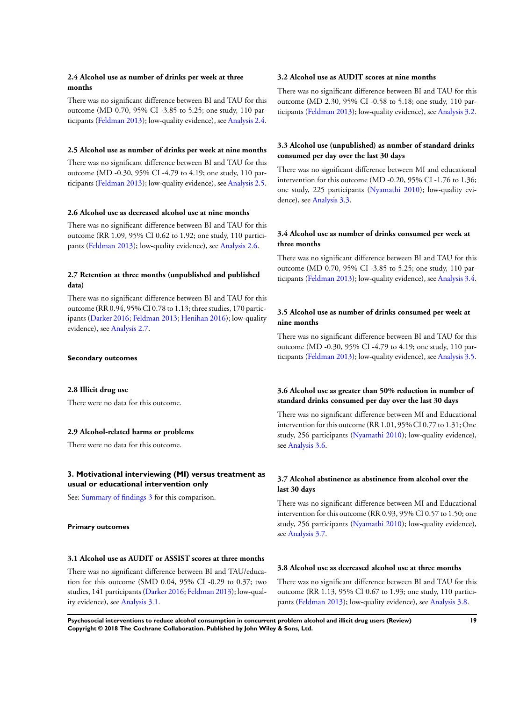## **2.4 Alcohol use as number of drinks per week at three months**

There was no significant difference between BI and TAU for this outcome (MD 0.70, 95% CI -3.85 to 5.25; one study, 110 participants ([Feldman 2013\)](#page-37-0); low-quality evidence), see [Analysis 2.4.](#page-76-0)

## **2.5 Alcohol use as number of drinks per week at nine months**

There was no significant difference between BI and TAU for this outcome (MD -0.30, 95% CI -4.79 to 4.19; one study, 110 participants ([Feldman 2013\)](#page-37-0); low-quality evidence), see [Analysis 2.5.](#page-76-0)

#### **2.6 Alcohol use as decreased alcohol use at nine months**

There was no significant difference between BI and TAU for this outcome (RR 1.09, 95% CI 0.62 to 1.92; one study, 110 participants ([Feldman 2013](#page-37-0)); low-quality evidence), see [Analysis 2.6.](#page-77-0)

## **2.7 Retention at three months (unpublished and published data)**

There was no significant difference between BI and TAU for this outcome (RR 0.94, 95% CI 0.78 to 1.13; three studies, 170 participants ([Darker 2016](#page-37-0); [Feldman 2013](#page-37-0); [Henihan 2016](#page-37-0)); low-quality evidence), see [Analysis 2.7](#page-77-0).

#### **Secondary outcomes**

## **2.8 Illicit drug use**

There were no data for this outcome.

## **2.9 Alcohol-related harms or problems**

There were no data for this outcome.

## **3. Motivational interviewing (MI) versus treatment as usual or educational intervention only**

See: [Summary of findings 3](#page-28-0) for this comparison.

## **Primary outcomes**

## **3.1 Alcohol use as AUDIT or ASSIST scores at three months**

There was no significant difference between BI and TAU/education for this outcome (SMD 0.04, 95% CI -0.29 to 0.37; two studies, 141 participants ([Darker 2016;](#page-37-0) [Feldman 2013](#page-37-0)); low-quality evidence), see [Analysis 3.1.](#page-77-0)

## **3.2 Alcohol use as AUDIT scores at nine months**

There was no significant difference between BI and TAU for this outcome (MD 2.30, 95% CI -0.58 to 5.18; one study, 110 participants ([Feldman 2013\)](#page-37-0); low-quality evidence), see [Analysis 3.2.](#page-78-0)

## **3.3 Alcohol use (unpublished) as number of standard drinks consumed per day over the last 30 days**

There was no significant difference between MI and educational intervention for this outcome (MD -0.20, 95% CI -1.76 to 1.36; one study, 225 participants ([Nyamathi 2010](#page-37-0)); low-quality evidence), see [Analysis 3.3.](#page-78-0)

# **3.4 Alcohol use as number of drinks consumed per week at three months**

There was no significant difference between BI and TAU for this outcome (MD 0.70, 95% CI -3.85 to 5.25; one study, 110 participants ([Feldman 2013\)](#page-37-0); low-quality evidence), see [Analysis 3.4.](#page-79-0)

## **3.5 Alcohol use as number of drinks consumed per week at nine months**

There was no significant difference between BI and TAU for this outcome (MD -0.30, 95% CI -4.79 to 4.19; one study, 110 participants ([Feldman 2013\)](#page-37-0); low-quality evidence), see [Analysis 3.5.](#page-80-0)

## **3.6 Alcohol use as greater than 50% reduction in number of standard drinks consumed per day over the last 30 days**

There was no significant difference between MI and Educational intervention for this outcome (RR 1.01, 95% CI 0.77 to 1.31; One study, 256 participants [\(Nyamathi 2010\)](#page-37-0); low-quality evidence), see [Analysis 3.6](#page-80-0).

# **3.7 Alcohol abstinence as abstinence from alcohol over the last 30 days**

There was no significant difference between MI and Educational intervention for this outcome (RR 0.93, 95% CI 0.57 to 1.50; one study, 256 participants [\(Nyamathi 2010\)](#page-37-0); low-quality evidence), see [Analysis 3.7](#page-81-0).

## **3.8 Alcohol use as decreased alcohol use at three months**

There was no significant difference between BI and TAU for this outcome (RR 1.13, 95% CI 0.67 to 1.93; one study, 110 participants ([Feldman 2013](#page-37-0)); low-quality evidence), see [Analysis 3.8.](#page-81-0)

**Psychosocial interventions to reduce alcohol consumption in concurrent problem alcohol and illicit drug users (Review) 19 Copyright © 2018 The Cochrane Collaboration. Published by John Wiley & Sons, Ltd.**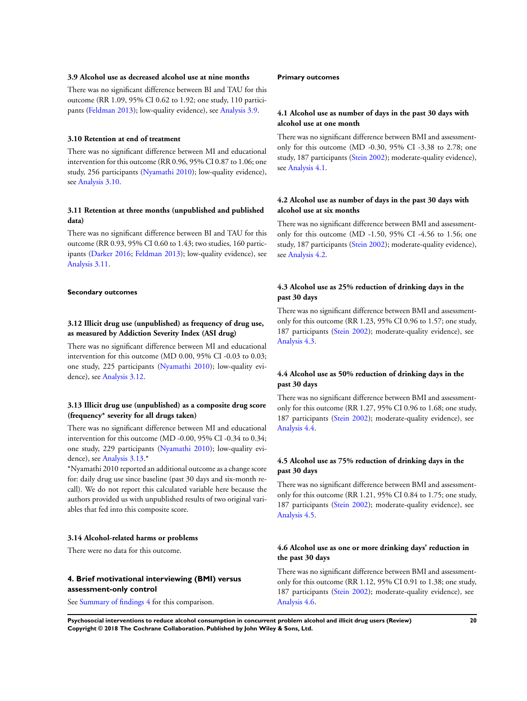## **3.9 Alcohol use as decreased alcohol use at nine months**

There was no significant difference between BI and TAU for this outcome (RR 1.09, 95% CI 0.62 to 1.92; one study, 110 participants ([Feldman 2013](#page-37-0)); low-quality evidence), see [Analysis 3.9.](#page-82-0)

#### **3.10 Retention at end of treatment**

There was no significant difference between MI and educational intervention for this outcome (RR 0.96, 95% CI 0.87 to 1.06; one study, 256 participants [\(Nyamathi 2010\)](#page-37-0); low-quality evidence), see [Analysis 3.10.](#page-82-0)

## **3.11 Retention at three months (unpublished and published data)**

There was no significant difference between BI and TAU for this outcome (RR 0.93, 95% CI 0.60 to 1.43; two studies, 160 participants ([Darker 2016;](#page-37-0) [Feldman 2013\)](#page-37-0); low-quality evidence), see [Analysis 3.11](#page-83-0).

## **Secondary outcomes**

## **3.12 Illicit drug use (unpublished) as frequency of drug use, as measured by Addiction Severity Index (ASI drug)**

There was no significant difference between MI and educational intervention for this outcome (MD 0.00, 95% CI -0.03 to 0.03; one study, 225 participants ([Nyamathi 2010](#page-37-0)); low-quality evidence), see [Analysis 3.12](#page-83-0).

## **3.13 Illicit drug use (unpublished) as a composite drug score (frequency\* severity for all drugs taken)**

There was no significant difference between MI and educational intervention for this outcome (MD -0.00, 95% CI -0.34 to 0.34; one study, 229 participants ([Nyamathi 2010](#page-37-0)); low-quality evidence), see [Analysis 3.13](#page-84-0).\*

\*Nyamathi 2010 reported an additional outcome as a change score for: daily drug use since baseline (past 30 days and six-month recall). We do not report this calculated variable here because the authors provided us with unpublished results of two original variables that fed into this composite score.

#### **3.14 Alcohol-related harms or problems**

There were no data for this outcome.

## **4. Brief motivational interviewing (BMI) versus assessment-only control**

See [Summary of findings 4](#page-31-0) for this comparison.

#### **Primary outcomes**

**4.1 Alcohol use as number of days in the past 30 days with alcohol use at one month**

There was no significant difference between BMI and assessmentonly for this outcome (MD -0.30, 95% CI -3.38 to 2.78; one study, 187 participants ([Stein 2002\)](#page-37-0); moderate-quality evidence), see [Analysis 4.1](#page-85-0).

## **4.2 Alcohol use as number of days in the past 30 days with alcohol use at six months**

There was no significant difference between BMI and assessmentonly for this outcome (MD -1.50, 95% CI -4.56 to 1.56; one study, 187 participants ([Stein 2002\)](#page-37-0); moderate-quality evidence), see [Analysis 4.2](#page-85-0).

## **4.3 Alcohol use as 25% reduction of drinking days in the past 30 days**

There was no significant difference between BMI and assessmentonly for this outcome (RR 1.23, 95% CI 0.96 to 1.57; one study, 187 participants ([Stein 2002\)](#page-37-0); moderate-quality evidence), see [Analysis 4.3.](#page-86-0)

## **4.4 Alcohol use as 50% reduction of drinking days in the past 30 days**

There was no significant difference between BMI and assessmentonly for this outcome (RR 1.27, 95% CI 0.96 to 1.68; one study, 187 participants ([Stein 2002\)](#page-37-0); moderate-quality evidence), see [Analysis 4.4.](#page-86-0)

# **4.5 Alcohol use as 75% reduction of drinking days in the past 30 days**

There was no significant difference between BMI and assessmentonly for this outcome (RR 1.21, 95% CI 0.84 to 1.75; one study, 187 participants ([Stein 2002\)](#page-37-0); moderate-quality evidence), see [Analysis 4.5.](#page-87-0)

## **4.6 Alcohol use as one or more drinking days' reduction in the past 30 days**

There was no significant difference between BMI and assessmentonly for this outcome (RR 1.12, 95% CI 0.91 to 1.38; one study, 187 participants ([Stein 2002\)](#page-37-0); moderate-quality evidence), see [Analysis 4.6.](#page-87-0)

**Psychosocial interventions to reduce alcohol consumption in concurrent problem alcohol and illicit drug users (Review) 20 Copyright © 2018 The Cochrane Collaboration. Published by John Wiley & Sons, Ltd.**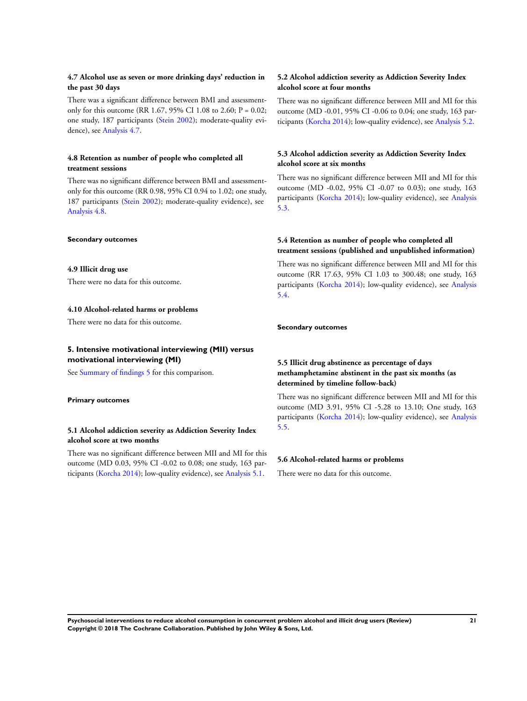## **4.7 Alcohol use as seven or more drinking days' reduction in the past 30 days**

There was a significant difference between BMI and assessmentonly for this outcome (RR 1.67, 95% CI 1.08 to 2.60;  $P = 0.02$ ; one study, 187 participants [\(Stein 2002\)](#page-37-0); moderate-quality evidence), see [Analysis 4.7.](#page-88-0)

## **4.8 Retention as number of people who completed all treatment sessions**

There was no significant difference between BMI and assessmentonly for this outcome (RR 0.98, 95% CI 0.94 to 1.02; one study, 187 participants ([Stein 2002\)](#page-37-0); moderate-quality evidence), see [Analysis 4.8.](#page-88-0)

#### **Secondary outcomes**

## **4.9 Illicit drug use**

There were no data for this outcome.

## **4.10 Alcohol-related harms or problems**

There were no data for this outcome.

## **5. Intensive motivational interviewing (MII) versus motivational interviewing (MI)**

See [Summary of findings 5](#page-33-0) for this comparison.

## **Primary outcomes**

## **5.1 Alcohol addiction severity as Addiction Severity Index alcohol score at two months**

There was no significant difference between MII and MI for this outcome (MD 0.03, 95% CI -0.02 to 0.08; one study, 163 participants ([Korcha 2014](#page-37-0)); low-quality evidence), see [Analysis 5.1](#page-89-0).

## **5.2 Alcohol addiction severity as Addiction Severity Index alcohol score at four months**

There was no significant difference between MII and MI for this outcome (MD -0.01, 95% CI -0.06 to 0.04; one study, 163 participants ([Korcha 2014](#page-37-0)); low-quality evidence), see [Analysis 5.2](#page-89-0).

# **5.3 Alcohol addiction severity as Addiction Severity Index alcohol score at six months**

There was no significant difference between MII and MI for this outcome (MD -0.02, 95% CI -0.07 to 0.03); one study, 163 participants [\(Korcha 2014\)](#page-37-0); low-quality evidence), see [Analysis](#page-90-0) [5.3](#page-90-0).

## **5.4 Retention as number of people who completed all treatment sessions (published and unpublished information)**

There was no significant difference between MII and MI for this outcome (RR 17.63, 95% CI 1.03 to 300.48; one study, 163 participants [\(Korcha 2014\)](#page-37-0); low-quality evidence), see [Analysis](#page-90-0) [5.4](#page-90-0).

## **Secondary outcomes**

# **5.5 Illicit drug abstinence as percentage of days methamphetamine abstinent in the past six months (as determined by timeline follow-back)**

There was no significant difference between MII and MI for this outcome (MD 3.91, 95% CI -5.28 to 13.10; One study, 163 participants [\(Korcha 2014\)](#page-37-0); low-quality evidence), see [Analysis](#page-91-0) [5.5](#page-91-0).

## **5.6 Alcohol-related harms or problems**

There were no data for this outcome.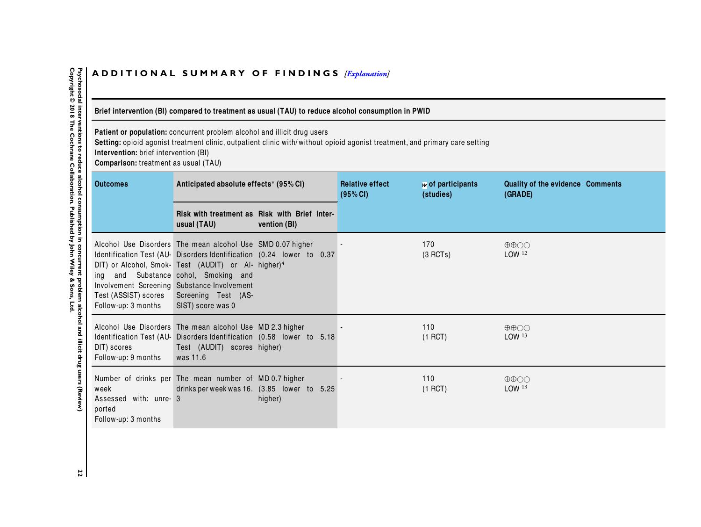# <span id="page-25-0"></span>ADDITIONAL SUMMARY OF FINDINGS *[\[Explanation\]](http://www.thecochranelibrary.com/view/0/SummaryFindings.html)*

# Brief intervention (BI) compared to treatment as usual (TAU) to reduce alcohol consumption in PWID

**Patient or population:** concurrent problem alcohol and illicit drug users<br>**Setting:** opioid agonist treatment clinic, outpatient clinic with/without opioid agonist treatment, and primary care setting

**Intervention:** brief intervention (BI)

**Comparison:** treatment as usual (TAU)

| <b>Outcomes</b>                                                 | Anticipated absolute effects* (95% CI)                                                                                                                                                                                                                                                                                           |  | <b>Relative effect</b><br>(95% CI) | № of participants<br>(studies) | Quality of the evidence Comments<br>(GRADE)            |
|-----------------------------------------------------------------|----------------------------------------------------------------------------------------------------------------------------------------------------------------------------------------------------------------------------------------------------------------------------------------------------------------------------------|--|------------------------------------|--------------------------------|--------------------------------------------------------|
|                                                                 | Risk with treatment as Risk with Brief inter-<br>usual (TAU)<br>vention (BI)                                                                                                                                                                                                                                                     |  |                                    |                                |                                                        |
| Test (ASSIST) scores<br>Follow-up: 3 months                     | Alcohol Use Disorders The mean alcohol Use SMD 0.07 higher<br>Identification Test (AU- Disorders Identification (0.24 lower to 0.37<br>DIT) or Alcohol, Smok- Test (AUDIT) or Al- higher) $4$<br>ing and Substance cohol, Smoking and<br>Involvement Screening Substance Involvement<br>Screening Test (AS-<br>SIST) score was 0 |  |                                    | 170<br>(3 RCTs)                | $\oplus \oplus \bigcirc \bigcirc$<br>LOW <sup>12</sup> |
| DIT) scores<br>Follow-up: 9 months                              | Alcohol Use Disorders The mean alcohol Use MD 2.3 higher<br>Identification Test (AU- Disorders Identification (0.58 lower to 5.18<br>Test (AUDIT) scores higher)<br>was 11.6                                                                                                                                                     |  |                                    | 110<br>$(1$ RCT)               | $\oplus \oplus \bigcirc \bigcirc$<br>LOW <sup>13</sup> |
| week<br>Assessed with: unre- 3<br>ported<br>Follow-up: 3 months | Number of drinks per The mean number of MD0.7 higher<br>drinks per week was 16. (3.85 lower to 5.25<br>higher)                                                                                                                                                                                                                   |  |                                    | 110<br>$(1$ RCT)               | $\oplus \oplus \bigcirc \bigcirc$<br>LOW <sup>13</sup> |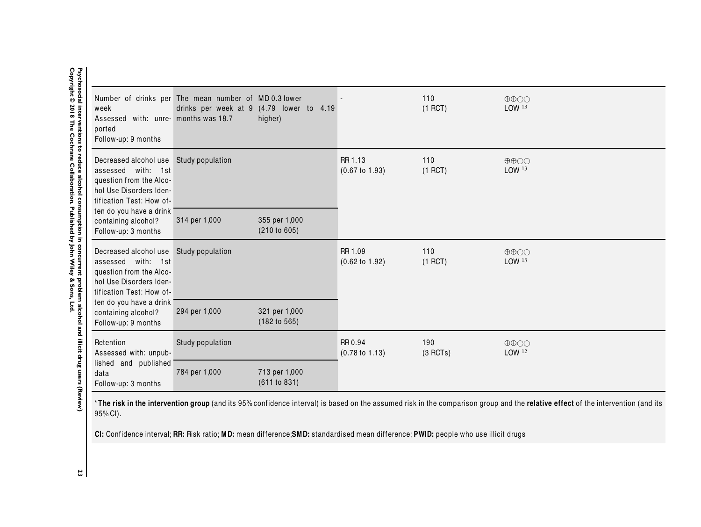| week<br>Assessed with: unre- months was 18.7<br>ported<br>Follow-up: 9 months                                                                  | Number of drinks per The mean number of MD0.3 lower | drinks per week at 9 (4.79 lower to 4.19<br>higher) |                                      | 110<br>$(1$ RCT) | $\oplus \oplus \bigcirc \bigcirc$<br>LOW 13            |
|------------------------------------------------------------------------------------------------------------------------------------------------|-----------------------------------------------------|-----------------------------------------------------|--------------------------------------|------------------|--------------------------------------------------------|
| Decreased alcohol use Study population<br>assessed with: 1st<br>question from the Alco-<br>hol Use Disorders Iden-<br>tification Test: How of- |                                                     |                                                     | RR 1.13<br>$(0.67 \text{ to } 1.93)$ | 110<br>$(1$ RCT) | $\oplus \oplus \bigcirc \bigcirc$<br>LOW 13            |
| ten do you have a drink<br>containing alcohol?<br>Follow-up: 3 months                                                                          | 314 per 1,000                                       | 355 per 1,000<br>(210 to 605)                       |                                      |                  |                                                        |
| Decreased alcohol use Study population<br>assessed with: 1st<br>question from the Alco-<br>hol Use Disorders Iden-<br>tification Test: How of- |                                                     |                                                     | RR 1.09<br>$(0.62 \text{ to } 1.92)$ | 110<br>$(1$ RCT) | $\oplus \oplus \bigcirc \bigcirc$<br>LOW <sup>13</sup> |
| ten do you have a drink<br>containing alcohol?<br>Follow-up: 9 months                                                                          | 294 per 1,000                                       | 321 per 1,000<br>(182 to 565)                       |                                      |                  |                                                        |
| Retention<br>Assessed with: unpub-                                                                                                             | Study population                                    |                                                     | RR 0.94<br>$(0.78 \text{ to } 1.13)$ | 190<br>(3 RCTs)  | $\oplus \oplus \odot \odot$<br>LOW 12                  |
| lished and published<br>data<br>Follow-up: 3 months                                                                                            | 784 per 1,000                                       | 713 per 1,000<br>(611 to 831)                       |                                      |                  |                                                        |

\***The risk in the intervention group** (and its 95% confidence interval) is based on the assumed risk in the comparison group and the **relative effect** of the intervention (and its<br>ครช. CN 95% CI).

**CI:** Conf idence interval; **RR:** Risk ratio; **MD:** mean difference;**SMD:** standardised mean difference; **PWID:** people who use illicit drugs

 $\mathbf{a}$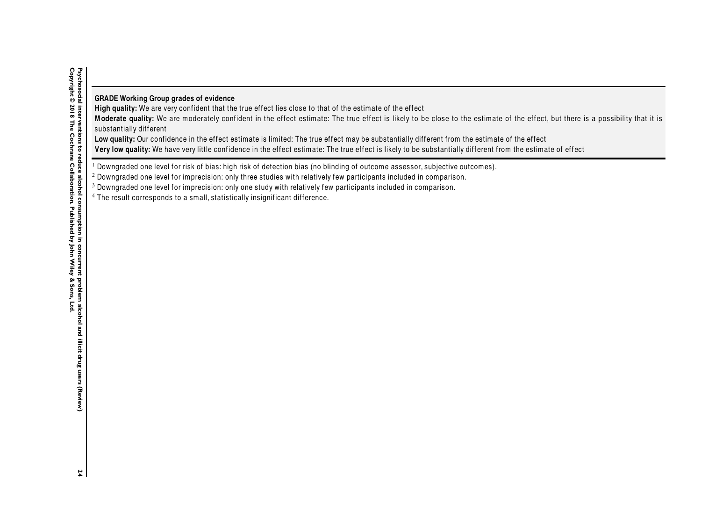# **GRADE Working Group grades of evidence**

High quality: We are very confident that the true effect lies close to that of the estimate of the effect

Moderate quality: We are moderately confident in the effect estimate: The true effect is likely to be close to the estimate of the effect, but there is a possibility that it is substantially different

Low quality: Our confidence in the effect estimate is limited: The true effect may be substantially different from the estimate of the effect

**Very low quality:** We have very little confidence in the effect estimate: The true effect is likely to be substantially different from the estimate of effect

 $^{\rm 1}$  Downgraded one level for risk of bias: high risk of detection bias (no blinding of outcome assessor, subjective outcomes).<br>-

 $^{\rm 2}$  Downgraded one level for imprecision: only three studies with relatively few participants included in comparison.

 $^3$  Downgraded one level for imprecision: only one study with relatively few participants included in comparison.

 $^4$  The result corresponds to a small, statistically insignificant difference.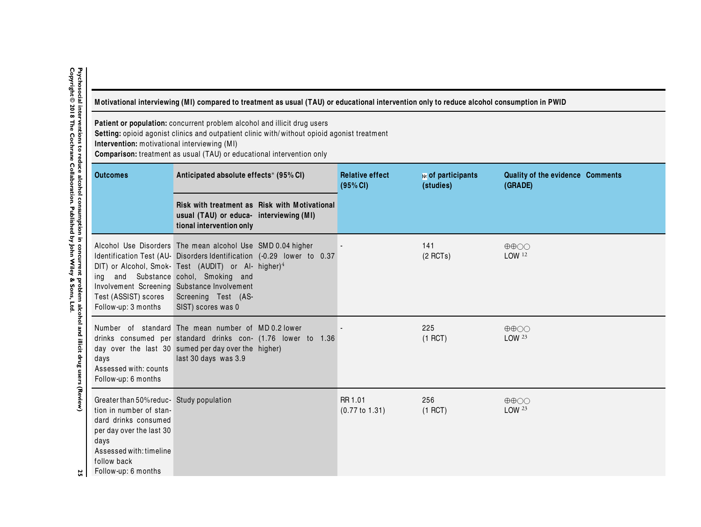<span id="page-28-0"></span>

| Motivational interviewing (MI) compared to treatment as usual (TAU) or educational intervention only to reduce alcohol consumption in PWID |  |
|--------------------------------------------------------------------------------------------------------------------------------------------|--|
|                                                                                                                                            |  |

**Patient or population:** concurrent problem alcohol and illicit drug users<br><mark>Setting:</mark> opioid agonist clinics and outpatient clinic with/without opioid agonist treatment<br><mark>Intervention:</mark> motivational interviewing (MI)

**Comparison:** treatment as usual (TAU) or educational intervention only

|                                                 | <b>Outcomes</b><br>Anticipated absolute effects* (95% CI)                                                                                                                                       |                                                                                                                                                                                                                                                                                          | <b>Relative effect</b><br>(95% CI)   | № of participants<br>(studies) | Quality of the evidence Comments<br>(GRADE)   |
|-------------------------------------------------|-------------------------------------------------------------------------------------------------------------------------------------------------------------------------------------------------|------------------------------------------------------------------------------------------------------------------------------------------------------------------------------------------------------------------------------------------------------------------------------------------|--------------------------------------|--------------------------------|-----------------------------------------------|
|                                                 |                                                                                                                                                                                                 | Risk with treatment as Risk with Motivational<br>usual (TAU) or educa- interviewing (MI)<br>tional intervention only                                                                                                                                                                     |                                      |                                |                                               |
| duce alcohol consumption in concurrent          | ina<br>Involvement Screening Substance Involvement<br>Test (ASSIST) scores<br>Follow-up: 3 months                                                                                               | Alcohol Use Disorders The mean alcohol Use SMD 0.04 higher<br>Identification Test (AU- Disorders Identification (-0.29 lower to 0.37<br>DIT) or Alcohol, Smok- Test (AUDIT) or Al- higher) <sup>4</sup><br>and Substance cohol, Smoking and<br>Screening Test (AS-<br>SIST) scores was 0 |                                      | 141<br>$(2$ RCTs)              | $\oplus \oplus \bigcirc \bigcirc$<br>LOW 12   |
| problem alcohol and illicit drug users (Review) | days<br>Assessed with: counts<br>Follow-up: 6 months                                                                                                                                            | Number of standard The mean number of MD0.2 lower<br>drinks consumed per standard drinks con- (1.76 lower to 1.36<br>day over the last 30 sumed per day over the higher)<br>last 30 days was 3.9                                                                                         |                                      | 225<br>$(1$ RCT)               | $\oplus \oplus \bigcirc \bigcirc$<br>LOW 23   |
| 25                                              | Greater than 50% reduc-Study population<br>tion in number of stan-<br>dard drinks consumed<br>per day over the last 30<br>days<br>Assessed with: timeline<br>follow back<br>Follow-up: 6 months |                                                                                                                                                                                                                                                                                          | RR 1.01<br>$(0.77 \text{ to } 1.31)$ | 256<br>$(1$ RCT)               | $\oplus \oplus \bigcirc \bigcirc$<br>LOW $23$ |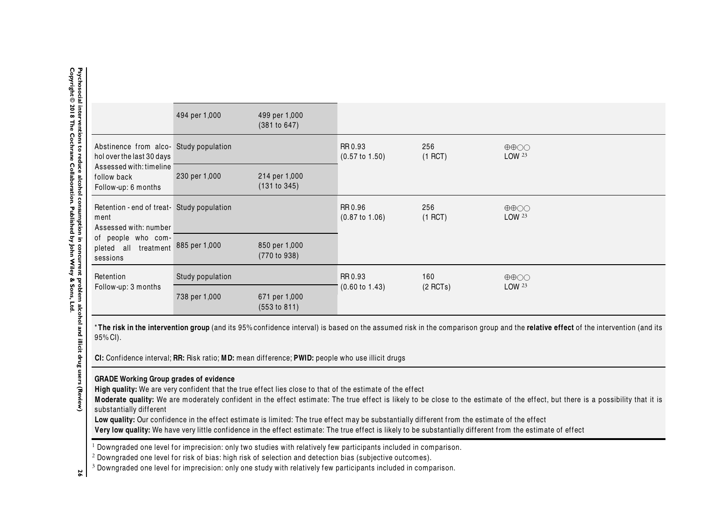|                                                                             | 494 per 1,000           | 499 per 1,000<br>(381 to 647) |                                      |                   |                                                  |
|-----------------------------------------------------------------------------|-------------------------|-------------------------------|--------------------------------------|-------------------|--------------------------------------------------|
| Abstinence from alco- Study population<br>holover the last 30 days          |                         |                               | RR 0.93<br>$(0.57 \text{ to } 1.50)$ | 256<br>$(1$ RCT)  | $\oplus \oplus \odot \odot$<br>LOW <sup>23</sup> |
| Assessed with: timeline<br>follow back<br>Follow-up: 6 months               | 230 per 1,000           | 214 per 1,000<br>(131 to 345) |                                      |                   |                                                  |
| Retention - end of treat- Study population<br>ment<br>Assessed with: number |                         |                               | RR 0.96<br>$(0.87 \text{ to } 1.06)$ | 256<br>$(1$ RCT)  | $\oplus \oplus \odot \odot$<br>LOW <sup>23</sup> |
| of people who com-<br>pleted all<br>sessions                                | treatment 885 per 1,000 | 850 per 1,000<br>(770 to 938) |                                      |                   |                                                  |
| Retention                                                                   | Study population        |                               | RR 0.93                              | 160<br>$(2$ RCTs) | $\oplus \oplus \odot \odot$<br>LOW <sup>23</sup> |
| Follow-up: 3 months                                                         | 738 per 1,000           | 671 per 1,000<br>(553 to 811) | $(0.60 \text{ to } 1.43)$            |                   |                                                  |

\***The risk in the intervention group** (and its 95% confidence interval) is based on the assumed risk in the comparison group and the **relative effect** of the intervention (and its<br>ครช. CN 95% CI).

**CI:** Conf idence interval; **RR:** Risk ratio; **MD:** mean difference; **PWID:** people who use illicit drugs

# **GRADE Working Group grades of evidence**

High quality: We are very confident that the true effect lies close to that of the estimate of the effect

Moderate quality: We are moderately confident in the effect estimate: The true effect is likely to be close to the estimate of the effect, but there is a possibility that it is substantially different

Low quality: Our confidence in the effect estimate is limited: The true effect may be substantially different from the estimate of the effect

Very low quality: We have very little confidence in the effect estimate: The true effect is likely to be substantially different from the estimate of effect

 $^{\rm 1}$  Downgraded one level for imprecision: only two studies with relatively few participants included in comparison.<br>-

 $^{\rm 2}$  Downgraded one level for risk of bias: high risk of selection and detection bias (subjective outcomes).

3 **<sup>26</sup>**Downgraded one level for imprecision: only one study with relatively few participants included in comparison.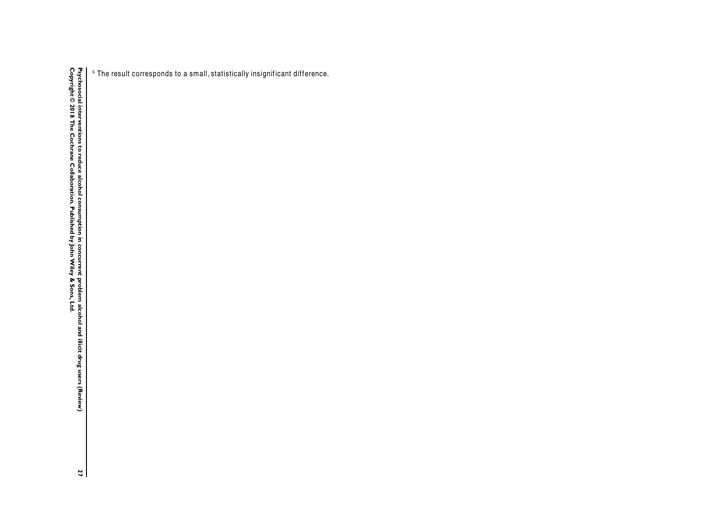$^4$  The result corresponds to a small, statistically insignificant difference.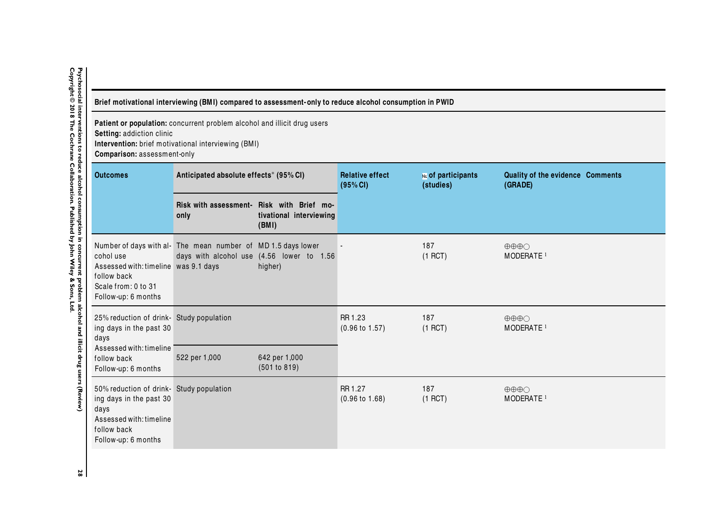<span id="page-31-0"></span>

| Brief motivational interviewing (BMI) compared to assessment-only to reduce alcohol consumption in PWID |  |
|---------------------------------------------------------------------------------------------------------|--|
|                                                                                                         |  |

**Patient or population:** concurrent problem alcohol and illicit drug users **Setting:** addiction clinic **Intervention:** brief motivational interviewing (BMI)

**Comparison:** assessment-only

| <b>Outcomes</b>                                                                                                                              | Anticipated absolute effects* (95% CI)                       |                                                                               | <b>Relative effect</b><br>(95% CI)   | № of participants<br>(studies) | Quality of the evidence Comments<br>(GRADE)              |
|----------------------------------------------------------------------------------------------------------------------------------------------|--------------------------------------------------------------|-------------------------------------------------------------------------------|--------------------------------------|--------------------------------|----------------------------------------------------------|
|                                                                                                                                              | only                                                         | Risk with assessment- Risk with Brief mo-<br>tivational interviewing<br>(BMI) |                                      |                                |                                                          |
| cohol use<br>Assessed with: timeline was 9.1 days<br>follow back<br>Scale from: 0 to 31<br>Follow-up: 6 months                               | Number of days with al- The mean number of MD 1.5 days lower | days with alcohol use (4.56 lower to 1.56<br>higher)                          |                                      | 187<br>$(1$ RCT)               | $\oplus \oplus \oplus \cap$<br>MODERATE <sup>1</sup>     |
| 25% reduction of drink-Study population<br>ing days in the past 30<br>days                                                                   |                                                              |                                                                               | RR 1.23<br>$(0.96 \text{ to } 1.57)$ | 187<br>$(1$ RCT)               | $\oplus \oplus \oplus \cap$<br>MODERATE <sup>1</sup>     |
| Assessed with: timeline<br>follow back<br>Follow-up: 6 months                                                                                | 522 per 1,000                                                | 642 per 1,000<br>(501 to 819)                                                 |                                      |                                |                                                          |
| 50% reduction of drink- Study population<br>ing days in the past 30<br>days<br>Assessed with: timeline<br>follow back<br>Follow-up: 6 months |                                                              |                                                                               | RR 1.27<br>$(0.96 \text{ to } 1.68)$ | 187<br>$(1$ RCT)               | $\oplus \oplus \oplus \bigcirc$<br>MODERATE <sup>1</sup> |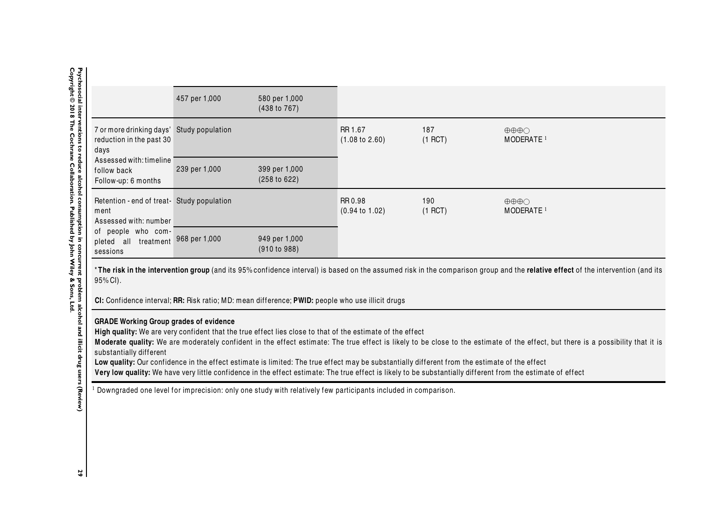|                                                                                                                                                | 457 per 1,000           | 580 per 1,000<br>(438 to 767) |                                             |                  |                                                          |
|------------------------------------------------------------------------------------------------------------------------------------------------|-------------------------|-------------------------------|---------------------------------------------|------------------|----------------------------------------------------------|
| 7 or more drinking days' Study population<br>reduction in the past 30<br>days<br>Assessed with: timeline<br>follow back<br>Follow-up: 6 months |                         |                               | RR 1.67<br>$(1.08 \text{ to } 2.60)$        | 187<br>$(1$ RCT) | $\oplus \oplus \oplus \bigcirc$<br>MODERATE <sup>1</sup> |
|                                                                                                                                                | 239 per 1,000           | 399 per 1,000<br>(258 to 622) |                                             |                  |                                                          |
| Retention - end of treat- Study population<br>ment<br>Assessed with: number                                                                    |                         |                               | RR 0.98<br>190<br>$(0.94 \text{ to } 1.02)$ | $(1$ RCT)        | $\oplus \oplus \oplus \bigcirc$<br>MODERATE <sup>1</sup> |
| of people who com-<br>pleted all<br>sessions                                                                                                   | treatment 968 per 1,000 | 949 per 1,000<br>(910 to 988) |                                             |                  |                                                          |

\***The risk in the intervention group** (and its 95% confidence interval) is based on the assumed risk in the comparison group and the **relative effect** of the intervention (and its<br>ครช. CN 95% CI).

**CI:** Conf idence interval; **RR:** Risk ratio; MD: mean difference; **PWID:** people who use illicit drugs

# **GRADE Working Group grades of evidence**

High quality: We are very confident that the true effect lies close to that of the estimate of the effect

Moderate quality: We are moderately confident in the effect estimate: The true effect is likely to be close to the estimate of the effect, but there is a possibility that it is substantially different

Low quality: Our confidence in the effect estimate is limited: The true effect may be substantially different from the estimate of the effect Very low quality: We have very little confidence in the effect estimate: The true effect is likely to be substantially different from the estimate of effect

 $^{\rm 1}$  Downgraded one level for imprecision: only one study with relatively few participants included in comparison.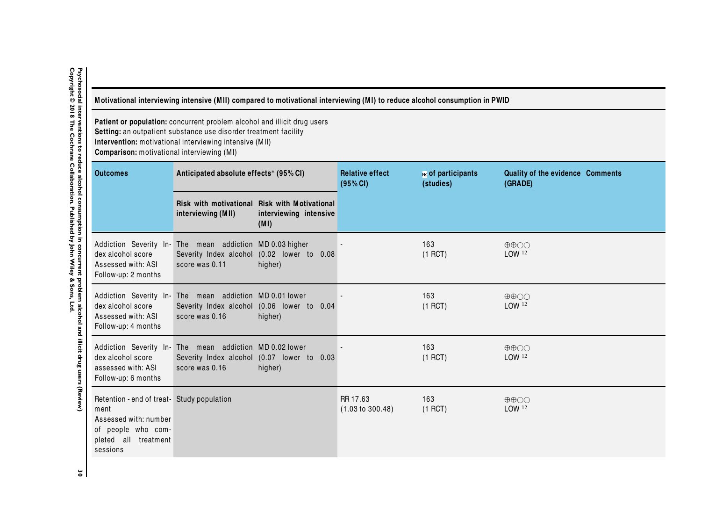| Motivational interviewing intensive (MII) compared to motivational interviewing (MI) to reduce alcohol consumption in PWID<br>Patient or population: concurrent problem alcohol and illicit drug users<br>Setting: an outpatient substance use disorder treatment facility<br>Intervention: motivational interviewing intensive (MII)<br>Comparison: motivational interviewing (MI) |                                                                            |                                                                                 |                              |                  |                                                        |
|-------------------------------------------------------------------------------------------------------------------------------------------------------------------------------------------------------------------------------------------------------------------------------------------------------------------------------------------------------------------------------------|----------------------------------------------------------------------------|---------------------------------------------------------------------------------|------------------------------|------------------|--------------------------------------------------------|
|                                                                                                                                                                                                                                                                                                                                                                                     |                                                                            |                                                                                 |                              |                  | <b>Outcomes</b>                                        |
|                                                                                                                                                                                                                                                                                                                                                                                     | interviewing (MII)                                                         | Risk with motivational Risk with Motivational<br>interviewing intensive<br>(MI) |                              |                  |                                                        |
| dex alcohol score<br>Assessed with: ASI<br>Follow-up: 2 months                                                                                                                                                                                                                                                                                                                      | Addiction Severity In- The mean addiction MD 0.03 higher<br>score was 0.11 | Severity Index alcohol (0.02 lower to 0.08<br>higher)                           |                              | 163<br>$(1$ RCT) | $\oplus \oplus \bigcirc \bigcirc$<br>LOW <sup>12</sup> |
| dex alcohol score<br>Assessed with: ASI<br>Follow-up: 4 months                                                                                                                                                                                                                                                                                                                      | Addiction Severity In- The mean addiction MD 0.01 lower<br>score was 0.16  | Severity Index alcohol (0.06 lower to 0.04<br>higher)                           |                              | 163<br>$(1$ RCT) | $\oplus \oplus \odot \odot$<br>LOW <sup>12</sup>       |
| dex alcohol score<br>assessed with: ASI<br>Follow-up: 6 months                                                                                                                                                                                                                                                                                                                      | Addiction Severity In- The mean addiction MD 0.02 lower<br>score was 0.16  | Severity Index alcohol (0.07 lower to 0.03<br>higher)                           |                              | 163<br>$(1$ RCT) | $\oplus \oplus \bigcirc \bigcirc$<br>LOW <sup>12</sup> |
| Retention - end of treat- Study population<br>ment<br>Assessed with: number<br>of people who com-<br>pleted all treatment<br>sessions                                                                                                                                                                                                                                               |                                                                            |                                                                                 | RR 17.63<br>(1.03 to 300.48) | 163<br>$(1$ RCT) | $\oplus \oplus \bigcirc \bigcirc$<br>LOW 12            |

Ξ

<span id="page-33-0"></span>Psychosocial interventions to reduce alcohol consumption in concurrent problem alcohol and illicit drug users (Review)<br>Copyright © 2018 The Cochrane Collaboration. Published by John Wiley & Sons, Ltd. **Copyright © 2018 The Cochrane Collaboration. Published by John Wiley & Sons, Ltd.30 Psychosocial interventions to reduce alcohol consumption in concurrent problem alcohol and illicit drug users (Review)**

 $\approx$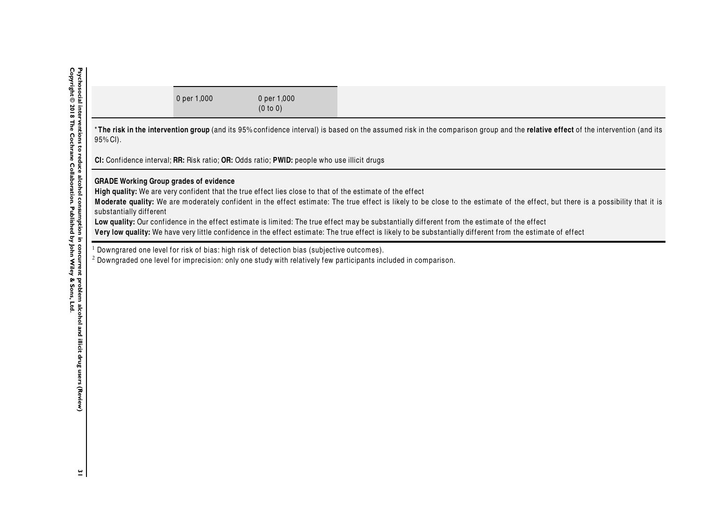|                                                                                                                                                                                                                                                                                                                                                                                                                                                                                                                                                                                                                                                                                            | 0 per 1,000 | 0 per 1,000<br>(0 to 0)                                                                                |                                                                                                                                                                                 |  |  |  |
|--------------------------------------------------------------------------------------------------------------------------------------------------------------------------------------------------------------------------------------------------------------------------------------------------------------------------------------------------------------------------------------------------------------------------------------------------------------------------------------------------------------------------------------------------------------------------------------------------------------------------------------------------------------------------------------------|-------------|--------------------------------------------------------------------------------------------------------|---------------------------------------------------------------------------------------------------------------------------------------------------------------------------------|--|--|--|
| 95% CI).                                                                                                                                                                                                                                                                                                                                                                                                                                                                                                                                                                                                                                                                                   |             |                                                                                                        | *The risk in the intervention group (and its 95% confidence interval) is based on the assumed risk in the comparison group and the relative effect of the intervention (and its |  |  |  |
| CI: Confidence interval; RR: Risk ratio; OR: Odds ratio; PWID: people who use illicit drugs                                                                                                                                                                                                                                                                                                                                                                                                                                                                                                                                                                                                |             |                                                                                                        |                                                                                                                                                                                 |  |  |  |
| <b>GRADE Working Group grades of evidence</b><br>High quality: We are very confident that the true effect lies close to that of the estimate of the effect<br>Moderate quality: We are moderately confident in the effect estimate: The true effect is likely to be close to the estimate of the effect, but there is a possibility that it is<br>substantially different<br>Low quality: Our confidence in the effect estimate is limited: The true effect may be substantially different from the estimate of the effect<br>Very low quality: We have very little confidence in the effect estimate: The true effect is likely to be substantially different from the estimate of effect |             |                                                                                                        |                                                                                                                                                                                 |  |  |  |
|                                                                                                                                                                                                                                                                                                                                                                                                                                                                                                                                                                                                                                                                                            |             | <sup>1</sup> Downgrared one level for risk of bias: high risk of detection bias (subjective outcomes). | <sup>2</sup> Downgraded one level for imprecision: only one study with relatively few participants included in comparison.                                                      |  |  |  |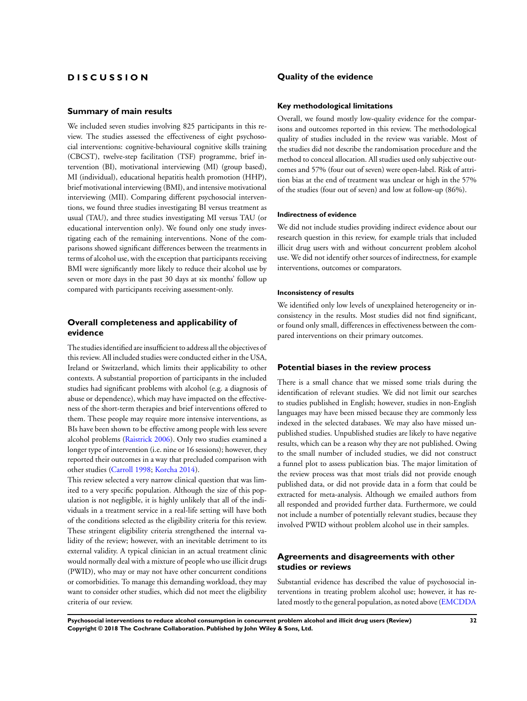# **D I S C U S S I O N**

#### **Summary of main results**

We included seven studies involving 825 participants in this review. The studies assessed the effectiveness of eight psychosocial interventions: cognitive-behavioural cognitive skills training (CBCST), twelve-step facilitation (TSF) programme, brief intervention (BI), motivational interviewing (MI) (group based), MI (individual), educational hepatitis health promotion (HHP), brief motivational interviewing (BMI), and intensive motivational interviewing (MII). Comparing different psychosocial interventions, we found three studies investigating BI versus treatment as usual (TAU), and three studies investigating MI versus TAU (or educational intervention only). We found only one study investigating each of the remaining interventions. None of the comparisons showed significant differences between the treatments in terms of alcohol use, with the exception that participants receiving BMI were significantly more likely to reduce their alcohol use by seven or more days in the past 30 days at six months' follow up compared with participants receiving assessment-only.

## **Overall completeness and applicability of evidence**

The studies identified are insufficient to address all the objectives of this review. All included studies were conducted either in the USA, Ireland or Switzerland, which limits their applicability to other contexts. A substantial proportion of participants in the included studies had significant problems with alcohol (e.g. a diagnosis of abuse or dependence), which may have impacted on the effectiveness of the short-term therapies and brief interventions offered to them. These people may require more intensive interventions, as BIs have been shown to be effective among people with less severe alcohol problems [\(Raistrick 2006](#page-37-0)). Only two studies examined a longer type of intervention (i.e. nine or 16 sessions); however, they reported their outcomes in a way that precluded comparison with other studies ([Carroll 1998](#page-37-0); [Korcha 2014](#page-37-0)).

This review selected a very narrow clinical question that was limited to a very specific population. Although the size of this population is not negligible, it is highly unlikely that all of the individuals in a treatment service in a real-life setting will have both of the conditions selected as the eligibility criteria for this review. These stringent eligibility criteria strengthened the internal validity of the review; however, with an inevitable detriment to its external validity. A typical clinician in an actual treatment clinic would normally deal with a mixture of people who use illicit drugs (PWID), who may or may not have other concurrent conditions or comorbidities. To manage this demanding workload, they may want to consider other studies, which did not meet the eligibility criteria of our review.

## **Quality of the evidence**

#### **Key methodological limitations**

Overall, we found mostly low-quality evidence for the comparisons and outcomes reported in this review. The methodological quality of studies included in the review was variable. Most of the studies did not describe the randomisation procedure and the method to conceal allocation. All studies used only subjective outcomes and 57% (four out of seven) were open-label. Risk of attrition bias at the end of treatment was unclear or high in the 57% of the studies (four out of seven) and low at follow-up (86%).

#### **Indirectness of evidence**

We did not include studies providing indirect evidence about our research question in this review, for example trials that included illicit drug users with and without concurrent problem alcohol use. We did not identify other sources of indirectness, for example interventions, outcomes or comparators.

## **Inconsistency of results**

We identified only low levels of unexplained heterogeneity or inconsistency in the results. Most studies did not find significant, or found only small, differences in effectiveness between the compared interventions on their primary outcomes.

## **Potential biases in the review process**

There is a small chance that we missed some trials during the identification of relevant studies. We did not limit our searches to studies published in English; however, studies in non-English languages may have been missed because they are commonly less indexed in the selected databases. We may also have missed unpublished studies. Unpublished studies are likely to have negative results, which can be a reason why they are not published. Owing to the small number of included studies, we did not construct a funnel plot to assess publication bias. The major limitation of the review process was that most trials did not provide enough published data, or did not provide data in a form that could be extracted for meta-analysis. Although we emailed authors from all responded and provided further data. Furthermore, we could not include a number of potentially relevant studies, because they involved PWID without problem alcohol use in their samples.

## **Agreements and disagreements with other studies or reviews**

Substantial evidence has described the value of psychosocial interventions in treating problem alcohol use; however, it has related mostly to the general population, as noted above [\(EMCDDA](#page-37-0)

**Psychosocial interventions to reduce alcohol consumption in concurrent problem alcohol and illicit drug users (Review) 32 Copyright © 2018 The Cochrane Collaboration. Published by John Wiley & Sons, Ltd.**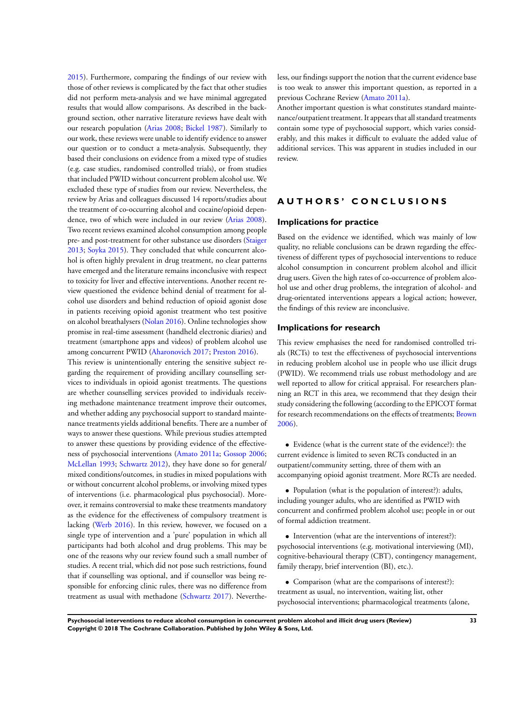[2015](#page-37-0)). Furthermore, comparing the findings of our review with those of other reviews is complicated by the fact that other studies did not perform meta-analysis and we have minimal aggregated results that would allow comparisons. As described in the background section, other narrative literature reviews have dealt with our research population ([Arias 2008](#page-37-0); [Bickel 1987\)](#page-37-0). Similarly to our work, these reviews were unable to identify evidence to answer our question or to conduct a meta-analysis. Subsequently, they based their conclusions on evidence from a mixed type of studies (e.g. case studies, randomised controlled trials), or from studies that included PWID without concurrent problem alcohol use. We excluded these type of studies from our review. Nevertheless, the review by Arias and colleagues discussed 14 reports/studies about the treatment of co-occurring alcohol and cocaine/opioid dependence, two of which were included in our review ([Arias 2008](#page-37-0)). Two recent reviews examined alcohol consumption among people pre- and post-treatment for other substance use disorders ([Staiger](#page-37-0) [2013](#page-37-0); [Soyka 2015\)](#page-37-0). They concluded that while concurrent alcohol is often highly prevalent in drug treatment, no clear patterns have emerged and the literature remains inconclusive with respect to toxicity for liver and effective interventions. Another recent review questioned the evidence behind denial of treatment for alcohol use disorders and behind reduction of opioid agonist dose in patients receiving opioid agonist treatment who test positive on alcohol breathalysers [\(Nolan 2016\)](#page-37-0). Online technologies show promise in real-time assessment (handheld electronic diaries) and treatment (smartphone apps and videos) of problem alcohol use among concurrent PWID [\(Aharonovich 2017;](#page-37-0) [Preston 2016\)](#page-37-0). This review is unintentionally entering the sensitive subject regarding the requirement of providing ancillary counselling services to individuals in opioid agonist treatments. The questions are whether counselling services provided to individuals receiving methadone maintenance treatment improve their outcomes, and whether adding any psychosocial support to standard maintenance treatments yields additional benefits. There are a number of ways to answer these questions. While previous studies attempted to answer these questions by providing evidence of the effectiveness of psychosocial interventions ([Amato 2011a](#page-37-0); [Gossop 2006;](#page-37-0) [McLellan 1993;](#page-37-0) [Schwartz 2012\)](#page-37-0), they have done so for general/ mixed conditions/outcomes, in studies in mixed populations with or without concurrent alcohol problems, or involving mixed types of interventions (i.e. pharmacological plus psychosocial). Moreover, it remains controversial to make these treatments mandatory as the evidence for the effectiveness of compulsory treatment is lacking [\(Werb 2016](#page-37-0)). In this review, however, we focused on a single type of intervention and a 'pure' population in which all participants had both alcohol and drug problems. This may be one of the reasons why our review found such a small number of studies. A recent trial, which did not pose such restrictions, found that if counselling was optional, and if counsellor was being responsible for enforcing clinic rules, there was no difference from treatment as usual with methadone [\(Schwartz 2017\)](#page-37-0). Nevertheless, our findings support the notion that the current evidence base is too weak to answer this important question, as reported in a previous Cochrane Review ([Amato 2011a](#page-37-0)).

Another important question is what constitutes standard maintenance/outpatient treatment. It appears that all standard treatments contain some type of psychosocial support, which varies considerably, and this makes it difficult to evaluate the added value of additional services. This was apparent in studies included in our review.

## **A U T H O R S ' C O N C L U S I O N S**

## **Implications for practice**

Based on the evidence we identified, which was mainly of low quality, no reliable conclusions can be drawn regarding the effectiveness of different types of psychosocial interventions to reduce alcohol consumption in concurrent problem alcohol and illicit drug users. Given the high rates of co-occurrence of problem alcohol use and other drug problems, the integration of alcohol- and drug-orientated interventions appears a logical action; however, the findings of this review are inconclusive.

## **Implications for research**

This review emphasises the need for randomised controlled trials (RCTs) to test the effectiveness of psychosocial interventions in reducing problem alcohol use in people who use illicit drugs (PWID). We recommend trials use robust methodology and are well reported to allow for critical appraisal. For researchers planning an RCT in this area, we recommend that they design their study considering the following (according to the EPICOT format for research recommendations on the effects of treatments; [Brown](#page-37-0) [2006](#page-37-0)).

• Evidence (what is the current state of the evidence?): the current evidence is limited to seven RCTs conducted in an outpatient/community setting, three of them with an accompanying opioid agonist treatment. More RCTs are needed.

• Population (what is the population of interest?): adults, including younger adults, who are identified as PWID with concurrent and confirmed problem alcohol use; people in or out of formal addiction treatment.

• Intervention (what are the interventions of interest?): psychosocial interventions (e.g. motivational interviewing (MI), cognitive-behavioural therapy (CBT), contingency management, family therapy, brief intervention (BI), etc.).

• Comparison (what are the comparisons of interest?): treatment as usual, no intervention, waiting list, other psychosocial interventions; pharmacological treatments (alone,

**Psychosocial interventions to reduce alcohol consumption in concurrent problem alcohol and illicit drug users (Review) 33 Copyright © 2018 The Cochrane Collaboration. Published by John Wiley & Sons, Ltd.**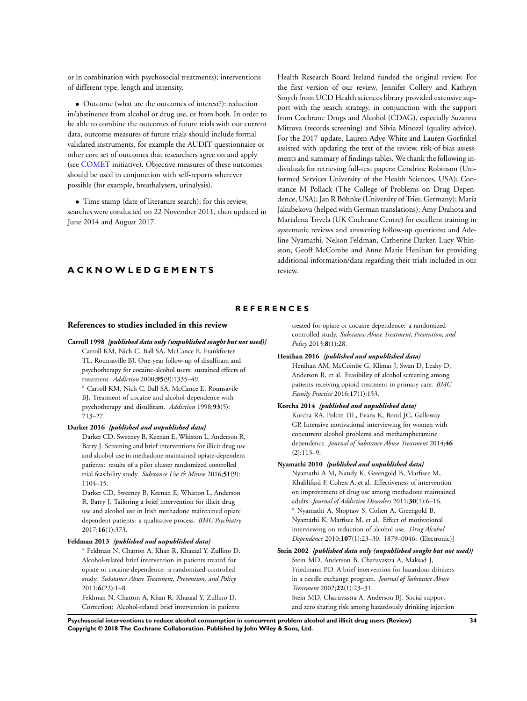<span id="page-37-0"></span>or in combination with psychosocial treatments); interventions of different type, length and intensity.

• Outcome (what are the outcomes of interest?): reduction in/abstinence from alcohol or drug use, or from both. In order to be able to combine the outcomes of future trials with our current data, outcome measures of future trials should include formal validated instruments, for example the AUDIT questionnaire or other core set of outcomes that researchers agree on and apply (see [COMET](http://www.comet-iniative.org) initiative). Objective measures of these outcomes should be used in conjunction with self-reports wherever possible (for example, breathalysers, urinalysis).

• Time stamp (date of literature search): for this review, searches were conducted on 22 November 2011, then updated in June 2014 and August 2017.

## **A C K N O W L E D G E M E N T S**

Health Research Board Ireland funded the original review. For the first version of our review, Jennifer Collery and Kathryn Smyth from UCD Health sciences library provided extensive support with the search strategy, in conjunction with the support from Cochrane Drugs and Alcohol (CDAG), especially Suzanna Mitrova (records screening) and Silvia Minozzi (quality advice). For the 2017 update, Lauren Adye-White and Lauren Gorfinkel assisted with updating the text of the review, risk-of-bias assessments and summary of findings tables. We thank the following individuals for retrieving full-text papers: Cendrine Robinson (Uniformed Services University of the Health Sciences, USA); Constance M Pollack (The College of Problems on Drug Dependence, USA); Jan R Böhnke (University of Trier, Germany); Maria Jakubekova (helped with German translations); Amy Drahota and Marialena Trivela (UK Cochrane Centre) for excellent training in systematic reviews and answering follow-up questions; and Adeline Nyamathi, Nelson Feldman, Catherine Darker, Lucy Whinston, Geoff McCombe and Anne Marie Henihan for providing additional information/data regarding their trials included in our review.

## **R E F E R E N C E S**

### **References to studies included in this review**

**Carroll 1998** *{published data only (unpublished sought but not used)}* Carroll KM, Nich C, Ball SA, McCance E, Frankforter TL, Rounsaville BJ. One-year follow-up of disulfiram and psychotherapy for cocaine-alcohol users: sustained effects of treatment. *Addiction* 2000;**95**(9):1335–49.

<sup>∗</sup> Carroll KM, Nich C, Ball SA, McCance E, Rounsavile BJ. Treatment of cocaine and alcohol dependence with psychotherapy and disulfiram. *Addiction* 1998;**93**(5): 713–27.

#### **Darker 2016** *{published and unpublished data}*

Darker CD, Sweeney B, Keenan E, Whiston L, Anderson R, Barry J. Screening and brief interventions for illicit drug use and alcohol use in methadone maintained opiate-dependent patients: results of a pilot cluster randomized controlled trial feasibility study. *Substance Use & Misuse* 2016;**51**(9): 1104–15.

Darker CD, Sweeney B, Keenan E, Whiston L, Anderson R, Barry J. Tailoring a brief intervention for illicit drug use and alcohol use in Irish methadone maintained opiate dependent patients: a qualitative process. *BMC Psychiatry* 2017;**16**(1):373.

#### **Feldman 2013** *{published and unpublished data}*

<sup>∗</sup> Feldman N, Chatton A, Khan R, Khazaal Y, Zullino D. Alcohol-related brief intervention in patients treated for opiate or cocaine dependence: a randomized controlled study. *Substance Abuse Treatment, Prevention, and Policy* 2011;**6**(22):1–8.

Feldman N, Chatton A, Khan R, Khazaal Y, Zullino D. Correction: Alcohol-related brief intervention in patients treated for opiate or cocaine dependence: a randomized controlled study. *Substance Abuse Treatment, Prevention, and Policy* 2013;**8**(1):28.

### **Henihan 2016** *{published and unpublished data}*

Henihan AM, McCombe G, Klimas J, Swan D, Leahy D, Anderson R, et al. Feasibility of alcohol screening among patients receiving opioid treatment in primary care. *BMC Family Practice* 2016;**17**(1):153.

#### **Korcha 2014** *{published and unpublished data}*

Korcha RA, Polcin DL, Evans K, Bond JC, Galloway GP. Intensive motivational interviewing for women with concurrent alcohol problems and methamphetamine dependence. *Journal of Substance Abuse Treatment* 2014;**46** (2):113–9.

## **Nyamathi 2010** *{published and unpublished data}*

Nyamathi A M, Nandy K, Greengold B, Marfisee M, Khalilifard F, Cohen A, et al. Effectiveness of intervention on improvement of drug use among methadone maintained adults. *Journal of Addictive Disorders* 2011;**30**(1):6–16. <sup>∗</sup> Nyamathi A, Shoptaw S, Cohen A, Greengold B, Nyamathi K, Marfisee M, et al. Effect of motivational interviewing on reduction of alcohol use. *Drug Alcohol Dependence* 2010;**107**(1):23–30. 1879–0046: (Electronic)]

**Stein 2002** *{published data only (unpublished sought but not used)}* Stein MD, Anderson B, Charuvastra A, Maksad J, Friedmann PD. A brief intervention for hazardous drinkers in a needle exchange program. *Journal of Substance Abuse Treatment* 2002;**22**(1):23–31. Stein MD, Charuvastra A, Anderson BJ. Social support and zero sharing risk among hazardously drinking injection

**Psychosocial interventions to reduce alcohol consumption in concurrent problem alcohol and illicit drug users (Review) 34 Copyright © 2018 The Cochrane Collaboration. Published by John Wiley & Sons, Ltd.**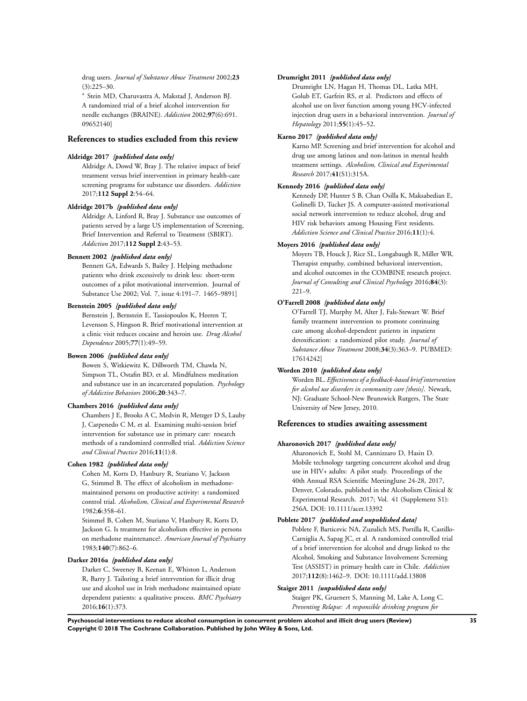drug users. *Journal of Substance Abuse Treatment* 2002;**23**  $(3):225-30.$ 

<sup>∗</sup> Stein MD, Charuvastra A, Makstad J, Anderson BJ. A randomized trial of a brief alcohol intervention for needle exchanges (BRAINE). *Addiction* 2002;**97**(6):691. 09652140]

## **References to studies excluded from this review**

### **Aldridge 2017** *{published data only}*

Aldridge A, Dowd W, Bray J. The relative impact of brief treatment versus brief intervention in primary health-care screening programs for substance use disorders. *Addiction* 2017;**112 Suppl 2**:54–64.

### **Aldridge 2017b** *{published data only}*

Aldridge A, Linford R, Bray J. Substance use outcomes of patients served by a large US implementation of Screening, Brief Intervention and Referral to Treatment (SBIRT). *Addiction* 2017;**112 Suppl 2**:43–53.

### **Bennett 2002** *{published data only}*

Bennett GA, Edwards S, Bailey J. Helping methadone patients who drink excessively to drink less: short-term outcomes of a pilot motivational intervention. Journal of Substance Use 2002; Vol. 7, issue 4:191–7. 1465–9891]

### **Bernstein 2005** *{published data only}*

Bernstein J, Bernstein E, Tassiopoulos K, Heeren T, Levenson S, Hingson R. Brief motivational intervention at a clinic visit reduces cocaine and heroin use. *Drug Alcohol Dependence* 2005;**77**(1):49–59.

### **Bowen 2006** *{published data only}*

Bowen S, Witkiewitz K, Dillworth TM, Chawla N, Simpson TL, Ostafin BD, et al. Mindfulness meditation and substance use in an incarcerated population. *Psychology of Addictive Behaviors* 2006;**20**:343–7.

#### **Chambers 2016** *{published data only}*

Chambers J E, Brooks A C, Medvin R, Metzger D S, Lauby J, Carpenedo C M, et al. Examining multi-session brief intervention for substance use in primary care: research methods of a randomized controlled trial. *Addiction Science and Clinical Practice* 2016;**11**(1):8.

## **Cohen 1982** *{published data only}*

Cohen M, Korts D, Hanbury R, Sturiano V, Jackson G, Stimmel B. The effect of alcoholism in methadonemaintained persons on productive activity: a randomized control trial. *Alcoholism, Clinical and Experimental Research* 1982;**6**:358–61.

Stimmel B, Cohen M, Sturiano V, Hanbury R, Korts D, Jackson G. Is treatment for alcoholism effective in persons on methadone maintenance?. *American Journal of Psychiatry* 1983;**140**(7):862–6.

#### **Darker 2016a** *{published data only}*

Darker C, Sweeney B, Keenan E, Whiston L, Anderson R, Barry J. Tailoring a brief intervention for illicit drug use and alcohol use in Irish methadone maintained opiate dependent patients: a qualitative process. *BMC Psychiatry* 2016;**16**(1):373.

#### **Drumright 2011** *{published data only}*

Drumright LN, Hagan H, Thomas DL, Latka MH, Golub ET, Garfein RS, et al. Predictors and effects of alcohol use on liver function among young HCV-infected injection drug users in a behavioral intervention. *Journal of Hepatology* 2011;**55**(1):45–52.

### **Karno 2017** *{published data only}*

Karno MP. Screening and brief intervention for alcohol and drug use among latinos and non-latinos in mental health treatment settings. *Alcoholism, Clinical and Experimental Research* 2017;**41**(S1):315A.

## **Kennedy 2016** *{published data only}*

Kennedy DP, Hunter S B, Chan Osilla K, Maksabedian E, Golinelli D, Tucker JS. A computer-assisted motivational social network intervention to reduce alcohol, drug and HIV risk behaviors among Housing First residents. *Addiction Science and Clinical Practice* 2016;**11**(1):4.

## **Moyers 2016** *{published data only}*

Moyers TB, Houck J, Rice SL, Longabaugh R, Miller WR. Therapist empathy, combined behavioral intervention, and alcohol outcomes in the COMBINE research project. *Journal of Consulting and Clinical Psychology* 2016;**84**(3):  $221-9$ 

#### **O'Farrell 2008** *{published data only}*

O'Farrell TJ, Murphy M, Alter J, Fals-Stewart W. Brief family treatment intervention to promote continuing care among alcohol-dependent patients in inpatient detoxification: a randomized pilot study. *Journal of Substance Abuse Treatment* 2008;**34**(3):363–9. PUBMED: 17614242]

### **Worden 2010** *{published data only}*

Worden BL. *Effectiveness of a feedback-based brief intervention for alcohol use disorders in community care [thesis]*. Newark, NJ: Graduate School-New Brunswick Rutgers, The State University of New Jersey, 2010.

### **References to studies awaiting assessment**

#### **Aharonovich 2017** *{published data only}*

Aharonovich E, Stohl M, Cannizzaro D, Hasin D. Mobile technology targeting concurrent alcohol and drug use in HIV+ adults: A pilot study. Proceedings of the 40th Annual RSA Scientific MeetingJune 24-28, 2017, Denver, Colorado, published in the Alcoholism Clinical & Experimental Research. 2017; Vol. 41 (Supplement S1): 256A. DOI: 10.1111/acer.13392

## **Poblete 2017** *{published and unpublished data}*

Poblete F, Barticevic NA, Zuzulich MS, Portilla R, Castillo-Carniglia A, Sapag JC, et al. A randomized controlled trial of a brief intervention for alcohol and drugs linked to the Alcohol, Smoking and Substance Involvement Screening Test (ASSIST) in primary health care in Chile. *Addiction* 2017;**112**(8):1462–9. DOI: 10.1111/add.13808

### **Staiger 2011** *{unpublished data only}*

Staiger PK, Gruenert S, Manning M, Lake A, Long C. *Preventing Relapse: A responsible drinking program for*

**Psychosocial interventions to reduce alcohol consumption in concurrent problem alcohol and illicit drug users (Review) 35 Copyright © 2018 The Cochrane Collaboration. Published by John Wiley & Sons, Ltd.**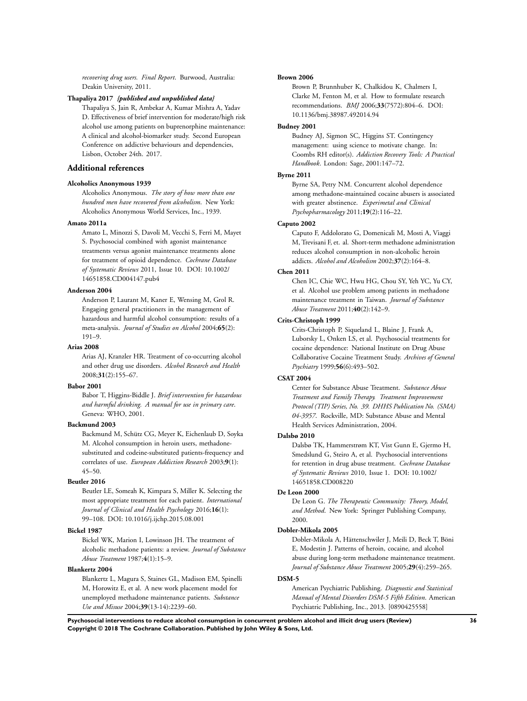*recovering drug users. Final Report*. Burwood, Australia: Deakin University, 2011.

### **Thapaliya 2017** *{published and unpublished data}*

Thapaliya S, Jain R, Ambekar A, Kumar Mishra A, Yadav D. Effectiveness of brief intervention for moderate/high risk alcohol use among patients on buprenorphine maintenance: A clinical and alcohol-biomarker study. Second European Conference on addictive behaviours and dependencies, Lisbon, October 24th. 2017.

## **Additional references**

### **Alcoholics Anonymous 1939**

Alcoholics Anonymous. *The story of how more than one hundred men have recovered from alcoholism*. New York: Alcoholics Anonymous World Services, Inc., 1939.

### **Amato 2011a**

Amato L, Minozzi S, Davoli M, Vecchi S, Ferri M, Mayet S. Psychosocial combined with agonist maintenance treatments versus agonist maintenance treatments alone for treatment of opioid dependence. *Cochrane Database of Systematic Reviews* 2011, Issue 10. DOI: 10.1002/ 14651858.CD004147.pub4

## **Anderson 2004**

Anderson P, Laurant M, Kaner E, Wensing M, Grol R. Engaging general practitioners in the management of hazardous and harmful alcohol consumption: results of a meta-analysis. *Journal of Studies on Alcohol* 2004;**65**(2): 191–9.

#### **Arias 2008**

Arias AJ, Kranzler HR. Treatment of co-occurring alcohol and other drug use disorders. *Alcohol Research and Health* 2008;**31**(2):155–67.

#### **Babor 2001**

Babor T, Higgins-Biddle J. *Brief intervention for hazardous and harmful drinking. A manual for use in primary care*. Geneva: WHO, 2001.

#### **Backmund 2003**

Backmund M, Schütz CG, Meyer K, Eichenlaub D, Soyka M. Alcohol consumption in heroin users, methadonesubstituted and codeine-substituted patients-frequency and correlates of use. *European Addiction Research* 2003;**9**(1): 45–50.

### **Beutler 2016**

Beutler LE, Someah K, Kimpara S, Miller K. Selecting the most appropriate treatment for each patient. *International Journal of Clinical and Health Psychology* 2016;**16**(1): 99–108. DOI: 10.1016/j.ijchp.2015.08.001

#### **Bickel 1987**

Bickel WK, Marion I, Lowinson JH. The treatment of alcoholic methadone patients: a review. *Journal of Substance Abuse Treatment* 1987;**4**(1):15–9.

## **Blankertz 2004**

Blankertz L, Magura S, Staines GL, Madison EM, Spinelli M, Horowitz E, et al. A new work placement model for unemployed methadone maintenance patients. *Substance Use and Misuse* 2004;**39**(13-14):2239–60.

#### **Brown 2006**

Brown P, Brunnhuber K, Chalkidou K, Chalmers I, Clarke M, Fenton M, et al. How to formulate research recommendations. *BMJ* 2006;**33**(7572):804–6. DOI: 10.1136/bmj.38987.492014.94

#### **Budney 2001**

Budney AJ, Sigmon SC, Higgins ST. Contingency management: using science to motivate change. In: Coombs RH editor(s). *Addiction Recovery Tools: A Practical Handbook*. London: Sage, 2001:147–72.

### **Byrne 2011**

Byrne SA, Petry NM. Concurrent alcohol dependence among methadone-maintained cocaine abusers is associated with greater abstinence. *Experimetal and Clinical Psychopharmacology* 2011;**19**(2):116–22.

#### **Caputo 2002**

Caputo F, Addolorato G, Domenicali M, Mosti A, Viaggi M, Trevisani F, et. al. Short-term methadone administration reduces alcohol consumption in non-alcoholic heroin addicts. *Alcohol and Alcoholism* 2002;**37**(2):164–8.

## **Chen 2011**

Chen IC, Chie WC, Hwu HG, Chou SY, Yeh YC, Yu CY, et al. Alcohol use problem among patients in methadone maintenance treatment in Taiwan. *Journal of Substance Abuse Treatment* 2011;**40**(2):142–9.

## **Crits-Christoph 1999**

Crits-Christoph P, Siqueland L, Blaine J, Frank A, Luborsky L, Onken LS, et al. Psychosocial treatments for cocaine dependence: National Institute on Drug Abuse Collaborative Cocaine Treatment Study. *Archives of General Psychiatry* 1999;**56**(6):493–502.

## **CSAT 2004**

Center for Substance Abuse Treatment. *Substance Abuse Treatment and Family Therapy. Treatment Improvement Protocol (TIP) Series, No. 39. DHHS Publication No. (SMA) 04-3957*. Rockville, MD: Substance Abuse and Mental Health Services Administration, 2004.

## **Dalsbø 2010**

Dalsbø TK, Hammerstrøm KT, Vist Gunn E, Gjermo H, Smedslund G, Steiro A, et al. Psychosocial interventions for retention in drug abuse treatment. *Cochrane Database of Systematic Reviews* 2010, Issue 1. DOI: 10.1002/ 14651858.CD008220

#### **De Leon 2000**

De Leon G. *The Therapeutic Community: Theory, Model, and Method*. New York: Springer Publishing Company, 2000.

### **Dobler-Mikola 2005**

Dobler-Mikola A, Hättenschwiler J, Meili D, Beck T, Böni E, Modestin J. Patterns of heroin, cocaine, and alcohol abuse during long-term methadone maintenance treatment. *Journal of Substance Abuse Treatment* 2005;**29**(4):259–265.

#### **DSM-5**

American Psychiatric Publishing. *Diagnostic and Statistical Manual of Mental Disorders DSM-5 Fifth Edition*. American Psychiatric Publishing, Inc., 2013. [0890425558]

**Psychosocial interventions to reduce alcohol consumption in concurrent problem alcohol and illicit drug users (Review) 36 Copyright © 2018 The Cochrane Collaboration. Published by John Wiley & Sons, Ltd.**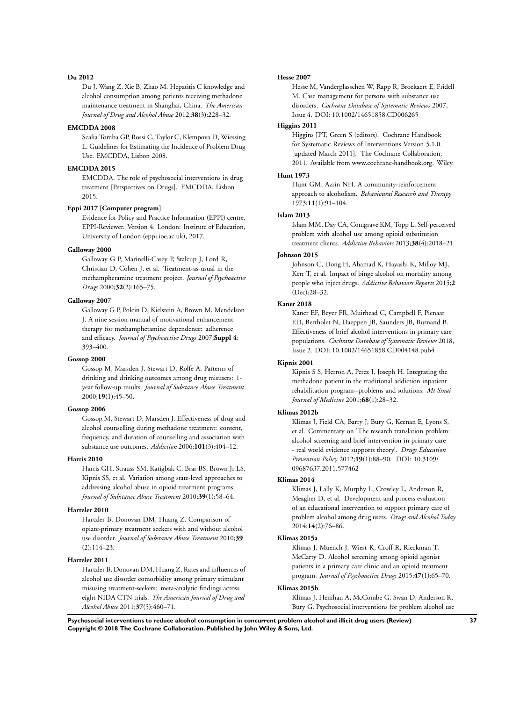#### **Du 2012**

Du J, Wang Z, Xie B, Zhao M. Hepatitis C knowledge and alcohol consumption among patients receiving methadone maintenance treatment in Shanghai, China. *The American Journal of Drug and Alcohol Abuse* 2012;**38**(3):228–32.

### **EMCDDA 2008**

Scalia Tomba GP, Rossi C, Taylor C, Klempova D, Wiessing L. Guidelines for Estimating the Incidence of Problem Drug Use. EMCDDA, Lisbon 2008.

#### **EMCDDA 2015**

EMCDDA. The role of psychosocial interventions in drug treatment [Perspectives on Drugs]. EMCDDA, Lisbon 2015.

## **Eppi 2017 [Computer program]**

Evidence for Policy and Practice Information (EPPI) centre. EPPI-Reviewer. Version 4. London: Institute of Education, University of London (eppi.ioe.ac.uk), 2017.

#### **Galloway 2000**

Galloway G P, Marinelli-Casey P, Stalcup J, Lord R, Christian D, Cohen J, et al. Treatment-as-usual in the methamphetamine treatment project. *Journal of Psychoactive Drugs* 2000;**32**(2):165–75.

### **Galloway 2007**

Galloway G P, Polcin D, Kielstein A, Brown M, Mendelson J. A nine session manual of motivational enhancement therapy for methamphetamine dependence: adherence and efficacy. *Journal of Psychoactive Drugs* 2007;**Suppl 4**: 393–400.

#### **Gossop 2000**

Gossop M, Marsden J, Stewart D, Rolfe A. Patterns of drinking and drinking outcomes among drug misusers: 1 year follow-up results. *Journal of Substance Abuse Treatment* 2000;**19**(1):45–50.

#### **Gossop 2006**

Gossop M, Stewart D, Marsden J. Effectiveness of drug and alcohol counselling during methadone treatment: content, frequency, and duration of counselling and association with substance use outcomes. *Addiction* 2006;**101**(3):404–12.

#### **Harris 2010**

Harris GH, Strauss SM, Katigbak C, Brar BS, Brown Jr LS, Kipnis SS, et al. Variation among state-level approaches to addressing alcohol abuse in opioid treatment programs. *Journal of Substance Abuse Treatment* 2010;**39**(1):58–64.

## **Hartzler 2010**

Hartzler B, Donovan DM, Huang Z. Comparison of opiate-primary treatment seekers with and without alcohol use disorder. *Journal of Substance Abuse Treatment* 2010;**39** (2):114–23.

#### **Hartzler 2011**

Hartzler B, Donovan DM, Huang Z. Rates and influences of alcohol use disorder comorbidity among primary stimulant misusing treatment-seekers: meta-analytic findings across eight NIDA CTN trials. *The American Journal of Drug and Alcohol Abuse* 2011;**37**(5):460–71.

#### **Hesse 2007**

Hesse M, Vanderplasschen W, Rapp R, Broekaert E, Fridell M. Case management for persons with substance use disorders. *Cochrane Database of Systematic Reviews* 2007, Issue 4. DOI: 10.1002/14651858.CD006265

### **Higgins 2011**

Higgins JPT, Green S (editors). Cochrane Handbook for Systematic Reviews of Interventions Version 5.1.0. [updated March 2011]. The Cochrane Collaboration, 2011. Available from www.cochrane-handbook.org. Wiley.

#### **Hunt 1973**

Hunt GM, Azrin NH. A community-reinforcement approach to alcoholism. *Behavioural Research and Therapy* 1973;**11**(1):91–104.

### **Islam 2013**

Islam MM, Day CA, Conigrave KM, Topp L. Self-perceived problem with alcohol use among opioid substitution treatment clients. *Addictive Behaviors* 2013;**38**(4):2018–21.

### **Johnson 2015**

Johnson C, Dong H, Ahamad K, Hayashi K, Milloy MJ, Kerr T, et al. Impact of binge alcohol on mortality among people who inject drugs. *Addictive Behaviors Reports* 2015;**2** (Dec):28–32.

#### **Kaner 2018**

Kaner EF, Beyer FR, Muirhead C, Campbell F, Pienaar ED, Bertholet N, Daeppen JB, Saunders JB, Burnand B. Effectiveness of brief alcohol interventions in primary care populations. *Cochrane Database of Systematic Reviews* 2018, Issue 2. DOI: 10.1002/14651858.CD004148.pub4

#### **Kipnis 2001**

Kipnis S S, Herron A, Perez J, Joseph H. Integrating the methadone patient in the traditional addiction inpatient rehabilitation program--problems and solutions. *Mt Sinai Journal of Medicine* 2001;**68**(1):28–32.

#### **Klimas 2012b**

Klimas J, Field CA, Barry J, Bury G, Keenan E, Lyons S, et al. Commentary on 'The research translation problem: alcohol screening and brief intervention in primary care - real world evidence supports theory'. *Drugs Education Prevention Policy* 2012;**19**(1):88–90. DOI: 10.3109/ 09687637.2011.577462

#### **Klimas 2014**

Klimas J, Lally K, Murphy L, Crowley L, Anderson R, Meagher D, et al. Development and process evaluation of an educational intervention to support primary care of problem alcohol among drug users. *Drugs and Alcohol Today* 2014;**14**(2):76–86.

## **Klimas 2015a**

Klimas J, Muench J, Wiest K, Croff R, Rieckman T, McCarty D. Alcohol screening among opioid agonist patients in a primary care clinic and an opioid treatment program. *Journal of Psychoactive Drugs* 2015;**47**(1):65–70.

### **Klimas 2015b**

Klimas J, Henihan A, McCombe G, Swan D, Anderson R, Bury G. Psychosocial interventions for problem alcohol use

**Psychosocial interventions to reduce alcohol consumption in concurrent problem alcohol and illicit drug users (Review) 37 Copyright © 2018 The Cochrane Collaboration. Published by John Wiley & Sons, Ltd.**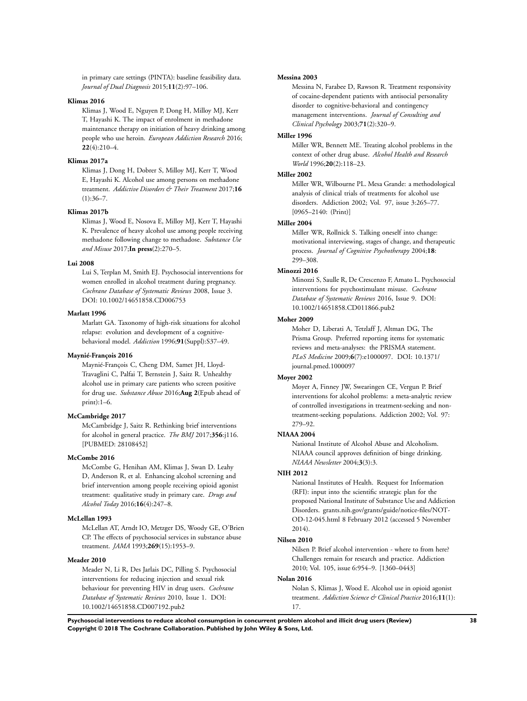in primary care settings (PINTA): baseline feasibility data. *Journal of Dual Diagnosis* 2015;**11**(2):97–106.

## **Klimas 2016**

Klimas J, Wood E, Nguyen P, Dong H, Milloy MJ, Kerr T, Hayashi K. The impact of enrolment in methadone maintenance therapy on initiation of heavy drinking among people who use heroin. *European Addiction Research* 2016; **22**(4):210–4.

### **Klimas 2017a**

Klimas J, Dong H, Dobrer S, Milloy MJ, Kerr T, Wood E, Hayashi K. Alcohol use among persons on methadone treatment. *Addictive Disorders & Their Treatment* 2017;**16**  $(1):36-7.$ 

#### **Klimas 2017b**

Klimas J, Wood E, Nosova E, Milloy MJ, Kerr T, Hayashi K. Prevalence of heavy alcohol use among people receiving methadone following change to methadose. *Substance Use and Misuse* 2017;**In press**(2):270–5.

### **Lui 2008**

Lui S, Terplan M, Smith EJ. Psychosocial interventions for women enrolled in alcohol treatment during pregnancy. *Cochrane Database of Systematic Reviews* 2008, Issue 3. DOI: 10.1002/14651858.CD006753

#### **Marlatt 1996**

Marlatt GA. Taxonomy of high-risk situations for alcohol relapse: evolution and development of a cognitivebehavioral model. *Addiction* 1996;**91**(Suppl):S37–49.

#### **Maynié-François 2016**

Maynié-François C, Cheng DM, Samet JH, Lloyd-Travaglini C, Palfai T, Bernstein J, Saitz R. Unhealthy alcohol use in primary care patients who screen positive for drug use. *Substance Abuse* 2016;**Aug 2**(Epub ahead of print):1–6.

### **McCambridge 2017**

McCambridge J, Saitz R. Rethinking brief interventions for alcohol in general practice. *The BMJ* 2017;**356**:j116. [PUBMED: 28108452]

#### **McCombe 2016**

McCombe G, Henihan AM, Klimas J, Swan D. Leahy D, Anderson R, et al. Enhancing alcohol screening and brief intervention among people receiving opioid agonist treatment: qualitative study in primary care. *Drugs and Alcohol Today* 2016;**16**(4):247–8.

## **McLellan 1993**

McLellan AT, Arndt IO, Metzger DS, Woody GE, O'Brien CP. The effects of psychosocial services in substance abuse treatment. *JAMA* 1993;**269**(15):1953–9.

#### **Meader 2010**

Meader N, Li R, Des Jarlais DC, Pilling S. Psychosocial interventions for reducing injection and sexual risk behaviour for preventing HIV in drug users. *Cochrane Database of Systematic Reviews* 2010, Issue 1. DOI: 10.1002/14651858.CD007192.pub2

#### **Messina 2003**

Messina N, Farabee D, Rawson R. Treatment responsivity of cocaine-dependent patients with antisocial personality disorder to cognitive-behavioral and contingency management interventions. *Journal of Consulting and Clinical Psychology* 2003;**71**(2):320–9.

### **Miller 1996**

Miller WR, Bennett ME. Treating alcohol problems in the context of other drug abuse. *Alcohol Health and Research World* 1996;**20**(2):118–23.

### **Miller 2002**

Miller WR, Wilbourne PL. Mesa Grande: a methodological analysis of clinical trials of treatments for alcohol use disorders. Addiction 2002; Vol. 97, issue 3:265–77. [0965–2140: (Print)]

## **Miller 2004**

Miller WR, Rollnick S. Talking oneself into change: motivational interviewing, stages of change, and therapeutic process. *Journal of Cognitive Psychotherapy* 2004;**18**: 299–308.

## **Minozzi 2016**

Minozzi S, Saulle R, De Crescenzo F, Amato L. Psychosocial interventions for psychostimulant misuse. *Cochrane Database of Systematic Reviews* 2016, Issue 9. DOI: 10.1002/14651858.CD011866.pub2

## **Moher 2009**

Moher D, Liberati A, Tetzlaff J, Altman DG, The Prisma Group. Preferred reporting items for systematic reviews and meta-analyses: the PRISMA statement. *PLoS Medicine* 2009;**6**(7):e1000097. DOI: 10.1371/ journal.pmed.1000097

## **Moyer 2002**

Moyer A, Finney JW, Swearingen CE, Vergun P. Brief interventions for alcohol problems: a meta-analytic review of controlled investigations in treatment-seeking and nontreatment-seeking populations. Addiction 2002; Vol. 97: 279–92.

#### **NIAAA 2004**

National Institute of Alcohol Abuse and Alcoholism. NIAAA council approves definition of binge drinking. *NIAAA Newsletter* 2004;**3**(3):3.

## **NIH 2012**

National Institutes of Health. Request for Information (RFI): input into the scientific strategic plan for the proposed National Institute of Substance Use and Addiction Disorders. grants.nih.gov/grants/guide/notice-files/NOT-OD-12-045.html 8 February 2012 (accessed 5 November 2014).

#### **Nilsen 2010**

Nilsen P. Brief alcohol intervention - where to from here? Challenges remain for research and practice. Addiction 2010; Vol. 105, issue 6:954–9. [1360–0443]

### **Nolan 2016**

Nolan S, Klimas J, Wood E. Alcohol use in opioid agonist treatment. *Addiction Science & Clinical Practice* 2016;**11**(1): 17.

**Psychosocial interventions to reduce alcohol consumption in concurrent problem alcohol and illicit drug users (Review) 38 Copyright © 2018 The Cochrane Collaboration. Published by John Wiley & Sons, Ltd.**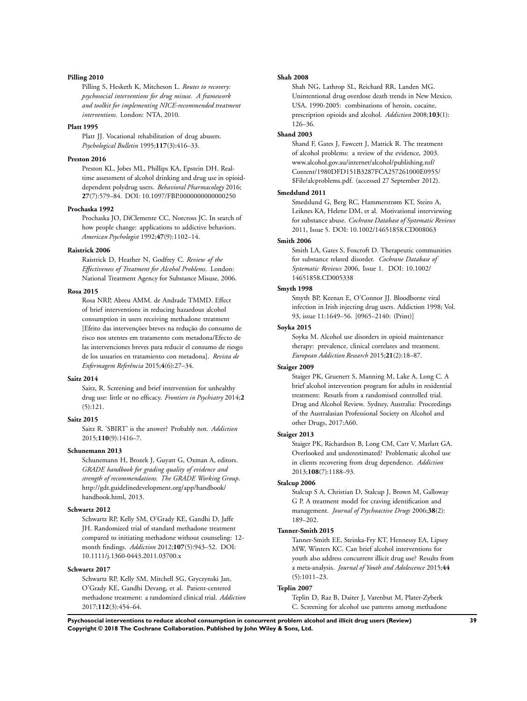#### **Pilling 2010**

Pilling S, Hesketh K, Mitcheson L. *Routes to recovery: psychosocial interventions for drug misuse. A framework and toolkit for implementing NICE-recommended treatment interventions*. London: NTA, 2010.

#### **Platt 1995**

Platt JJ. Vocational rehabilitation of drug abusers. *Psychological Bulletin* 1995;**117**(3):416–33.

## **Preston 2016**

Preston KL, Jobes ML, Phillips KA, Epstein DH. Realtime assessment of alcohol drinking and drug use in opioiddependent polydrug users. *Behavioral Pharmacology* 2016; **27**(7):579–84. DOI: 10.1097/FBP.0000000000000250

#### **Prochaska 1992**

Prochaska JO, DiClemente CC, Norcross JC. In search of how people change: applications to addictive behaviors. *American Psychologist* 1992;**47**(9):1102–14.

#### **Raistrick 2006**

Raistrick D, Heather N, Godfrey C. *Review of the Effectiveness of Treatment for Alcohol Problems*. London: National Treatment Agency for Substance Misuse, 2006.

### **Rosa 2015**

Rosa NRP, Abreu AMM. de Andrade TMMD. Effect of brief interventions in reducing hazardous alcohol consumption in users receiving methadone treatment [Efeito das intervenções breves na redução do consumo de risco nos utentes em tratamento com metadona/Efecto de las intervenciones breves para reducir el consumo de riesgo de los usuarios en tratamiento con metadona]. *Revista de Enfermagem Referência* 2015;**4**(6):27–34.

## **Saitz 2014**

Saitz, R. Screening and brief intervention for unhealthy drug use: little or no efficacy. *Frontiers in Psychiatry* 2014;**2** (5):121.

## **Saitz 2015**

Saitz R. 'SBIRT' is the answer? Probably not. *Addiction* 2015;**110**(9):1416–7.

#### **Schunemann 2013**

Schunemann H, Brozek J, Guyatt G, Oxman A, editors. *GRADE handbook for grading quality of evidence and strength of recommendations. The GRADE Working Group*. http://gdt.guidelinedevelopment.org/app/handbook/ handbook.html, 2013.

### **Schwartz 2012**

Schwartz RP, Kelly SM, O'Grady KE, Gandhi D, Jaffe JH. Randomized trial of standard methadone treatment compared to initiating methadone without counseling: 12 month findings. *Addiction* 2012;**107**(5):943–52. DOI: 10.1111/j.1360-0443.2011.03700.x

#### **Schwartz 2017**

Schwartz RP, Kelly SM, Mitchell SG, Gryczynski Jan, O'Grady KE, Gandhi Devang, et al. Patient-centered methadone treatment: a randomized clinical trial. *Addiction* 2017;**112**(3):454–64.

#### **Shah 2008**

Shah NG, Lathrop SL, Reichard RR, Landen MG. Unintentional drug overdose death trends in New Mexico, USA, 1990-2005: combinations of heroin, cocaine, prescription opioids and alcohol. *Addiction* 2008;**103**(1): 126–36.

## **Shand 2003**

Shand F, Gates J, Fawcett J, Mattick R. The treatment of alcohol problems: a review of the evidence, 2003. www.alcohol.gov.au/internet/alcohol/publishing.nsf/ Content/1980DFD151B3287FCA257261000E0955/ \$File/alcproblems.pdf. (accessed 27 September 2012).

## **Smedslund 2011**

Smedslund G, Berg RC, Hammerstrøm KT, Steiro A, Leiknes KA, Helene DM, et al. Motivational interviewing for substance abuse. *Cochrane Database of Systematic Reviews* 2011, Issue 5. DOI: 10.1002/14651858.CD008063

### **Smith 2006**

Smith LA, Gates S, Foxcroft D. Therapeutic communities for substance related disorder. *Cochrane Database of Systematic Reviews* 2006, Issue 1. DOI: 10.1002/ 14651858.CD005338

## **Smyth 1998**

Smyth BP, Keenan E, O'Connor JJ. Bloodborne viral infection in Irish injecting drug users. Addiction 1998; Vol. 93, issue 11:1649–56. [0965–2140: (Print)]

#### **Soyka 2015**

Soyka M. Alcohol use disorders in opioid maintenance therapy: prevalence, clinical correlates and treatment. *European Addiction Research* 2015;**21**(2):18–87.

## **Staiger 2009**

Staiger PK, Gruenert S, Manning M, Lake A, Long C. A brief alcohol intervention program for adults in residential treatment: Resutls from a randomised controlled trial. Drug and Alcohol Review. Sydney, Australia: Proceedings of the Australasian Professional Society on Alcohol and other Drugs, 2017:A60.

## **Staiger 2013**

Staiger PK, Richardson B, Long CM, Carr V, Marlatt GA. Overlooked and underestimated? Problematic alcohol use in clients recovering from drug dependence. *Addiction* 2013;**108**(7):1188–93.

#### **Stalcup 2006**

Stalcup S A, Christian D, Stalcup J, Brown M, Galloway G P. A treatment model for craving identification and management. *Journal of Psychoactive Drugs* 2006;**38**(2): 189–202.

### **Tanner-Smith 2015**

Tanner-Smith EE, Steinka-Fry KT, Hennessy EA, Lipsey MW, Winters KC. Can brief alcohol interventions for youth also address concurrent illicit drug use? Results from a meta-analysis. *Journal of Youth and Adolescence* 2015;**44** (5):1011–23.

## **Teplin 2007**

Teplin D, Raz B, Daiter J, Varenbut M, Plater-Zyberk C. Screening for alcohol use patterns among methadone

**Psychosocial interventions to reduce alcohol consumption in concurrent problem alcohol and illicit drug users (Review) 39 Copyright © 2018 The Cochrane Collaboration. Published by John Wiley & Sons, Ltd.**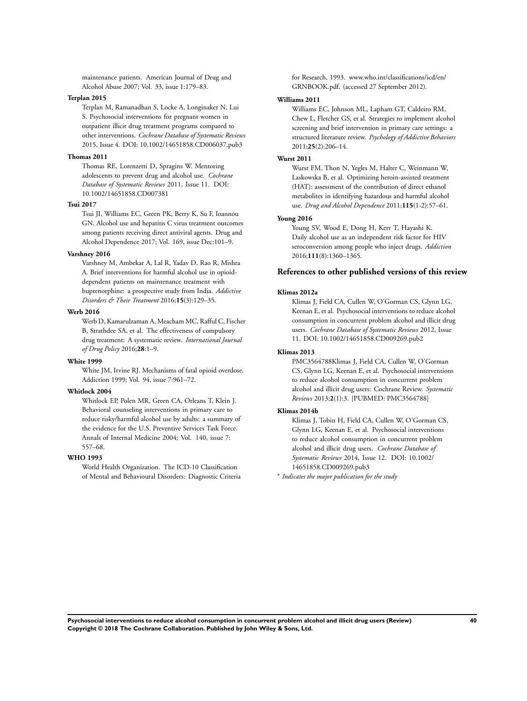maintenance patients. American Journal of Drug and Alcohol Abuse 2007; Vol. 33, issue 1:179–83.

#### **Terplan 2015**

Terplan M, Ramanadhan S, Locke A, Longinaker N, Lui S. Psychosocial interventions for pregnant women in outpatient illicit drug treatment programs compared to other interventions. *Cochrane Database of Systematic Reviews* 2015, Issue 4. DOI: 10.1002/14651858.CD006037.pub3

### **Thomas 2011**

Thomas RE, Lorenzetti D, Spragins W. Mentoring adolescents to prevent drug and alcohol use. *Cochrane Database of Systematic Reviews* 2011, Issue 11. DOI: 10.1002/14651858.CD007381

#### **Tsui 2017**

Tsui JI, Williams EC, Green PK, Berry K, Su F, Ioannou GN. Alcohol use and hepatitis C virus treatment outcomes among patients receiving direct antiviral agents. Drug and Alcohol Dependence 2017; Vol. 169, issue Dec:101–9.

## **Varshney 2016**

Varshney M, Ambekar A, Lal R, Yadav D, Rao R, Mishra A. Brief interventions for harmful alcohol use in opioiddependent patients on maintenance treatment with buprenorphine: a prospective study from India. *Addictive Disorders & Their Treatment* 2016;**15**(3):129–35.

#### **Werb 2016**

Werb D, Kamarulzaman A, Meacham MC, Rafful C, Fischer B, Strathdee SA, et al. The effectiveness of compulsory drug treatment: A systematic review. *International Journal of Drug Policy* 2016;**28**:1–9.

### **White 1999**

White JM, Irvine RJ. Mechanisms of fatal opioid overdose. Addiction 1999; Vol. 94, issue 7:961–72.

#### **Whitlock 2004**

Whitlock EP, Polen MR, Green CA, Orleans T, Klein J. Behavioral counseling interventions in primary care to reduce risky/harmful alcohol use by adults: a summary of the evidence for the U.S. Preventive Services Task Force. Annals of Internal Medicine 2004; Vol. 140, issue 7: 557–68.

#### **WHO 1993**

World Health Organization. The ICD-10 Classification of Mental and Behavioural Disorders: Diagnostic Criteria for Research, 1993. www.who.int/classifications/icd/en/ GRNBOOK.pdf. (accessed 27 September 2012).

#### **Williams 2011**

Williams EC, Johnson ML, Lapham GT, Caldeiro RM, Chew L, Fletcher GS, et al. Strategies to implement alcohol screening and brief intervention in primary care settings: a structured literature review. *Psychology of Addictive Behaviors* 2011;**25**(2):206–14.

#### **Wurst 2011**

Wurst FM, Thon N, Yegles M, Halter C, Weinmann W, Laskowska B, et al. Optimizing heroin-assisted treatment (HAT): assessment of the contribution of direct ethanol metabolites in identifying hazardous and harmful alcohol use. *Drug and Alcohol Dependence* 2011;**115**(1-2):57–61.

## **Young 2016**

Young SV, Wood E, Dong H, Kerr T, Hayashi K. Daily alcohol use as an independent risk factor for HIV seroconversion among people who inject drugs. *Addiction* 2016;**111**(8):1360–1365.

## **References to other published versions of this review**

#### **Klimas 2012a**

Klimas J, Field CA, Cullen W, O'Gorman CS, Glynn LG, Keenan E, et al. Psychosocial interventions to reduce alcohol consumption in concurrent problem alcohol and illicit drug users. *Cochrane Database of Systematic Reviews* 2012, Issue 11. DOI: 10.1002/14651858.CD009269.pub2

#### **Klimas 2013**

PMC3564788Klimas J, Field CA, Cullen W, O'Gorman CS, Glynn LG, Keenan E, et al. Psychosocial interventions to reduce alcohol consumption in concurrent problem alcohol and illicit drug users: Cochrane Review. *Systematic Reviews* 2013;**2**(1):3. [PUBMED: PMC3564788]

#### **Klimas 2014b**

Klimas J, Tobin H, Field CA, Cullen W, O'Gorman CS, Glynn LG, Keenan E, et al. Psychosocial interventions to reduce alcohol consumption in concurrent problem alcohol and illicit drug users. *Cochrane Database of Systematic Reviews* 2014, Issue 12. DOI: 10.1002/ 14651858.CD009269.pub3

∗ *Indicates the major publication for the study*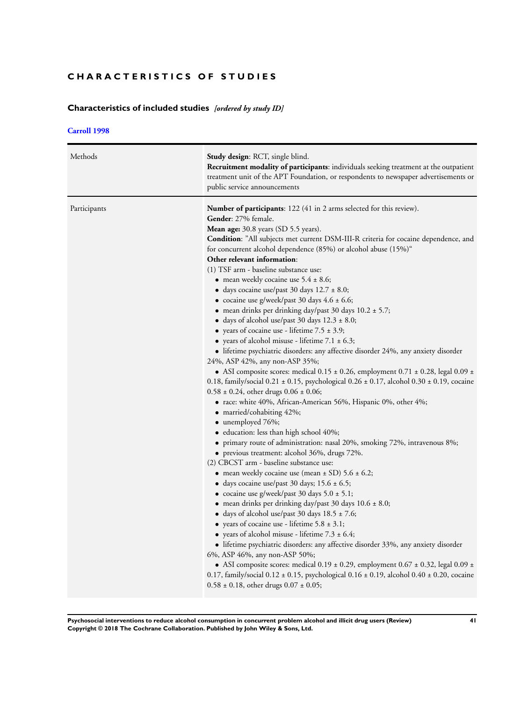# **CHARACTERISTICS OF STUDIES**

# **Characteristics of included studies** *[ordered by study ID]*

## **[Carroll 1998](#page-37-0)**

| Methods      | Study design: RCT, single blind.<br>Recruitment modality of participants: individuals seeking treatment at the outpatient<br>treatment unit of the APT Foundation, or respondents to newspaper advertisements or<br>public service announcements                                                                                                                                                                                                                                                                                                                                                                                                                                                                                                                                                                                                                                                                                                                                                                                                                                                                                                                                                                                                                                                                                                                                                                                                                                                                                                                                                                                                                                                                                                                                                                                                                                                                                                                                                                                                                                                                                                                                                                                                                                                                                            |
|--------------|---------------------------------------------------------------------------------------------------------------------------------------------------------------------------------------------------------------------------------------------------------------------------------------------------------------------------------------------------------------------------------------------------------------------------------------------------------------------------------------------------------------------------------------------------------------------------------------------------------------------------------------------------------------------------------------------------------------------------------------------------------------------------------------------------------------------------------------------------------------------------------------------------------------------------------------------------------------------------------------------------------------------------------------------------------------------------------------------------------------------------------------------------------------------------------------------------------------------------------------------------------------------------------------------------------------------------------------------------------------------------------------------------------------------------------------------------------------------------------------------------------------------------------------------------------------------------------------------------------------------------------------------------------------------------------------------------------------------------------------------------------------------------------------------------------------------------------------------------------------------------------------------------------------------------------------------------------------------------------------------------------------------------------------------------------------------------------------------------------------------------------------------------------------------------------------------------------------------------------------------------------------------------------------------------------------------------------------------|
| Participants | <b>Number of participants:</b> 122 (41 in 2 arms selected for this review).<br>Gender: 27% female.<br>Mean age: 30.8 years (SD 5.5 years).<br>Condition: "All subjects met current DSM-III-R criteria for cocaine dependence, and<br>for concurrent alcohol dependence (85%) or alcohol abuse (15%)"<br>Other relevant information:<br>(1) TSF arm - baseline substance use:<br>• mean weekly cocaine use $5.4 \pm 8.6$ ;<br>• days cocaine use/past 30 days $12.7 \pm 8.0$ ;<br>• cocaine use g/week/past 30 days $4.6 \pm 6.6$ ;<br>• mean drinks per drinking day/past 30 days $10.2 \pm 5.7$ ;<br>$\bullet$ days of alcohol use/past 30 days 12.3 ± 8.0;<br>• years of cocaine use - lifetime $7.5 \pm 3.9$ ;<br>• years of alcohol misuse - lifetime $7.1 \pm 6.3$ ;<br>• lifetime psychiatric disorders: any affective disorder 24%, any anxiety disorder<br>24%, ASP 42%, any non-ASP 35%;<br>• ASI composite scores: medical $0.15 \pm 0.26$ , employment $0.71 \pm 0.28$ , legal $0.09 \pm 0.28$<br>0.18, family/social $0.21 \pm 0.15$ , psychological $0.26 \pm 0.17$ , alcohol $0.30 \pm 0.19$ , cocaine<br>$0.58 \pm 0.24$ , other drugs $0.06 \pm 0.06$ ;<br>• race: white 40%, African-American 56%, Hispanic 0%, other 4%;<br>$\bullet$ married/cohabiting 42%;<br>$\bullet$ unemployed 76%;<br>· education: less than high school 40%;<br>• primary route of administration: nasal 20%, smoking 72%, intravenous 8%;<br>• previous treatment: alcohol $36\%$ , drugs $72\%$ .<br>(2) CBCST arm - baseline substance use:<br>• mean weekly cocaine use (mean $\pm$ SD) 5.6 $\pm$ 6.2;<br>• days cocaine use/past 30 days; $15.6 \pm 6.5$ ;<br>• cocaine use g/week/past 30 days $5.0 \pm 5.1$ ;<br>• mean drinks per drinking day/past 30 days $10.6 \pm 8.0$ ;<br>• days of alcohol use/past 30 days $18.5 \pm 7.6$ ;<br>• years of cocaine use - lifetime $5.8 \pm 3.1$ ;<br>• years of alcohol misuse - lifetime $7.3 \pm 6.4$ ;<br>• lifetime psychiatric disorders: any affective disorder 33%, any anxiety disorder<br>6%, ASP 46%, any non-ASP 50%;<br>• ASI composite scores: medical $0.19 \pm 0.29$ , employment $0.67 \pm 0.32$ , legal $0.09 \pm$<br>0.17, family/social $0.12 \pm 0.15$ , psychological $0.16 \pm 0.19$ , alcohol $0.40 \pm 0.20$ , cocaine<br>$0.58 \pm 0.18$ , other drugs $0.07 \pm 0.05$ ; |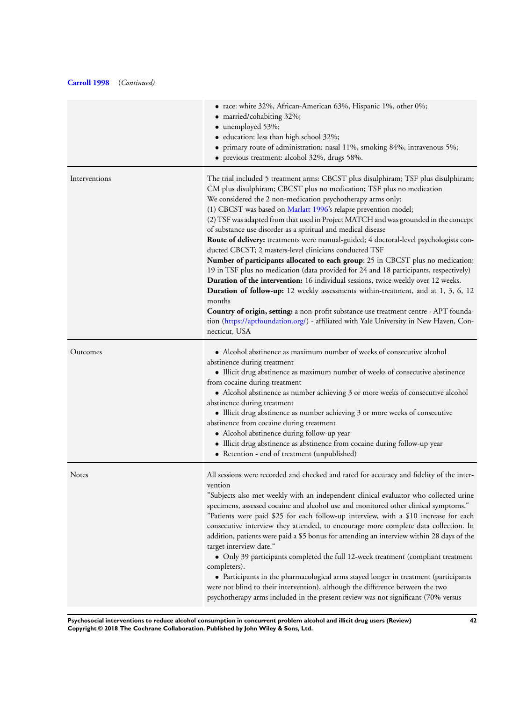| The trial included 5 treatment arms: CBCST plus disulphiram; TSF plus disulphiram;<br>CM plus disulphiram; CBCST plus no medication; TSF plus no medication<br>(2) TSF was adapted from that used in Project MATCH and was grounded in the concept<br>Route of delivery: treatments were manual-guided; 4 doctoral-level psychologists con-                                                                                                                                                                                                                                                                                             |
|-----------------------------------------------------------------------------------------------------------------------------------------------------------------------------------------------------------------------------------------------------------------------------------------------------------------------------------------------------------------------------------------------------------------------------------------------------------------------------------------------------------------------------------------------------------------------------------------------------------------------------------------|
| Number of participants allocated to each group: 25 in CBCST plus no medication;<br>19 in TSF plus no medication (data provided for 24 and 18 participants, respectively)<br>Duration of the intervention: 16 individual sessions, twice weekly over 12 weeks.<br>Duration of follow-up: 12 weekly assessments within-treatment, and at 1, 3, 6, 12<br>Country of origin, setting: a non-profit substance use treatment centre - APT founda-<br>tion (https://aptfoundation.org/) - affiliated with Yale University in New Haven, Con-                                                                                                   |
| • Alcohol abstinence as maximum number of weeks of consecutive alcohol<br>• Illicit drug abstinence as maximum number of weeks of consecutive abstinence<br>• Alcohol abstinence as number achieving 3 or more weeks of consecutive alcohol<br>• Illicit drug abstinence as number achieving 3 or more weeks of consecutive<br>• Illicit drug abstinence as abstinence from cocaine during follow-up year                                                                                                                                                                                                                               |
| All sessions were recorded and checked and rated for accuracy and fidelity of the inter-<br>"Subjects also met weekly with an independent clinical evaluator who collected urine<br>specimens, assessed cocaine and alcohol use and monitored other clinical symptoms."<br>"Patients were paid \$25 for each follow-up interview, with a \$10 increase for each<br>consecutive interview they attended, to encourage more complete data collection. In<br>addition, patients were paid a \$5 bonus for attending an interview within 28 days of the<br>• Only 39 participants completed the full 12-week treatment (compliant treatment |
|                                                                                                                                                                                                                                                                                                                                                                                                                                                                                                                                                                                                                                         |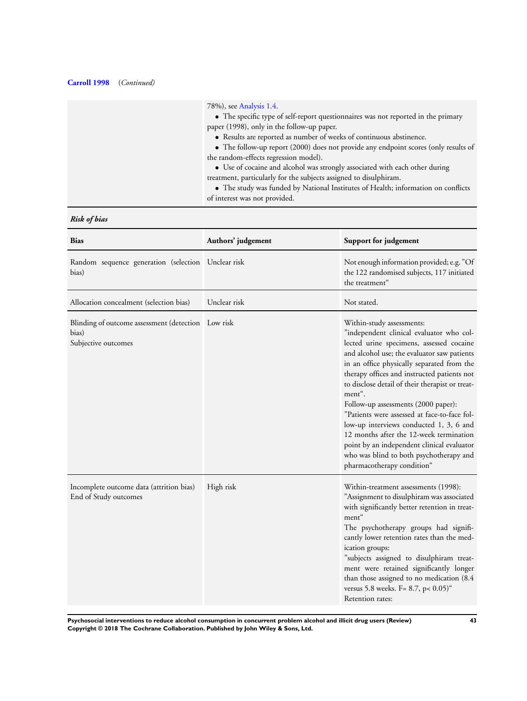| 78%), see Analysis 1.4.<br>• The specific type of self-report questionnaires was not reported in the primary<br>paper (1998), only in the follow-up paper.<br>• Results are reported as number of weeks of continuous abstinence.<br>• The follow-up report (2000) does not provide any endpoint scores (only results of |
|--------------------------------------------------------------------------------------------------------------------------------------------------------------------------------------------------------------------------------------------------------------------------------------------------------------------------|
| the random-effects regression model).<br>• Use of cocaine and alcohol was strongly associated with each other during<br>treatment, particularly for the subjects assigned to disulphiram.<br>• The study was funded by National Institutes of Health; information on conflicts<br>of interest was not provided.          |

# *Risk of bias*

| <b>Bias</b>                                                                        | Authors' judgement | Support for judgement                                                                                                                                                                                                                                                                                                                                                                                                                                                                                                                                                                                                          |
|------------------------------------------------------------------------------------|--------------------|--------------------------------------------------------------------------------------------------------------------------------------------------------------------------------------------------------------------------------------------------------------------------------------------------------------------------------------------------------------------------------------------------------------------------------------------------------------------------------------------------------------------------------------------------------------------------------------------------------------------------------|
| Random sequence generation (selection Unclear risk<br>bias)                        |                    | Not enough information provided; e.g. "Of<br>the 122 randomised subjects, 117 initiated<br>the treatment"                                                                                                                                                                                                                                                                                                                                                                                                                                                                                                                      |
| Allocation concealment (selection bias)                                            | Unclear risk       | Not stated.                                                                                                                                                                                                                                                                                                                                                                                                                                                                                                                                                                                                                    |
| Blinding of outcome assessment (detection Low risk<br>bias)<br>Subjective outcomes |                    | Within-study assessments:<br>"independent clinical evaluator who col-<br>lected urine specimens, assessed cocaine<br>and alcohol use; the evaluator saw patients<br>in an office physically separated from the<br>therapy offices and instructed patients not<br>to disclose detail of their therapist or treat-<br>ment".<br>Follow-up assessments (2000 paper):<br>"Patients were assessed at face-to-face fol-<br>low-up interviews conducted 1, 3, 6 and<br>12 months after the 12-week termination<br>point by an independent clinical evaluator<br>who was blind to both psychotherapy and<br>pharmacotherapy condition" |
| Incomplete outcome data (attrition bias)<br>End of Study outcomes                  | High risk          | Within-treatment assessments (1998):<br>"Assignment to disulphiram was associated<br>with significantly better retention in treat-<br>ment"<br>The psychotherapy groups had signifi-<br>cantly lower retention rates than the med-<br>ication groups:<br>"subjects assigned to disulphiram treat-<br>ment were retained significantly longer<br>than those assigned to no medication (8.4<br>versus 5.8 weeks. F= 8.7, p< 0.05)"<br>Retention rates:                                                                                                                                                                           |

**Psychosocial interventions to reduce alcohol consumption in concurrent problem alcohol and illicit drug users (Review) 43 Copyright © 2018 The Cochrane Collaboration. Published by John Wiley & Sons, Ltd.**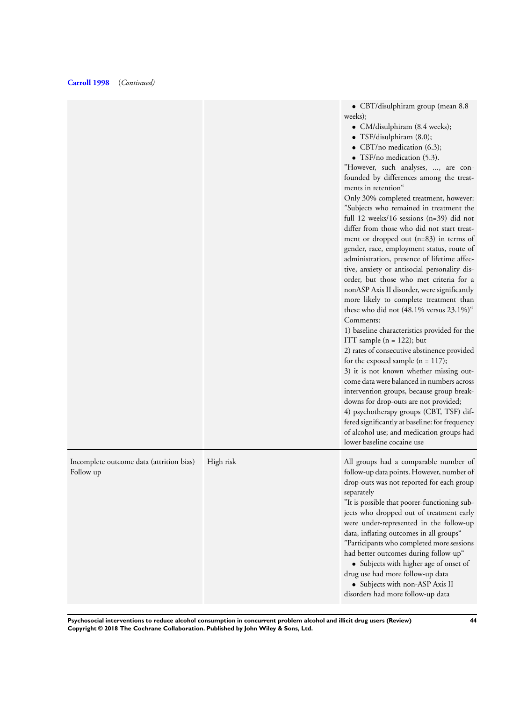|           | • CBT/disulphiram group (mean 8.8<br>weeks);<br>• CM/disulphiram (8.4 weeks);<br>• TSF/disulphiram $(8.0)$ ;<br>• CBT/no medication $(6.3)$ ;<br>• TSF/no medication $(5.3)$ .<br>"However, such analyses, , are con-<br>founded by differences among the treat-<br>ments in retention"<br>Only 30% completed treatment, however:<br>"Subjects who remained in treatment the<br>full 12 weeks/16 sessions (n=39) did not<br>differ from those who did not start treat-<br>ment or dropped out (n=83) in terms of<br>gender, race, employment status, route of<br>administration, presence of lifetime affec-<br>tive, anxiety or antisocial personality dis-<br>order, but those who met criteria for a<br>nonASP Axis II disorder, were significantly<br>more likely to complete treatment than<br>these who did not (48.1% versus 23.1%)"<br>Comments:<br>1) baseline characteristics provided for the<br>ITT sample $(n = 122)$ ; but<br>2) rates of consecutive abstinence provided<br>for the exposed sample $(n = 117)$ ;<br>3) it is not known whether missing out-<br>come data were balanced in numbers across<br>intervention groups, because group break-<br>downs for drop-outs are not provided;<br>4) psychotherapy groups (CBT, TSF) dif-<br>fered significantly at baseline: for frequency<br>of alcohol use; and medication groups had<br>lower baseline cocaine use |
|-----------|---------------------------------------------------------------------------------------------------------------------------------------------------------------------------------------------------------------------------------------------------------------------------------------------------------------------------------------------------------------------------------------------------------------------------------------------------------------------------------------------------------------------------------------------------------------------------------------------------------------------------------------------------------------------------------------------------------------------------------------------------------------------------------------------------------------------------------------------------------------------------------------------------------------------------------------------------------------------------------------------------------------------------------------------------------------------------------------------------------------------------------------------------------------------------------------------------------------------------------------------------------------------------------------------------------------------------------------------------------------------------------------|
| High risk | All groups had a comparable number of<br>follow-up data points. However, number of<br>drop-outs was not reported for each group<br>separately<br>"It is possible that poorer-functioning sub-<br>jects who dropped out of treatment early<br>were under-represented in the follow-up<br>data, inflating outcomes in all groups"<br>"Participants who completed more sessions<br>had better outcomes during follow-up"<br>• Subjects with higher age of onset of<br>drug use had more follow-up data<br>• Subjects with non-ASP Axis II<br>disorders had more follow-up data                                                                                                                                                                                                                                                                                                                                                                                                                                                                                                                                                                                                                                                                                                                                                                                                           |
|           |                                                                                                                                                                                                                                                                                                                                                                                                                                                                                                                                                                                                                                                                                                                                                                                                                                                                                                                                                                                                                                                                                                                                                                                                                                                                                                                                                                                       |

**Psychosocial interventions to reduce alcohol consumption in concurrent problem alcohol and illicit drug users (Review) 44 Copyright © 2018 The Cochrane Collaboration. Published by John Wiley & Sons, Ltd.**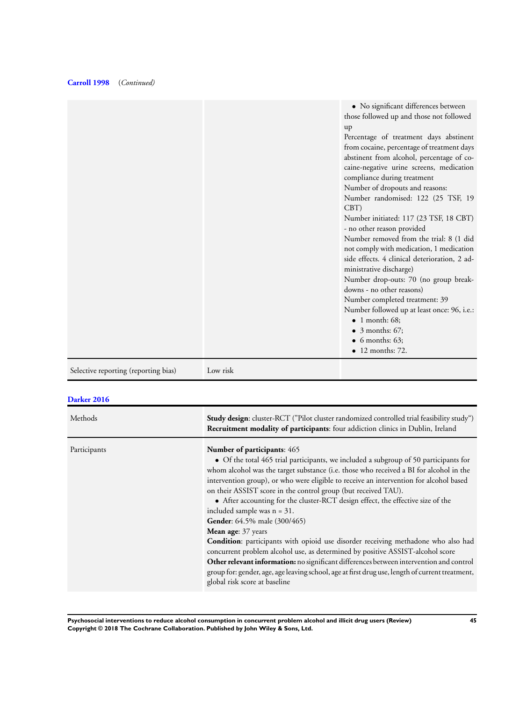|                                      |          | • No significant differences between<br>those followed up and those not followed |
|--------------------------------------|----------|----------------------------------------------------------------------------------|
|                                      |          | up                                                                               |
|                                      |          | Percentage of treatment days abstinent                                           |
|                                      |          | from cocaine, percentage of treatment days                                       |
|                                      |          | abstinent from alcohol, percentage of co-                                        |
|                                      |          | caine-negative urine screens, medication                                         |
|                                      |          | compliance during treatment                                                      |
|                                      |          | Number of dropouts and reasons:                                                  |
|                                      |          | Number randomised: 122 (25 TSF, 19                                               |
|                                      |          | CBT                                                                              |
|                                      |          | Number initiated: 117 (23 TSF, 18 CBT)                                           |
|                                      |          | - no other reason provided                                                       |
|                                      |          | Number removed from the trial: 8 (1 did                                          |
|                                      |          | not comply with medication, 1 medication                                         |
|                                      |          | side effects. 4 clinical deterioration, 2 ad-                                    |
|                                      |          | ministrative discharge)                                                          |
|                                      |          | Number drop-outs: 70 (no group break-                                            |
|                                      |          | downs - no other reasons)                                                        |
|                                      |          | Number completed treatment: 39                                                   |
|                                      |          | Number followed up at least once: 96, i.e.:                                      |
|                                      |          | $\bullet$ 1 month: 68:                                                           |
|                                      |          | $\bullet$ 3 months: 67;                                                          |
|                                      |          | $\bullet$ 6 months: 63;                                                          |
|                                      |          | $\bullet$ 12 months: 72.                                                         |
| Selective reporting (reporting bias) | Low risk |                                                                                  |

# **[Darker 2016](#page-37-0)**

| Methods      | <b>Study design:</b> cluster-RCT ("Pilot cluster randomized controlled trial feasibility study")<br>Recruitment modality of participants: four addiction clinics in Dublin, Ireland                                                                                                                                                                                                                                                                                                                                                                                                                                                                                                                                                                                                                                                                                                                                                                                      |
|--------------|--------------------------------------------------------------------------------------------------------------------------------------------------------------------------------------------------------------------------------------------------------------------------------------------------------------------------------------------------------------------------------------------------------------------------------------------------------------------------------------------------------------------------------------------------------------------------------------------------------------------------------------------------------------------------------------------------------------------------------------------------------------------------------------------------------------------------------------------------------------------------------------------------------------------------------------------------------------------------|
| Participants | <b>Number of participants: 465</b><br>• Of the total 465 trial participants, we included a subgroup of 50 participants for<br>whom alcohol was the target substance (i.e. those who received a BI for alcohol in the<br>intervention group), or who were eligible to receive an intervention for alcohol based<br>on their ASSIST score in the control group (but received TAU).<br>• After accounting for the cluster-RCT design effect, the effective size of the<br>included sample was $n = 31$ .<br>Gender: 64.5% male (300/465)<br><b>Mean age:</b> 37 years<br>Condition: participants with opioid use disorder receiving methadone who also had<br>concurrent problem alcohol use, as determined by positive ASSIST-alcohol score<br>Other relevant information: no significant differences between intervention and control<br>group for: gender, age, age leaving school, age at first drug use, length of current treatment,<br>global risk score at baseline |

**Psychosocial interventions to reduce alcohol consumption in concurrent problem alcohol and illicit drug users (Review) 45 Copyright © 2018 The Cochrane Collaboration. Published by John Wiley & Sons, Ltd.**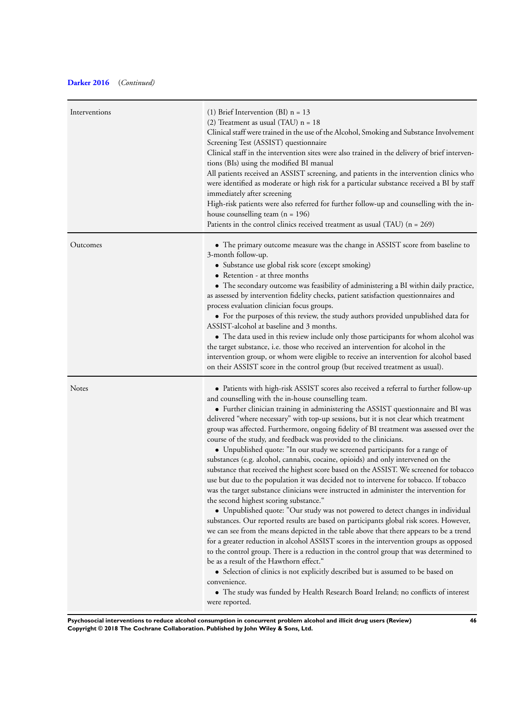# **[Darker 2016](#page-37-0)** (*Continued)*

| Interventions | (1) Brief Intervention (BI) $n = 13$<br>(2) Treatment as usual (TAU) $n = 18$<br>Clinical staff were trained in the use of the Alcohol, Smoking and Substance Involvement<br>Screening Test (ASSIST) questionnaire<br>Clinical staff in the intervention sites were also trained in the delivery of brief interven-<br>tions (BIs) using the modified BI manual<br>All patients received an ASSIST screening, and patients in the intervention clinics who<br>were identified as moderate or high risk for a particular substance received a BI by staff<br>immediately after screening<br>High-risk patients were also referred for further follow-up and counselling with the in-<br>house counselling team $(n = 196)$<br>Patients in the control clinics received treatment as usual (TAU) $(n = 269)$                                                                                                                                                                                                                                                                                                                                                                                                                                                                                                                                                                                                                                                                                                                                                                                                                                                                                            |
|---------------|-------------------------------------------------------------------------------------------------------------------------------------------------------------------------------------------------------------------------------------------------------------------------------------------------------------------------------------------------------------------------------------------------------------------------------------------------------------------------------------------------------------------------------------------------------------------------------------------------------------------------------------------------------------------------------------------------------------------------------------------------------------------------------------------------------------------------------------------------------------------------------------------------------------------------------------------------------------------------------------------------------------------------------------------------------------------------------------------------------------------------------------------------------------------------------------------------------------------------------------------------------------------------------------------------------------------------------------------------------------------------------------------------------------------------------------------------------------------------------------------------------------------------------------------------------------------------------------------------------------------------------------------------------------------------------------------------------|
| Outcomes      | • The primary outcome measure was the change in ASSIST score from baseline to<br>3-month follow-up.<br>• Substance use global risk score (except smoking)<br>• Retention - at three months<br>• The secondary outcome was feasibility of administering a BI within daily practice,<br>as assessed by intervention fidelity checks, patient satisfaction questionnaires and<br>process evaluation clinician focus groups.<br>• For the purposes of this review, the study authors provided unpublished data for<br>ASSIST-alcohol at baseline and 3 months.<br>• The data used in this review include only those participants for whom alcohol was<br>the target substance, i.e. those who received an intervention for alcohol in the<br>intervention group, or whom were eligible to receive an intervention for alcohol based<br>on their ASSIST score in the control group (but received treatment as usual).                                                                                                                                                                                                                                                                                                                                                                                                                                                                                                                                                                                                                                                                                                                                                                                      |
| Notes         | • Patients with high-risk ASSIST scores also received a referral to further follow-up<br>and counselling with the in-house counselling team.<br>• Further clinician training in administering the ASSIST questionnaire and BI was<br>delivered "where necessary" with top-up sessions, but it is not clear which treatment<br>group was affected. Furthermore, ongoing fidelity of BI treatment was assessed over the<br>course of the study, and feedback was provided to the clinicians.<br>• Unpublished quote: "In our study we screened participants for a range of<br>substances (e.g. alcohol, cannabis, cocaine, opioids) and only intervened on the<br>substance that received the highest score based on the ASSIST. We screened for tobacco<br>use but due to the population it was decided not to intervene for tobacco. If tobacco<br>was the target substance clinicians were instructed in administer the intervention for<br>the second highest scoring substance."<br>• Unpublished quote: "Our study was not powered to detect changes in individual<br>substances. Our reported results are based on participants global risk scores. However,<br>we can see from the means depicted in the table above that there appears to be a trend<br>for a greater reduction in alcohol ASSIST scores in the intervention groups as opposed<br>to the control group. There is a reduction in the control group that was determined to<br>be as a result of the Hawthorn effect."<br>• Selection of clinics is not explicitly described but is assumed to be based on<br>convenience.<br>• The study was funded by Health Research Board Ireland; no conflicts of interest<br>were reported. |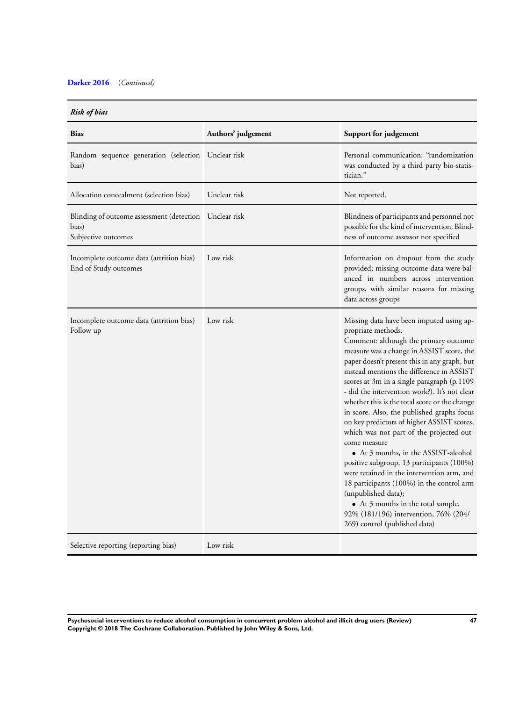# **[Darker 2016](#page-37-0)** (*Continued)*

## *Risk of bias*

| <b>Bias</b>                                                               | Authors' judgement | Support for judgement                                                                                                                                                                                                                                                                                                                                                                                                                                                                                                                                                                                                                                                                                                                                                                                                                                                            |
|---------------------------------------------------------------------------|--------------------|----------------------------------------------------------------------------------------------------------------------------------------------------------------------------------------------------------------------------------------------------------------------------------------------------------------------------------------------------------------------------------------------------------------------------------------------------------------------------------------------------------------------------------------------------------------------------------------------------------------------------------------------------------------------------------------------------------------------------------------------------------------------------------------------------------------------------------------------------------------------------------|
| Random sequence generation (selection Unclear risk<br>bias)               |                    | Personal communication: "randomization<br>was conducted by a third party bio-statis-<br>tician."                                                                                                                                                                                                                                                                                                                                                                                                                                                                                                                                                                                                                                                                                                                                                                                 |
| Allocation concealment (selection bias)                                   | Unclear risk       | Not reported.                                                                                                                                                                                                                                                                                                                                                                                                                                                                                                                                                                                                                                                                                                                                                                                                                                                                    |
| Blinding of outcome assessment (detection<br>bias)<br>Subjective outcomes | Unclear risk       | Blindness of participants and personnel not<br>possible for the kind of intervention. Blind-<br>ness of outcome assessor not specified                                                                                                                                                                                                                                                                                                                                                                                                                                                                                                                                                                                                                                                                                                                                           |
| Incomplete outcome data (attrition bias)<br>End of Study outcomes         | Low risk           | Information on dropout from the study<br>provided; missing outcome data were bal-<br>anced in numbers across intervention<br>groups, with similar reasons for missing<br>data across groups                                                                                                                                                                                                                                                                                                                                                                                                                                                                                                                                                                                                                                                                                      |
| Incomplete outcome data (attrition bias)<br>Follow up                     | Low risk           | Missing data have been imputed using ap-<br>propriate methods.<br>Comment: although the primary outcome<br>measure was a change in ASSIST score, the<br>paper doesn't present this in any graph, but<br>instead mentions the difference in ASSIST<br>scores at 3m in a single paragraph (p.1109<br>- did the intervention work?). It's not clear<br>whether this is the total score or the change<br>in score. Also, the published graphs focus<br>on key predictors of higher ASSIST scores,<br>which was not part of the projected out-<br>come measure<br>• At 3 months, in the ASSIST-alcohol<br>positive subgroup, 13 participants (100%)<br>were retained in the intervention arm, and<br>18 participants (100%) in the control arm<br>(unpublished data);<br>• At 3 months in the total sample,<br>92% (181/196) intervention, 76% (204/<br>269) control (published data) |
| Selective reporting (reporting bias)                                      | Low risk           |                                                                                                                                                                                                                                                                                                                                                                                                                                                                                                                                                                                                                                                                                                                                                                                                                                                                                  |

**Psychosocial interventions to reduce alcohol consumption in concurrent problem alcohol and illicit drug users (Review) 47 Copyright © 2018 The Cochrane Collaboration. Published by John Wiley & Sons, Ltd.**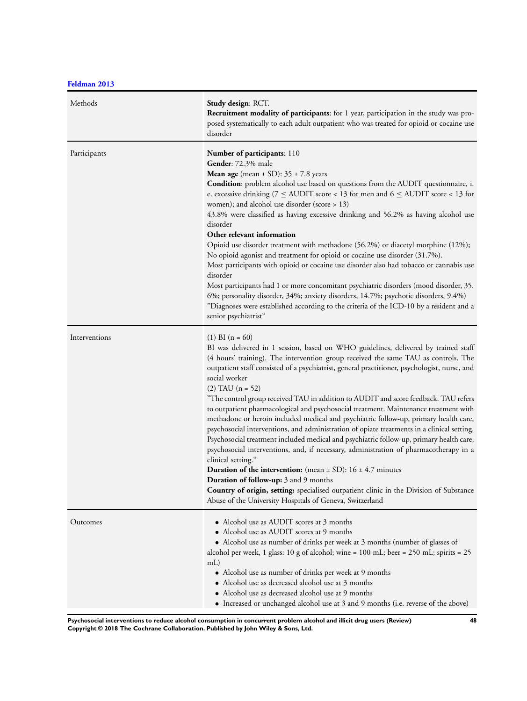**[Feldman 2013](#page-37-0)**

| Methods       | Study design: RCT.<br>Recruitment modality of participants: for 1 year, participation in the study was pro-<br>posed systematically to each adult outpatient who was treated for opioid or cocaine use<br>disorder                                                                                                                                                                                                                                                                                                                                                                                                                                                                                                                                                                                                                                                                                                                                                                                                                                                                                                                                                                                          |
|---------------|-------------------------------------------------------------------------------------------------------------------------------------------------------------------------------------------------------------------------------------------------------------------------------------------------------------------------------------------------------------------------------------------------------------------------------------------------------------------------------------------------------------------------------------------------------------------------------------------------------------------------------------------------------------------------------------------------------------------------------------------------------------------------------------------------------------------------------------------------------------------------------------------------------------------------------------------------------------------------------------------------------------------------------------------------------------------------------------------------------------------------------------------------------------------------------------------------------------|
| Participants  | Number of participants: 110<br>Gender: 72.3% male<br><b>Mean age</b> (mean $\pm$ SD): 35 $\pm$ 7.8 years<br>Condition: problem alcohol use based on questions from the AUDIT questionnaire, i.<br>e. excessive drinking ( $7 \leq$ AUDIT score < 13 for men and 6 $\leq$ AUDIT score < 13 for<br>women); and alcohol use disorder (score $> 13$ )<br>43.8% were classified as having excessive drinking and 56.2% as having alcohol use<br>disorder<br>Other relevant information<br>Opioid use disorder treatment with methadone (56.2%) or diacetyl morphine (12%);<br>No opioid agonist and treatment for opioid or cocaine use disorder (31.7%).<br>Most participants with opioid or cocaine use disorder also had tobacco or cannabis use<br>disorder<br>Most participants had 1 or more concomitant psychiatric disorders (mood disorder, 35.<br>6%; personality disorder, 34%; anxiety disorders, 14.7%; psychotic disorders, 9.4%)<br>"Diagnoses were established according to the criteria of the ICD-10 by a resident and a<br>senior psychiatrist"                                                                                                                                               |
| Interventions | $(1)$ BI $(n = 60)$<br>BI was delivered in 1 session, based on WHO guidelines, delivered by trained staff<br>(4 hours' training). The intervention group received the same TAU as controls. The<br>outpatient staff consisted of a psychiatrist, general practitioner, psychologist, nurse, and<br>social worker<br>$(2)$ TAU $(n = 52)$<br>"The control group received TAU in addition to AUDIT and score feedback. TAU refers<br>to outpatient pharmacological and psychosocial treatment. Maintenance treatment with<br>methadone or heroin included medical and psychiatric follow-up, primary health care,<br>psychosocial interventions, and administration of opiate treatments in a clinical setting.<br>Psychosocial treatment included medical and psychiatric follow-up, primary health care,<br>psychosocial interventions, and, if necessary, administration of pharmacotherapy in a<br>clinical setting."<br><b>Duration of the intervention:</b> (mean $\pm$ SD): 16 $\pm$ 4.7 minutes<br><b>Duration of follow-up:</b> 3 and 9 months<br>Country of origin, setting: specialised outpatient clinic in the Division of Substance<br>Abuse of the University Hospitals of Geneva, Switzerland |
| Outcomes      | • Alcohol use as AUDIT scores at 3 months<br>• Alcohol use as AUDIT scores at 9 months<br>• Alcohol use as number of drinks per week at 3 months (number of glasses of<br>alcohol per week, 1 glass: 10 g of alcohol; wine = $100$ mL; beer = $250$ mL; spirits = $25$<br>mL<br>• Alcohol use as number of drinks per week at 9 months<br>• Alcohol use as decreased alcohol use at 3 months<br>• Alcohol use as decreased alcohol use at 9 months<br>• Increased or unchanged alcohol use at 3 and 9 months (i.e. reverse of the above)                                                                                                                                                                                                                                                                                                                                                                                                                                                                                                                                                                                                                                                                    |

**Psychosocial interventions to reduce alcohol consumption in concurrent problem alcohol and illicit drug users (Review) 48 Copyright © 2018 The Cochrane Collaboration. Published by John Wiley & Sons, Ltd.**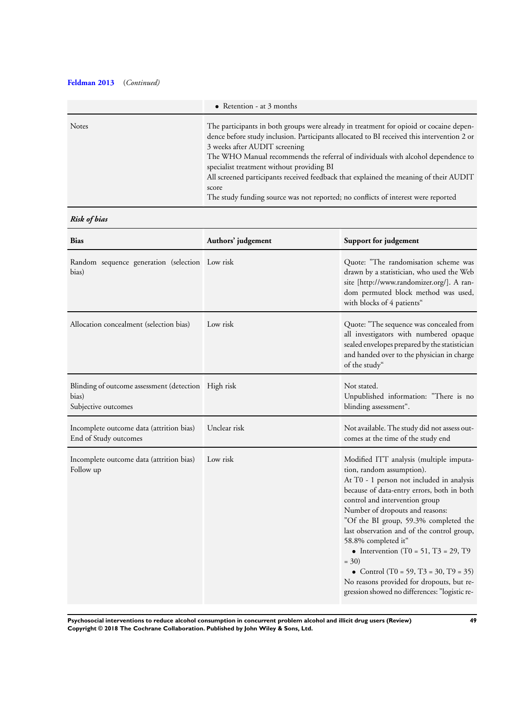# **[Feldman 2013](#page-37-0)** (*Continued)*

|              | • Retention - at $3$ months                                                                                                                                                                                                                                                                                                                                                                                                                                                                                                                   |
|--------------|-----------------------------------------------------------------------------------------------------------------------------------------------------------------------------------------------------------------------------------------------------------------------------------------------------------------------------------------------------------------------------------------------------------------------------------------------------------------------------------------------------------------------------------------------|
| <b>Notes</b> | The participants in both groups were already in treatment for opioid or cocaine depen-<br>dence before study inclusion. Participants allocated to BI received this intervention 2 or<br>3 weeks after AUDIT screening<br>The WHO Manual recommends the referral of individuals with alcohol dependence to<br>specialist treatment without providing BI<br>All screened participants received feedback that explained the meaning of their AUDIT<br>score<br>The study funding source was not reported; no conflicts of interest were reported |

# *Risk of bias*

| <b>Bias</b>                                                                         | Authors' judgement | Support for judgement                                                                                                                                                                                                                                                                                                                                                                                                                                                                                                                       |
|-------------------------------------------------------------------------------------|--------------------|---------------------------------------------------------------------------------------------------------------------------------------------------------------------------------------------------------------------------------------------------------------------------------------------------------------------------------------------------------------------------------------------------------------------------------------------------------------------------------------------------------------------------------------------|
| Random sequence generation (selection Low risk<br>bias)                             |                    | Quote: "The randomisation scheme was<br>drawn by a statistician, who used the Web<br>site [http://www.randomizer.org/]. A ran-<br>dom permuted block method was used,<br>with blocks of 4 patients"                                                                                                                                                                                                                                                                                                                                         |
| Allocation concealment (selection bias)                                             | Low risk           | Quote: "The sequence was concealed from<br>all investigators with numbered opaque<br>sealed envelopes prepared by the statistician<br>and handed over to the physician in charge<br>of the study"                                                                                                                                                                                                                                                                                                                                           |
| Blinding of outcome assessment (detection High risk<br>bias)<br>Subjective outcomes |                    | Not stated.<br>Unpublished information: "There is no<br>blinding assessment".                                                                                                                                                                                                                                                                                                                                                                                                                                                               |
| Incomplete outcome data (attrition bias)<br>End of Study outcomes                   | Unclear risk       | Not available. The study did not assess out-<br>comes at the time of the study end                                                                                                                                                                                                                                                                                                                                                                                                                                                          |
| Incomplete outcome data (attrition bias)<br>Follow up                               | Low risk           | Modified ITT analysis (multiple imputa-<br>tion, random assumption).<br>At T0 - 1 person not included in analysis<br>because of data-entry errors, both in both<br>control and intervention group<br>Number of dropouts and reasons:<br>"Of the BI group, 59.3% completed the<br>last observation and of the control group,<br>58.8% completed it"<br>• Intervention (T0 = 51, T3 = 29, T9<br>$= 30$<br>• Control (T0 = 59, T3 = 30, T9 = 35)<br>No reasons provided for dropouts, but re-<br>gression showed no differences: "logistic re- |

**Psychosocial interventions to reduce alcohol consumption in concurrent problem alcohol and illicit drug users (Review) 49 Copyright © 2018 The Cochrane Collaboration. Published by John Wiley & Sons, Ltd.**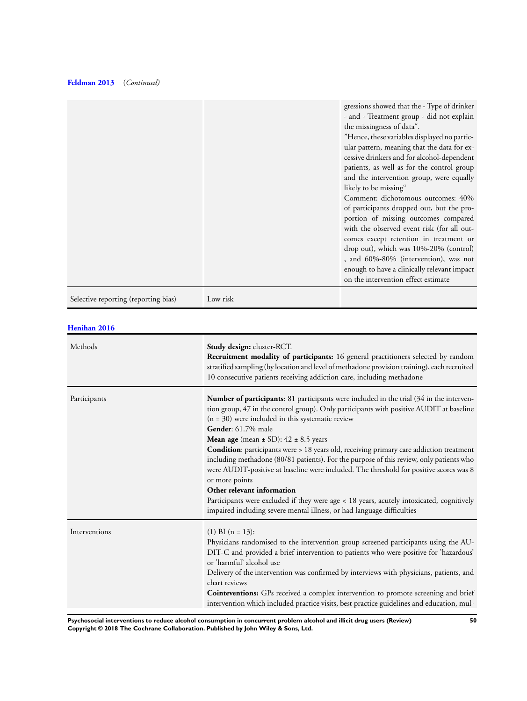# **[Feldman 2013](#page-37-0)** (*Continued)*

|                                      |          | gressions showed that the - Type of drinker<br>- and - Treatment group - did not explain<br>the missingness of data".<br>"Hence, these variables displayed no partic-<br>ular pattern, meaning that the data for ex-<br>cessive drinkers and for alcohol-dependent<br>patients, as well as for the control group<br>and the intervention group, were equally<br>likely to be missing"<br>Comment: dichotomous outcomes: 40%<br>of participants dropped out, but the pro-<br>portion of missing outcomes compared<br>with the observed event risk (for all out-<br>comes except retention in treatment or<br>$drop out$ , which was $10\% - 20\%$ (control)<br>, and 60%-80% (intervention), was not<br>enough to have a clinically relevant impact<br>on the intervention effect estimate |
|--------------------------------------|----------|-------------------------------------------------------------------------------------------------------------------------------------------------------------------------------------------------------------------------------------------------------------------------------------------------------------------------------------------------------------------------------------------------------------------------------------------------------------------------------------------------------------------------------------------------------------------------------------------------------------------------------------------------------------------------------------------------------------------------------------------------------------------------------------------|
| Selective reporting (reporting bias) | Low risk |                                                                                                                                                                                                                                                                                                                                                                                                                                                                                                                                                                                                                                                                                                                                                                                           |

## **[Henihan 2016](#page-37-0)**

| Methods       | Study design: cluster-RCT.<br>Recruitment modality of participants: 16 general practitioners selected by random<br>stratified sampling (by location and level of methadone provision training), each recruited<br>10 consecutive patients receiving addiction care, including methadone                                                                                                                                                                                                                                                                                                                                                                                                                                                                                                                                             |
|---------------|-------------------------------------------------------------------------------------------------------------------------------------------------------------------------------------------------------------------------------------------------------------------------------------------------------------------------------------------------------------------------------------------------------------------------------------------------------------------------------------------------------------------------------------------------------------------------------------------------------------------------------------------------------------------------------------------------------------------------------------------------------------------------------------------------------------------------------------|
| Participants  | Number of participants: 81 participants were included in the trial (34 in the interven-<br>tion group, 47 in the control group). Only participants with positive AUDIT at baseline<br>$(n = 30)$ were included in this systematic review<br>Gender: 61.7% male<br><b>Mean age</b> (mean $\pm$ SD): 42 $\pm$ 8.5 years<br><b>Condition</b> : participants were > 18 years old, receiving primary care addiction treatment<br>including methadone (80/81 patients). For the purpose of this review, only patients who<br>were AUDIT-positive at baseline were included. The threshold for positive scores was 8<br>or more points<br>Other relevant information<br>Participants were excluded if they were age < 18 years, acutely intoxicated, cognitively<br>impaired including severe mental illness, or had language difficulties |
| Interventions | $(1)$ BI $(n = 13)$ :<br>Physicians randomised to the intervention group screened participants using the AU-<br>DIT-C and provided a brief intervention to patients who were positive for 'hazardous'<br>or 'harmful' alcohol use<br>Delivery of the intervention was confirmed by interviews with physicians, patients, and<br>chart reviews<br>Cointeventions: GPs received a complex intervention to promote screening and brief<br>intervention which included practice visits, best practice guidelines and education, mul-                                                                                                                                                                                                                                                                                                    |

**Psychosocial interventions to reduce alcohol consumption in concurrent problem alcohol and illicit drug users (Review) 50 Copyright © 2018 The Cochrane Collaboration. Published by John Wiley & Sons, Ltd.**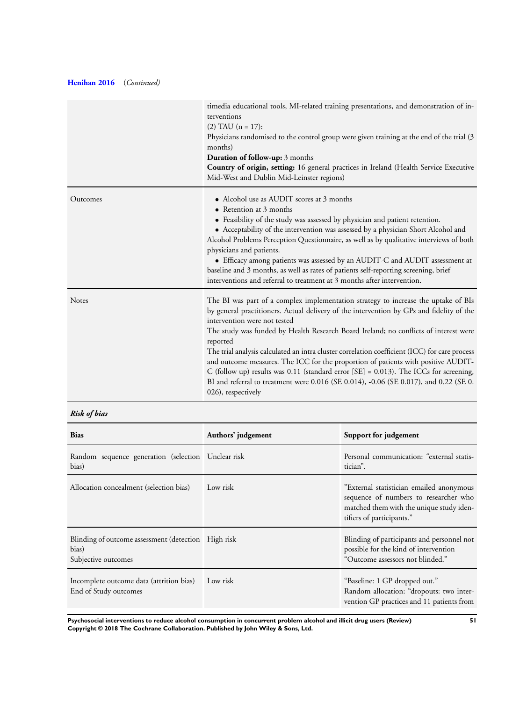# **[Henihan 2016](#page-37-0)** (*Continued)*

|              | timedia educational tools, MI-related training presentations, and demonstration of in-<br>terventions<br>$(2)$ TAU $(n = 17)$ :<br>Physicians randomised to the control group were given training at the end of the trial (3)<br>months)<br>Duration of follow-up: 3 months<br>Country of origin, setting: 16 general practices in Ireland (Health Service Executive<br>Mid-West and Dublin Mid-Leinster regions)                                                                                                                                                                                                                                                                                                |
|--------------|------------------------------------------------------------------------------------------------------------------------------------------------------------------------------------------------------------------------------------------------------------------------------------------------------------------------------------------------------------------------------------------------------------------------------------------------------------------------------------------------------------------------------------------------------------------------------------------------------------------------------------------------------------------------------------------------------------------|
| Outcomes     | • Alcohol use as AUDIT scores at 3 months<br>• Retention at 3 months<br>• Feasibility of the study was assessed by physician and patient retention.<br>• Acceptability of the intervention was assessed by a physician Short Alcohol and<br>Alcohol Problems Perception Questionnaire, as well as by qualitative interviews of both<br>physicians and patients.<br>• Efficacy among patients was assessed by an AUDIT-C and AUDIT assessment at<br>baseline and 3 months, as well as rates of patients self-reporting screening, brief<br>interventions and referral to treatment at 3 months after intervention.                                                                                                |
| <b>Notes</b> | The BI was part of a complex implementation strategy to increase the uptake of BIs<br>by general practitioners. Actual delivery of the intervention by GPs and fidelity of the<br>intervention were not tested<br>The study was funded by Health Research Board Ireland; no conflicts of interest were<br>reported<br>The trial analysis calculated an intra cluster correlation coefficient (ICC) for care process<br>and outcome measures. The ICC for the proportion of patients with positive AUDIT-<br>C (follow up) results was 0.11 (standard error [SE] = 0.013). The ICCs for screening,<br>BI and referral to treatment were 0.016 (SE 0.014), -0.06 (SE 0.017), and 0.22 (SE 0.<br>026), respectively |

# *Risk of bias*

| <b>Bias</b>                                                                         | Authors' judgement | Support for judgement                                                                                                                                      |
|-------------------------------------------------------------------------------------|--------------------|------------------------------------------------------------------------------------------------------------------------------------------------------------|
| Random sequence generation (selection Unclear risk<br>bias)                         |                    | Personal communication: "external statis-<br>tician".                                                                                                      |
| Allocation concealment (selection bias)                                             | Low risk           | "External statistician emailed anonymous<br>sequence of numbers to researcher who<br>matched them with the unique study iden-<br>tifiers of participants." |
| Blinding of outcome assessment (detection High risk<br>bias)<br>Subjective outcomes |                    | Blinding of participants and personnel not<br>possible for the kind of intervention<br>"Outcome assessors not blinded."                                    |
| Incomplete outcome data (attrition bias)<br>End of Study outcomes                   | Low risk           | "Baseline: 1 GP dropped out."<br>Random allocation: "dropouts: two inter-<br>vention GP practices and 11 patients from                                     |

**Psychosocial interventions to reduce alcohol consumption in concurrent problem alcohol and illicit drug users (Review) 51 Copyright © 2018 The Cochrane Collaboration. Published by John Wiley & Sons, Ltd.**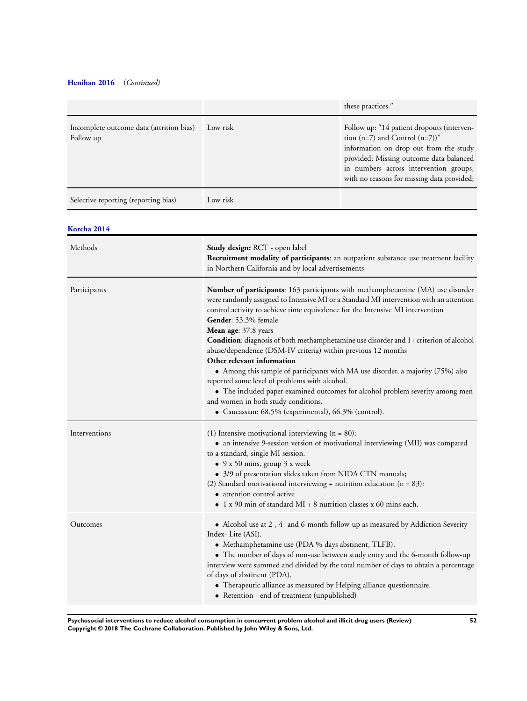# **[Henihan 2016](#page-37-0)** (*Continued)*

|                                                       |          | these practices."                                                                                                                                                                                                                                             |
|-------------------------------------------------------|----------|---------------------------------------------------------------------------------------------------------------------------------------------------------------------------------------------------------------------------------------------------------------|
| Incomplete outcome data (attrition bias)<br>Follow up | Low risk | Follow up: "14 patient dropouts (interven-<br>tion $(n=7)$ and Control $(n=7)$ "<br>information on drop out from the study<br>provided; Missing outcome data balanced<br>in numbers across intervention groups,<br>with no reasons for missing data provided; |
| Selective reporting (reporting bias)                  | Low risk |                                                                                                                                                                                                                                                               |

# **[Korcha 2014](#page-37-0)**

| Methods       | Study design: RCT - open label<br>Recruitment modality of participants: an outpatient substance use treatment facility<br>in Northern California and by local advertisements                                                                                                                                                                                                                                                                                                                                                                                                                                                                                                                                                                                                                                           |
|---------------|------------------------------------------------------------------------------------------------------------------------------------------------------------------------------------------------------------------------------------------------------------------------------------------------------------------------------------------------------------------------------------------------------------------------------------------------------------------------------------------------------------------------------------------------------------------------------------------------------------------------------------------------------------------------------------------------------------------------------------------------------------------------------------------------------------------------|
| Participants  | Number of participants: 163 participants with methamphetamine (MA) use disorder<br>were randomly assigned to Intensive MI or a Standard MI intervention with an attention<br>control activity to achieve time equivalence for the Intensive MI intervention<br>Gender: 53.3% female<br>Mean age: 37.8 years<br>Condition: diagnosis of both methamphetamine use disorder and 1+ criterion of alcohol<br>abuse/dependence (DSM-IV criteria) within previous 12 months<br>Other relevant information<br>• Among this sample of participants with MA use disorder, a majority (75%) also<br>reported some level of problems with alcohol.<br>• The included paper examined outcomes for alcohol problem severity among men<br>and women in both study conditions.<br>• Caucassian: 68.5% (experimental), 66.3% (control). |
| Interventions | (1) Intensive motivational interviewing $(n = 80)$ :<br>• an intensive 9-session version of motivational interviewing (MII) was compared<br>to a standard, single MI session.<br>$\bullet$ 9 x 50 mins, group 3 x week<br>• 3/9 of presentation slides taken from NIDA CTN manuals;<br>(2) Standard motivational interviewing $+$ nutrition education (n = 83):<br>• attention control active<br>$\bullet$ 1 x 90 min of standard MI + 8 nutrition classes x 60 mins each.                                                                                                                                                                                                                                                                                                                                             |
| Outcomes      | • Alcohol use at 2-, 4- and 6-month follow-up as measured by Addiction Severity<br>Index-Lite (ASI).<br>• Methamphetamine use (PDA % days abstinent, TLFB).<br>• The number of days of non-use between study entry and the 6-month follow-up<br>interview were summed and divided by the total number of days to obtain a percentage<br>of days of abstinent (PDA).<br>• Therapeutic alliance as measured by Helping alliance questionnaire.<br>• Retention - end of treatment (unpublished)                                                                                                                                                                                                                                                                                                                           |

**Psychosocial interventions to reduce alcohol consumption in concurrent problem alcohol and illicit drug users (Review) 52 Copyright © 2018 The Cochrane Collaboration. Published by John Wiley & Sons, Ltd.**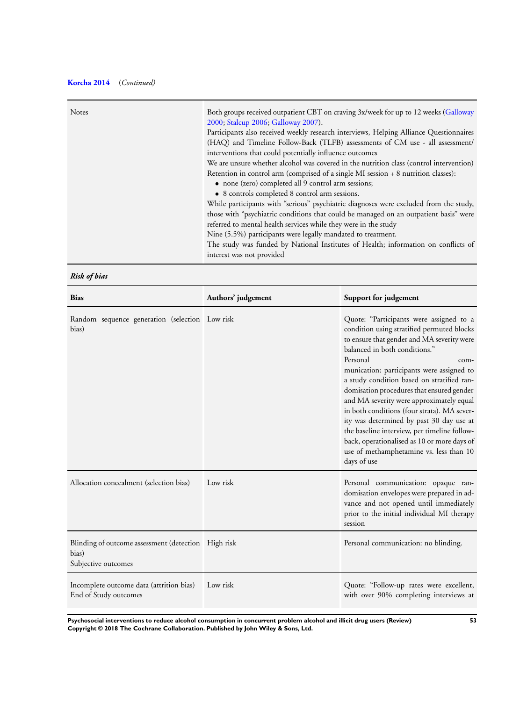# **[Korcha 2014](#page-37-0)** (*Continued)*

| Retention in control arm (comprised of a single MI session + 8 nutrition classes):<br>• none (zero) completed all 9 control arm sessions;<br>• 8 controls completed 8 control arm sessions.<br>referred to mental health services while they were in the study<br>Nine (5.5%) participants were legally mandated to treatment.<br>interest was not provided | <b>Notes</b> | Both groups received outpatient CBT on craving 3x/week for up to 12 weeks (Galloway<br>2000; Stalcup 2006; Galloway 2007).<br>Participants also received weekly research interviews, Helping Alliance Questionnaires<br>(HAQ) and Timeline Follow-Back (TLFB) assessments of CM use - all assessment/<br>interventions that could potentially influence outcomes<br>We are unsure whether alcohol was covered in the nutrition class (control intervention)<br>While participants with "serious" psychiatric diagnoses were excluded from the study,<br>those with "psychiatric conditions that could be managed on an outpatient basis" were<br>The study was funded by National Institutes of Health; information on conflicts of |
|-------------------------------------------------------------------------------------------------------------------------------------------------------------------------------------------------------------------------------------------------------------------------------------------------------------------------------------------------------------|--------------|-------------------------------------------------------------------------------------------------------------------------------------------------------------------------------------------------------------------------------------------------------------------------------------------------------------------------------------------------------------------------------------------------------------------------------------------------------------------------------------------------------------------------------------------------------------------------------------------------------------------------------------------------------------------------------------------------------------------------------------|
|-------------------------------------------------------------------------------------------------------------------------------------------------------------------------------------------------------------------------------------------------------------------------------------------------------------------------------------------------------------|--------------|-------------------------------------------------------------------------------------------------------------------------------------------------------------------------------------------------------------------------------------------------------------------------------------------------------------------------------------------------------------------------------------------------------------------------------------------------------------------------------------------------------------------------------------------------------------------------------------------------------------------------------------------------------------------------------------------------------------------------------------|

*Risk of bias*

| <b>Bias</b>                                                                         | Authors' judgement | Support for judgement                                                                                                                                                                                                                                                                                                                                                                                                                                                                                                                                                                                                            |
|-------------------------------------------------------------------------------------|--------------------|----------------------------------------------------------------------------------------------------------------------------------------------------------------------------------------------------------------------------------------------------------------------------------------------------------------------------------------------------------------------------------------------------------------------------------------------------------------------------------------------------------------------------------------------------------------------------------------------------------------------------------|
| Random sequence generation (selection Low risk<br>bias)                             |                    | Quote: "Participants were assigned to a<br>condition using stratified permuted blocks<br>to ensure that gender and MA severity were<br>balanced in both conditions."<br>Personal<br>com-<br>munication: participants were assigned to<br>a study condition based on stratified ran-<br>domisation procedures that ensured gender<br>and MA severity were approximately equal<br>in both conditions (four strata). MA sever-<br>ity was determined by past 30 day use at<br>the baseline interview, per timeline follow-<br>back, operationalised as 10 or more days of<br>use of methamphetamine vs. less than 10<br>days of use |
| Allocation concealment (selection bias)                                             | Low risk           | Personal communication: opaque ran-<br>domisation envelopes were prepared in ad-<br>vance and not opened until immediately<br>prior to the initial individual MI therapy<br>session                                                                                                                                                                                                                                                                                                                                                                                                                                              |
| Blinding of outcome assessment (detection High risk<br>bias)<br>Subjective outcomes |                    | Personal communication: no blinding.                                                                                                                                                                                                                                                                                                                                                                                                                                                                                                                                                                                             |
| Incomplete outcome data (attrition bias)<br>End of Study outcomes                   | Low risk           | Quote: "Follow-up rates were excellent,<br>with over 90% completing interviews at                                                                                                                                                                                                                                                                                                                                                                                                                                                                                                                                                |

**Psychosocial interventions to reduce alcohol consumption in concurrent problem alcohol and illicit drug users (Review) 53 Copyright © 2018 The Cochrane Collaboration. Published by John Wiley & Sons, Ltd.**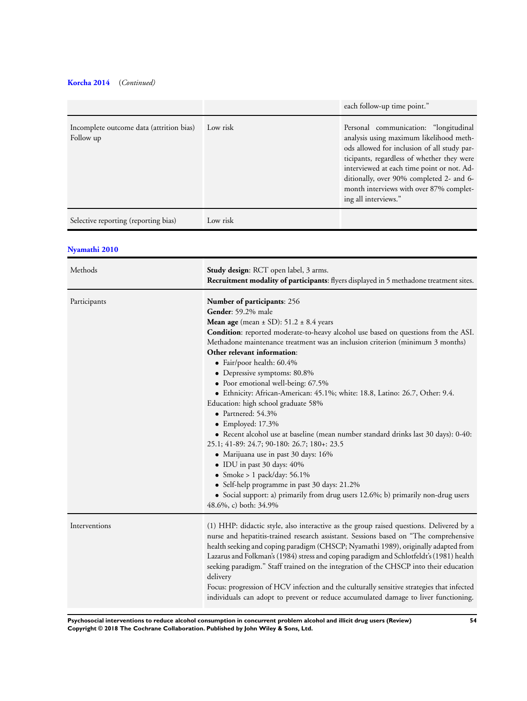# **[Korcha 2014](#page-37-0)** (*Continued)*

|                                                       |          | each follow-up time point."                                                                                                                                                                                                                                                                                                                |
|-------------------------------------------------------|----------|--------------------------------------------------------------------------------------------------------------------------------------------------------------------------------------------------------------------------------------------------------------------------------------------------------------------------------------------|
| Incomplete outcome data (attrition bias)<br>Follow up | Low risk | Personal communication: "longitudinal<br>analysis using maximum likelihood meth-<br>ods allowed for inclusion of all study par-<br>ticipants, regardless of whether they were<br>interviewed at each time point or not. Ad-<br>ditionally, over 90% completed 2- and 6-<br>month interviews with over 87% complet-<br>ing all interviews." |
| Selective reporting (reporting bias)                  | Low risk |                                                                                                                                                                                                                                                                                                                                            |

## **[Nyamathi 2010](#page-37-0)**

| Methods       | Study design: RCT open label, 3 arms.<br><b>Recruitment modality of participants:</b> flyers displayed in 5 methadone treatment sites.                                                                                                                                                                                                                                                                                                                                                                                                                                                                                                                                                                                                                                                                                                                                                                                                                                                                                  |
|---------------|-------------------------------------------------------------------------------------------------------------------------------------------------------------------------------------------------------------------------------------------------------------------------------------------------------------------------------------------------------------------------------------------------------------------------------------------------------------------------------------------------------------------------------------------------------------------------------------------------------------------------------------------------------------------------------------------------------------------------------------------------------------------------------------------------------------------------------------------------------------------------------------------------------------------------------------------------------------------------------------------------------------------------|
| Participants  | <b>Number of participants: 256</b><br>Gender: 59.2% male<br><b>Mean age</b> (mean $\pm$ SD): 51.2 $\pm$ 8.4 years<br>Condition: reported moderate-to-heavy alcohol use based on questions from the ASI.<br>Methadone maintenance treatment was an inclusion criterion (minimum 3 months)<br>Other relevant information:<br>· Fair/poor health: 60.4%<br>• Depressive symptoms: 80.8%<br>• Poor emotional well-being: 67.5%<br>• Ethnicity: African-American: 45.1%; white: 18.8, Latino: 26.7, Other: 9.4.<br>Education: high school graduate 58%<br>$\bullet$ Partnered: 54.3%<br>$\bullet$ Employed: 17.3%<br>• Recent alcohol use at baseline (mean number standard drinks last 30 days): 0-40:<br>25.1; 41-89: 24.7; 90-180: 26.7; 180+: 23.5<br>· Marijuana use in past 30 days: 16%<br>· IDU in past 30 days: 40%<br>• Smoke > 1 pack/day: $56.1\%$<br>• Self-help programme in past 30 days: 21.2%<br>• Social support: a) primarily from drug users 12.6%; b) primarily non-drug users<br>48.6%, c) both: 34.9% |
| Interventions | (1) HHP: didactic style, also interactive as the group raised questions. Delivered by a<br>nurse and hepatitis-trained research assistant. Sessions based on "The comprehensive<br>health seeking and coping paradigm (CHSCP; Nyamathi 1989), originally adapted from<br>Lazarus and Folkman's (1984) stress and coping paradigm and Schlotfeldt's (1981) health<br>seeking paradigm." Staff trained on the integration of the CHSCP into their education<br>delivery<br>Focus: progression of HCV infection and the culturally sensitive strategies that infected<br>individuals can adopt to prevent or reduce accumulated damage to liver functioning.                                                                                                                                                                                                                                                                                                                                                               |

**Psychosocial interventions to reduce alcohol consumption in concurrent problem alcohol and illicit drug users (Review) 54 Copyright © 2018 The Cochrane Collaboration. Published by John Wiley & Sons, Ltd.**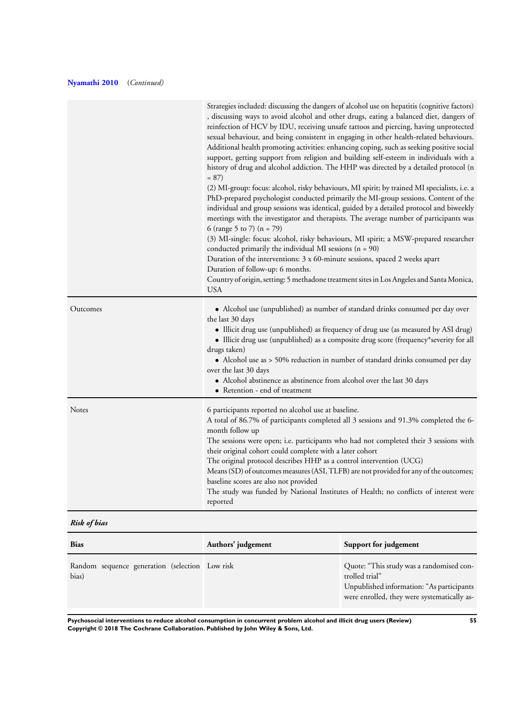# **[Nyamathi 2010](#page-37-0)** (*Continued)*

|          | Strategies included: discussing the dangers of alcohol use on hepatitis (cognitive factors)<br>, discussing ways to avoid alcohol and other drugs, eating a balanced diet, dangers of<br>reinfection of HCV by IDU, receiving unsafe tattoos and piercing, having unprotected<br>sexual behaviour, and being consistent in engaging in other health-related behaviours.<br>Additional health promoting activities: enhancing coping, such as seeking positive social<br>support, getting support from religion and building self-esteem in individuals with a<br>history of drug and alcohol addiction. The HHP was directed by a detailed protocol (n<br>$= 87$<br>(2) MI-group: focus: alcohol, risky behaviours, MI spirit; by trained MI specialists, i.e. a<br>PhD-prepared psychologist conducted primarily the MI-group sessions. Content of the<br>individual and group sessions was identical, guided by a detailed protocol and biweekly<br>meetings with the investigator and therapists. The average number of participants was<br>6 (range 5 to 7) ( $n = 79$ )<br>(3) MI-single: focus: alcohol, risky behaviours, MI spirit; a MSW-prepared researcher<br>conducted primarily the individual MI sessions $(n = 90)$<br>Duration of the interventions: 3 x 60-minute sessions, spaced 2 weeks apart<br>Duration of follow-up: 6 months.<br>Country of origin, setting: 5 methadone treatment sites in Los Angeles and Santa Monica,<br><b>USA</b> |
|----------|-----------------------------------------------------------------------------------------------------------------------------------------------------------------------------------------------------------------------------------------------------------------------------------------------------------------------------------------------------------------------------------------------------------------------------------------------------------------------------------------------------------------------------------------------------------------------------------------------------------------------------------------------------------------------------------------------------------------------------------------------------------------------------------------------------------------------------------------------------------------------------------------------------------------------------------------------------------------------------------------------------------------------------------------------------------------------------------------------------------------------------------------------------------------------------------------------------------------------------------------------------------------------------------------------------------------------------------------------------------------------------------------------------------------------------------------------------------------|
| Outcomes | • Alcohol use (unpublished) as number of standard drinks consumed per day over<br>the last 30 days<br>• Illicit drug use (unpublished) as frequency of drug use (as measured by ASI drug)<br>• Illicit drug use (unpublished) as a composite drug score (frequency*severity for all<br>drugs taken)<br>• Alcohol use as > 50% reduction in number of standard drinks consumed per day<br>over the last 30 days<br>• Alcohol abstinence as abstinence from alcohol over the last 30 days<br>• Retention - end of treatment                                                                                                                                                                                                                                                                                                                                                                                                                                                                                                                                                                                                                                                                                                                                                                                                                                                                                                                                       |
| Notes    | 6 participants reported no alcohol use at baseline.<br>A total of 86.7% of participants completed all 3 sessions and 91.3% completed the 6-<br>month follow up<br>The sessions were open; i.e. participants who had not completed their 3 sessions with<br>their original cohort could complete with a later cohort<br>The original protocol describes HHP as a control intervention (UCG)<br>Means (SD) of outcomes measures (ASI, TLFB) are not provided for any of the outcomes;<br>baseline scores are also not provided<br>The study was funded by National Institutes of Health; no conflicts of interest were<br>reported                                                                                                                                                                                                                                                                                                                                                                                                                                                                                                                                                                                                                                                                                                                                                                                                                                |

## *Risk of bias*

| <b>Bias</b>                                             | Authors' judgement | Support for judgement                                                                                                                                   |
|---------------------------------------------------------|--------------------|---------------------------------------------------------------------------------------------------------------------------------------------------------|
| Random sequence generation (selection Low risk<br>bias) |                    | Quote: "This study was a randomised con-<br>trolled trial"<br>Unpublished information: "As participants"<br>were enrolled, they were systematically as- |

**Psychosocial interventions to reduce alcohol consumption in concurrent problem alcohol and illicit drug users (Review) 55 Copyright © 2018 The Cochrane Collaboration. Published by John Wiley & Sons, Ltd.**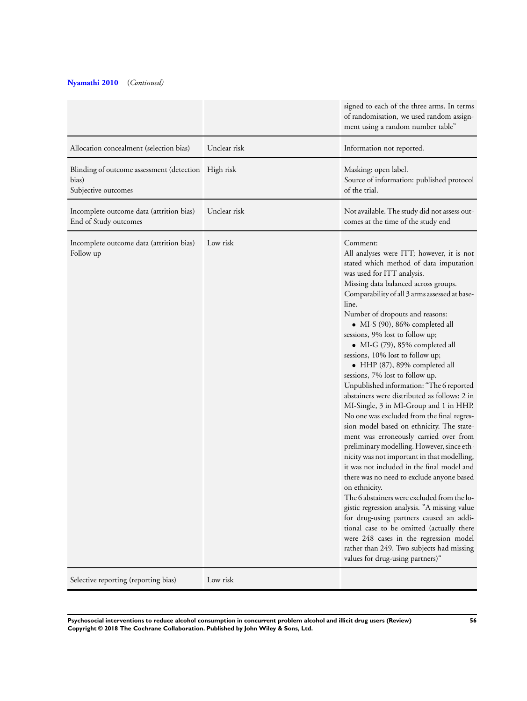# **[Nyamathi 2010](#page-37-0)** (*Continued)*

|                                                                                     |              | signed to each of the three arms. In terms<br>of randomisation, we used random assign-<br>ment using a random number table"                                                                                                                                                                                                                                                                                                                                                                                                                                                                                                                                                                                                                                                                                                                                                                                                                                                                                                                                                                                                                                                                                                                                                             |
|-------------------------------------------------------------------------------------|--------------|-----------------------------------------------------------------------------------------------------------------------------------------------------------------------------------------------------------------------------------------------------------------------------------------------------------------------------------------------------------------------------------------------------------------------------------------------------------------------------------------------------------------------------------------------------------------------------------------------------------------------------------------------------------------------------------------------------------------------------------------------------------------------------------------------------------------------------------------------------------------------------------------------------------------------------------------------------------------------------------------------------------------------------------------------------------------------------------------------------------------------------------------------------------------------------------------------------------------------------------------------------------------------------------------|
| Allocation concealment (selection bias)                                             | Unclear risk | Information not reported.                                                                                                                                                                                                                                                                                                                                                                                                                                                                                                                                                                                                                                                                                                                                                                                                                                                                                                                                                                                                                                                                                                                                                                                                                                                               |
| Blinding of outcome assessment (detection High risk<br>bias)<br>Subjective outcomes |              | Masking: open label.<br>Source of information: published protocol<br>of the trial.                                                                                                                                                                                                                                                                                                                                                                                                                                                                                                                                                                                                                                                                                                                                                                                                                                                                                                                                                                                                                                                                                                                                                                                                      |
| Incomplete outcome data (attrition bias)<br>End of Study outcomes                   | Unclear risk | Not available. The study did not assess out-<br>comes at the time of the study end                                                                                                                                                                                                                                                                                                                                                                                                                                                                                                                                                                                                                                                                                                                                                                                                                                                                                                                                                                                                                                                                                                                                                                                                      |
| Incomplete outcome data (attrition bias)<br>Follow up                               | Low risk     | Comment:<br>All analyses were ITT; however, it is not<br>stated which method of data imputation<br>was used for ITT analysis.<br>Missing data balanced across groups.<br>Comparability of all 3 arms assessed at base-<br>line.<br>Number of dropouts and reasons:<br>• MI-S (90), 86% completed all<br>sessions, 9% lost to follow up;<br>· MI-G (79), 85% completed all<br>sessions, 10% lost to follow up;<br>• HHP (87), 89% completed all<br>sessions, 7% lost to follow up.<br>Unpublished information: "The 6 reported<br>abstainers were distributed as follows: 2 in<br>MI-Single, 3 in MI-Group and 1 in HHP.<br>No one was excluded from the final regres-<br>sion model based on ethnicity. The state-<br>ment was erroneously carried over from<br>preliminary modelling. However, since eth-<br>nicity was not important in that modelling,<br>it was not included in the final model and<br>there was no need to exclude anyone based<br>on ethnicity.<br>The 6 abstainers were excluded from the lo-<br>gistic regression analysis. "A missing value<br>for drug-using partners caused an addi-<br>tional case to be omitted (actually there<br>were 248 cases in the regression model<br>rather than 249. Two subjects had missing<br>values for drug-using partners)" |
| Selective reporting (reporting bias)                                                | Low risk     |                                                                                                                                                                                                                                                                                                                                                                                                                                                                                                                                                                                                                                                                                                                                                                                                                                                                                                                                                                                                                                                                                                                                                                                                                                                                                         |

**Psychosocial interventions to reduce alcohol consumption in concurrent problem alcohol and illicit drug users (Review) 56 Copyright © 2018 The Cochrane Collaboration. Published by John Wiley & Sons, Ltd.**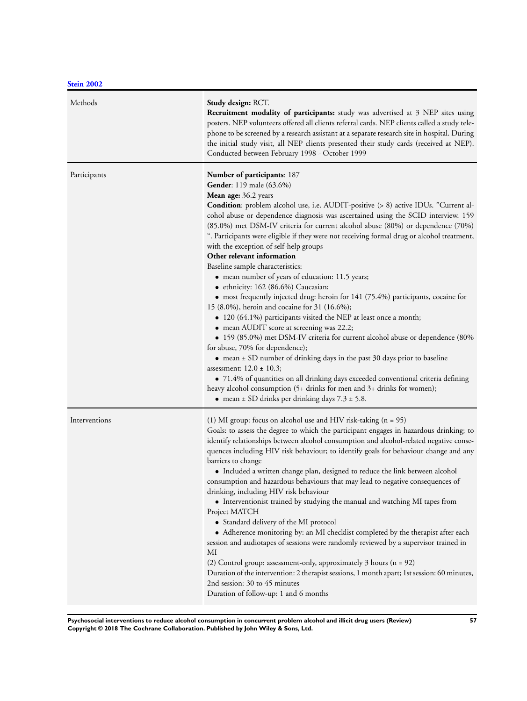| Methods       | Study design: RCT.<br><b>Recruitment modality of participants:</b> study was advertised at 3 NEP sites using<br>posters. NEP volunteers offered all clients referral cards. NEP clients called a study tele-<br>phone to be screened by a research assistant at a separate research site in hospital. During<br>the initial study visit, all NEP clients presented their study cards (received at NEP).<br>Conducted between February 1998 - October 1999                                                                                                                                                                                                                                                                                                                                                                                                                                                                                                                                                                                                                                                                                                                                                                                                                                                                                                                                |
|---------------|------------------------------------------------------------------------------------------------------------------------------------------------------------------------------------------------------------------------------------------------------------------------------------------------------------------------------------------------------------------------------------------------------------------------------------------------------------------------------------------------------------------------------------------------------------------------------------------------------------------------------------------------------------------------------------------------------------------------------------------------------------------------------------------------------------------------------------------------------------------------------------------------------------------------------------------------------------------------------------------------------------------------------------------------------------------------------------------------------------------------------------------------------------------------------------------------------------------------------------------------------------------------------------------------------------------------------------------------------------------------------------------|
| Participants  | Number of participants: 187<br><b>Gender:</b> 119 male (63.6%)<br>Mean age: 36.2 years<br><b>Condition</b> : problem alcohol use, i.e. AUDIT-positive (> 8) active IDUs. "Current al-<br>cohol abuse or dependence diagnosis was ascertained using the SCID interview. 159<br>(85.0%) met DSM-IV criteria for current alcohol abuse (80%) or dependence (70%)<br>". Participants were eligible if they were not receiving formal drug or alcohol treatment,<br>with the exception of self-help groups<br>Other relevant information<br>Baseline sample characteristics:<br>• mean number of years of education: 11.5 years;<br>· ethnicity: 162 (86.6%) Caucasian;<br>• most frequently injected drug: heroin for 141 (75.4%) participants, cocaine for<br>15 (8.0%), heroin and cocaine for 31 (16.6%);<br>• 120 (64.1%) participants visited the NEP at least once a month;<br>• mean AUDIT score at screening was 22.2;<br>• 159 (85.0%) met DSM-IV criteria for current alcohol abuse or dependence (80%<br>for abuse, 70% for dependence);<br>• mean ± SD number of drinking days in the past 30 days prior to baseline<br>assessment: $12.0 \pm 10.3$ ;<br>• 71.4% of quantities on all drinking days exceeded conventional criteria defining<br>heavy alcohol consumption (5+ drinks for men and 3+ drinks for women);<br>• mean $\pm$ SD drinks per drinking days 7.3 $\pm$ 5.8. |
| Interventions | (1) MI group: focus on alcohol use and HIV risk-taking $(n = 95)$<br>Goals: to assess the degree to which the participant engages in hazardous drinking; to<br>identify relationships between alcohol consumption and alcohol-related negative conse-<br>quences including HIV risk behaviour; to identify goals for behaviour change and any<br>barriers to change<br>• Included a written change plan, designed to reduce the link between alcohol<br>consumption and hazardous behaviours that may lead to negative consequences of<br>drinking, including HIV risk behaviour<br>• Interventionist trained by studying the manual and watching MI tapes from<br>Project MATCH<br>• Standard delivery of the MI protocol<br>• Adherence monitoring by: an MI checklist completed by the therapist after each<br>session and audiotapes of sessions were randomly reviewed by a supervisor trained in<br>MI<br>(2) Control group: assessment-only, approximately $3$ hours (n = 92)<br>Duration of the intervention: 2 therapist sessions, 1 month apart; 1st session: 60 minutes,<br>2nd session: 30 to 45 minutes<br>Duration of follow-up: 1 and 6 months                                                                                                                                                                                                                            |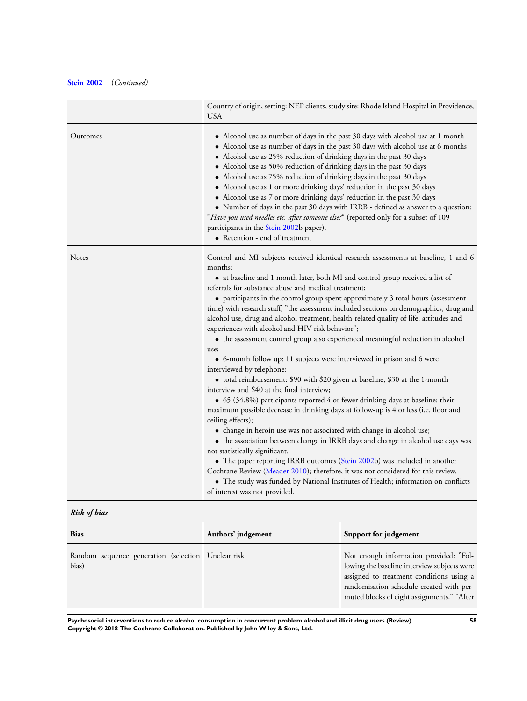# **[Stein 2002](#page-37-0)** (*Continued)*

|          | Country of origin, setting: NEP clients, study site: Rhode Island Hospital in Providence,<br><b>USA</b>                                                                                                                                                                                                                                                                                                                                                                                                                                                                                                                                                                                                                                                                                                                                                                                                                                                                                                                                                                                                                                                                                                                                                                                                                                                                                                                                                                                                                                                                                    |
|----------|--------------------------------------------------------------------------------------------------------------------------------------------------------------------------------------------------------------------------------------------------------------------------------------------------------------------------------------------------------------------------------------------------------------------------------------------------------------------------------------------------------------------------------------------------------------------------------------------------------------------------------------------------------------------------------------------------------------------------------------------------------------------------------------------------------------------------------------------------------------------------------------------------------------------------------------------------------------------------------------------------------------------------------------------------------------------------------------------------------------------------------------------------------------------------------------------------------------------------------------------------------------------------------------------------------------------------------------------------------------------------------------------------------------------------------------------------------------------------------------------------------------------------------------------------------------------------------------------|
| Outcomes | • Alcohol use as number of days in the past 30 days with alcohol use at 1 month<br>• Alcohol use as number of days in the past 30 days with alcohol use at 6 months<br>• Alcohol use as 25% reduction of drinking days in the past 30 days<br>• Alcohol use as 50% reduction of drinking days in the past 30 days<br>• Alcohol use as 75% reduction of drinking days in the past 30 days<br>• Alcohol use as 1 or more drinking days' reduction in the past 30 days<br>• Alcohol use as 7 or more drinking days' reduction in the past 30 days<br>• Number of days in the past 30 days with IRRB - defined as answer to a question:<br>"Have you used needles etc. after someone else?" (reported only for a subset of 109<br>participants in the Stein 2002b paper).<br>• Retention - end of treatment                                                                                                                                                                                                                                                                                                                                                                                                                                                                                                                                                                                                                                                                                                                                                                                    |
| Notes    | Control and MI subjects received identical research assessments at baseline, 1 and 6<br>months:<br>• at baseline and 1 month later, both MI and control group received a list of<br>referrals for substance abuse and medical treatment;<br>• participants in the control group spent approximately 3 total hours (assessment<br>time) with research staff, "the assessment included sections on demographics, drug and<br>alcohol use, drug and alcohol treatment, health-related quality of life, attitudes and<br>experiences with alcohol and HIV risk behavior";<br>• the assessment control group also experienced meaningful reduction in alcohol<br>use;<br>• 6-month follow up: 11 subjects were interviewed in prison and 6 were<br>interviewed by telephone;<br>• total reimbursement: \$90 with \$20 given at baseline, \$30 at the 1-month<br>interview and \$40 at the final interview;<br>• 65 (34.8%) participants reported 4 or fewer drinking days at baseline: their<br>maximum possible decrease in drinking days at follow-up is 4 or less (i.e. floor and<br>ceiling effects);<br>• change in heroin use was not associated with change in alcohol use;<br>• the association between change in IRRB days and change in alcohol use days was<br>not statistically significant.<br>• The paper reporting IRRB outcomes (Stein 2002b) was included in another<br>Cochrane Review (Meader 2010); therefore, it was not considered for this review.<br>• The study was funded by National Institutes of Health; information on conflicts<br>of interest was not provided. |

*Risk of bias*

| <b>Bias</b>                                                 | Authors' judgement | Support for judgement                                                                                                                                                                                                       |
|-------------------------------------------------------------|--------------------|-----------------------------------------------------------------------------------------------------------------------------------------------------------------------------------------------------------------------------|
| Random sequence generation (selection Unclear risk<br>bias) |                    | Not enough information provided: "Fol-<br>lowing the baseline interview subjects were<br>assigned to treatment conditions using a<br>randomisation schedule created with per-<br>muted blocks of eight assignments." "After |

**Psychosocial interventions to reduce alcohol consumption in concurrent problem alcohol and illicit drug users (Review) 58 Copyright © 2018 The Cochrane Collaboration. Published by John Wiley & Sons, Ltd.**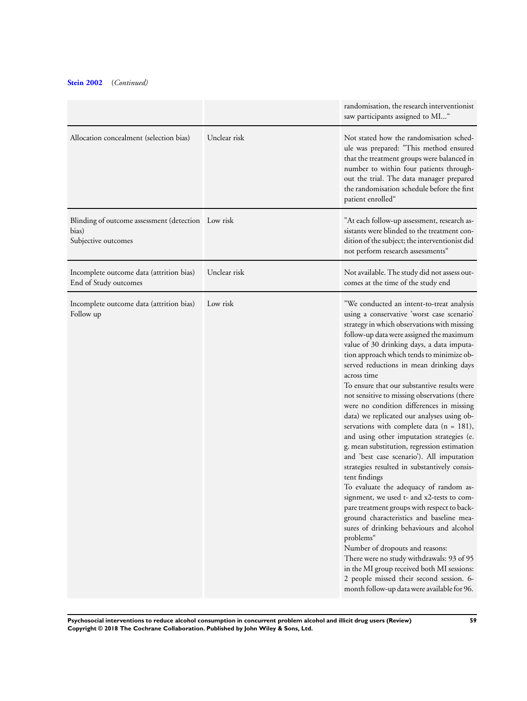# **[Stein 2002](#page-37-0)** (*Continued)*

|                                                                                    |              | randomisation, the research interventionist<br>saw participants assigned to MI"                                                                                                                                                                                                                                                                                                                                                                                                                                                                                                                                                                                                                                                                                                                                                                                                                                                                                                                                                                                                                                                                                                                                                                               |
|------------------------------------------------------------------------------------|--------------|---------------------------------------------------------------------------------------------------------------------------------------------------------------------------------------------------------------------------------------------------------------------------------------------------------------------------------------------------------------------------------------------------------------------------------------------------------------------------------------------------------------------------------------------------------------------------------------------------------------------------------------------------------------------------------------------------------------------------------------------------------------------------------------------------------------------------------------------------------------------------------------------------------------------------------------------------------------------------------------------------------------------------------------------------------------------------------------------------------------------------------------------------------------------------------------------------------------------------------------------------------------|
| Allocation concealment (selection bias)                                            | Unclear risk | Not stated how the randomisation sched-<br>ule was prepared: "This method ensured<br>that the treatment groups were balanced in<br>number to within four patients through-<br>out the trial. The data manager prepared<br>the randomisation schedule before the first<br>patient enrolled"                                                                                                                                                                                                                                                                                                                                                                                                                                                                                                                                                                                                                                                                                                                                                                                                                                                                                                                                                                    |
| Blinding of outcome assessment (detection Low risk<br>bias)<br>Subjective outcomes |              | "At each follow-up assessment, research as-<br>sistants were blinded to the treatment con-<br>dition of the subject; the interventionist did<br>not perform research assessments"                                                                                                                                                                                                                                                                                                                                                                                                                                                                                                                                                                                                                                                                                                                                                                                                                                                                                                                                                                                                                                                                             |
| Incomplete outcome data (attrition bias)<br>End of Study outcomes                  | Unclear risk | Not available. The study did not assess out-<br>comes at the time of the study end                                                                                                                                                                                                                                                                                                                                                                                                                                                                                                                                                                                                                                                                                                                                                                                                                                                                                                                                                                                                                                                                                                                                                                            |
| Incomplete outcome data (attrition bias)<br>Follow up                              | Low risk     | "We conducted an intent-to-treat analysis<br>using a conservative 'worst case scenario'<br>strategy in which observations with missing<br>follow-up data were assigned the maximum<br>value of 30 drinking days, a data imputa-<br>tion approach which tends to minimize ob-<br>served reductions in mean drinking days<br>across time<br>To ensure that our substantive results were<br>not sensitive to missing observations (there<br>were no condition differences in missing<br>data) we replicated our analyses using ob-<br>servations with complete data ( $n = 181$ ),<br>and using other imputation strategies (e.<br>g. mean substitution, regression estimation<br>and 'best case scenario'). All imputation<br>strategies resulted in substantively consis-<br>tent findings<br>To evaluate the adequacy of random as-<br>signment, we used t- and x2-tests to com-<br>pare treatment groups with respect to back-<br>ground characteristics and baseline mea-<br>sures of drinking behaviours and alcohol<br>problems"<br>Number of dropouts and reasons:<br>There were no study withdrawals: 93 of 95<br>in the MI group received both MI sessions:<br>2 people missed their second session. 6-<br>month follow-up data were available for 96. |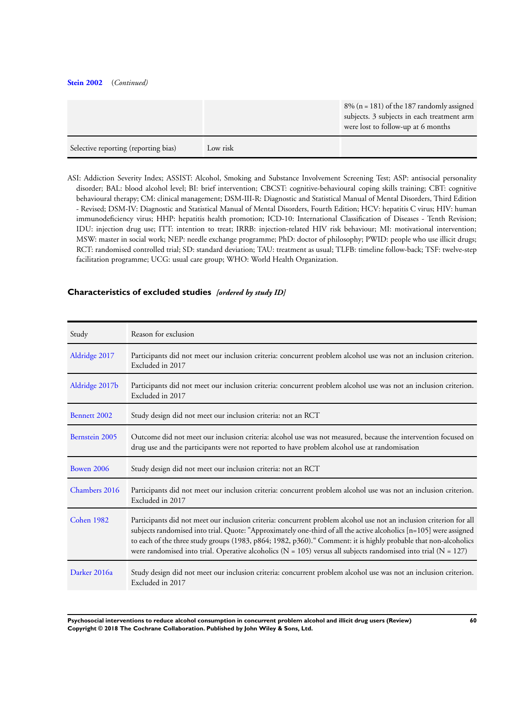#### **[Stein 2002](#page-37-0)** (*Continued)*

|                                      |          | $8\%$ (n = 181) of the 187 randomly assigned                                     |
|--------------------------------------|----------|----------------------------------------------------------------------------------|
|                                      |          | subjects. 3 subjects in each treatment arm<br>were lost to follow-up at 6 months |
| Selective reporting (reporting bias) | Low risk |                                                                                  |

ASI: Addiction Severity Index; ASSIST: Alcohol, Smoking and Substance Involvement Screening Test; ASP: antisocial personality disorder; BAL: blood alcohol level; BI: brief intervention; CBCST: cognitive-behavioural coping skills training; CBT: cognitive behavioural therapy; CM: clinical management; DSM-III-R: Diagnostic and Statistical Manual of Mental Disorders, Third Edition - Revised; DSM-IV: Diagnostic and Statistical Manual of Mental Disorders, Fourth Edition; HCV: hepatitis C virus; HIV: human immunodeficiency virus; HHP: hepatitis health promotion; ICD-10: International Classification of Diseases - Tenth Revision; IDU: injection drug use; ITT: intention to treat; IRRB: injection-related HIV risk behaviour; MI: motivational intervention; MSW: master in social work; NEP: needle exchange programme; PhD: doctor of philosophy; PWID: people who use illicit drugs; RCT: randomised controlled trial; SD: standard deviation; TAU: treatment as usual; TLFB: timeline follow-back; TSF: twelve-step facilitation programme; UCG: usual care group; WHO: World Health Organization.

## **Characteristics of excluded studies** *[ordered by study ID]*

| Study             | Reason for exclusion                                                                                                                                                                                                                                                                                                                                                                                                                                                                   |
|-------------------|----------------------------------------------------------------------------------------------------------------------------------------------------------------------------------------------------------------------------------------------------------------------------------------------------------------------------------------------------------------------------------------------------------------------------------------------------------------------------------------|
| Aldridge 2017     | Participants did not meet our inclusion criteria: concurrent problem alcohol use was not an inclusion criterion.<br>Excluded in 2017                                                                                                                                                                                                                                                                                                                                                   |
| Aldridge 2017b    | Participants did not meet our inclusion criteria: concurrent problem alcohol use was not an inclusion criterion.<br>Excluded in 2017                                                                                                                                                                                                                                                                                                                                                   |
| Bennett 2002      | Study design did not meet our inclusion criteria: not an RCT                                                                                                                                                                                                                                                                                                                                                                                                                           |
| Bernstein 2005    | Outcome did not meet our inclusion criteria: alcohol use was not measured, because the intervention focused on<br>drug use and the participants were not reported to have problem alcohol use at randomisation                                                                                                                                                                                                                                                                         |
| <b>Bowen 2006</b> | Study design did not meet our inclusion criteria: not an RCT                                                                                                                                                                                                                                                                                                                                                                                                                           |
| Chambers 2016     | Participants did not meet our inclusion criteria: concurrent problem alcohol use was not an inclusion criterion.<br>Excluded in 2017                                                                                                                                                                                                                                                                                                                                                   |
| Cohen 1982        | Participants did not meet our inclusion criteria: concurrent problem alcohol use not an inclusion criterion for all<br>subjects randomised into trial. Quote: "Approximately one-third of all the active alcoholics [n=105] were assigned<br>to each of the three study groups (1983, p864; 1982, p360). "Comment: it is highly probable that non-alcoholics<br>were randomised into trial. Operative alcoholics ( $N = 105$ ) versus all subjects randomised into trial ( $N = 127$ ) |
| Darker 2016a      | Study design did not meet our inclusion criteria: concurrent problem alcohol use was not an inclusion criterion.<br>Excluded in 2017                                                                                                                                                                                                                                                                                                                                                   |

**Psychosocial interventions to reduce alcohol consumption in concurrent problem alcohol and illicit drug users (Review) 60 Copyright © 2018 The Cochrane Collaboration. Published by John Wiley & Sons, Ltd.**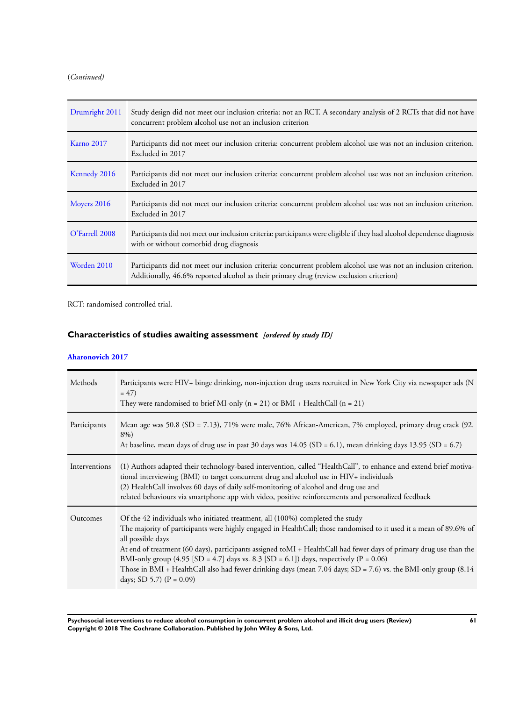(*Continued)*

| Drumright 2011    | Study design did not meet our inclusion criteria: not an RCT. A secondary analysis of 2 RCTs that did not have<br>concurrent problem alcohol use not an inclusion criterion                                 |
|-------------------|-------------------------------------------------------------------------------------------------------------------------------------------------------------------------------------------------------------|
| <b>Karno 2017</b> | Participants did not meet our inclusion criteria: concurrent problem alcohol use was not an inclusion criterion.<br>Excluded in 2017                                                                        |
| Kennedy 2016      | Participants did not meet our inclusion criteria: concurrent problem alcohol use was not an inclusion criterion.<br>Excluded in 2017                                                                        |
| Moyers 2016       | Participants did not meet our inclusion criteria: concurrent problem alcohol use was not an inclusion criterion.<br>Excluded in 2017                                                                        |
| O'Farrell 2008    | Participants did not meet our inclusion criteria: participants were eligible if they had alcohol dependence diagnosis<br>with or without comorbid drug diagnosis                                            |
| Worden 2010       | Participants did not meet our inclusion criteria: concurrent problem alcohol use was not an inclusion criterion.<br>Additionally, 46.6% reported alcohol as their primary drug (review exclusion criterion) |

RCT: randomised controlled trial.

# **Characteristics of studies awaiting assessment** *[ordered by study ID]*

## **[Aharonovich 2017](#page-37-0)**

| Methods       | Participants were HIV+ binge drinking, non-injection drug users recruited in New York City via newspaper ads (N<br>$= 47$<br>They were randomised to brief MI-only ( $n = 21$ ) or BMI + HealthCall ( $n = 21$ )                                                                                                                                                                                                                                                                                                                                                                                                             |
|---------------|------------------------------------------------------------------------------------------------------------------------------------------------------------------------------------------------------------------------------------------------------------------------------------------------------------------------------------------------------------------------------------------------------------------------------------------------------------------------------------------------------------------------------------------------------------------------------------------------------------------------------|
| Participants  | Mean age was 50.8 (SD = 7.13), 71% were male, 76% African-American, 7% employed, primary drug crack (92.<br>8%)<br>At baseline, mean days of drug use in past 30 days was $14.05$ (SD = 6.1), mean drinking days 13.95 (SD = 6.7)                                                                                                                                                                                                                                                                                                                                                                                            |
| Interventions | (1) Authors adapted their technology-based intervention, called "HealthCall", to enhance and extend brief motiva-<br>tional interviewing (BMI) to target concurrent drug and alcohol use in HIV+ individuals<br>(2) HealthCall involves 60 days of daily self-monitoring of alcohol and drug use and<br>related behaviours via smartphone app with video, positive reinforcements and personalized feedback                                                                                                                                                                                                                  |
| Outcomes      | Of the 42 individuals who initiated treatment, all (100%) completed the study<br>The majority of participants were highly engaged in HealthCall; those randomised to it used it a mean of 89.6% of<br>all possible days<br>At end of treatment (60 days), participants assigned toMI + HealthCall had fewer days of primary drug use than the<br>BMI-only group $(4.95 \text{ [SD = } 4.7) \text{ days vs. } 8.3 \text{ [SD = } 6.1]) \text{ days, respectively (P = 0.06)}$<br>Those in BMI + HealthCall also had fewer drinking days (mean 7.04 days; SD = 7.6) vs. the BMI-only group (8.14<br>days; SD 5.7) $(P = 0.09)$ |

**Psychosocial interventions to reduce alcohol consumption in concurrent problem alcohol and illicit drug users (Review) 61 Copyright © 2018 The Cochrane Collaboration. Published by John Wiley & Sons, Ltd.**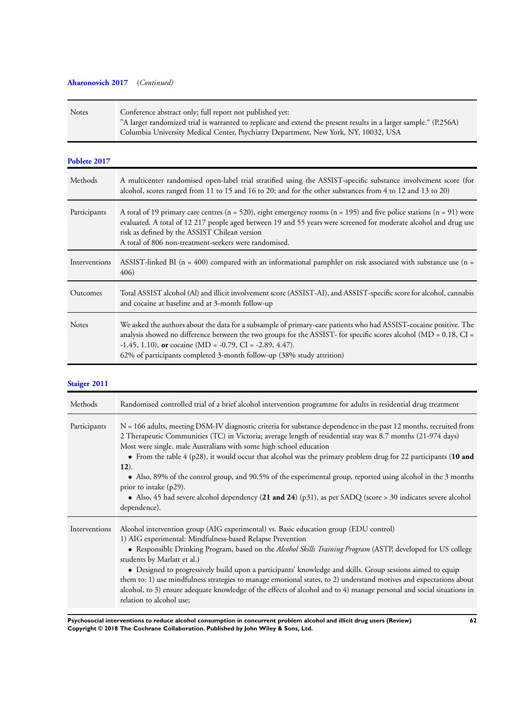# **[Aharonovich 2017](#page-37-0)** (*Continued)*

| <b>Notes</b> | Conference abstract only; full report not published yet:                                                          |
|--------------|-------------------------------------------------------------------------------------------------------------------|
|              | "A larger randomized trial is warranted to replicate and extend the present results in a larger sample." (P.256A) |
|              | Columbia University Medical Center, Psychiatry Department, New York, NY, 10032, USA                               |

## **[Poblete 2017](#page-37-0)**

| Methods       | A multicenter randomised open-label trial stratified using the ASSIST-specific substance involvement score (for<br>alcohol, scores ranged from 11 to 15 and 16 to 20; and for the other substances from 4 to 12 and 13 to 20)                                                                                                                                                              |
|---------------|--------------------------------------------------------------------------------------------------------------------------------------------------------------------------------------------------------------------------------------------------------------------------------------------------------------------------------------------------------------------------------------------|
| Participants  | A total of 19 primary care centres ( $n = 520$ ), eight emergency rooms ( $n = 195$ ) and five police stations ( $n = 91$ ) were<br>evaluated. A total of 12 217 people aged between 19 and 55 years were screened for moderate alcohol and drug use<br>risk as defined by the ASSIST Chilean version<br>A total of 806 non-treatment-seekers were randomised.                             |
| Interventions | ASSIST-linked BI ( $n = 400$ ) compared with an informational pamphlet on risk associated with substance use ( $n =$<br>406)                                                                                                                                                                                                                                                               |
| Outcomes      | Total ASSIST alcohol (Al) and illicit involvement score (ASSIST-AI), and ASSIST-specific score for alcohol, cannabis<br>and cocaine at baseline and at 3-month follow-up                                                                                                                                                                                                                   |
| <b>Notes</b>  | We asked the authors about the data for a subsample of primary-care patients who had ASSIST-cocaine positive. The<br>analysis showed no difference between the two groups for the ASSIST- for specific scores alcohol ( $MD = 0.18$ , $CI =$<br>$-1.45$ , 1.10), or cocaine (MD = $-0.79$ , CI = $-2.89$ , 4.47).<br>62% of participants completed 3-month follow-up (38% study attrition) |

# **[Staiger 2011](#page-37-0)**

| Methods       | Randomised controlled trial of a brief alcohol intervention programme for adults in residential drug treatment                                                                                                                                                                                                                                                                                                                                                                                                                                                                                                                                                                                                    |
|---------------|-------------------------------------------------------------------------------------------------------------------------------------------------------------------------------------------------------------------------------------------------------------------------------------------------------------------------------------------------------------------------------------------------------------------------------------------------------------------------------------------------------------------------------------------------------------------------------------------------------------------------------------------------------------------------------------------------------------------|
| Participants  | $N = 166$ adults, meeting DSM-IV diagnostic criteria for substance dependence in the past 12 months, recruited from<br>2 Therapeutic Communities (TC) in Victoria; average length of residential stay was 8.7 months (21-974 days)<br>Most were single, male Australians with some high school education<br>• From the table 4 (p28), it would occur that alcohol was the primary problem drug for 22 participants (10 and<br>$(12)$ .<br>• Also, 89% of the control group, and 90.5% of the experimental group, reported using alcohol in the 3 months<br>prior to intake (p29).<br>• Also, 45 had severe alcohol dependency (21 and 24) (p31), as per SADQ (score > 30 indicates severe alcohol<br>dependence). |
| Interventions | Alcohol intervention group (AIG experimental) vs. Basic education group (EDU control)<br>1) AIG experimental: Mindfulness-based Relapse Prevention<br>• Responsible Drinking Program, based on the <i>Alcohol Skills Training Program</i> (ASTP, developed for US college<br>students by Marlatt et al.)<br>• Designed to progressively build upon a participants' knowledge and skills. Group sessions aimed to equip<br>them to: 1) use mindfulness strategies to manage emotional states, to 2) understand motives and expectations about<br>alcohol, to 3) ensure adequate knowledge of the effects of alcohol and to 4) manage personal and social situations in<br>relation to alcohol use;                 |

**Psychosocial interventions to reduce alcohol consumption in concurrent problem alcohol and illicit drug users (Review) 62 Copyright © 2018 The Cochrane Collaboration. Published by John Wiley & Sons, Ltd.**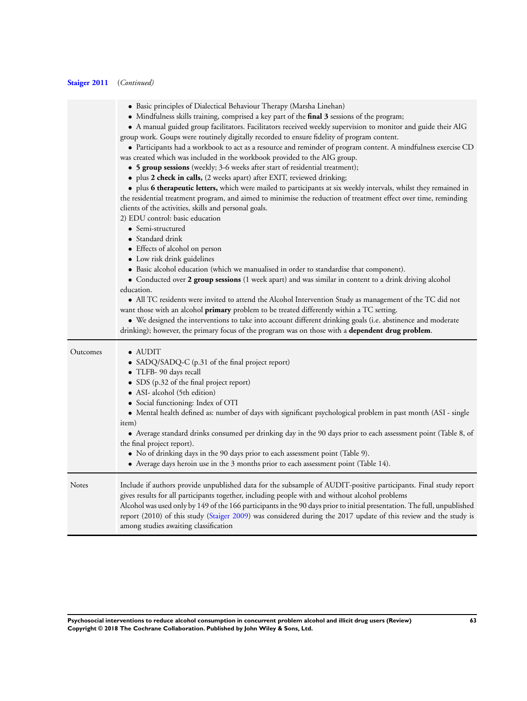# **[Staiger 2011](#page-37-0)** (*Continued)*

 $\overline{\phantom{a}}$ 

|          | • Basic principles of Dialectical Behaviour Therapy (Marsha Linehan)<br>• Mindfulness skills training, comprised a key part of the final 3 sessions of the program;<br>• A manual guided group facilitators. Facilitators received weekly supervision to monitor and guide their AIG<br>group work. Goups were routinely digitally recorded to ensure fidelity of program content.<br>• Participants had a workbook to act as a resource and reminder of program content. A mindfulness exercise CD<br>was created which was included in the workbook provided to the AIG group.<br>• 5 group sessions (weekly; 3-6 weeks after start of residential treatment);<br>• plus 2 check in calls, (2 weeks apart) after EXIT, reviewed drinking;<br>• plus 6 therapeutic letters, which were mailed to participants at six weekly intervals, whilst they remained in<br>the residential treatment program, and aimed to minimise the reduction of treatment effect over time, reminding<br>clients of the activities, skills and personal goals.<br>2) EDU control: basic education<br>• Semi-structured<br>• Standard drink<br>• Effects of alcohol on person<br>• Low risk drink guidelines<br>• Basic alcohol education (which we manualised in order to standardise that component).<br>• Conducted over 2 group sessions (1 week apart) and was similar in content to a drink driving alcohol<br>education.<br>• All TC residents were invited to attend the Alcohol Intervention Study as management of the TC did not<br>want those with an alcohol primary problem to be treated differently within a TC setting.<br>• We designed the interventions to take into account different drinking goals (i.e. abstinence and moderate<br>drinking); however, the primary focus of the program was on those with a dependent drug problem. |
|----------|-----------------------------------------------------------------------------------------------------------------------------------------------------------------------------------------------------------------------------------------------------------------------------------------------------------------------------------------------------------------------------------------------------------------------------------------------------------------------------------------------------------------------------------------------------------------------------------------------------------------------------------------------------------------------------------------------------------------------------------------------------------------------------------------------------------------------------------------------------------------------------------------------------------------------------------------------------------------------------------------------------------------------------------------------------------------------------------------------------------------------------------------------------------------------------------------------------------------------------------------------------------------------------------------------------------------------------------------------------------------------------------------------------------------------------------------------------------------------------------------------------------------------------------------------------------------------------------------------------------------------------------------------------------------------------------------------------------------------------------------------------------------------------------------------------------------------------------------|
| Outcomes | $\bullet$ AUDIT<br>• SADQ/SADQ-C (p.31 of the final project report)<br>· TLFB- 90 days recall<br>• SDS (p.32 of the final project report)<br>• ASI- alcohol (5th edition)<br>• Social functioning: Index of OTI<br>• Mental health defined as: number of days with significant psychological problem in past month (ASI - single<br>item)<br>• Average standard drinks consumed per drinking day in the 90 days prior to each assessment point (Table 8, of<br>the final project report).<br>• No of drinking days in the 90 days prior to each assessment point (Table 9).<br>• Average days heroin use in the 3 months prior to each assessment point (Table 14).                                                                                                                                                                                                                                                                                                                                                                                                                                                                                                                                                                                                                                                                                                                                                                                                                                                                                                                                                                                                                                                                                                                                                                     |
| Notes    | Include if authors provide unpublished data for the subsample of AUDIT-positive participants. Final study report<br>gives results for all participants together, including people with and without alcohol problems<br>Alcohol was used only by 149 of the 166 participants in the 90 days prior to initial presentation. The full, unpublished<br>report (2010) of this study (Staiger 2009) was considered during the 2017 update of this review and the study is<br>among studies awaiting classification                                                                                                                                                                                                                                                                                                                                                                                                                                                                                                                                                                                                                                                                                                                                                                                                                                                                                                                                                                                                                                                                                                                                                                                                                                                                                                                            |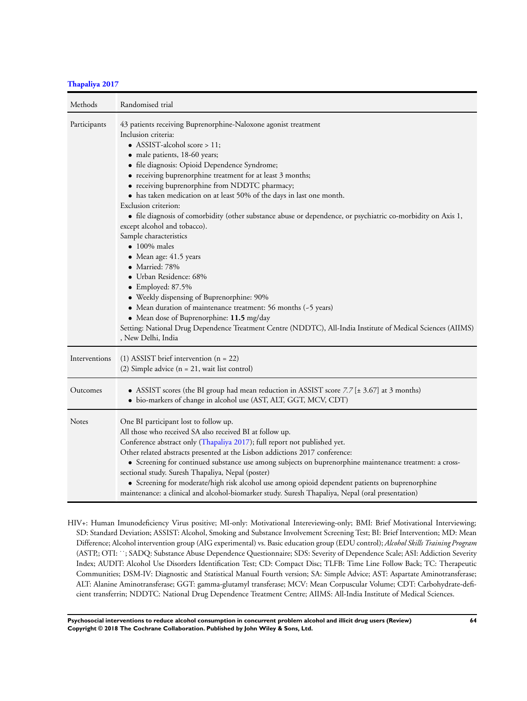## **[Thapaliya 2017](#page-37-0)**

| Methods       | Randomised trial                                                                                                                                                                                                                                                                                                                                                                                                                                                                                                                                                                                                                                                                                                                                                                                                                                                                                                                                                                                                               |
|---------------|--------------------------------------------------------------------------------------------------------------------------------------------------------------------------------------------------------------------------------------------------------------------------------------------------------------------------------------------------------------------------------------------------------------------------------------------------------------------------------------------------------------------------------------------------------------------------------------------------------------------------------------------------------------------------------------------------------------------------------------------------------------------------------------------------------------------------------------------------------------------------------------------------------------------------------------------------------------------------------------------------------------------------------|
| Participants  | 43 patients receiving Buprenorphine-Naloxone agonist treatment<br>Inclusion criteria:<br>• ASSIST-alcohol score > 11;<br>· male patients, 18-60 years;<br>• file diagnosis: Opioid Dependence Syndrome;<br>• receiving buprenorphine treatment for at least 3 months;<br>• receiving buprenorphine from NDDTC pharmacy;<br>• has taken medication on at least 50% of the days in last one month.<br>Exclusion criterion:<br>• file diagnosis of comorbidity (other substance abuse or dependence, or psychiatric co-morbidity on Axis 1,<br>except alcohol and tobacco).<br>Sample characteristics<br>$\bullet$ 100% males<br>• Mean age: 41.5 years<br>• Married: 78%<br>• Urban Residence: 68%<br>$\bullet$ Employed: 87.5%<br>• Weekly dispensing of Buprenorphine: 90%<br>• Mean duration of maintenance treatment: 56 months (~5 years)<br>• Mean dose of Buprenorphine: 11.5 mg/day<br>Setting: National Drug Dependence Treatment Centre (NDDTC), All-India Institute of Medical Sciences (AIIMS)<br>, New Delhi, India |
| Interventions | $(1)$ ASSIST brief intervention $(n = 22)$<br>(2) Simple advice $(n = 21$ , wait list control)                                                                                                                                                                                                                                                                                                                                                                                                                                                                                                                                                                                                                                                                                                                                                                                                                                                                                                                                 |
| Outcomes      | • ASSIST scores (the BI group had mean reduction in ASSIST score $7.7$ [ $\pm$ 3.67] at 3 months)<br>• bio-markers of change in alcohol use (AST, ALT, GGT, MCV, CDT)                                                                                                                                                                                                                                                                                                                                                                                                                                                                                                                                                                                                                                                                                                                                                                                                                                                          |
| Notes         | One BI participant lost to follow up.<br>All those who received SA also received BI at follow up.<br>Conference abstract only (Thapaliya 2017); full report not published yet.<br>Other related abstracts presented at the Lisbon addictions 2017 conference:<br>• Screening for continued substance use among subjects on buprenorphine maintenance treatment: a cross-<br>sectional study. Suresh Thapaliya, Nepal (poster)<br>• Screening for moderate/high risk alcohol use among opioid dependent patients on buprenorphine<br>maintenance: a clinical and alcohol-biomarker study. Suresh Thapaliya, Nepal (oral presentation)                                                                                                                                                                                                                                                                                                                                                                                           |

HIV+: Human Imunodeficiency Virus positive; MI-only: Motivational Intereviewing-only; BMI: Brief Motivational Interviewing; SD: Standard Deviation; ASSIST: Alcohol, Smoking and Substance Involvement Screening Test; BI: Brief Intervention; MD: Mean Difference; Alcohol intervention group (AIG experimental) vs. Basic education group (EDU control); *Alcohol Skills Training Program* (ASTP,; OTI: ˙˙; SADQ: Substance Abuse Dependence Questionnaire; SDS: Severity of Dependence Scale; ASI: Addiction Severity Index; AUDIT: Alcohol Use Disorders Identification Test; CD: Compact Disc; TLFB: Time Line Follow Back; TC: Therapeutic Communities; DSM-IV: Diagnostic and Statistical Manual Fourth version; SA: Simple Advice; AST: Aspartate Aminotransferase; ALT: Alanine Aminotransferase; GGT: gamma-glutamyl transferase; MCV: Mean Corpuscular Volume; CDT: Carbohydrate-deficient transferrin; NDDTC: National Drug Dependence Treatment Centre; AIIMS: All-India Institute of Medical Sciences.

**Psychosocial interventions to reduce alcohol consumption in concurrent problem alcohol and illicit drug users (Review) 64 Copyright © 2018 The Cochrane Collaboration. Published by John Wiley & Sons, Ltd.**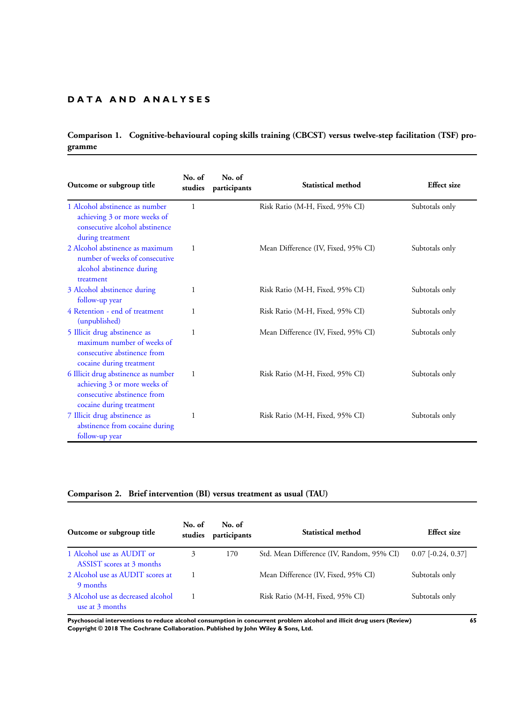# **D A T A A N D A N A L Y S E S**

# **Comparison 1. Cognitive-behavioural coping skills training (CBCST) versus twelve-step facilitation (TSF) programme**

| Outcome or subgroup title                                                                                                      | No. of<br>studies | No. of<br>participants | Statistical method                  | <b>Effect</b> size |
|--------------------------------------------------------------------------------------------------------------------------------|-------------------|------------------------|-------------------------------------|--------------------|
| 1 Alcohol abstinence as number<br>achieving 3 or more weeks of<br>consecutive alcohol abstinence<br>during treatment           | 1                 |                        | Risk Ratio (M-H, Fixed, 95% CI)     | Subtotals only     |
| 2 Alcohol abstinence as maximum<br>number of weeks of consecutive<br>alcohol abstinence during<br>treatment                    | 1                 |                        | Mean Difference (IV, Fixed, 95% CI) | Subtotals only     |
| 3 Alcohol abstinence during<br>follow-up year                                                                                  | 1                 |                        | Risk Ratio (M-H, Fixed, 95% CI)     | Subtotals only     |
| 4 Retention - end of treatment<br>(unpublished)                                                                                | 1                 |                        | Risk Ratio (M-H, Fixed, 95% CI)     | Subtotals only     |
| 5 Illicit drug abstinence as<br>maximum number of weeks of<br>consecutive abstinence from<br>cocaine during treatment          | 1                 |                        | Mean Difference (IV, Fixed, 95% CI) | Subtotals only     |
| 6 Illicit drug abstinence as number<br>achieving 3 or more weeks of<br>consecutive abstinence from<br>cocaine during treatment | 1                 |                        | Risk Ratio (M-H, Fixed, 95% CI)     | Subtotals only     |
| 7 Illicit drug abstinence as<br>abstinence from cocaine during<br>follow-up year                                               | 1                 |                        | Risk Ratio (M-H, Fixed, 95% CI)     | Subtotals only     |

## **Comparison 2. Brief intervention (BI) versus treatment as usual (TAU)**

| Outcome or subgroup title                              | No. of<br>studies | No. of<br>participants | Statistical method                        | <b>Effect size</b>          |
|--------------------------------------------------------|-------------------|------------------------|-------------------------------------------|-----------------------------|
| 1 Alcohol use as AUDIT or<br>ASSIST scores at 3 months | 3                 | 170                    | Std. Mean Difference (IV, Random, 95% CI) | $0.07$ [ $-0.24$ , $0.37$ ] |
| 2 Alcohol use as AUDIT scores at<br>9 months           |                   |                        | Mean Difference (IV, Fixed, 95% CI)       | Subtotals only              |
| 3 Alcohol use as decreased alcohol<br>use at 3 months  |                   |                        | Risk Ratio (M-H, Fixed, 95% CI)           | Subtotals only              |

**Psychosocial interventions to reduce alcohol consumption in concurrent problem alcohol and illicit drug users (Review) 65 Copyright © 2018 The Cochrane Collaboration. Published by John Wiley & Sons, Ltd.**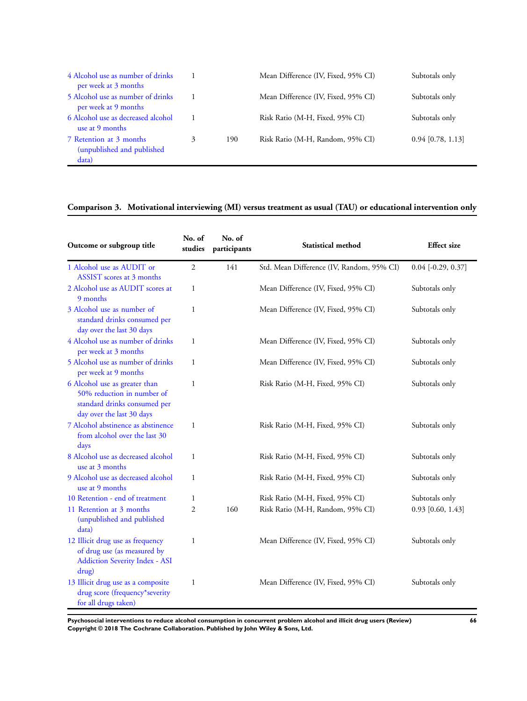| 4 Alcohol use as number of drinks<br>per week at 3 months      |   |     | Mean Difference (IV, Fixed, 95% CI) | Subtotals only      |
|----------------------------------------------------------------|---|-----|-------------------------------------|---------------------|
| 5 Alcohol use as number of drinks<br>per week at 9 months      |   |     | Mean Difference (IV, Fixed, 95% CI) | Subtotals only      |
| 6 Alcohol use as decreased alcohol<br>use at 9 months          |   |     | Risk Ratio (M-H, Fixed, 95% CI)     | Subtotals only      |
| 7 Retention at 3 months<br>(unpublished and published<br>data) | 3 | 190 | Risk Ratio (M-H, Random, 95% CI)    | $0.94$ [0.78, 1.13] |

# **Comparison 3. Motivational interviewing (MI) versus treatment as usual (TAU) or educational intervention only**

| Outcome or subgroup title                                                                                                | No. of<br>studies | No. of<br>participants | Statistical method                        | <b>Effect</b> size   |  |
|--------------------------------------------------------------------------------------------------------------------------|-------------------|------------------------|-------------------------------------------|----------------------|--|
| 1 Alcohol use as AUDIT or<br>ASSIST scores at 3 months                                                                   | $\overline{2}$    | 141                    | Std. Mean Difference (IV, Random, 95% CI) | $0.04$ [-0.29, 0.37] |  |
| 2 Alcohol use as AUDIT scores at<br>9 months                                                                             | $\mathbf{1}$      |                        | Mean Difference (IV, Fixed, 95% CI)       | Subtotals only       |  |
| 3 Alcohol use as number of<br>standard drinks consumed per<br>day over the last 30 days                                  | $\mathbf{1}$      |                        | Mean Difference (IV, Fixed, 95% CI)       | Subtotals only       |  |
| 4 Alcohol use as number of drinks<br>per week at 3 months                                                                | $\mathbf{1}$      |                        | Mean Difference (IV, Fixed, 95% CI)       | Subtotals only       |  |
| 5 Alcohol use as number of drinks<br>per week at 9 months                                                                | $\mathbf{1}$      |                        | Mean Difference (IV, Fixed, 95% CI)       | Subtotals only       |  |
| 6 Alcohol use as greater than<br>50% reduction in number of<br>standard drinks consumed per<br>day over the last 30 days | $\mathbf{1}$      |                        | Risk Ratio (M-H, Fixed, 95% CI)           | Subtotals only       |  |
| 7 Alcohol abstinence as abstinence<br>from alcohol over the last 30<br>days                                              | $\mathbf{1}$      |                        | Risk Ratio (M-H, Fixed, 95% CI)           | Subtotals only       |  |
| 8 Alcohol use as decreased alcohol<br>use at 3 months                                                                    | 1                 |                        | Risk Ratio (M-H, Fixed, 95% CI)           | Subtotals only       |  |
| 9 Alcohol use as decreased alcohol<br>use at 9 months                                                                    | $\mathbf{1}$      |                        | Risk Ratio (M-H, Fixed, 95% CI)           | Subtotals only       |  |
| 10 Retention - end of treatment                                                                                          | $\mathbf{1}$      |                        | Risk Ratio (M-H, Fixed, 95% CI)           | Subtotals only       |  |
| 11 Retention at 3 months<br>(unpublished and published<br>data)                                                          | $\overline{2}$    | 160                    | Risk Ratio (M-H, Random, 95% CI)          | $0.93$ [0.60, 1.43]  |  |
| 12 Illicit drug use as frequency<br>of drug use (as measured by<br><b>Addiction Severity Index - ASI</b><br>drug)        | 1                 |                        | Mean Difference (IV, Fixed, 95% CI)       | Subtotals only       |  |
| 13 Illicit drug use as a composite<br>drug score (frequency*severity<br>for all drugs taken)                             | $\mathbf{1}$      |                        | Mean Difference (IV, Fixed, 95% CI)       | Subtotals only       |  |

**Psychosocial interventions to reduce alcohol consumption in concurrent problem alcohol and illicit drug users (Review) 66 Copyright © 2018 The Cochrane Collaboration. Published by John Wiley & Sons, Ltd.**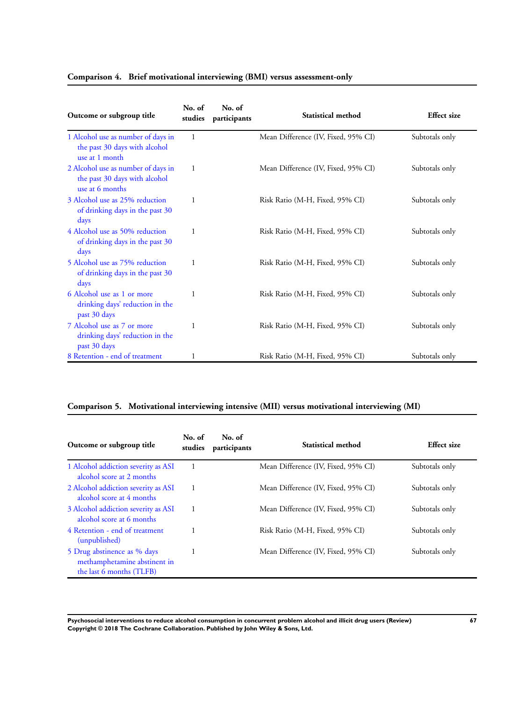| Outcome or subgroup title                                                              | No. of<br>studies | No. of<br>participants | Statistical method                  | <b>Effect</b> size |
|----------------------------------------------------------------------------------------|-------------------|------------------------|-------------------------------------|--------------------|
| 1 Alcohol use as number of days in<br>the past 30 days with alcohol<br>use at 1 month  | 1                 |                        | Mean Difference (IV, Fixed, 95% CI) | Subtotals only     |
| 2 Alcohol use as number of days in<br>the past 30 days with alcohol<br>use at 6 months | 1                 |                        | Mean Difference (IV, Fixed, 95% CI) | Subtotals only     |
| 3 Alcohol use as 25% reduction<br>of drinking days in the past 30<br>days              | 1                 |                        | Risk Ratio (M-H, Fixed, 95% CI)     | Subtotals only     |
| 4 Alcohol use as 50% reduction<br>of drinking days in the past 30<br>days              | 1                 |                        | Risk Ratio (M-H, Fixed, 95% CI)     | Subtotals only     |
| 5 Alcohol use as 75% reduction<br>of drinking days in the past 30<br>days              | 1                 |                        | Risk Ratio (M-H, Fixed, 95% CI)     | Subtotals only     |
| 6 Alcohol use as 1 or more<br>drinking days' reduction in the<br>past 30 days          | 1                 |                        | Risk Ratio (M-H, Fixed, 95% CI)     | Subtotals only     |
| 7 Alcohol use as 7 or more<br>drinking days' reduction in the<br>past 30 days          | 1                 |                        | Risk Ratio (M-H, Fixed, 95% CI)     | Subtotals only     |
| 8 Retention - end of treatment                                                         | 1                 |                        | Risk Ratio (M-H, Fixed, 95% CI)     | Subtotals only     |

## **Comparison 4. Brief motivational interviewing (BMI) versus assessment-only**

# **Comparison 5. Motivational interviewing intensive (MII) versus motivational interviewing (MI)**

| Outcome or subgroup title                                                               | No. of<br>studies | No. of<br>participants | Statistical method                  | Effect size    |
|-----------------------------------------------------------------------------------------|-------------------|------------------------|-------------------------------------|----------------|
| 1 Alcohol addiction severity as ASI<br>alcohol score at 2 months                        |                   |                        | Mean Difference (IV, Fixed, 95% CI) | Subtotals only |
| 2 Alcohol addiction severity as ASI<br>alcohol score at 4 months                        | 1                 |                        | Mean Difference (IV, Fixed, 95% CI) | Subtotals only |
| 3 Alcohol addiction severity as ASI<br>alcohol score at 6 months                        |                   |                        | Mean Difference (IV, Fixed, 95% CI) | Subtotals only |
| 4 Retention - end of treatment<br>(unpublished)                                         |                   |                        | Risk Ratio (M-H, Fixed, 95% CI)     | Subtotals only |
| 5 Drug abstinence as % days<br>methamphetamine abstinent in<br>the last 6 months (TLFB) |                   |                        | Mean Difference (IV, Fixed, 95% CI) | Subtotals only |

**Psychosocial interventions to reduce alcohol consumption in concurrent problem alcohol and illicit drug users (Review) 67 Copyright © 2018 The Cochrane Collaboration. Published by John Wiley & Sons, Ltd.**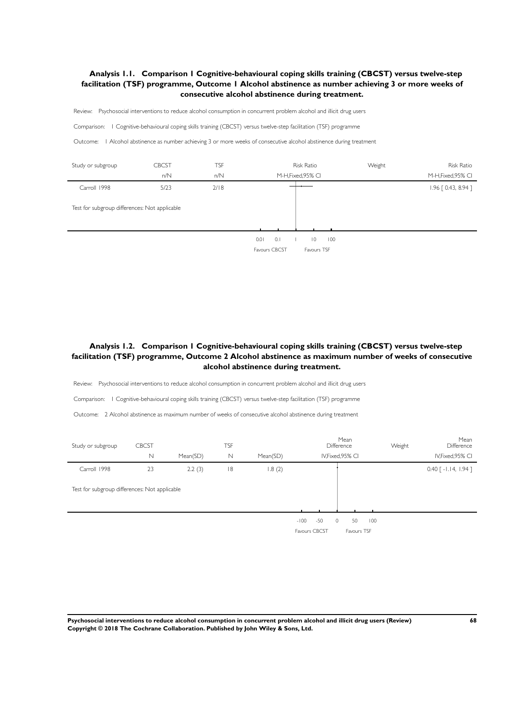## <span id="page-71-0"></span>**Analysis 1.1. Comparison 1 Cognitive-behavioural coping skills training (CBCST) versus twelve-step facilitation (TSF) programme, Outcome 1 Alcohol abstinence as number achieving 3 or more weeks of consecutive alcohol abstinence during treatment.**

Review: Psychosocial interventions to reduce alcohol consumption in concurrent problem alcohol and illicit drug users

Comparison: 1 Cognitive-behavioural coping skills training (CBCST) versus twelve-step facilitation (TSF) programme

Outcome: 1 Alcohol abstinence as number achieving 3 or more weeks of consecutive alcohol abstinence during treatment

| Study or subgroup                             | <b>CBCST</b><br>n/N | TSF<br>n/N | <b>Risk Ratio</b><br>M-H, Fixed, 95% CI                              | Weight | <b>Risk Ratio</b><br>M-H, Fixed, 95% CI |
|-----------------------------------------------|---------------------|------------|----------------------------------------------------------------------|--------|-----------------------------------------|
| Carroll 1998                                  | 5/23                | 2/18       |                                                                      |        | $1.96$ $[0.43, 8.94]$                   |
| Test for subgroup differences: Not applicable |                     |            |                                                                      |        |                                         |
|                                               |                     |            | 0.1<br>0.01<br>100<br>$\overline{0}$<br>Favours TSF<br>Favours CBCST |        |                                         |

## **Analysis 1.2. Comparison 1 Cognitive-behavioural coping skills training (CBCST) versus twelve-step facilitation (TSF) programme, Outcome 2 Alcohol abstinence as maximum number of weeks of consecutive alcohol abstinence during treatment.**

Review: Psychosocial interventions to reduce alcohol consumption in concurrent problem alcohol and illicit drug users

Comparison: 1 Cognitive-behavioural coping skills training (CBCST) versus twelve-step facilitation (TSF) programme

Outcome: 2 Alcohol abstinence as maximum number of weeks of consecutive alcohol abstinence during treatment

| Study or subgroup                             | <b>CBCST</b> |          | TSF |          | Mean<br><b>Difference</b>                   |                          | Weight | Mean<br>Difference          |
|-----------------------------------------------|--------------|----------|-----|----------|---------------------------------------------|--------------------------|--------|-----------------------------|
|                                               | $\mathbb N$  | Mean(SD) | N   | Mean(SD) | IV, Fixed, 95% CI                           |                          |        | IV, Fixed, 95% CI           |
| Carroll 1998                                  | 23           | 2.2(3)   | 8   | 1.8(2)   |                                             |                          |        | $0.40$ [ $-1.14$ , $1.94$ ] |
| Test for subgroup differences: Not applicable |              |          |     |          |                                             |                          |        |                             |
|                                               |              |          |     |          | $-50$<br>$-100$<br>$\circ$<br>Favours CBCST | 50<br>100<br>Favours TSF |        |                             |

**Psychosocial interventions to reduce alcohol consumption in concurrent problem alcohol and illicit drug users (Review) 68 Copyright © 2018 The Cochrane Collaboration. Published by John Wiley & Sons, Ltd.**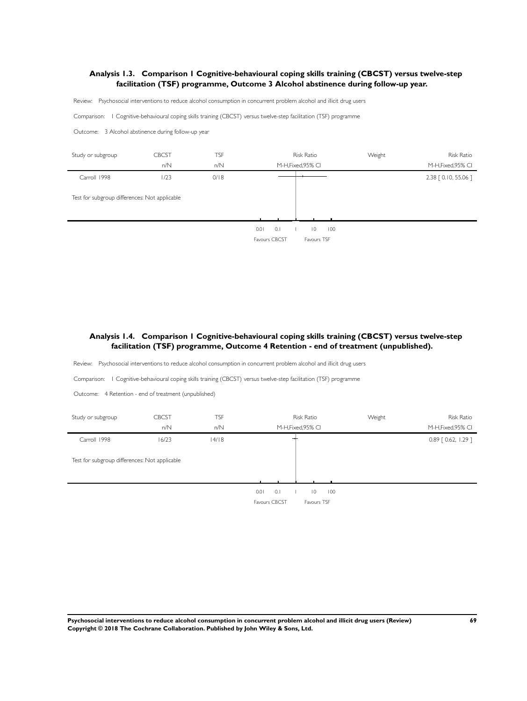### **Analysis 1.3. Comparison 1 Cognitive-behavioural coping skills training (CBCST) versus twelve-step facilitation (TSF) programme, Outcome 3 Alcohol abstinence during follow-up year.**

Review: Psychosocial interventions to reduce alcohol consumption in concurrent problem alcohol and illicit drug users

Comparison: 1 Cognitive-behavioural coping skills training (CBCST) versus twelve-step facilitation (TSF) programme

Outcome: 3 Alcohol abstinence during follow-up year



# **Analysis 1.4. Comparison 1 Cognitive-behavioural coping skills training (CBCST) versus twelve-step facilitation (TSF) programme, Outcome 4 Retention - end of treatment (unpublished).**

Review: Psychosocial interventions to reduce alcohol consumption in concurrent problem alcohol and illicit drug users

Comparison: 1 Cognitive-behavioural coping skills training (CBCST) versus twelve-step facilitation (TSF) programme

Outcome: 4 Retention - end of treatment (unpublished)



**Psychosocial interventions to reduce alcohol consumption in concurrent problem alcohol and illicit drug users (Review) 69 Copyright © 2018 The Cochrane Collaboration. Published by John Wiley & Sons, Ltd.**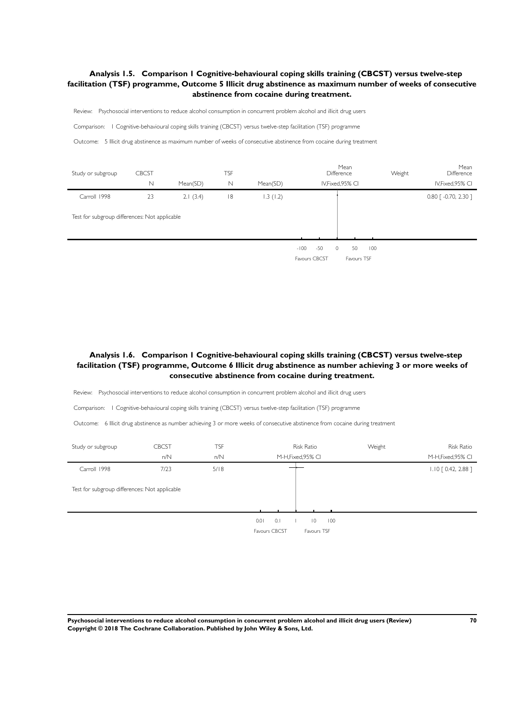# **Analysis 1.5. Comparison 1 Cognitive-behavioural coping skills training (CBCST) versus twelve-step facilitation (TSF) programme, Outcome 5 Illicit drug abstinence as maximum number of weeks of consecutive abstinence from cocaine during treatment.**

Review: Psychosocial interventions to reduce alcohol consumption in concurrent problem alcohol and illicit drug users

Comparison: 1 Cognitive-behavioural coping skills training (CBCST) versus twelve-step facilitation (TSF) programme

Outcome: 5 Illicit drug abstinence as maximum number of weeks of consecutive abstinence from cocaine during treatment

| Study or subgroup                             | <b>CBCST</b> |          | <b>TSF</b>  |          |                         |       | Mean<br>Difference           |     | Weight | Mean<br>Difference                 |
|-----------------------------------------------|--------------|----------|-------------|----------|-------------------------|-------|------------------------------|-----|--------|------------------------------------|
|                                               | N            | Mean(SD) | $\mathbb N$ | Mean(SD) |                         |       | IV, Fixed, 95% CI            |     |        | IV, Fixed, 95% CI                  |
| Carroll 1998                                  | 23           | 2.1(3.4) | 8           | 1.3(1.2) |                         |       |                              |     |        | $0.80$ $\lceil -0.70, 2.30 \rceil$ |
| Test for subgroup differences: Not applicable |              |          |             |          |                         |       |                              |     |        |                                    |
|                                               |              |          |             |          | $-100$<br>Favours CBCST | $-50$ | $\circ$<br>50<br>Favours TSF | 100 |        |                                    |

# **Analysis 1.6. Comparison 1 Cognitive-behavioural coping skills training (CBCST) versus twelve-step facilitation (TSF) programme, Outcome 6 Illicit drug abstinence as number achieving 3 or more weeks of consecutive abstinence from cocaine during treatment.**

Review: Psychosocial interventions to reduce alcohol consumption in concurrent problem alcohol and illicit drug users

Comparison: 1 Cognitive-behavioural coping skills training (CBCST) versus twelve-step facilitation (TSF) programme

Outcome: 6 Illicit drug abstinence as number achieving 3 or more weeks of consecutive abstinence from cocaine during treatment

| Study or subgroup                             | <b>CBCST</b><br>n/N | <b>TSF</b><br>n/N | <b>Risk Ratio</b><br>M-H, Fixed, 95% CI                              | Weight | <b>Risk Ratio</b><br>M-H, Fixed, 95% CI |
|-----------------------------------------------|---------------------|-------------------|----------------------------------------------------------------------|--------|-----------------------------------------|
| Carroll 1998                                  | 7/23                | 5/18              |                                                                      |        | $1.10$ $[0.42, 2.88]$                   |
| Test for subgroup differences: Not applicable |                     |                   |                                                                      |        |                                         |
|                                               |                     |                   | 0.1<br>0.01<br>$\overline{0}$<br>100<br>Favours CBCST<br>Favours TSF |        |                                         |

**Psychosocial interventions to reduce alcohol consumption in concurrent problem alcohol and illicit drug users (Review) 70 Copyright © 2018 The Cochrane Collaboration. Published by John Wiley & Sons, Ltd.**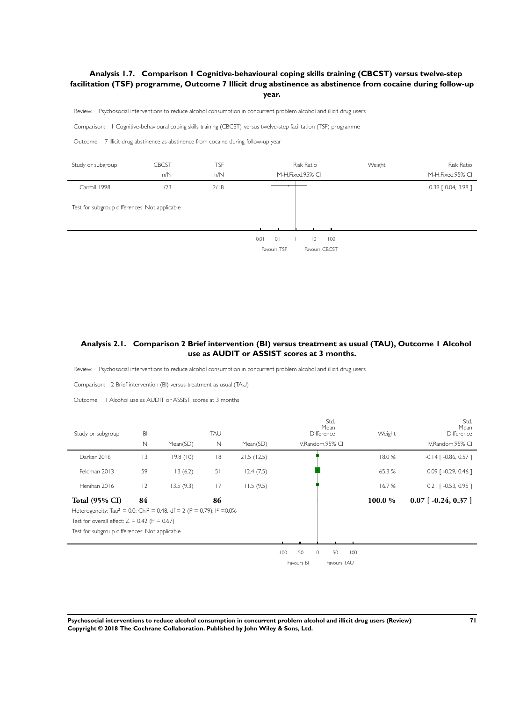### **Analysis 1.7. Comparison 1 Cognitive-behavioural coping skills training (CBCST) versus twelve-step facilitation (TSF) programme, Outcome 7 Illicit drug abstinence as abstinence from cocaine during follow-up year.**

Review: Psychosocial interventions to reduce alcohol consumption in concurrent problem alcohol and illicit drug users

Comparison: 1 Cognitive-behavioural coping skills training (CBCST) versus twelve-step facilitation (TSF) programme

Outcome: 7 Illicit drug abstinence as abstinence from cocaine during follow-up year



# **Analysis 2.1. Comparison 2 Brief intervention (BI) versus treatment as usual (TAU), Outcome 1 Alcohol use as AUDIT or ASSIST scores at 3 months.**

Review: Psychosocial interventions to reduce alcohol consumption in concurrent problem alcohol and illicit drug users

Comparison: 2 Brief intervention (BI) versus treatment as usual (TAU)

Outcome: 1 Alcohol use as AUDIT or ASSIST scores at 3 months

| Study or subgroup                                                                                                                                                                                                                    | BI           |           | TAU         |            | Std.<br>Mean<br>Difference                                           | Weight | Std.<br>Mean<br>Difference |
|--------------------------------------------------------------------------------------------------------------------------------------------------------------------------------------------------------------------------------------|--------------|-----------|-------------|------------|----------------------------------------------------------------------|--------|----------------------------|
|                                                                                                                                                                                                                                      | $\mathsf{N}$ | Mean(SD)  | $\mathbb N$ | Mean(SD)   | IV, Random, 95% CI                                                   |        | IV, Random, 95% CI         |
| Darker 2016                                                                                                                                                                                                                          | 3            | 19.8(10)  | 8           | 21.5(12.5) |                                                                      | 18.0%  | $-0.14$ [ $-0.86$ , 0.57 ] |
| Feldman 2013                                                                                                                                                                                                                         | 59           | 13(6.2)   | 51          | 12.4(7.5)  |                                                                      | 65.3%  | $0.09$ $[ -0.29, 0.46 ]$   |
| Henihan 2016                                                                                                                                                                                                                         | 12           | 13.5(9.3) | 17          | 11.5(9.5)  |                                                                      | 16.7%  | $0.21$ $[-0.53, 0.95]$     |
| <b>Total (95% CI)</b><br>Heterogeneity: Tau <sup>2</sup> = 0.0; Chi <sup>2</sup> = 0.48, df = 2 (P = 0.79); l <sup>2</sup> = 0.0%<br>Test for overall effect: $Z = 0.42$ (P = 0.67)<br>Test for subgroup differences: Not applicable | 84           |           | 86          |            |                                                                      | 100.0% | $0.07$ [ -0.24, 0.37 ]     |
|                                                                                                                                                                                                                                      |              |           |             |            | $-50$<br>50<br>100<br>$-100$<br>$\circ$<br>Favours BI<br>Favours TAU |        |                            |

**Psychosocial interventions to reduce alcohol consumption in concurrent problem alcohol and illicit drug users (Review) 71 Copyright © 2018 The Cochrane Collaboration. Published by John Wiley & Sons, Ltd.**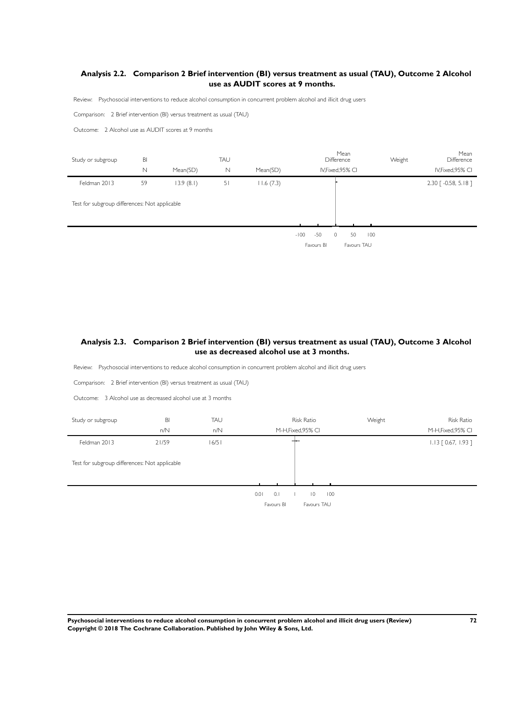# **Analysis 2.2. Comparison 2 Brief intervention (BI) versus treatment as usual (TAU), Outcome 2 Alcohol use as AUDIT scores at 9 months.**

Review: Psychosocial interventions to reduce alcohol consumption in concurrent problem alcohol and illicit drug users

Comparison: 2 Brief intervention (BI) versus treatment as usual (TAU)

Outcome: 2 Alcohol use as AUDIT scores at 9 months

| Study or subgroup                             | BI          |           | TAU            |           |        |       | Mean<br>Difference |    |     | Weight | Mean<br>Difference                 |
|-----------------------------------------------|-------------|-----------|----------------|-----------|--------|-------|--------------------|----|-----|--------|------------------------------------|
|                                               | $\mathbb N$ | Mean(SD)  | Ν              | Mean(SD)  |        |       | IV, Fixed, 95% CI  |    |     |        | IV, Fixed, 95% CI                  |
| Feldman 2013                                  | 59          | 13.9(8.1) | 5 <sub>1</sub> | 11.6(7.3) |        |       |                    |    |     |        | $2.30$ $\lceil -0.58, 5.18 \rceil$ |
| Test for subgroup differences: Not applicable |             |           |                |           |        |       |                    |    |     |        |                                    |
|                                               |             |           |                |           | $-100$ | $-50$ | 0                  | 50 | 100 |        |                                    |

Favours BI Favours TAU

# **Analysis 2.3. Comparison 2 Brief intervention (BI) versus treatment as usual (TAU), Outcome 3 Alcohol use as decreased alcohol use at 3 months.**

Review: Psychosocial interventions to reduce alcohol consumption in concurrent problem alcohol and illicit drug users

Comparison: 2 Brief intervention (BI) versus treatment as usual (TAU)

Outcome: 3 Alcohol use as decreased alcohol use at 3 months

l,

| Study or subgroup                             | BI<br>n/N | TAU<br>n/N | <b>Risk Ratio</b><br>M-H, Fixed, 95% CI                           | Weight | <b>Risk Ratio</b><br>M-H, Fixed, 95% CI |
|-----------------------------------------------|-----------|------------|-------------------------------------------------------------------|--------|-----------------------------------------|
| Feldman 2013                                  | 21/59     | 16/51      |                                                                   |        | $1.13$ [ 0.67, 1.93 ]                   |
| Test for subgroup differences: Not applicable |           |            |                                                                   |        |                                         |
|                                               |           |            | 0.1<br>100<br>0.01<br>$\overline{0}$<br>Favours BI<br>Favours TAU |        |                                         |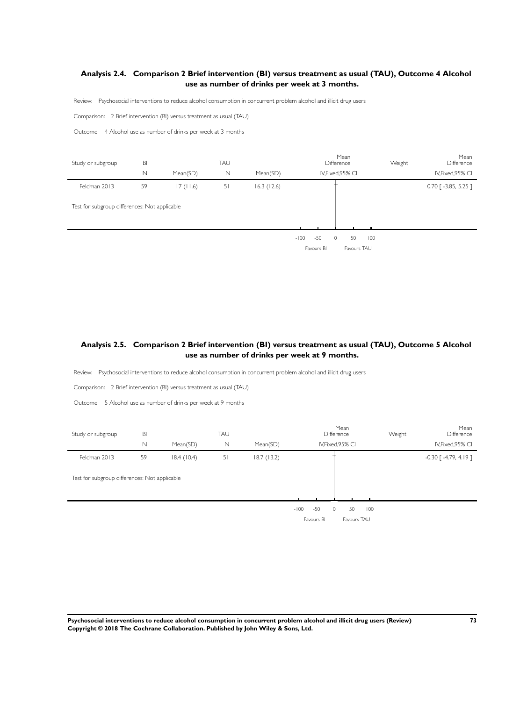# **Analysis 2.4. Comparison 2 Brief intervention (BI) versus treatment as usual (TAU), Outcome 4 Alcohol use as number of drinks per week at 3 months.**

Review: Psychosocial interventions to reduce alcohol consumption in concurrent problem alcohol and illicit drug users

Comparison: 2 Brief intervention (BI) versus treatment as usual (TAU)

Outcome: 4 Alcohol use as number of drinks per week at 3 months

l.

| Study or subgroup                             | BI |          | TAU |            | Mean<br>Difference                                                   | Weight | Mean<br>Difference     |
|-----------------------------------------------|----|----------|-----|------------|----------------------------------------------------------------------|--------|------------------------|
|                                               | N  | Mean(SD) | N   | Mean(SD)   | IV, Fixed, 95% CI                                                    |        | IV, Fixed, 95% CI      |
| Feldman 2013                                  | 59 | 17(11.6) | 51  | 16.3(12.6) |                                                                      |        | $0.70$ [ -3.85, 5.25 ] |
| Test for subgroup differences: Not applicable |    |          |     |            |                                                                      |        |                        |
|                                               |    |          |     |            | $-50$<br>100<br>$-100$<br>50<br>$\circ$<br>Favours TAU<br>Favours BI |        |                        |

### **Analysis 2.5. Comparison 2 Brief intervention (BI) versus treatment as usual (TAU), Outcome 5 Alcohol use as number of drinks per week at 9 months.**

Review: Psychosocial interventions to reduce alcohol consumption in concurrent problem alcohol and illicit drug users

Comparison: 2 Brief intervention (BI) versus treatment as usual (TAU)

Outcome: 5 Alcohol use as number of drinks per week at 9 months

| Study or subgroup                             | BI |            | TAU |            | Mean<br>Difference                                            | Weight | Mean<br>Difference                  |
|-----------------------------------------------|----|------------|-----|------------|---------------------------------------------------------------|--------|-------------------------------------|
|                                               | N  | Mean(SD)   | N   | Mean(SD)   | IV, Fixed, 95% CI                                             |        | IV, Fixed, 95% CI                   |
| Feldman 2013                                  | 59 | 18.4(10.4) | 51  | 18.7(13.2) |                                                               |        | $-0.30$ $\lceil -4.79, 4.19 \rceil$ |
| Test for subgroup differences: Not applicable |    |            |     |            |                                                               |        |                                     |
|                                               |    |            |     |            | $-50$<br>50<br>$-100$<br>$\circ$<br>Favours BI<br>Favours TAU | 100    |                                     |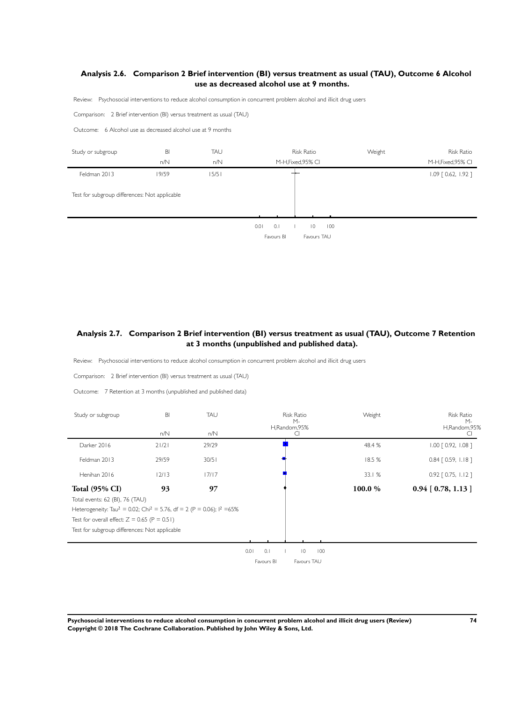# **Analysis 2.6. Comparison 2 Brief intervention (BI) versus treatment as usual (TAU), Outcome 6 Alcohol use as decreased alcohol use at 9 months.**

Review: Psychosocial interventions to reduce alcohol consumption in concurrent problem alcohol and illicit drug users

Comparison: 2 Brief intervention (BI) versus treatment as usual (TAU)

Outcome: 6 Alcohol use as decreased alcohol use at 9 months



# **Analysis 2.7. Comparison 2 Brief intervention (BI) versus treatment as usual (TAU), Outcome 7 Retention at 3 months (unpublished and published data).**

Review: Psychosocial interventions to reduce alcohol consumption in concurrent problem alcohol and illicit drug users

Comparison: 2 Brief intervention (BI) versus treatment as usual (TAU)

Outcome: 7 Retention at 3 months (unpublished and published data)

j.

| Study or subgroup                                                                                        | BI    | <b>TAU</b> | <b>Risk Ratio</b><br>М-   | Weight | <b>Risk Ratio</b><br>$M -$ |  |
|----------------------------------------------------------------------------------------------------------|-------|------------|---------------------------|--------|----------------------------|--|
|                                                                                                          | n/N   | n/N        | H,Random,95%              |        | H,Random,95%               |  |
| Darker 2016                                                                                              | 21/21 | 29/29      |                           | 48.4 % | 1.00 [ 0.92, 1.08 ]        |  |
| Feldman 2013                                                                                             | 29/59 | 30/51      |                           | 18.5 % | $0.84$ $[0.59, 1.18]$      |  |
| Henihan 2016                                                                                             | 12/13 | 17/17      |                           | 33.1 % | $0.92$ $[0.75, 1.12]$      |  |
| <b>Total (95% CI)</b>                                                                                    | 93    | 97         |                           | 100.0% | $0.94$ [ 0.78, 1.13 ]      |  |
| Total events: 62 (BI), 76 (TAU)                                                                          |       |            |                           |        |                            |  |
| Heterogeneity: Tau <sup>2</sup> = 0.02; Chi <sup>2</sup> = 5.76, df = 2 (P = 0.06); l <sup>2</sup> = 65% |       |            |                           |        |                            |  |
| Test for overall effect: $Z = 0.65$ (P = 0.51)                                                           |       |            |                           |        |                            |  |
| Test for subgroup differences: Not applicable                                                            |       |            |                           |        |                            |  |
|                                                                                                          |       |            |                           |        |                            |  |
|                                                                                                          |       |            | 0<br>0.01<br>0.1<br>100   |        |                            |  |
|                                                                                                          |       |            | Favours BI<br>Favours TAU |        |                            |  |

**Psychosocial interventions to reduce alcohol consumption in concurrent problem alcohol and illicit drug users (Review) 74 Copyright © 2018 The Cochrane Collaboration. Published by John Wiley & Sons, Ltd.**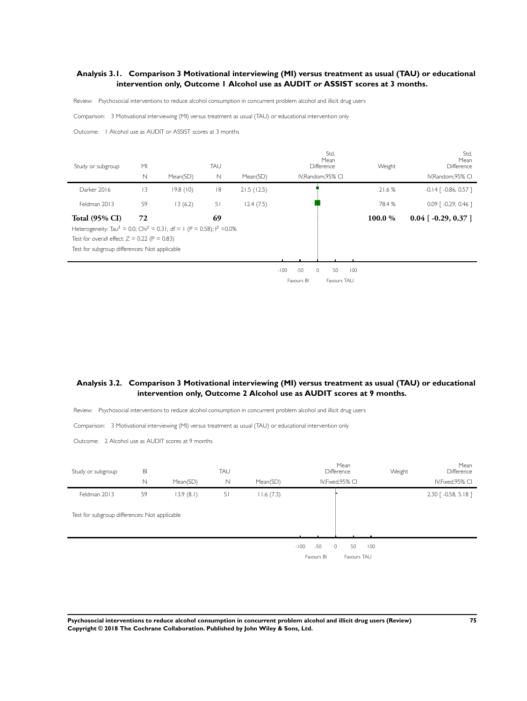# **Analysis 3.1. Comparison 3 Motivational interviewing (MI) versus treatment as usual (TAU) or educational intervention only, Outcome 1 Alcohol use as AUDIT or ASSIST scores at 3 months.**

Review: Psychosocial interventions to reduce alcohol consumption in concurrent problem alcohol and illicit drug users

Comparison: 3 Motivational interviewing (MI) versus treatment as usual (TAU) or educational intervention only

Outcome: 1 Alcohol use as AUDIT or ASSIST scores at 3 months

| M <sub>l</sub> |          | TAU                                                                                             |            | Std.<br>Mean<br>Difference                                                                               | Weight                     | Std.<br>Mean<br>Difference         |
|----------------|----------|-------------------------------------------------------------------------------------------------|------------|----------------------------------------------------------------------------------------------------------|----------------------------|------------------------------------|
| $\mathbb N$    | Mean(SD) | N                                                                                               | Mean(SD)   | IV, Random, 95% CI                                                                                       |                            | IV, Random, 95% CI                 |
| 3              | 19.8(10) | 8                                                                                               | 21.5(12.5) |                                                                                                          | 21.6 %                     | $-0.14$ [ $-0.86$ , 0.57 ]         |
| 59             | 13(6.2)  | 51                                                                                              | 12.4(7.5)  |                                                                                                          | 78.4 %                     | $0.09$ $\lceil -0.29, 0.46 \rceil$ |
| 72             |          | 69                                                                                              |            |                                                                                                          | 100.0%                     | $0.04$ [ -0.29, 0.37 ]             |
|                |          |                                                                                                 |            |                                                                                                          |                            |                                    |
|                |          |                                                                                                 |            |                                                                                                          |                            |                                    |
|                |          |                                                                                                 |            |                                                                                                          |                            |                                    |
|                |          |                                                                                                 |            |                                                                                                          |                            |                                    |
|                |          | Test for overall effect: $Z = 0.22$ (P = 0.83)<br>Test for subgroup differences: Not applicable |            | Heterogeneity: Tau <sup>2</sup> = 0.0; Chi <sup>2</sup> = 0.31, df = 1 (P = 0.58); l <sup>2</sup> = 0.0% | $-50$<br>$-100$<br>50<br>0 | 100                                |

Favours BI Favours TAU

# **Analysis 3.2. Comparison 3 Motivational interviewing (MI) versus treatment as usual (TAU) or educational intervention only, Outcome 2 Alcohol use as AUDIT scores at 9 months.**

Review: Psychosocial interventions to reduce alcohol consumption in concurrent problem alcohol and illicit drug users

Comparison: 3 Motivational interviewing (MI) versus treatment as usual (TAU) or educational intervention only

Outcome: 2 Alcohol use as AUDIT scores at 9 months

| Study or subgroup                             | BI          |           | TAU         |           | Mean<br>Difference                                                   | Weight | Mean<br>Difference       |
|-----------------------------------------------|-------------|-----------|-------------|-----------|----------------------------------------------------------------------|--------|--------------------------|
|                                               | $\mathbb N$ | Mean(SD)  | $\mathbb N$ | Mean(SD)  | IV, Fixed, 95% CI                                                    |        | IV, Fixed, 95% CI        |
| Feldman 2013                                  | 59          | 13.9(8.1) | 51          | 11.6(7.3) |                                                                      |        | $2.30$ $[ -0.58, 5.18 ]$ |
| Test for subgroup differences: Not applicable |             |           |             |           |                                                                      |        |                          |
|                                               |             |           |             |           | $-50$<br>50<br>100<br>$-100$<br>$\circ$<br>Favours BI<br>Favours TAU |        |                          |

**Psychosocial interventions to reduce alcohol consumption in concurrent problem alcohol and illicit drug users (Review) 75 Copyright © 2018 The Cochrane Collaboration. Published by John Wiley & Sons, Ltd.**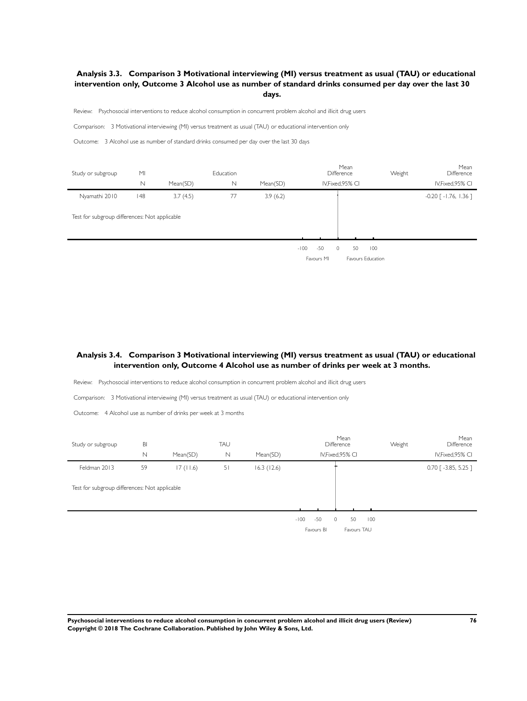# **Analysis 3.3. Comparison 3 Motivational interviewing (MI) versus treatment as usual (TAU) or educational intervention only, Outcome 3 Alcohol use as number of standard drinks consumed per day over the last 30 days.**

Review: Psychosocial interventions to reduce alcohol consumption in concurrent problem alcohol and illicit drug users

Comparison: 3 Motivational interviewing (MI) versus treatment as usual (TAU) or educational intervention only

Outcome: 3 Alcohol use as number of standard drinks consumed per day over the last 30 days

| Study or subgroup                             | M <sub>l</sub> |          | Education |          |                               | Mean<br>Difference | Weight                   | Mean<br>Difference           |
|-----------------------------------------------|----------------|----------|-----------|----------|-------------------------------|--------------------|--------------------------|------------------------------|
|                                               | $\mathbb N$    | Mean(SD) | N         | Mean(SD) |                               | IV, Fixed, 95% CI  |                          | IV, Fixed, 95% CI            |
| Nyamathi 2010                                 | 148            | 3.7(4.5) | 77        | 3.9(6.2) |                               |                    |                          | $-0.20$ [ $-1.76$ , $1.36$ ] |
| Test for subgroup differences: Not applicable |                |          |           |          |                               |                    |                          |                              |
|                                               |                |          |           |          | $-50$<br>$-100$<br>Favours MI | 50<br>0            | 100<br>Favours Education |                              |

# **Analysis 3.4. Comparison 3 Motivational interviewing (MI) versus treatment as usual (TAU) or educational intervention only, Outcome 4 Alcohol use as number of drinks per week at 3 months.**

Review: Psychosocial interventions to reduce alcohol consumption in concurrent problem alcohol and illicit drug users

Comparison: 3 Motivational interviewing (MI) versus treatment as usual (TAU) or educational intervention only

Outcome: 4 Alcohol use as number of drinks per week at 3 months

| Study or subgroup                             | BI          |          | TAU |            | Mean<br>Difference                                             | Mean<br>Weight<br><b>Difference</b> |
|-----------------------------------------------|-------------|----------|-----|------------|----------------------------------------------------------------|-------------------------------------|
|                                               | $\mathbb N$ | Mean(SD) | N   | Mean(SD)   | IV, Fixed, 95% CI                                              | IV, Fixed, 95% CI                   |
| Feldman 2013                                  | 59          | 17(11.6) | 51  | 16.3(12.6) |                                                                | $0.70$ [ -3.85, 5.25 ]              |
| Test for subgroup differences: Not applicable |             |          |     |            |                                                                |                                     |
|                                               |             |          |     |            |                                                                |                                     |
|                                               |             |          |     |            | 50<br>$-50$<br>$-100$<br>$\Omega$<br>Favours BI<br>Favours TAU | 100                                 |

**Psychosocial interventions to reduce alcohol consumption in concurrent problem alcohol and illicit drug users (Review) 76 Copyright © 2018 The Cochrane Collaboration. Published by John Wiley & Sons, Ltd.**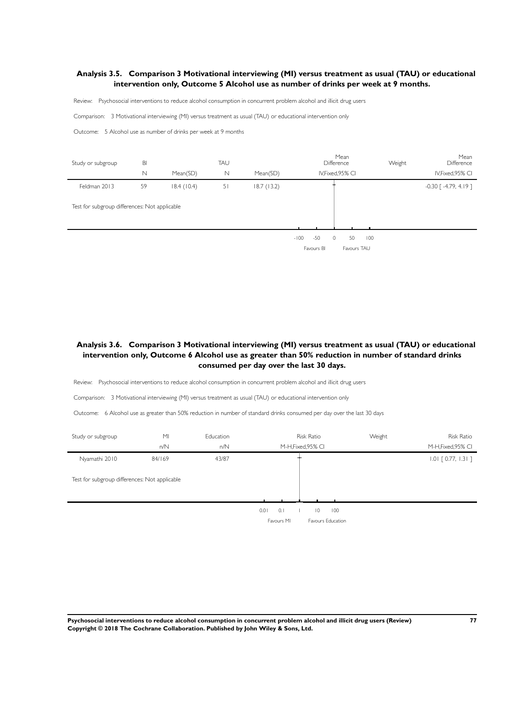#### **Analysis 3.5. Comparison 3 Motivational interviewing (MI) versus treatment as usual (TAU) or educational intervention only, Outcome 5 Alcohol use as number of drinks per week at 9 months.**

Review: Psychosocial interventions to reduce alcohol consumption in concurrent problem alcohol and illicit drug users

Comparison: 3 Motivational interviewing (MI) versus treatment as usual (TAU) or educational intervention only

Outcome: 5 Alcohol use as number of drinks per week at 9 months

| Study or subgroup                             | BI |            | TAU         |            | Mean<br><b>Difference</b>                                             | Weight | Mean<br>Difference           |
|-----------------------------------------------|----|------------|-------------|------------|-----------------------------------------------------------------------|--------|------------------------------|
|                                               | N  | Mean(SD)   | $\mathbb N$ | Mean(SD)   | IV, Fixed, 95% CI                                                     |        | IV, Fixed, 95% CI            |
| Feldman 2013                                  | 59 | 18.4(10.4) | 51          | 18.7(13.2) |                                                                       |        | $-0.30$ [ $-4.79$ , $4.19$ ] |
| Test for subgroup differences: Not applicable |    |            |             |            |                                                                       |        |                              |
|                                               |    |            |             |            | 50<br>$-50$<br>$\Omega$<br>100<br>$-100$<br>Favours BI<br>Favours TAU |        |                              |

# **Analysis 3.6. Comparison 3 Motivational interviewing (MI) versus treatment as usual (TAU) or educational intervention only, Outcome 6 Alcohol use as greater than 50% reduction in number of standard drinks consumed per day over the last 30 days.**

Review: Psychosocial interventions to reduce alcohol consumption in concurrent problem alcohol and illicit drug users

Comparison: 3 Motivational interviewing (MI) versus treatment as usual (TAU) or educational intervention only

Outcome: 6 Alcohol use as greater than 50% reduction in number of standard drinks consumed per day over the last 30 days

| Study or subgroup                             | M <sub>l</sub> | Education | <b>Risk Ratio</b>                    | Weight | Risk Ratio            |
|-----------------------------------------------|----------------|-----------|--------------------------------------|--------|-----------------------|
|                                               | n/N            | n/N       | M-H, Fixed, 95% CI                   |        | M-H, Fixed, 95% CI    |
| Nyamathi 2010                                 | 84/169         | 43/87     |                                      |        | $1.01$ $[0.77, 1.31]$ |
| Test for subgroup differences: Not applicable |                |           |                                      |        |                       |
|                                               |                |           |                                      |        |                       |
|                                               |                |           | 0.01<br>0.1<br>$\overline{0}$<br>100 |        |                       |
|                                               |                |           | Favours MI<br>Favours Education      |        |                       |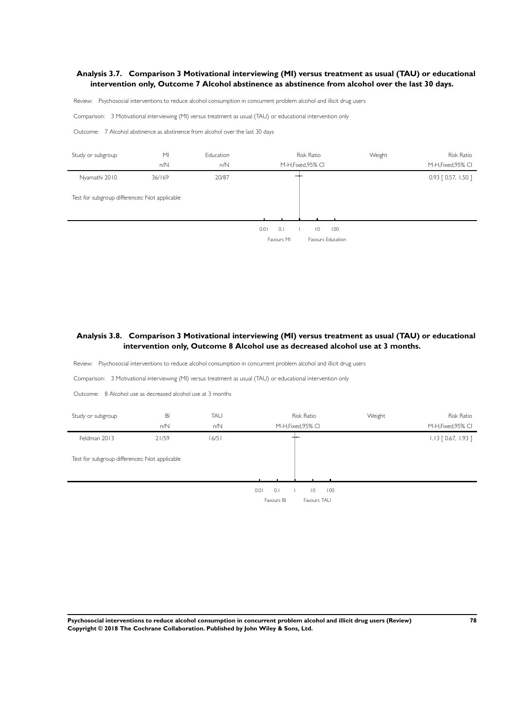#### **Analysis 3.7. Comparison 3 Motivational interviewing (MI) versus treatment as usual (TAU) or educational intervention only, Outcome 7 Alcohol abstinence as abstinence from alcohol over the last 30 days.**

Review: Psychosocial interventions to reduce alcohol consumption in concurrent problem alcohol and illicit drug users

Comparison: 3 Motivational interviewing (MI) versus treatment as usual (TAU) or educational intervention only

Outcome: 7 Alcohol abstinence as abstinence from alcohol over the last 30 days



# **Analysis 3.8. Comparison 3 Motivational interviewing (MI) versus treatment as usual (TAU) or educational intervention only, Outcome 8 Alcohol use as decreased alcohol use at 3 months.**

Review: Psychosocial interventions to reduce alcohol consumption in concurrent problem alcohol and illicit drug users

Comparison: 3 Motivational interviewing (MI) versus treatment as usual (TAU) or educational intervention only

Outcome: 8 Alcohol use as decreased alcohol use at 3 months

| Study or subgroup                             | BI<br>n/N | TAU<br>n/N | <b>Risk Ratio</b><br>M-H, Fixed, 95% CI                           | Weight | Risk Ratio<br>M-H, Fixed, 95% CI |
|-----------------------------------------------|-----------|------------|-------------------------------------------------------------------|--------|----------------------------------|
| Feldman 2013                                  | 21/59     | 16/51      |                                                                   |        | $1.13$ $[0.67, 1.93]$            |
| Test for subgroup differences: Not applicable |           |            |                                                                   |        |                                  |
|                                               |           |            | 100<br>0.01<br>0.1<br>$\overline{0}$<br>Favours BI<br>Favours TAU |        |                                  |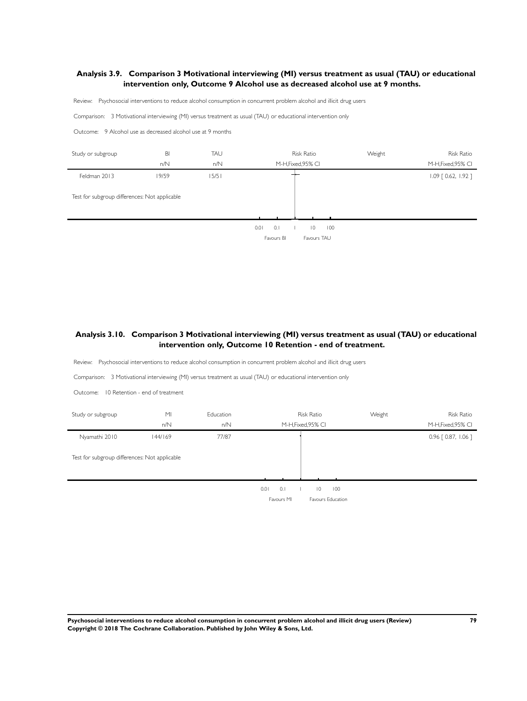### **Analysis 3.9. Comparison 3 Motivational interviewing (MI) versus treatment as usual (TAU) or educational intervention only, Outcome 9 Alcohol use as decreased alcohol use at 9 months.**

Review: Psychosocial interventions to reduce alcohol consumption in concurrent problem alcohol and illicit drug users

Comparison: 3 Motivational interviewing (MI) versus treatment as usual (TAU) or educational intervention only

Outcome: 9 Alcohol use as decreased alcohol use at 9 months

| Study or subgroup                             | BI    | TAU   | <b>Risk Ratio</b>                                                 | Weight | Risk Ratio            |
|-----------------------------------------------|-------|-------|-------------------------------------------------------------------|--------|-----------------------|
|                                               | n/N   | n/N   | M-H, Fixed, 95% CI                                                |        | M-H, Fixed, 95% CI    |
| Feldman 2013                                  | 19/59 | 15/51 |                                                                   |        | $1.09$ $[0.62, 1.92]$ |
| Test for subgroup differences: Not applicable |       |       |                                                                   |        |                       |
|                                               |       |       | 0.1<br>100<br>0.01<br>$\overline{0}$<br>Favours TAU<br>Favours BI |        |                       |

# **Analysis 3.10. Comparison 3 Motivational interviewing (MI) versus treatment as usual (TAU) or educational intervention only, Outcome 10 Retention - end of treatment.**

Review: Psychosocial interventions to reduce alcohol consumption in concurrent problem alcohol and illicit drug users

Comparison: 3 Motivational interviewing (MI) versus treatment as usual (TAU) or educational intervention only

Outcome: 10 Retention - end of treatment

| Study or subgroup                             | M <sub>l</sub> | Education | <b>Risk Ratio</b>                 | Weight | <b>Risk Ratio</b>     |
|-----------------------------------------------|----------------|-----------|-----------------------------------|--------|-----------------------|
|                                               | n/N            | n/N       | M-H, Fixed, 95% CI                |        | M-H, Fixed, 95% CI    |
| Nyamathi 2010                                 | 144/169        | 77/87     |                                   |        | $0.96$ $[0.87, 1.06]$ |
| Test for subgroup differences: Not applicable |                |           |                                   |        |                       |
|                                               |                |           |                                   |        |                       |
|                                               |                |           | 0.1<br>100<br>0.01<br>$ 0\rangle$ |        |                       |
|                                               |                |           | Favours Education<br>Favours MI   |        |                       |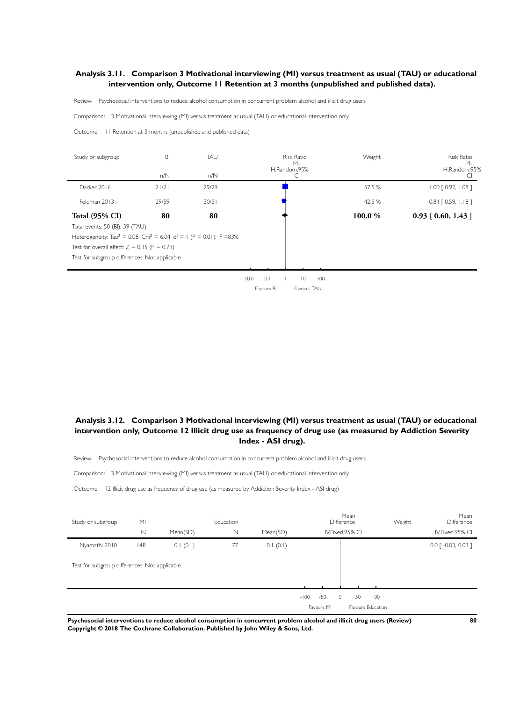### **Analysis 3.11. Comparison 3 Motivational interviewing (MI) versus treatment as usual (TAU) or educational intervention only, Outcome 11 Retention at 3 months (unpublished and published data).**

Review: Psychosocial interventions to reduce alcohol consumption in concurrent problem alcohol and illicit drug users

Comparison: 3 Motivational interviewing (MI) versus treatment as usual (TAU) or educational intervention only

Outcome: 11 Retention at 3 months (unpublished and published data)

| Study or subgroup                                                                              | BI    | TAU   | <b>Risk Ratio</b><br>$M -$<br>H,Random,95% | Weight | Risk Ratio<br>$M -$<br>H,Random,95% |
|------------------------------------------------------------------------------------------------|-------|-------|--------------------------------------------|--------|-------------------------------------|
|                                                                                                | n/N   | n/N   |                                            |        |                                     |
| Darker 2016                                                                                    | 21/21 | 29/29 |                                            | 57.5 % | $1.00$ $[0.92, 1.08]$               |
| Feldman 2013                                                                                   | 29/59 | 30/51 |                                            | 42.5 % | $0.84$ $[0.59, 1.18]$               |
| <b>Total (95% CI)</b>                                                                          | 80    | 80    |                                            | 100.0% | $0.93$ [ 0.60, 1.43 ]               |
| Total events: 50 (BI), 59 (TAU)                                                                |       |       |                                            |        |                                     |
| Heterogeneity: Tau <sup>2</sup> = 0.08; Chi <sup>2</sup> = 6.04, df = 1 (P = 0.01); $1^2$ =83% |       |       |                                            |        |                                     |
| Test for overall effect: $Z = 0.35$ (P = 0.73)                                                 |       |       |                                            |        |                                     |
| Test for subgroup differences: Not applicable                                                  |       |       |                                            |        |                                     |
|                                                                                                |       |       |                                            |        |                                     |

0.01 0.1 1 10 100 Favours BI Favours TAU

# **Analysis 3.12. Comparison 3 Motivational interviewing (MI) versus treatment as usual (TAU) or educational intervention only, Outcome 12 Illicit drug use as frequency of drug use (as measured by Addiction Severity Index - ASI drug).**

Review: Psychosocial interventions to reduce alcohol consumption in concurrent problem alcohol and illicit drug users

Comparison: 3 Motivational interviewing (MI) versus treatment as usual (TAU) or educational intervention only

Outcome: 12 Illicit drug use as frequency of drug use (as measured by Addiction Severity Index - ASI drug)

| Study or subgroup                             | M <sub>l</sub> |          | Education   |          |                 | Mean<br>Difference | Weight            | Mean<br>Difference                |
|-----------------------------------------------|----------------|----------|-------------|----------|-----------------|--------------------|-------------------|-----------------------------------|
|                                               | N              | Mean(SD) | $\mathbb N$ | Mean(SD) |                 | IV, Fixed, 95% CI  |                   | IV, Fixed, 95% CI                 |
| Nyamathi 2010                                 | 148            | 0.1(0.1) | 77          | 0.1(0.1) |                 |                    |                   | $0.0$ $\lceil -0.03, 0.03 \rceil$ |
| Test for subgroup differences: Not applicable |                |          |             |          |                 |                    |                   |                                   |
|                                               |                |          |             |          | $-50$<br>$-100$ | $\circ$<br>50      | 100               |                                   |
|                                               |                |          |             |          | Favours MI      |                    | Favours Education |                                   |

**Psychosocial interventions to reduce alcohol consumption in concurrent problem alcohol and illicit drug users (Review) 80 Copyright © 2018 The Cochrane Collaboration. Published by John Wiley & Sons, Ltd.**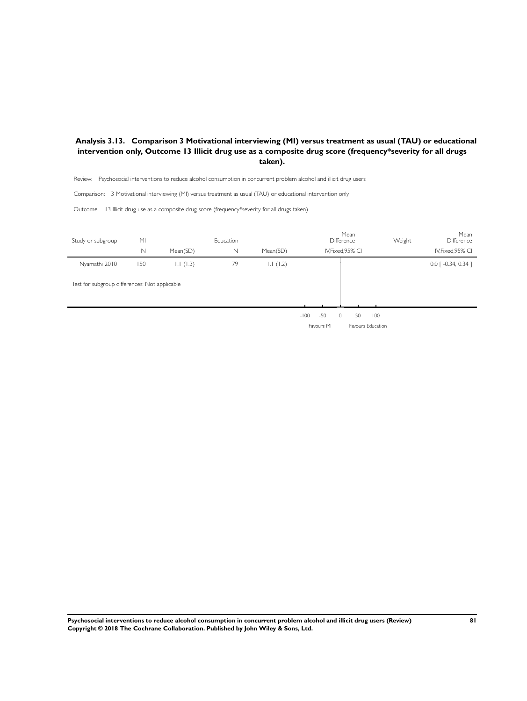# **Analysis 3.13. Comparison 3 Motivational interviewing (MI) versus treatment as usual (TAU) or educational intervention only, Outcome 13 Illicit drug use as a composite drug score (frequency\*severity for all drugs taken).**

Review: Psychosocial interventions to reduce alcohol consumption in concurrent problem alcohol and illicit drug users

Comparison: 3 Motivational interviewing (MI) versus treatment as usual (TAU) or educational intervention only

Outcome: 13 Illicit drug use as a composite drug score (frequency\*severity for all drugs taken)

| Study or subgroup                             | M <sub>l</sub> |          | Education |          |                 | Mean<br>Difference | Weight | Mean<br>Difference                |
|-----------------------------------------------|----------------|----------|-----------|----------|-----------------|--------------------|--------|-----------------------------------|
|                                               | N              | Mean(SD) | N         | Mean(SD) |                 | IV, Fixed, 95% CI  |        | IV, Fixed, 95% CI                 |
| Nyamathi 2010                                 | 150            | 1.1(1.3) | 79        | 1.1(1.2) |                 |                    |        | $0.0$ $\lceil -0.34, 0.34 \rceil$ |
| Test for subgroup differences: Not applicable |                |          |           |          |                 |                    |        |                                   |
|                                               |                |          |           |          | $-50$<br>$-100$ | 50<br>$\Omega$     | 100    |                                   |
|                                               |                |          |           |          | Favours MI      | Favours Education  |        |                                   |

**Psychosocial interventions to reduce alcohol consumption in concurrent problem alcohol and illicit drug users (Review) 81 Copyright © 2018 The Cochrane Collaboration. Published by John Wiley & Sons, Ltd.**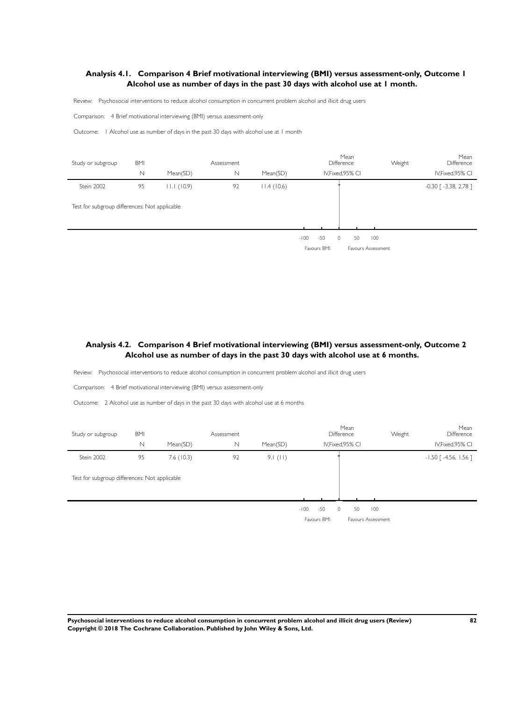# **Analysis 4.1. Comparison 4 Brief motivational interviewing (BMI) versus assessment-only, Outcome 1 Alcohol use as number of days in the past 30 days with alcohol use at 1 month.**

Review: Psychosocial interventions to reduce alcohol consumption in concurrent problem alcohol and illicit drug users

Comparison: 4 Brief motivational interviewing (BMI) versus assessment-only

Outcome: 1 Alcohol use as number of days in the past 30 days with alcohol use at 1 month

| Study or subgroup                             | <b>BMI</b> |            | Assessment  |            |        |             | Difference | Mean              |                    | Weight | Mean<br>Difference         |
|-----------------------------------------------|------------|------------|-------------|------------|--------|-------------|------------|-------------------|--------------------|--------|----------------------------|
|                                               | N          | Mean(SD)   | $\mathbb N$ | Mean(SD)   |        |             |            | IV, Fixed, 95% CI |                    |        | IV, Fixed, 95% CI          |
| Stein 2002                                    | 95         | 11.1(10.9) | 92          | 11.4(10.6) |        |             |            |                   |                    |        | $-0.30$ [ $-3.38$ , 2.78 ] |
| Test for subgroup differences: Not applicable |            |            |             |            |        |             |            |                   |                    |        |                            |
|                                               |            |            |             |            |        |             |            |                   |                    |        |                            |
|                                               |            |            |             |            | $-100$ | $-50$       | $\circ$    | 50                | 100                |        |                            |
|                                               |            |            |             |            |        | Favours BMI |            |                   | Favours Assessment |        |                            |

# **Analysis 4.2. Comparison 4 Brief motivational interviewing (BMI) versus assessment-only, Outcome 2 Alcohol use as number of days in the past 30 days with alcohol use at 6 months.**

Review: Psychosocial interventions to reduce alcohol consumption in concurrent problem alcohol and illicit drug users

Comparison: 4 Brief motivational interviewing (BMI) versus assessment-only

Outcome: 2 Alcohol use as number of days in the past 30 days with alcohol use at 6 months

| Study or subgroup                             | <b>BMI</b> |           | Assessment |            |        |             | Difference | Mean              |                    | Weight | Mean<br>Difference           |
|-----------------------------------------------|------------|-----------|------------|------------|--------|-------------|------------|-------------------|--------------------|--------|------------------------------|
|                                               | N          | Mean(SD)  | N          | Mean(SD)   |        |             |            | IV, Fixed, 95% CI |                    |        | IV, Fixed, 95% CI            |
| Stein 2002                                    | 95         | 7.6(10.3) | 92         | $9.1$ (11) |        |             |            |                   |                    |        | $-1.50$ [ $-4.56$ , $1.56$ ] |
| Test for subgroup differences: Not applicable |            |           |            |            |        |             |            |                   |                    |        |                              |
|                                               |            |           |            |            |        |             |            |                   |                    |        |                              |
|                                               |            |           |            |            | $-100$ | $-50$       | $\circ$    | 50                | 100                |        |                              |
|                                               |            |           |            |            |        | Favours BMI |            |                   | Favours Assessment |        |                              |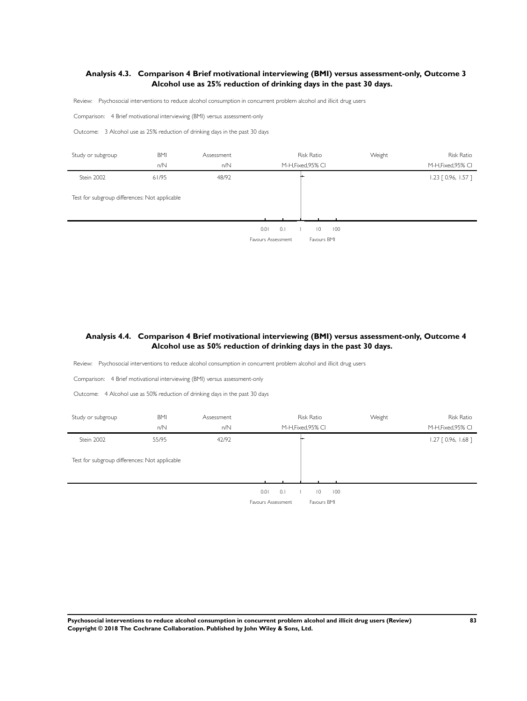# **Analysis 4.3. Comparison 4 Brief motivational interviewing (BMI) versus assessment-only, Outcome 3 Alcohol use as 25% reduction of drinking days in the past 30 days.**

Review: Psychosocial interventions to reduce alcohol consumption in concurrent problem alcohol and illicit drug users

Comparison: 4 Brief motivational interviewing (BMI) versus assessment-only

Outcome: 3 Alcohol use as 25% reduction of drinking days in the past 30 days

| Study or subgroup                             | <b>BMI</b> | Assessment | <b>Risk Ratio</b>                                                         | Weight | <b>Risk Ratio</b>     |
|-----------------------------------------------|------------|------------|---------------------------------------------------------------------------|--------|-----------------------|
|                                               | n/N        | n/N        | M-H, Fixed, 95% CI                                                        |        | M-H, Fixed, 95% CI    |
| Stein 2002                                    | 61/95      | 48/92      |                                                                           |        | $1.23$ [ 0.96, 1.57 ] |
| Test for subgroup differences: Not applicable |            |            |                                                                           |        |                       |
|                                               |            |            | 0.1<br>0.01<br>100<br>$\overline{0}$<br>Favours Assessment<br>Favours BMI |        |                       |

# **Analysis 4.4. Comparison 4 Brief motivational interviewing (BMI) versus assessment-only, Outcome 4 Alcohol use as 50% reduction of drinking days in the past 30 days.**

Review: Psychosocial interventions to reduce alcohol consumption in concurrent problem alcohol and illicit drug users

Comparison: 4 Brief motivational interviewing (BMI) versus assessment-only

Outcome: 4 Alcohol use as 50% reduction of drinking days in the past 30 days

| Study or subgroup                             | <b>BMI</b><br>n/N | Assessment<br>n/N | M-H, Fixed, 95% CI | <b>Risk Ratio</b>     | Weight | Risk Ratio<br>M-H, Fixed, 95% CI |
|-----------------------------------------------|-------------------|-------------------|--------------------|-----------------------|--------|----------------------------------|
| Stein 2002                                    | 55/95             | 42/92             |                    |                       |        | $1.27$ [ 0.96, 1.68 ]            |
| Test for subgroup differences: Not applicable |                   |                   |                    |                       |        |                                  |
|                                               |                   |                   |                    |                       |        |                                  |
|                                               |                   |                   | 0.1<br>0.01        | 100<br>$\overline{0}$ |        |                                  |
|                                               |                   |                   | Favours Assessment | Favours BMI           |        |                                  |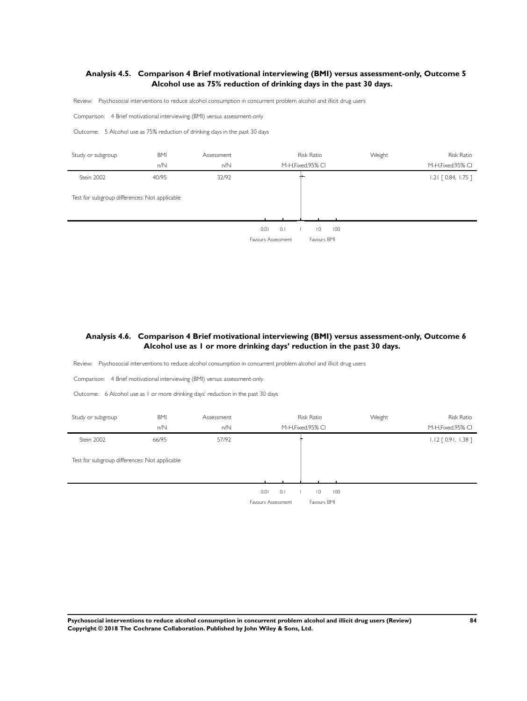# **Analysis 4.5. Comparison 4 Brief motivational interviewing (BMI) versus assessment-only, Outcome 5 Alcohol use as 75% reduction of drinking days in the past 30 days.**

Review: Psychosocial interventions to reduce alcohol consumption in concurrent problem alcohol and illicit drug users

Comparison: 4 Brief motivational interviewing (BMI) versus assessment-only

Outcome: 5 Alcohol use as 75% reduction of drinking days in the past 30 days

| Study or subgroup                             | <b>BMI</b> | Assessment | <b>Risk Ratio</b>                                                         | Weight | <b>Risk Ratio</b>     |
|-----------------------------------------------|------------|------------|---------------------------------------------------------------------------|--------|-----------------------|
|                                               | n/N        | n/N        | M-H, Fixed, 95% CI                                                        |        | M-H, Fixed, 95% CI    |
| Stein 2002                                    | 40/95      | 32/92      |                                                                           |        | $1.21$ $[0.84, 1.75]$ |
| Test for subgroup differences: Not applicable |            |            |                                                                           |        |                       |
|                                               |            |            | 0.1<br>0.01<br>100<br>$\overline{0}$<br>Favours Assessment<br>Favours BMI |        |                       |

# **Analysis 4.6. Comparison 4 Brief motivational interviewing (BMI) versus assessment-only, Outcome 6 Alcohol use as 1 or more drinking days' reduction in the past 30 days.**

Review: Psychosocial interventions to reduce alcohol consumption in concurrent problem alcohol and illicit drug users

Comparison: 4 Brief motivational interviewing (BMI) versus assessment-only

Outcome: 6 Alcohol use as 1 or more drinking days' reduction in the past 30 days

| Study or subgroup                             | <b>BMI</b> | Assessment | <b>Risk Ratio</b>                 | Weight | <b>Risk Ratio</b>     |
|-----------------------------------------------|------------|------------|-----------------------------------|--------|-----------------------|
|                                               | n/N        | n/N        | M-H, Fixed, 95% CI                |        | M-H, Fixed, 95% CI    |
| Stein 2002                                    | 66/95      | 57/92      |                                   |        | $1.12$ [ 0.91, 1.38 ] |
| Test for subgroup differences: Not applicable |            |            |                                   |        |                       |
|                                               |            |            |                                   |        |                       |
|                                               |            |            | 0.01<br>0.1<br>$ 0\rangle$<br>100 |        |                       |
|                                               |            |            | Favours Assessment<br>Favours BMI |        |                       |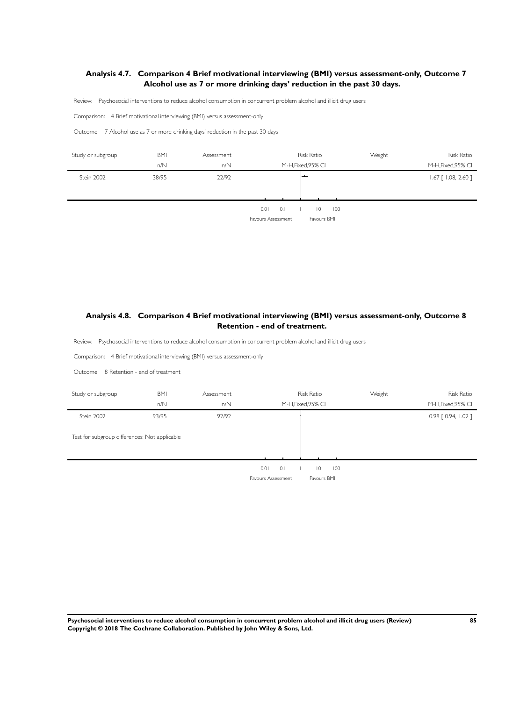# **Analysis 4.7. Comparison 4 Brief motivational interviewing (BMI) versus assessment-only, Outcome 7 Alcohol use as 7 or more drinking days' reduction in the past 30 days.**

Review: Psychosocial interventions to reduce alcohol consumption in concurrent problem alcohol and illicit drug users

Comparison: 4 Brief motivational interviewing (BMI) versus assessment-only

Outcome: 7 Alcohol use as 7 or more drinking days' reduction in the past 30 days

| Study or subgroup | <b>BMI</b><br>n/N | Assessment<br>n/N | Risk Ratio<br>M-H, Fixed, 95% CI                                          | Weight | <b>Risk Ratio</b><br>M-H, Fixed, 95% CI |
|-------------------|-------------------|-------------------|---------------------------------------------------------------------------|--------|-----------------------------------------|
| Stein 2002        | 38/95             | 22/92             | $-$                                                                       |        | $1.67$ [ $1.08$ , 2.60 ]                |
|                   |                   |                   |                                                                           |        |                                         |
|                   |                   |                   | 0.1<br>0.01<br>100<br>$\overline{0}$<br>Favours BMI<br>Favours Assessment |        |                                         |

# **Analysis 4.8. Comparison 4 Brief motivational interviewing (BMI) versus assessment-only, Outcome 8 Retention - end of treatment.**

Review: Psychosocial interventions to reduce alcohol consumption in concurrent problem alcohol and illicit drug users

Comparison: 4 Brief motivational interviewing (BMI) versus assessment-only

Outcome: 8 Retention - end of treatment

| Study or subgroup                             | <b>BMI</b> | Assessment | <b>Risk Ratio</b>                    | Weight | Risk Ratio          |
|-----------------------------------------------|------------|------------|--------------------------------------|--------|---------------------|
|                                               | n/N        | n/N        | M-H, Fixed, 95% CI                   |        | M-H, Fixed, 95% CI  |
| Stein 2002                                    | 93/95      | 92/92      |                                      |        | 0.98 [ 0.94, 1.02 ] |
| Test for subgroup differences: Not applicable |            |            |                                      |        |                     |
|                                               |            |            | 0.01<br>100<br>0.1<br>$\overline{0}$ |        |                     |

Favours Assessment Favours BMI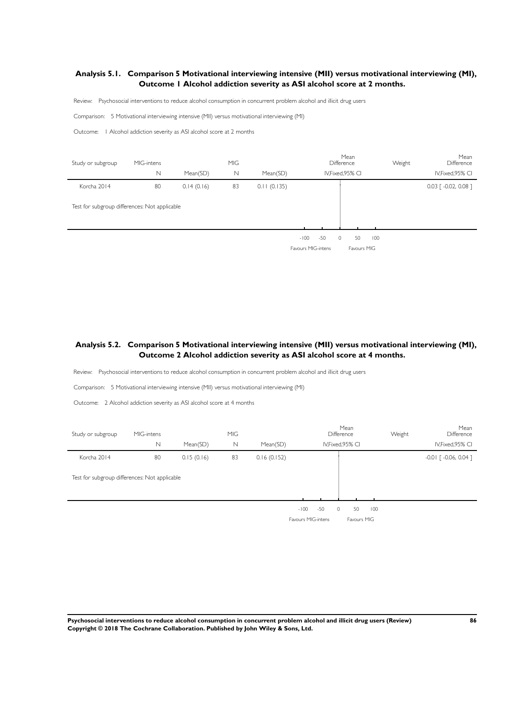# **Analysis 5.1. Comparison 5 Motivational interviewing intensive (MII) versus motivational interviewing (MI), Outcome 1 Alcohol addiction severity as ASI alcohol score at 2 months.**

Review: Psychosocial interventions to reduce alcohol consumption in concurrent problem alcohol and illicit drug users

Comparison: 5 Motivational interviewing intensive (MII) versus motivational interviewing (MI)

Outcome: 1 Alcohol addiction severity as ASI alcohol score at 2 months

l.

| Study or subgroup                             | MIG-intens  |            | <b>MIG</b>  |             |                    | Mean<br>Difference | Weight | Mean<br>Difference                 |
|-----------------------------------------------|-------------|------------|-------------|-------------|--------------------|--------------------|--------|------------------------------------|
|                                               | $\mathbb N$ | Mean(SD)   | $\mathbb N$ | Mean(SD)    |                    | IV, Fixed, 95% CI  |        | IV, Fixed, 95% CI                  |
| Korcha 2014                                   | 80          | 0.14(0.16) | 83          | 0.11(0.135) |                    |                    |        | $0.03$ $\lceil -0.02, 0.08 \rceil$ |
| Test for subgroup differences: Not applicable |             |            |             |             |                    |                    |        |                                    |
|                                               |             |            |             |             |                    |                    |        |                                    |
|                                               |             |            |             |             | $-50$<br>$-100$    | 50<br>$\circ$      | 100    |                                    |
|                                               |             |            |             |             | Favours MIG-intens | Favours MIG        |        |                                    |

# **Analysis 5.2. Comparison 5 Motivational interviewing intensive (MII) versus motivational interviewing (MI), Outcome 2 Alcohol addiction severity as ASI alcohol score at 4 months.**

Review: Psychosocial interventions to reduce alcohol consumption in concurrent problem alcohol and illicit drug users

Comparison: 5 Motivational interviewing intensive (MII) versus motivational interviewing (MI)

Outcome: 2 Alcohol addiction severity as ASI alcohol score at 4 months

| Study or subgroup                             | MIG-intens |            | <b>MIG</b> |             |                             | Mean<br><b>Difference</b> | Weight | Mean<br><b>Difference</b> |
|-----------------------------------------------|------------|------------|------------|-------------|-----------------------------|---------------------------|--------|---------------------------|
|                                               | N          | Mean(SD)   | N          | Mean(SD)    |                             | IV, Fixed, 95% CI         |        | IV, Fixed, 95% CI         |
| Korcha 2014                                   | 80         | 0.15(0.16) | 83         | 0.16(0.152) |                             |                           |        | $-0.01$ $[ -0.06, 0.04 ]$ |
| Test for subgroup differences: Not applicable |            |            |            |             |                             |                           |        |                           |
|                                               |            |            |            |             | $-50$<br>$-100$<br>$\Omega$ | 50<br>100                 |        |                           |
|                                               |            |            |            |             | Favours MIG-intens          | Favours MIG               |        |                           |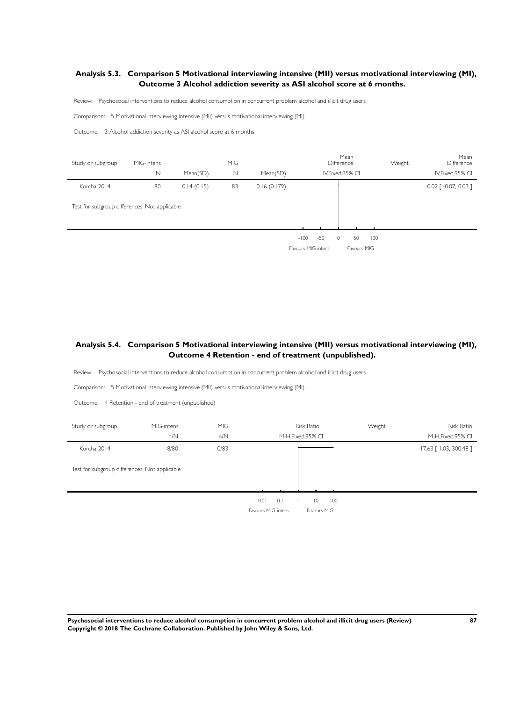# **Analysis 5.3. Comparison 5 Motivational interviewing intensive (MII) versus motivational interviewing (MI), Outcome 3 Alcohol addiction severity as ASI alcohol score at 6 months.**

Review: Psychosocial interventions to reduce alcohol consumption in concurrent problem alcohol and illicit drug users

Comparison: 5 Motivational interviewing intensive (MII) versus motivational interviewing (MI)

Outcome: 3 Alcohol addiction severity as ASI alcohol score at 6 months

| Study or subgroup                             | MIG-intens |            | <b>MIG</b> |             |                    |       | Mean<br><b>Difference</b> |             | Weight | Mean<br>Difference                  |
|-----------------------------------------------|------------|------------|------------|-------------|--------------------|-------|---------------------------|-------------|--------|-------------------------------------|
|                                               | N          | Mean(SD)   | N          | Mean(SD)    |                    |       | IV, Fixed, 95% CI         |             |        | IV, Fixed, 95% CI                   |
| Korcha 2014                                   | 80         | 0.14(0.15) | 83         | 0.16(0.179) |                    |       |                           |             |        | $-0.02$ $\lceil -0.07, 0.03 \rceil$ |
| Test for subgroup differences: Not applicable |            |            |            |             |                    |       |                           |             |        |                                     |
|                                               |            |            |            |             |                    |       |                           |             |        |                                     |
|                                               |            |            |            |             | $-100$             | $-50$ | 50<br>$\circ$             | 100         |        |                                     |
|                                               |            |            |            |             | Favours MIG-intens |       |                           | Favours MIG |        |                                     |

# **Analysis 5.4. Comparison 5 Motivational interviewing intensive (MII) versus motivational interviewing (MI), Outcome 4 Retention - end of treatment (unpublished).**

Review: Psychosocial interventions to reduce alcohol consumption in concurrent problem alcohol and illicit drug users

Comparison: 5 Motivational interviewing intensive (MII) versus motivational interviewing (MI)

Outcome: 4 Retention - end of treatment (unpublished)

| Study or subgroup                             | MIG-intens<br>n/N | MIG<br>n/N | <b>Risk Ratio</b><br>M-H, Fixed, 95% CI                                   | Weight | <b>Risk Ratio</b><br>M-H, Fixed, 95% CI |
|-----------------------------------------------|-------------------|------------|---------------------------------------------------------------------------|--------|-----------------------------------------|
| Korcha 2014                                   | 8/80              | 0/83       |                                                                           |        | 17.63 [1.03, 300.48]                    |
| Test for subgroup differences: Not applicable |                   |            |                                                                           |        |                                         |
|                                               |                   |            | 0.01<br>0.1<br>100<br>$\overline{0}$<br>Favours MIG-intens<br>Favours MIG |        |                                         |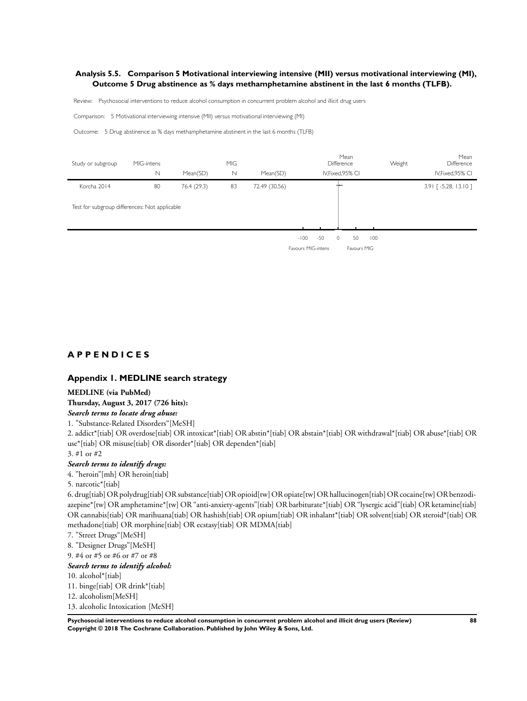### **Analysis 5.5. Comparison 5 Motivational interviewing intensive (MII) versus motivational interviewing (MI), Outcome 5 Drug abstinence as % days methamphetamine abstinent in the last 6 months (TLFB).**

Review: Psychosocial interventions to reduce alcohol consumption in concurrent problem alcohol and illicit drug users

Comparison: 5 Motivational interviewing intensive (MII) versus motivational interviewing (MI)

Outcome: 5 Drug abstinence as % days methamphetamine abstinent in the last 6 months (TLFB)

| Study or subgroup                             | MIG-intens |             | <b>MIG</b>  |               |                                              | Mean<br>Difference           | Weight | Mean<br>Difference  |
|-----------------------------------------------|------------|-------------|-------------|---------------|----------------------------------------------|------------------------------|--------|---------------------|
|                                               | N          | Mean(SD)    | $\mathbb N$ | Mean(SD)      |                                              | IV, Fixed, 95% CI            |        | IV, Fixed, 95% CI   |
| Korcha 2014                                   | 80         | 76.4 (29.3) | 83          | 72.49 (30.56) |                                              |                              |        | 3.91 [-5.28, 13.10] |
| Test for subgroup differences: Not applicable |            |             |             |               |                                              |                              |        |                     |
|                                               |            |             |             |               | $-50$<br>$-100$<br><b>Favours MIG-intens</b> | 50<br>$\circ$<br>Favours MIG | 100    |                     |

# **A P P E N D I C E S**

#### **Appendix 1. MEDLINE search strategy**

#### **MEDLINE (via PubMed)**

### **Thursday, August 3, 2017 (726 hits):**

*Search terms to locate drug abuse:*

1. "Substance-Related Disorders"[MeSH]

2. addict\*[tiab] OR overdose[tiab] OR intoxicat\*[tiab] OR abstin\*[tiab] OR abstain\*[tiab] OR withdrawal\*[tiab] OR abuse\*[tiab] OR use\*[tiab] OR misuse[tiab] OR disorder\*[tiab] OR dependen\*[tiab]

# 3. #1 or #2

l.

#### *Search terms to identify drugs:*

4. "heroin"[mh] OR heroin[tiab]

#### 5. narcotic\*[tiab]

6. drug[tiab] OR polydrug[tiab] OR substance[tiab] OR opioid[tw] OR opiate[tw] OR hallucinogen[tiab] OR cocaine[tw] OR benzodiazepine\*[tw] OR amphetamine\*[tw] OR "anti-anxiety-agents"[tiab] OR barbiturate\*[tiab] OR "lysergic acid"[tiab] OR ketamine[tiab] OR cannabis[tiab] OR marihuana[tiab] OR hashish[tiab] OR opium[tiab] OR inhalant\*[tiab] OR solvent[tiab] OR steroid\*[tiab] OR methadone[tiab] OR morphine[tiab] OR ecstasy[tiab] OR MDMA[tiab]

7. "Street Drugs"[MeSH]

8. "Designer Drugs"[MeSH]

9. #4 or #5 or #6 or #7 or #8

#### *Search terms to identify alcohol:*

10. alcohol\*[tiab]

11. binge[tiab] OR drink\*[tiab]

12. alcoholism[MeSH]

13. alcoholic Intoxication [MeSH]

**Psychosocial interventions to reduce alcohol consumption in concurrent problem alcohol and illicit drug users (Review) 88 Copyright © 2018 The Cochrane Collaboration. Published by John Wiley & Sons, Ltd.**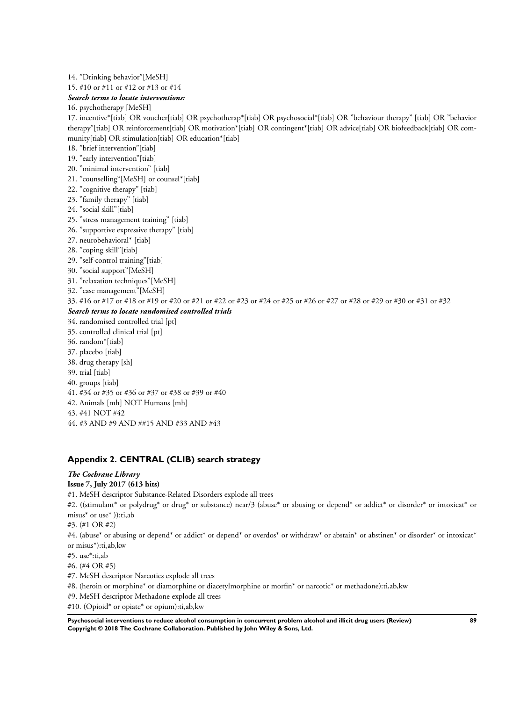#### 14. "Drinking behavior"[MeSH]

15. #10 or #11 or #12 or #13 or #14

#### *Search terms to locate interventions:*

16. psychotherapy [MeSH]

17. incentive\*[tiab] OR voucher[tiab] OR psychotherap\*[tiab] OR psychosocial\*[tiab] OR "behaviour therapy" [tiab] OR "behavior therapy"[tiab] OR reinforcement[tiab] OR motivation\*[tiab] OR contingent\*[tiab] OR advice[tiab] OR biofeedback[tiab] OR community[tiab] OR stimulation[tiab] OR education\*[tiab]

- 18. "brief intervention"[tiab]
- 19. "early intervention"[tiab]
- 20. "minimal intervention" [tiab]
- 21. "counselling"[MeSH] or counsel\*[tiab]
- 22. "cognitive therapy" [tiab]
- 23. "family therapy" [tiab]
- 24. "social skill"[tiab]
- 25. "stress management training" [tiab]
- 26. "supportive expressive therapy" [tiab]
- 27. neurobehavioral\* [tiab]
- 28. "coping skill"[tiab]
- 29. "self-control training"[tiab]
- 30. "social support"[MeSH]
- 31. "relaxation techniques"[MeSH]
- 32. "case management"[MeSH]
- 33. #16 or #17 or #18 or #19 or #20 or #21 or #22 or #23 or #24 or #25 or #26 or #27 or #28 or #29 or #30 or #31 or #32

#### *Search terms to locate randomised controlled trials*

- 34. randomised controlled trial [pt]
- 35. controlled clinical trial [pt]
- 36. random\*[tiab]
- 37. placebo [tiab]
- 38. drug therapy [sh]
- 39. trial [tiab]
- 40. groups [tiab]
- 41. #34 or #35 or #36 or #37 or #38 or #39 or #40
- 42. Animals [mh] NOT Humans [mh]
- 43. #41 NOT #42
- 44. #3 AND #9 AND ##15 AND #33 AND #43

# **Appendix 2. CENTRAL (CLIB) search strategy**

# *The Cochrane Library*

# **Issue 7, July 2017 (613 hits)**

#1. MeSH descriptor Substance-Related Disorders explode all trees

#2. ((stimulant\* or polydrug\* or drug\* or substance) near/3 (abuse\* or abusing or depend\* or addict\* or disorder\* or intoxicat\* or misus\* or use\* )):ti,ab

#3. (#1 OR #2)

#4. (abuse\* or abusing or depend\* or addict\* or depend\* or overdos\* or withdraw\* or abstain\* or abstinen\* or disorder\* or intoxicat\* or misus\*):ti,ab,kw

#5. use\*:ti,ab

#6. (#4 OR #5)

#7. MeSH descriptor Narcotics explode all trees

#8. (heroin or morphine\* or diamorphine or diacetylmorphine or morfin\* or narcotic\* or methadone):ti,ab,kw

#9. MeSH descriptor Methadone explode all trees

#10. (Opioid\* or opiate\* or opium):ti,ab,kw

**Psychosocial interventions to reduce alcohol consumption in concurrent problem alcohol and illicit drug users (Review) 89 Copyright © 2018 The Cochrane Collaboration. Published by John Wiley & Sons, Ltd.**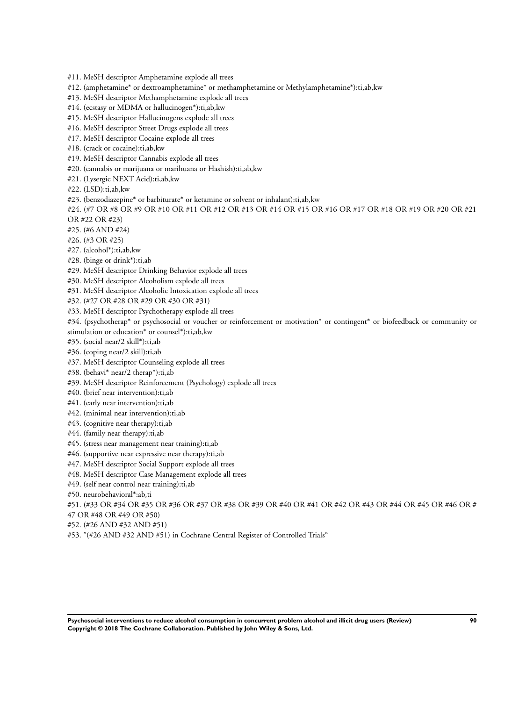#11. MeSH descriptor Amphetamine explode all trees

- #12. (amphetamine\* or dextroamphetamine\* or methamphetamine or Methylamphetamine\*):ti,ab,kw
- #13. MeSH descriptor Methamphetamine explode all trees
- #14. (ecstasy or MDMA or hallucinogen\*):ti,ab,kw
- #15. MeSH descriptor Hallucinogens explode all trees
- #16. MeSH descriptor Street Drugs explode all trees
- #17. MeSH descriptor Cocaine explode all trees
- #18. (crack or cocaine):ti,ab,kw
- #19. MeSH descriptor Cannabis explode all trees
- #20. (cannabis or marijuana or marihuana or Hashish):ti,ab,kw
- #21. (Lysergic NEXT Acid):ti,ab,kw
- #22. (LSD):ti,ab,kw
- #23. (benzodiazepine\* or barbiturate\* or ketamine or solvent or inhalant):ti,ab,kw

#24. (#7 OR #8 OR #9 OR #10 OR #11 OR #12 OR #13 OR #14 OR #15 OR #16 OR #17 OR #18 OR #19 OR #20 OR #21 OR #22 OR #23)

- #25. (#6 AND #24)
- #26. (#3 OR #25)
- #27. (alcohol\*):ti,ab,kw
- #28. (binge or drink\*):ti,ab
- #29. MeSH descriptor Drinking Behavior explode all trees
- #30. MeSH descriptor Alcoholism explode all trees
- #31. MeSH descriptor Alcoholic Intoxication explode all trees
- #32. (#27 OR #28 OR #29 OR #30 OR #31)
- #33. MeSH descriptor Psychotherapy explode all trees
- #34. (psychotherap\* or psychosocial or voucher or reinforcement or motivation\* or contingent\* or biofeedback or community or stimulation or education\* or counsel\*):ti,ab,kw
- #35. (social near/2 skill\*):ti,ab
- #36. (coping near/2 skill):ti,ab
- #37. MeSH descriptor Counseling explode all trees
- #38. (behavi\* near/2 therap\*):ti,ab
- #39. MeSH descriptor Reinforcement (Psychology) explode all trees
- #40. (brief near intervention):ti,ab
- #41. (early near intervention):ti,ab
- #42. (minimal near intervention):ti,ab
- #43. (cognitive near therapy):ti,ab
- #44. (family near therapy):ti,ab
- #45. (stress near management near training):ti,ab
- #46. (supportive near expressive near therapy):ti,ab
- #47. MeSH descriptor Social Support explode all trees
- #48. MeSH descriptor Case Management explode all trees
- #49. (self near control near training):ti,ab

#50. neurobehavioral\*:ab,ti

#51. (#33 OR #34 OR #35 OR #36 OR #37 OR #38 OR #39 OR #40 OR #41 OR #42 OR #43 OR #44 OR #45 OR #46 OR #

47 OR #48 OR #49 OR #50)

- #52. (#26 AND #32 AND #51)
- #53. "(#26 AND #32 AND #51) in Cochrane Central Register of Controlled Trials"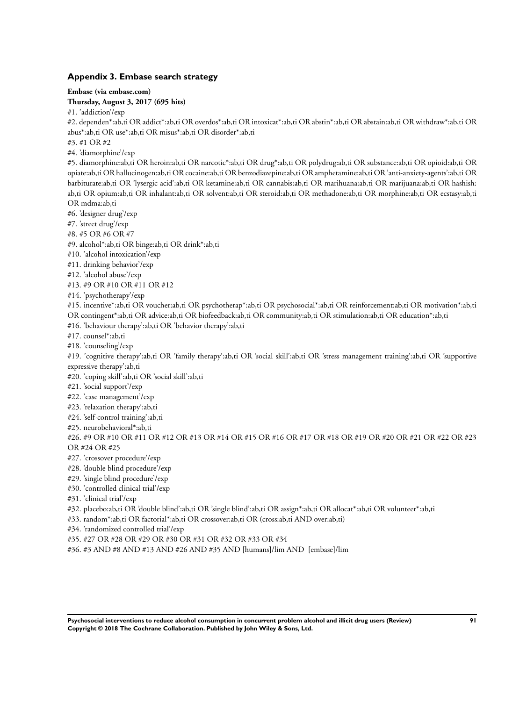# **Appendix 3. Embase search strategy**

**Embase (via embase.com)**

**Thursday, August 3, 2017 (695 hits)**

#1. 'addiction'/exp

#2. dependen\*:ab,ti OR addict\*:ab,ti OR overdos\*:ab,ti OR intoxicat\*:ab,ti OR abstin\*:ab,ti OR abstain:ab,ti OR withdraw\*:ab,ti OR abus\*:ab,ti OR use\*:ab,ti OR misus\*:ab,ti OR disorder\*:ab,ti

#3. #1 OR #2

#4. 'diamorphine'/exp

#5. diamorphine:ab,ti OR heroin:ab,ti OR narcotic\*:ab,ti OR drug\*:ab,ti OR polydrug:ab,ti OR substance:ab,ti OR opioid:ab,ti OR opiate:ab,ti OR hallucinogen:ab,ti OR cocaine:ab,ti OR benzodiazepine:ab,ti OR amphetamine:ab,ti OR 'anti-anxiety-agents':ab,ti OR barbiturate:ab,ti OR 'lysergic acid':ab,ti OR ketamine:ab,ti OR cannabis:ab,ti OR marihuana:ab,ti OR marijuana:ab,ti OR hashish: ab,ti OR opium:ab,ti OR inhalant:ab,ti OR solvent:ab,ti OR steroid:ab,ti OR methadone:ab,ti OR morphine:ab,ti OR ecstasy:ab,ti OR mdma:ab,ti

#6. 'designer drug'/exp

#7. 'street drug'/exp

#8. #5 OR #6 OR #7

#9. alcohol\*:ab,ti OR binge:ab,ti OR drink\*:ab,ti

#10. 'alcohol intoxication'/exp

#11. drinking behavior'/exp

#12. 'alcohol abuse'/exp

#13. #9 OR #10 OR #11 OR #12

#14. 'psychotherapy'/exp

#15. incentive\*:ab,ti OR voucher:ab,ti OR psychotherap\*:ab,ti OR psychosocial\*:ab,ti OR reinforcement:ab,ti OR motivation\*:ab,ti OR contingent\*:ab,ti OR advice:ab,ti OR biofeedback:ab,ti OR community:ab,ti OR stimulation:ab,ti OR education\*:ab,ti

#16. 'behaviour therapy':ab,ti OR 'behavior therapy':ab,ti

#17. counsel\*:ab,ti

#18. 'counseling'/exp

#19. 'cognitive therapy':ab,ti OR 'family therapy':ab,ti OR 'social skill':ab,ti OR 'stress management training':ab,ti OR 'supportive expressive therapy':ab,ti

#20. 'coping skill':ab,ti OR 'social skill':ab,ti

#21. 'social support'/exp

#22. 'case management'/exp

#23. 'relaxation therapy':ab,ti

#24. 'self-control training':ab,ti

#25. neurobehavioral\*:ab,ti

#26. #9 OR #10 OR #11 OR #12 OR #13 OR #14 OR #15 OR #16 OR #17 OR #18 OR #19 OR #20 OR #21 OR #22 OR #23 OR #24 OR #25

#27. 'crossover procedure'/exp

#28. 'double blind procedure'/exp

#29. 'single blind procedure'/exp

#30. 'controlled clinical trial'/exp

#31. 'clinical trial'/exp

#32. placebo:ab,ti OR 'double blind':ab,ti OR 'single blind':ab,ti OR assign\*:ab,ti OR allocat\*:ab,ti OR volunteer\*:ab,ti

#33. random\*:ab,ti OR factorial\*:ab,ti OR crossover:ab,ti OR (cross:ab,ti AND over:ab,ti)

#34. 'randomized controlled trial'/exp

#35. #27 OR #28 OR #29 OR #30 OR #31 OR #32 OR #33 OR #34

#36. #3 AND #8 AND #13 AND #26 AND #35 AND [humans]/lim AND [embase]/lim

**Psychosocial interventions to reduce alcohol consumption in concurrent problem alcohol and illicit drug users (Review) 91 Copyright © 2018 The Cochrane Collaboration. Published by John Wiley & Sons, Ltd.**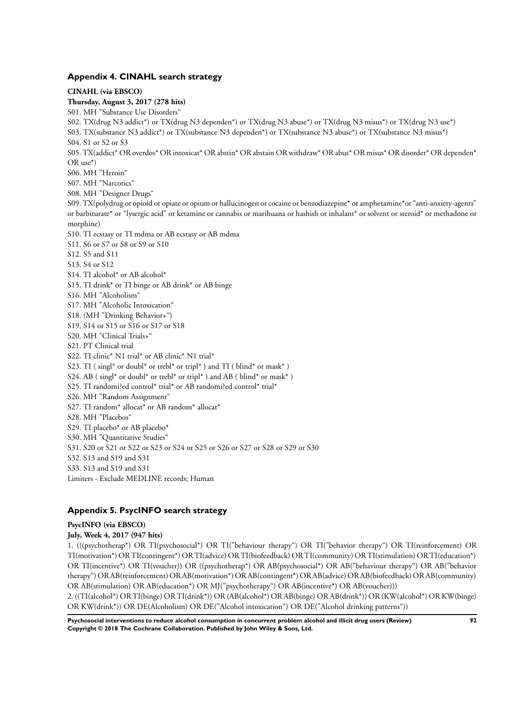#### **Appendix 4. CINAHL search strategy**

**CINAHL (via EBSCO) Thursday, August 3, 2017 (278 hits)** S01. MH "Substance Use Disorders" S02. TX(drug N3 addict\*) or TX(drug N3 dependen\*) or TX(drug N3 abuse\*) or TX(drug N3 misus\*) or TX(drug N3 use\*) S03. TX(substance N3 addict\*) or TX(substance N3 dependen\*) or TX(substance N3 abuse\*) or TX(substance N3 misus\*) S04. S1 or S2 or S3 S05. TX(addict\* OR overdos\* OR intoxicat\* OR abstin\* OR abstain OR withdraw\* OR abus\* OR misus\* OR disorder\* OR dependen\* OR use\*) S06. MH "Heroin" S07. MH "Narcotics" S08. MH "Designer Drugs" S09. TX(polydrug or opioid or opiate or opium or hallucinogen or cocaine or benzodiazepine\* or amphetamine\*or "anti-anxiety-agents" or barbiturate\* or "lysergic acid" or ketamine or cannabis or marihuana or hashish or inhalant\* or solvent or steroid\* or methadone or morphine) S10. TI ecstasy or TI mdma or AB ecstasy or AB mdma S11. S6 or S7 or S8 or S9 or S10 S12. S5 and S11 S13. S4 or S12 S14. TI alcohol\* or AB alcohol\* S15. TI drink\* or TI binge or AB drink\* or AB binge S16. MH "Alcoholism" S17. MH "Alcoholic Intoxication" S18. (MH "Drinking Behavior+") S19. S14 or S15 or S16 or S17 or S18 S20. MH "Clinical Trials+" S21. PT Clinical trial S22. TI clinic\* N1 trial\* or AB clinic\* N1 trial\* S23. TI ( $\sin(2^*)$  or doubl<sup>\*</sup> or trebl<sup>\*</sup> or tripl<sup>\*</sup>) and TI ( $\sin(2^*)$  or mask<sup>\*</sup>) S24. AB (singl\* or doubl\* or trebl\* or tripl\*) and AB (blind\* or mask\*) S25. TI randomi?ed control\* trial\* or AB randomi?ed control\* trial\* S26. MH "Random Assignment" S27. TI random\* allocat\* or AB random\* allocat\* S28. MH "Placebos" S29. TI placebo<sup>\*</sup> or AB placebo<sup>\*</sup> S30. MH "Quantitative Studies" S31. S20 or S21 or S22 or S23 or S24 or S25 or S26 or S27 or S28 or S29 or S30 S32. S13 and S19 and S31 S33. S13 and S19 and S31 Limiters - Exclude MEDLINE records; Human

# **Appendix 5. PsycINFO search strategy**

# **PsycINFO (via EBSCO)**

# **July, Week 4, 2017 (947 hits)**

1. (((psychotherap\*) OR TI(psychosocial\*) OR TI("behaviour therapy") OR TI("behavior therapy") OR TI(reinforcement) OR TI(motivation\*) OR TI(contingent\*) OR TI(advice) OR TI(biofeedback) OR TI(community) OR TI(stimulation) OR TI(education\*) OR TI(incentive\*) OR TI(voucher)) OR ((psychotherap\*) OR AB(psychosocial\*) OR AB("behaviour therapy") OR AB("behavior therapy") OR AB(reinforcement) OR AB(motivation\*) OR AB(contingent\*) OR AB(advice) OR AB(biofeedback) OR AB(community) OR AB(stimulation) OR AB(education\*) OR MJ("psychotherapy") OR AB(incentive\*) OR AB(voucher)))

2. ((TI(alcohol\*) OR TI(binge) OR TI(drink\*)) OR (AB(alcohol\*) OR AB(binge) OR AB(drink\*)) OR (KW(alcohol\*) OR KW(binge) OR KW(drink\*)) OR DE(Alcoholism) OR DE("Alcohol intoxication") OR DE("Alcohol drinking patterns"))

**Psychosocial interventions to reduce alcohol consumption in concurrent problem alcohol and illicit drug users (Review) 92 Copyright © 2018 The Cochrane Collaboration. Published by John Wiley & Sons, Ltd.**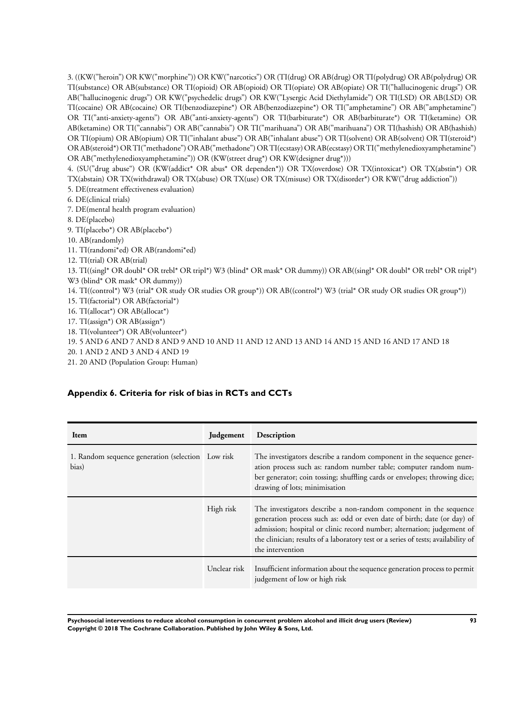3. ((KW("heroin") OR KW("morphine")) OR KW("narcotics") OR (TI(drug) OR AB(drug) OR TI(polydrug) OR AB(polydrug) OR TI(substance) OR AB(substance) OR TI(opioid) OR AB(opioid) OR TI(opiate) OR AB(opiate) OR TI("hallucinogenic drugs") OR AB("hallucinogenic drugs") OR KW("psychedelic drugs") OR KW("Lysergic Acid Diethylamide") OR TI(LSD) OR AB(LSD) OR TI(cocaine) OR AB(cocaine) OR TI(benzodiazepine\*) OR AB(benzodiazepine\*) OR TI("amphetamine") OR AB("amphetamine") OR TI("anti-anxiety-agents") OR AB("anti-anxiety-agents") OR TI(barbiturate\*) OR AB(barbiturate\*) OR TI(ketamine) OR AB(ketamine) OR TI("cannabis") OR AB("cannabis") OR TI("marihuana") OR AB("marihuana") OR TI(hashish) OR AB(hashish) OR TI(opium) OR AB(opium) OR TI("inhalant abuse") OR AB("inhalant abuse") OR TI(solvent) OR AB(solvent) OR TI(steroid\*) OR AB(steroid\*) OR TI("methadone") OR AB("methadone") OR TI(ecstasy) OR AB(ecstasy) OR TI("methylenedioxyamphetamine") OR AB("methylenedioxyamphetamine")) OR (KW(street drug\*) OR KW(designer drug\*)))

4. (SU("drug abuse") OR (KW(addict\* OR abus\* OR dependen\*)) OR TX(overdose) OR TX(intoxicat\*) OR TX(abstin\*) OR TX(abstain) OR TX(withdrawal) OR TX(abuse) OR TX(use) OR TX(misuse) OR TX(disorder\*) OR KW("drug addiction"))

- 5. DE(treatment effectiveness evaluation)
- 6. DE(clinical trials)
- 7. DE(mental health program evaluation)
- 8. DE(placebo)
- 9. TI(placebo\*) OR AB(placebo\*)
- 10. AB(randomly)
- 11. TI(randomi\*ed) OR AB(randomi\*ed)
- 12. TI(trial) OR AB(trial)

13. TI((singl\* OR doubl\* OR trebl\* OR tripl\*) W3 (blind\* OR mask\* OR dummy)) OR AB((singl\* OR doubl\* OR trebl\* OR tripl\*) W3 (blind\* OR mask\* OR dummy))

- 14. TI((control\*) W3 (trial\* OR study OR studies OR group\*)) OR AB((control\*) W3 (trial\* OR study OR studies OR group\*))
- 15. TI(factorial\*) OR AB(factorial\*)
- 16. TI(allocat\*) OR AB(allocat\*)
- 17. TI(assign\*) OR AB(assign\*)
- 18. TI(volunteer\*) OR AB(volunteer\*)
- 19. 5 AND 6 AND 7 AND 8 AND 9 AND 10 AND 11 AND 12 AND 13 AND 14 AND 15 AND 16 AND 17 AND 18
- 20. 1 AND 2 AND 3 AND 4 AND 19
- 21. 20 AND (Population Group: Human)

# **Appendix 6. Criteria for risk of bias in RCTs and CCTs**

| Item                                                        | Judgement    | Description                                                                                                                                                                                                                                                                                                                     |
|-------------------------------------------------------------|--------------|---------------------------------------------------------------------------------------------------------------------------------------------------------------------------------------------------------------------------------------------------------------------------------------------------------------------------------|
| 1. Random sequence generation (selection Low risk)<br>bias) |              | The investigators describe a random component in the sequence gener-<br>ation process such as: random number table; computer random num-<br>ber generator; coin tossing; shuffling cards or envelopes; throwing dice;<br>drawing of lots; minimisation                                                                          |
|                                                             | High risk    | The investigators describe a non-random component in the sequence<br>generation process such as: odd or even date of birth; date (or day) of<br>admission; hospital or clinic record number; alternation; judgement of<br>the clinician; results of a laboratory test or a series of tests; availability of<br>the intervention |
|                                                             | Unclear risk | Insufficient information about the sequence generation process to permit<br>judgement of low or high risk                                                                                                                                                                                                                       |

**Psychosocial interventions to reduce alcohol consumption in concurrent problem alcohol and illicit drug users (Review) 93 Copyright © 2018 The Cochrane Collaboration. Published by John Wiley & Sons, Ltd.**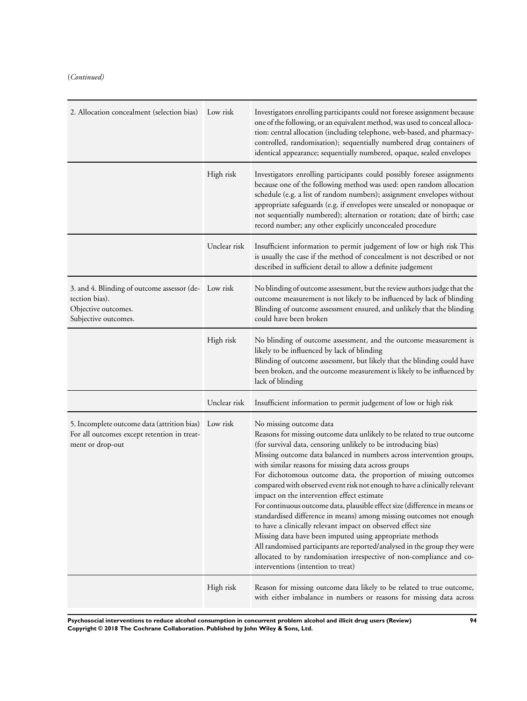(*Continued)*

| 2. Allocation concealment (selection bias)                                                                              | Low risk     | Investigators enrolling participants could not foresee assignment because<br>one of the following, or an equivalent method, was used to conceal alloca-<br>tion: central allocation (including telephone, web-based, and pharmacy-<br>controlled, randomisation); sequentially numbered drug containers of<br>identical appearance; sequentially numbered, opaque, sealed envelopes                                                                                                                                                                                                                                                                                                                                                                                                                                                                                                                                                                                            |
|-------------------------------------------------------------------------------------------------------------------------|--------------|--------------------------------------------------------------------------------------------------------------------------------------------------------------------------------------------------------------------------------------------------------------------------------------------------------------------------------------------------------------------------------------------------------------------------------------------------------------------------------------------------------------------------------------------------------------------------------------------------------------------------------------------------------------------------------------------------------------------------------------------------------------------------------------------------------------------------------------------------------------------------------------------------------------------------------------------------------------------------------|
|                                                                                                                         | High risk    | Investigators enrolling participants could possibly foresee assignments<br>because one of the following method was used: open random allocation<br>schedule (e.g. a list of random numbers); assignment envelopes without<br>appropriate safeguards (e.g. if envelopes were unsealed or nonopaque or<br>not sequentially numbered); alternation or rotation; date of birth; case<br>record number; any other explicitly unconcealed procedure                                                                                                                                                                                                                                                                                                                                                                                                                                                                                                                                  |
|                                                                                                                         | Unclear risk | Insufficient information to permit judgement of low or high risk This<br>is usually the case if the method of concealment is not described or not<br>described in sufficient detail to allow a definite judgement                                                                                                                                                                                                                                                                                                                                                                                                                                                                                                                                                                                                                                                                                                                                                              |
| 3. and 4. Blinding of outcome assessor (de- Low risk<br>tection bias).<br>Objective outcomes.<br>Subjective outcomes.   |              | No blinding of outcome assessment, but the review authors judge that the<br>outcome measurement is not likely to be influenced by lack of blinding<br>Blinding of outcome assessment ensured, and unlikely that the blinding<br>could have been broken                                                                                                                                                                                                                                                                                                                                                                                                                                                                                                                                                                                                                                                                                                                         |
|                                                                                                                         | High risk    | No blinding of outcome assessment, and the outcome measurement is<br>likely to be influenced by lack of blinding<br>Blinding of outcome assessment, but likely that the blinding could have<br>been broken, and the outcome measurement is likely to be influenced by<br>lack of blinding                                                                                                                                                                                                                                                                                                                                                                                                                                                                                                                                                                                                                                                                                      |
|                                                                                                                         | Unclear risk | Insufficient information to permit judgement of low or high risk                                                                                                                                                                                                                                                                                                                                                                                                                                                                                                                                                                                                                                                                                                                                                                                                                                                                                                               |
| 5. Incomplete outcome data (attrition bias) Low risk<br>For all outcomes except retention in treat-<br>ment or drop-out |              | No missing outcome data<br>Reasons for missing outcome data unlikely to be related to true outcome<br>(for survival data, censoring unlikely to be introducing bias)<br>Missing outcome data balanced in numbers across intervention groups,<br>with similar reasons for missing data across groups<br>For dichotomous outcome data, the proportion of missing outcomes<br>compared with observed event risk not enough to have a clinically relevant<br>impact on the intervention effect estimate<br>For continuous outcome data, plausible effect size (difference in means or<br>standardised difference in means) among missing outcomes not enough<br>to have a clinically relevant impact on observed effect size<br>Missing data have been imputed using appropriate methods<br>All randomised participants are reported/analysed in the group they were<br>allocated to by randomisation irrespective of non-compliance and co-<br>interventions (intention to treat) |
|                                                                                                                         | High risk    | Reason for missing outcome data likely to be related to true outcome,<br>with either imbalance in numbers or reasons for missing data across                                                                                                                                                                                                                                                                                                                                                                                                                                                                                                                                                                                                                                                                                                                                                                                                                                   |

**Psychosocial interventions to reduce alcohol consumption in concurrent problem alcohol and illicit drug users (Review) 94 Copyright © 2018 The Cochrane Collaboration. Published by John Wiley & Sons, Ltd.**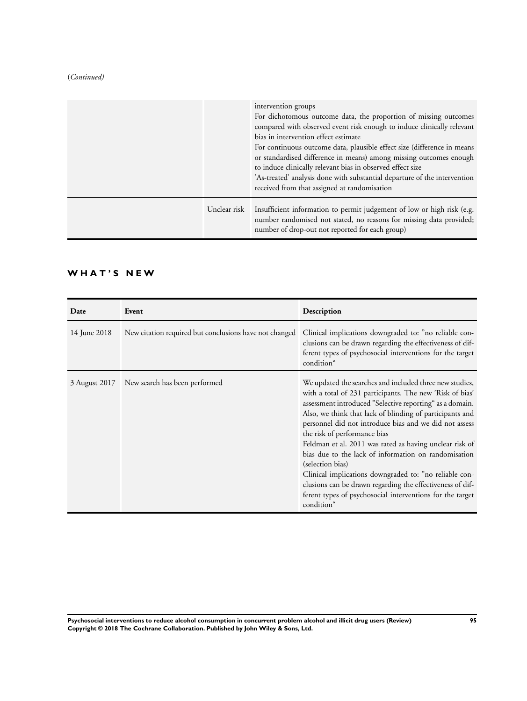### (*Continued)*

|              | intervention groups<br>For dichotomous outcome data, the proportion of missing outcomes<br>compared with observed event risk enough to induce clinically relevant<br>bias in intervention effect estimate<br>For continuous outcome data, plausible effect size (difference in means<br>or standardised difference in means) among missing outcomes enough<br>to induce clinically relevant bias in observed effect size<br>'As-treated' analysis done with substantial departure of the intervention<br>received from that assigned at randomisation |
|--------------|-------------------------------------------------------------------------------------------------------------------------------------------------------------------------------------------------------------------------------------------------------------------------------------------------------------------------------------------------------------------------------------------------------------------------------------------------------------------------------------------------------------------------------------------------------|
| Unclear risk | Insufficient information to permit judgement of low or high risk (e.g.<br>number randomised not stated, no reasons for missing data provided;<br>number of drop-out not reported for each group)                                                                                                                                                                                                                                                                                                                                                      |

# **W H A T ' S N E W**

| Date          | Event                                                  | Description                                                                                                                                                                                                                                                                                                                                                                                                                                                                                                                                                                                                                                                                    |
|---------------|--------------------------------------------------------|--------------------------------------------------------------------------------------------------------------------------------------------------------------------------------------------------------------------------------------------------------------------------------------------------------------------------------------------------------------------------------------------------------------------------------------------------------------------------------------------------------------------------------------------------------------------------------------------------------------------------------------------------------------------------------|
| 14 June 2018  | New citation required but conclusions have not changed | Clinical implications downgraded to: "no reliable con-<br>clusions can be drawn regarding the effectiveness of dif-<br>ferent types of psychosocial interventions for the target<br>condition"                                                                                                                                                                                                                                                                                                                                                                                                                                                                                 |
| 3 August 2017 | New search has been performed                          | We updated the searches and included three new studies,<br>with a total of 231 participants. The new 'Risk of bias'<br>assessment introduced "Selective reporting" as a domain.<br>Also, we think that lack of blinding of participants and<br>personnel did not introduce bias and we did not assess<br>the risk of performance bias<br>Feldman et al. 2011 was rated as having unclear risk of<br>bias due to the lack of information on randomisation<br>(selection bias)<br>Clinical implications downgraded to: "no reliable con-<br>clusions can be drawn regarding the effectiveness of dif-<br>ferent types of psychosocial interventions for the target<br>condition" |

**Psychosocial interventions to reduce alcohol consumption in concurrent problem alcohol and illicit drug users (Review) 95 Copyright © 2018 The Cochrane Collaboration. Published by John Wiley & Sons, Ltd.**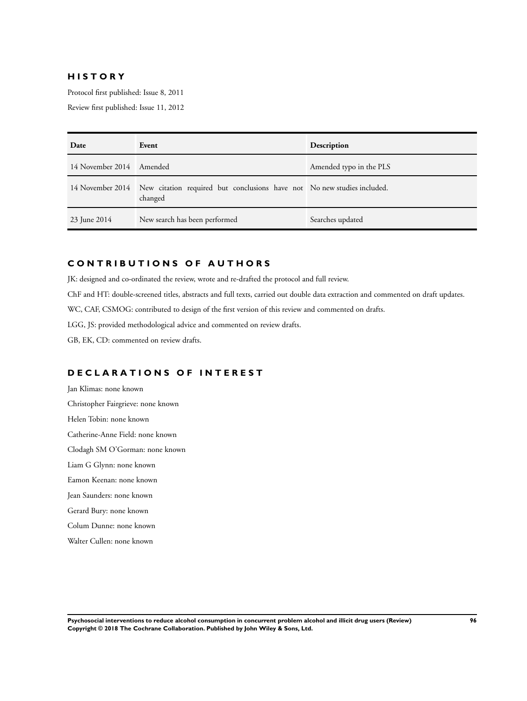# **H I S T O R Y**

Protocol first published: Issue 8, 2011

Review first published: Issue 11, 2012

| Date                     | Event                                                                                               | Description             |
|--------------------------|-----------------------------------------------------------------------------------------------------|-------------------------|
| 14 November 2014 Amended |                                                                                                     | Amended typo in the PLS |
|                          | 14 November 2014 New citation required but conclusions have not No new studies included.<br>changed |                         |
| 23 June 2014             | New search has been performed                                                                       | Searches updated        |

# **C O N T R I B U T I O N S O F A U T H O R S**

JK: designed and co-ordinated the review, wrote and re-drafted the protocol and full review.

ChF and HT: double-screened titles, abstracts and full texts, carried out double data extraction and commented on draft updates.

WC, CAF, CSMOG: contributed to design of the first version of this review and commented on drafts.

LGG, JS: provided methodological advice and commented on review drafts.

GB, EK, CD: commented on review drafts.

# **D E C L A R A T I O N S O F I N T E R E S T**

Jan Klimas: none known Christopher Fairgrieve: none known Helen Tobin: none known Catherine-Anne Field: none known Clodagh SM O'Gorman: none known Liam G Glynn: none known Eamon Keenan: none known Jean Saunders: none known Gerard Bury: none known Colum Dunne: none known

Walter Cullen: none known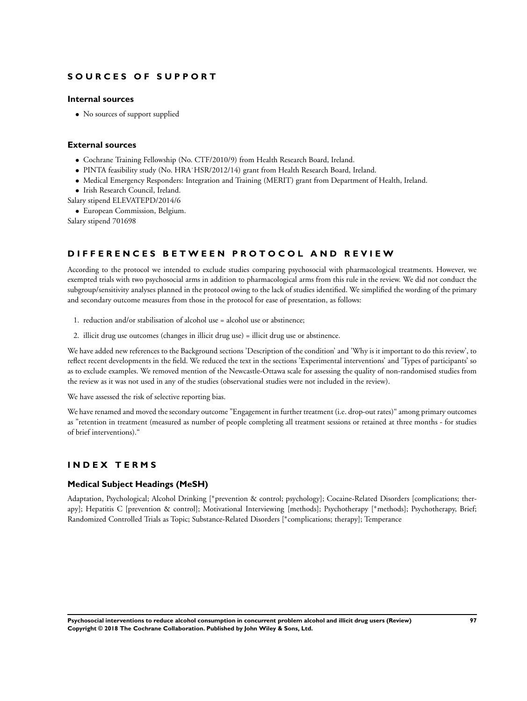# **S O U R C E S O F S U P P O R T**

# **Internal sources**

• No sources of support supplied

#### **External sources**

- Cochrane Training Fellowship (No. CTF/2010/9) from Health Research Board, Ireland.
- PINTA feasibility study (No. HRA˙HSR/2012/14) grant from Health Research Board, Ireland.
- Medical Emergency Responders: Integration and Training (MERIT) grant from Department of Health, Ireland.
- Irish Research Council, Ireland.
- Salary stipend ELEVATEPD/2014/6
	- European Commission, Belgium.

Salary stipend 701698

# D IFFERENCES BETWEEN PROTOCOL AND REVIEW

According to the protocol we intended to exclude studies comparing psychosocial with pharmacological treatments. However, we exempted trials with two psychosocial arms in addition to pharmacological arms from this rule in the review. We did not conduct the subgroup/sensitivity analyses planned in the protocol owing to the lack of studies identified. We simplified the wording of the primary and secondary outcome measures from those in the protocol for ease of presentation, as follows:

- 1. reduction and/or stabilisation of alcohol use = alcohol use or abstinence;
- 2. illicit drug use outcomes (changes in illicit drug use) = illicit drug use or abstinence.

We have added new references to the Background sections 'Description of the condition' and 'Why is it important to do this review', to reflect recent developments in the field. We reduced the text in the sections 'Experimental interventions' and 'Types of participants' so as to exclude examples. We removed mention of the Newcastle-Ottawa scale for assessing the quality of non-randomised studies from the review as it was not used in any of the studies (observational studies were not included in the review).

We have assessed the risk of selective reporting bias.

We have renamed and moved the secondary outcome "Engagement in further treatment (i.e. drop-out rates)" among primary outcomes as "retention in treatment (measured as number of people completing all treatment sessions or retained at three months - for studies of brief interventions)."

# **I N D E X T E R M S**

#### **Medical Subject Headings (MeSH)**

Adaptation, Psychological; Alcohol Drinking [\*prevention & control; psychology]; Cocaine-Related Disorders [complications; therapy]; Hepatitis C [prevention & control]; Motivational Interviewing [methods]; Psychotherapy [∗methods]; Psychotherapy, Brief; Randomized Controlled Trials as Topic; Substance-Related Disorders [<sup>∗</sup> complications; therapy]; Temperance